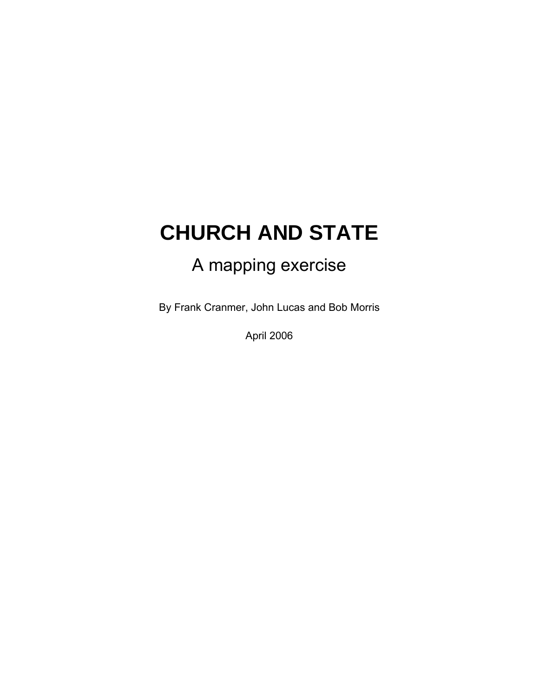# **CHURCH AND STATE**

# A mapping exercise

By Frank Cranmer, John Lucas and Bob Morris

April 2006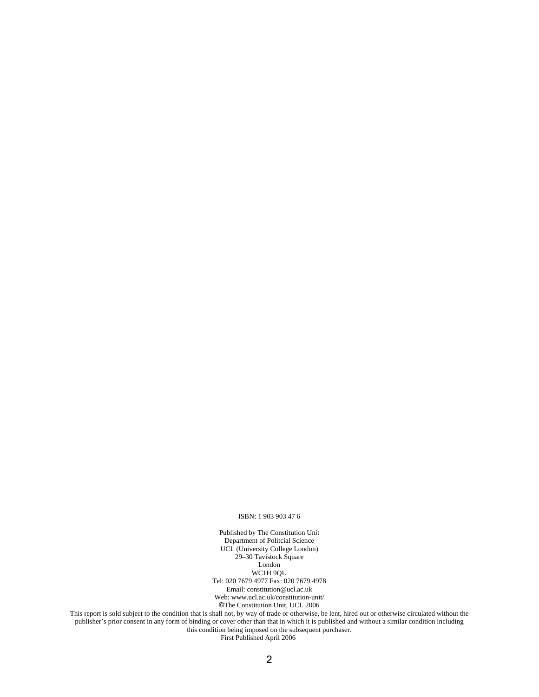ISBN: 1 903 903 47 6

Published by The Constitution Unit Department of Politcial Science UCL (University College London) 29–30 Tavistock Square London WC1H 9QU Tel: 020 7679 4977 Fax: 020 7679 4978 Email: constitution@ucl.ac.uk Web: www.ucl.ac.uk/constitution-unit/ ©The Constitution Unit, UCL 2006

This report is sold subject to the condition that is shall not, by way of trade or otherwise, be lent, hired out or otherwise circulated without the publisher's prior consent in any form of binding or cover other than that in which it is published and without a similar condition including this condition being imposed on the subsequent purchaser. First Published April 2006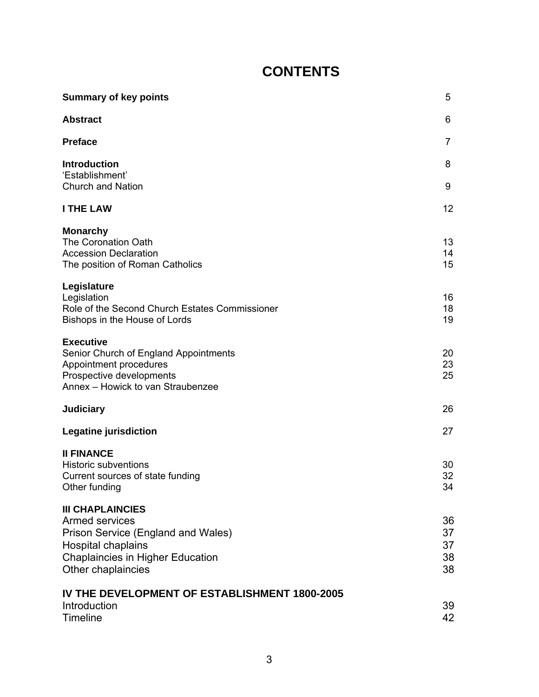# **CONTENTS**

| <b>Summary of key points</b>                                                                                                                                                  | 5                          |
|-------------------------------------------------------------------------------------------------------------------------------------------------------------------------------|----------------------------|
| <b>Abstract</b>                                                                                                                                                               | 6                          |
| <b>Preface</b>                                                                                                                                                                | 7                          |
| <b>Introduction</b><br>'Establishment'<br><b>Church and Nation</b>                                                                                                            | 8<br>9                     |
| <b>I THE LAW</b>                                                                                                                                                              | 12                         |
| <b>Monarchy</b><br><b>The Coronation Oath</b><br><b>Accession Declaration</b><br>The position of Roman Catholics                                                              | 13<br>14<br>15             |
| Legislature<br>Legislation<br>Role of the Second Church Estates Commissioner<br>Bishops in the House of Lords                                                                 | 16<br>18<br>19             |
| <b>Executive</b><br>Senior Church of England Appointments<br>Appointment procedures<br>Prospective developments<br>Annex - Howick to van Straubenzee                          | 20<br>23<br>25             |
| <b>Judiciary</b>                                                                                                                                                              | 26                         |
| <b>Legatine jurisdiction</b>                                                                                                                                                  | 27                         |
| <b>II FINANCE</b><br><b>Historic subventions</b><br>Current sources of state funding<br>Other funding                                                                         | 30<br>32<br>34             |
| <b>III CHAPLAINCIES</b><br><b>Armed services</b><br>Prison Service (England and Wales)<br>Hospital chaplains<br><b>Chaplaincies in Higher Education</b><br>Other chaplaincies | 36<br>37<br>37<br>38<br>38 |
| IV THE DEVELOPMENT OF ESTABLISHMENT 1800-2005<br>Introduction<br>Timeline                                                                                                     | 39<br>42                   |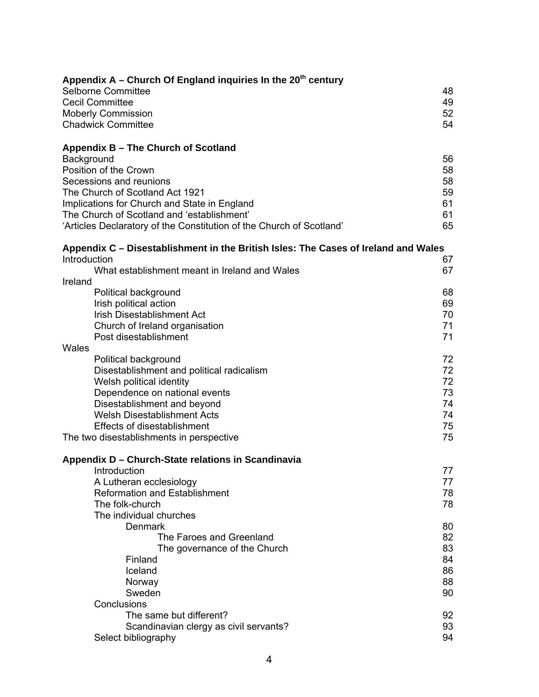| Appendix A – Church Of England inquiries In the $20th$ century<br>Selborne Committee<br><b>Cecil Committee</b><br><b>Moberly Commission</b> | 48<br>49<br>52 |
|---------------------------------------------------------------------------------------------------------------------------------------------|----------------|
| <b>Chadwick Committee</b>                                                                                                                   | 54             |
| Appendix B - The Church of Scotland<br>Background                                                                                           | 56             |
| Position of the Crown                                                                                                                       | 58             |
| Secessions and reunions                                                                                                                     | 58             |
| The Church of Scotland Act 1921                                                                                                             | 59             |
| Implications for Church and State in England                                                                                                | 61             |
| The Church of Scotland and 'establishment'                                                                                                  | 61             |
| 'Articles Declaratory of the Constitution of the Church of Scotland'                                                                        | 65             |
| Appendix C – Disestablishment in the British Isles: The Cases of Ireland and Wales                                                          |                |
| Introduction<br>What establishment meant in Ireland and Wales                                                                               | 67<br>67       |
| Ireland                                                                                                                                     |                |
| Political background                                                                                                                        | 68             |
| Irish political action                                                                                                                      | 69             |
| <b>Irish Disestablishment Act</b>                                                                                                           | 70             |
| Church of Ireland organisation                                                                                                              | 71             |
| Post disestablishment                                                                                                                       | 71             |
| Wales<br>Political background                                                                                                               | 72             |
| Disestablishment and political radicalism                                                                                                   | 72             |
| Welsh political identity                                                                                                                    | 72             |
| Dependence on national events                                                                                                               | 73             |
| Disestablishment and beyond                                                                                                                 | 74             |
| <b>Welsh Disestablishment Acts</b>                                                                                                          | 74             |
| Effects of disestablishment                                                                                                                 | 75             |
| The two disestablishments in perspective                                                                                                    | 75             |
| Appendix D - Church-State relations in Scandinavia                                                                                          |                |
| Introduction                                                                                                                                | 77             |
| A Lutheran ecclesiology                                                                                                                     | 77             |
| <b>Reformation and Establishment</b>                                                                                                        | 78             |
| The folk-church                                                                                                                             | 78             |
| The individual churches                                                                                                                     |                |
| <b>Denmark</b>                                                                                                                              | 80             |
| The Faroes and Greenland                                                                                                                    | 82             |
| The governance of the Church                                                                                                                | 83             |
| Finland                                                                                                                                     | 84             |
| Iceland<br>Norway                                                                                                                           | 86<br>88       |
| Sweden                                                                                                                                      | 90             |
| Conclusions                                                                                                                                 |                |
| The same but different?                                                                                                                     | 92             |
| Scandinavian clergy as civil servants?                                                                                                      | 93             |
| Select bibliography                                                                                                                         | 94             |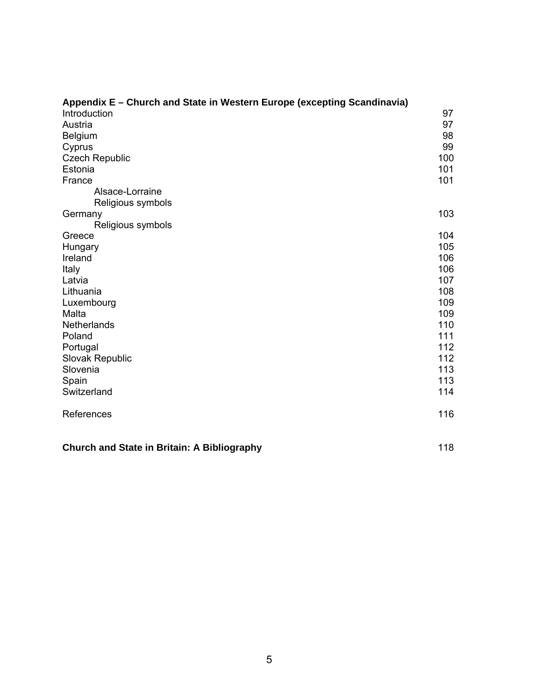| Appendix E - Church and State in Western Europe (excepting Scandinavia) |                              |  |  |
|-------------------------------------------------------------------------|------------------------------|--|--|
| Introduction                                                            | 97                           |  |  |
| Austria                                                                 | 97<br>98<br>99<br>100<br>101 |  |  |
| Belgium                                                                 |                              |  |  |
| Cyprus                                                                  |                              |  |  |
| <b>Czech Republic</b>                                                   |                              |  |  |
| Estonia                                                                 |                              |  |  |
| France                                                                  | 101                          |  |  |
| Alsace-Lorraine                                                         |                              |  |  |
| Religious symbols                                                       |                              |  |  |
| Germany                                                                 | 103                          |  |  |
| Religious symbols                                                       |                              |  |  |
| Greece                                                                  | 104                          |  |  |
| Hungary                                                                 | 105                          |  |  |
| Ireland                                                                 | 106                          |  |  |
| Italy                                                                   | 106                          |  |  |
| Latvia                                                                  | 107<br>108<br>109            |  |  |
| Lithuania                                                               |                              |  |  |
| Luxembourg                                                              |                              |  |  |
| Malta                                                                   | 109                          |  |  |
| <b>Netherlands</b>                                                      | 110                          |  |  |
| Poland                                                                  | 111                          |  |  |
| Portugal                                                                | 112                          |  |  |
| Slovak Republic                                                         | 112                          |  |  |
| Slovenia                                                                | 113                          |  |  |
| Spain                                                                   | 113                          |  |  |
| Switzerland                                                             | 114                          |  |  |
| References                                                              | 116                          |  |  |
| <b>Church and State in Britain: A Bibliography</b>                      | 118                          |  |  |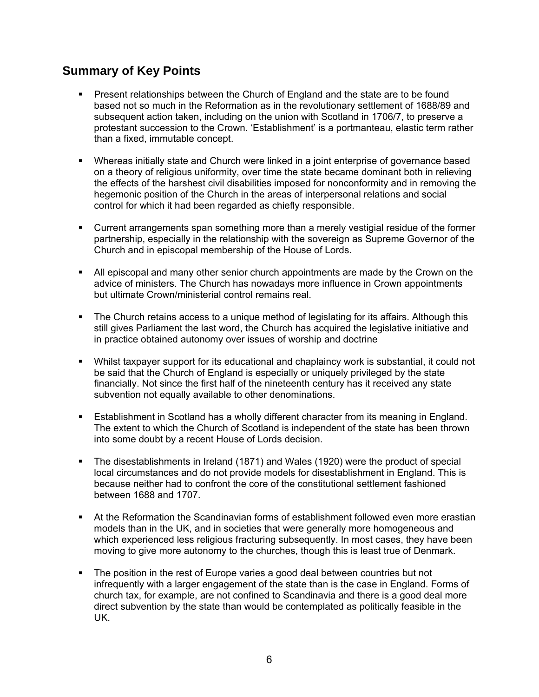# **Summary of Key Points**

- Present relationships between the Church of England and the state are to be found based not so much in the Reformation as in the revolutionary settlement of 1688/89 and subsequent action taken, including on the union with Scotland in 1706/7, to preserve a protestant succession to the Crown. 'Establishment' is a portmanteau, elastic term rather than a fixed, immutable concept.
- Whereas initially state and Church were linked in a joint enterprise of governance based on a theory of religious uniformity, over time the state became dominant both in relieving the effects of the harshest civil disabilities imposed for nonconformity and in removing the hegemonic position of the Church in the areas of interpersonal relations and social control for which it had been regarded as chiefly responsible.
- Current arrangements span something more than a merely vestigial residue of the former partnership, especially in the relationship with the sovereign as Supreme Governor of the Church and in episcopal membership of the House of Lords.
- All episcopal and many other senior church appointments are made by the Crown on the advice of ministers. The Church has nowadays more influence in Crown appointments but ultimate Crown/ministerial control remains real.
- The Church retains access to a unique method of legislating for its affairs. Although this still gives Parliament the last word, the Church has acquired the legislative initiative and in practice obtained autonomy over issues of worship and doctrine
- Whilst taxpayer support for its educational and chaplaincy work is substantial, it could not be said that the Church of England is especially or uniquely privileged by the state financially. Not since the first half of the nineteenth century has it received any state subvention not equally available to other denominations.
- Establishment in Scotland has a wholly different character from its meaning in England. The extent to which the Church of Scotland is independent of the state has been thrown into some doubt by a recent House of Lords decision.
- The disestablishments in Ireland (1871) and Wales (1920) were the product of special local circumstances and do not provide models for disestablishment in England. This is because neither had to confront the core of the constitutional settlement fashioned between 1688 and 1707.
- At the Reformation the Scandinavian forms of establishment followed even more erastian models than in the UK, and in societies that were generally more homogeneous and which experienced less religious fracturing subsequently. In most cases, they have been moving to give more autonomy to the churches, though this is least true of Denmark.
- The position in the rest of Europe varies a good deal between countries but not infrequently with a larger engagement of the state than is the case in England. Forms of church tax, for example, are not confined to Scandinavia and there is a good deal more direct subvention by the state than would be contemplated as politically feasible in the UK.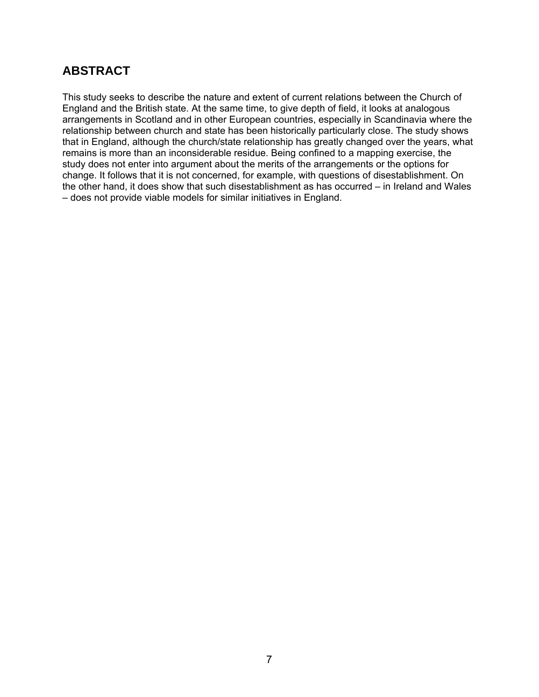# **ABSTRACT**

This study seeks to describe the nature and extent of current relations between the Church of England and the British state. At the same time, to give depth of field, it looks at analogous arrangements in Scotland and in other European countries, especially in Scandinavia where the relationship between church and state has been historically particularly close. The study shows that in England, although the church/state relationship has greatly changed over the years, what remains is more than an inconsiderable residue. Being confined to a mapping exercise, the study does not enter into argument about the merits of the arrangements or the options for change. It follows that it is not concerned, for example, with questions of disestablishment. On the other hand, it does show that such disestablishment as has occurred – in Ireland and Wales – does not provide viable models for similar initiatives in England.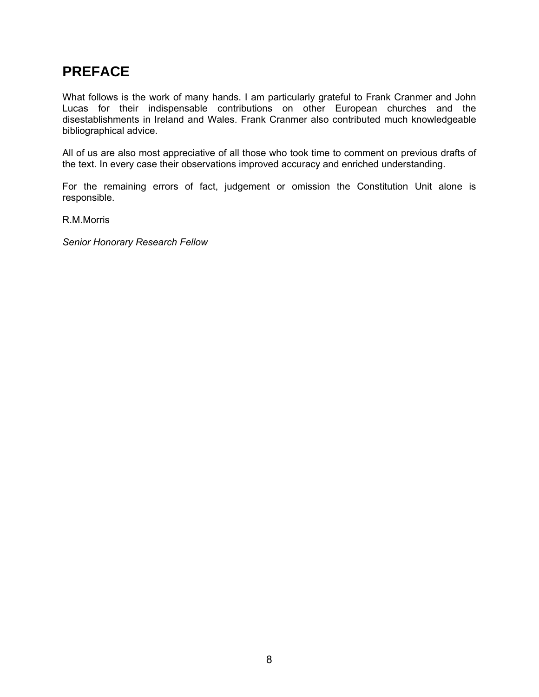# **PREFACE**

What follows is the work of many hands. I am particularly grateful to Frank Cranmer and John Lucas for their indispensable contributions on other European churches and the disestablishments in Ireland and Wales. Frank Cranmer also contributed much knowledgeable bibliographical advice.

All of us are also most appreciative of all those who took time to comment on previous drafts of the text. In every case their observations improved accuracy and enriched understanding.

For the remaining errors of fact, judgement or omission the Constitution Unit alone is responsible.

R.M.Morris

*Senior Honorary Research Fellow*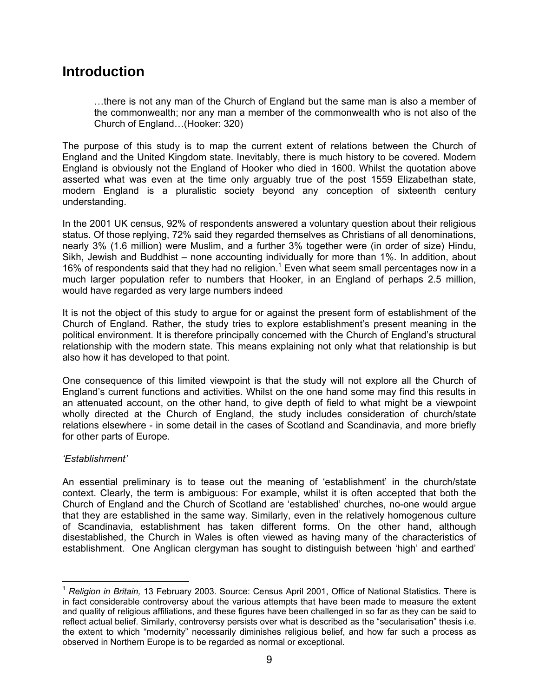# **Introduction**

…there is not any man of the Church of England but the same man is also a member of the commonwealth; nor any man a member of the commonwealth who is not also of the Church of England…(Hooker: 320)

The purpose of this study is to map the current extent of relations between the Church of England and the United Kingdom state. Inevitably, there is much history to be covered. Modern England is obviously not the England of Hooker who died in 1600. Whilst the quotation above asserted what was even at the time only arguably true of the post 1559 Elizabethan state, modern England is a pluralistic society beyond any conception of sixteenth century understanding.

In the 2001 UK census, 92% of respondents answered a voluntary question about their religious status. Of those replying, 72% said they regarded themselves as Christians of all denominations, nearly 3% (1.6 million) were Muslim, and a further 3% together were (in order of size) Hindu, Sikh, Jewish and Buddhist – none accounting individually for more than 1%. In addition, about 16% of respondents said that they had no religion.<sup>1</sup> Even what seem small percentages now in a much larger population refer to numbers that Hooker, in an England of perhaps 2.5 million, would have regarded as very large numbers indeed

It is not the object of this study to argue for or against the present form of establishment of the Church of England. Rather, the study tries to explore establishment's present meaning in the political environment. It is therefore principally concerned with the Church of England's structural relationship with the modern state. This means explaining not only what that relationship is but also how it has developed to that point.

One consequence of this limited viewpoint is that the study will not explore all the Church of England's current functions and activities. Whilst on the one hand some may find this results in an attenuated account, on the other hand, to give depth of field to what might be a viewpoint wholly directed at the Church of England, the study includes consideration of church/state relations elsewhere - in some detail in the cases of Scotland and Scandinavia, and more briefly for other parts of Europe.

#### *'Establishment'*

l

An essential preliminary is to tease out the meaning of 'establishment' in the church/state context. Clearly, the term is ambiguous: For example, whilst it is often accepted that both the Church of England and the Church of Scotland are 'established' churches, no-one would argue that they are established in the same way. Similarly, even in the relatively homogenous culture of Scandinavia, establishment has taken different forms. On the other hand, although disestablished, the Church in Wales is often viewed as having many of the characteristics of establishment. One Anglican clergyman has sought to distinguish between 'high' and earthed'

<sup>1</sup> *Religion in Britain,* 13 February 2003. Source: Census April 2001, Office of National Statistics. There is in fact considerable controversy about the various attempts that have been made to measure the extent and quality of religious affiliations, and these figures have been challenged in so far as they can be said to reflect actual belief. Similarly, controversy persists over what is described as the "secularisation" thesis i.e. the extent to which "modernity" necessarily diminishes religious belief, and how far such a process as observed in Northern Europe is to be regarded as normal or exceptional.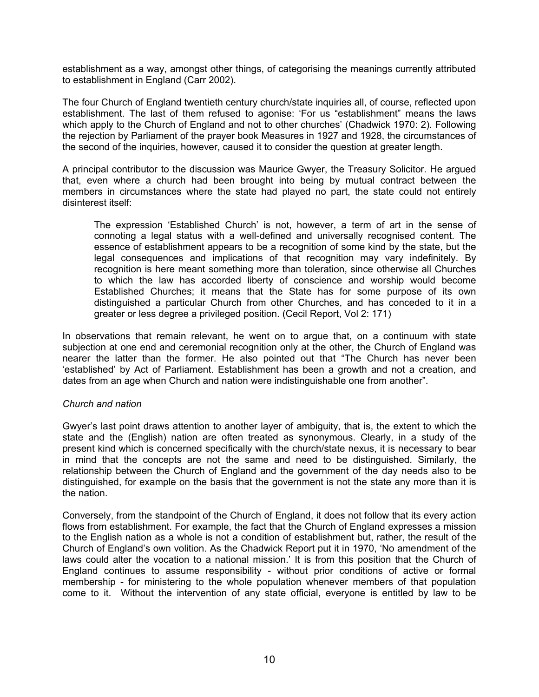establishment as a way, amongst other things, of categorising the meanings currently attributed to establishment in England (Carr 2002).

The four Church of England twentieth century church/state inquiries all, of course, reflected upon establishment. The last of them refused to agonise: 'For us "establishment" means the laws which apply to the Church of England and not to other churches' (Chadwick 1970: 2). Following the rejection by Parliament of the prayer book Measures in 1927 and 1928, the circumstances of the second of the inquiries, however, caused it to consider the question at greater length.

A principal contributor to the discussion was Maurice Gwyer, the Treasury Solicitor. He argued that, even where a church had been brought into being by mutual contract between the members in circumstances where the state had played no part, the state could not entirely disinterest itself:

The expression 'Established Church' is not, however, a term of art in the sense of connoting a legal status with a well-defined and universally recognised content. The essence of establishment appears to be a recognition of some kind by the state, but the legal consequences and implications of that recognition may vary indefinitely. By recognition is here meant something more than toleration, since otherwise all Churches to which the law has accorded liberty of conscience and worship would become Established Churches; it means that the State has for some purpose of its own distinguished a particular Church from other Churches, and has conceded to it in a greater or less degree a privileged position. (Cecil Report, Vol 2: 171)

In observations that remain relevant, he went on to argue that, on a continuum with state subjection at one end and ceremonial recognition only at the other, the Church of England was nearer the latter than the former. He also pointed out that "The Church has never been 'established' by Act of Parliament. Establishment has been a growth and not a creation, and dates from an age when Church and nation were indistinguishable one from another".

#### *Church and nation*

Gwyer's last point draws attention to another layer of ambiguity, that is, the extent to which the state and the (English) nation are often treated as synonymous. Clearly, in a study of the present kind which is concerned specifically with the church/state nexus, it is necessary to bear in mind that the concepts are not the same and need to be distinguished. Similarly, the relationship between the Church of England and the government of the day needs also to be distinguished, for example on the basis that the government is not the state any more than it is the nation.

Conversely, from the standpoint of the Church of England, it does not follow that its every action flows from establishment. For example, the fact that the Church of England expresses a mission to the English nation as a whole is not a condition of establishment but, rather, the result of the Church of England's own volition. As the Chadwick Report put it in 1970, 'No amendment of the laws could alter the vocation to a national mission.' It is from this position that the Church of England continues to assume responsibility - without prior conditions of active or formal membership - for ministering to the whole population whenever members of that population come to it. Without the intervention of any state official, everyone is entitled by law to be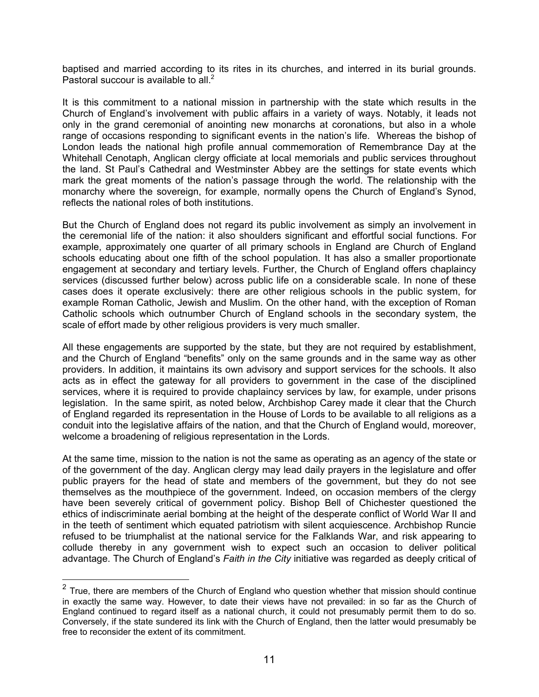baptised and married according to its rites in its churches, and interred in its burial grounds. Pastoral succour is available to all. $2$ 

It is this commitment to a national mission in partnership with the state which results in the Church of England's involvement with public affairs in a variety of ways. Notably, it leads not only in the grand ceremonial of anointing new monarchs at coronations, but also in a whole range of occasions responding to significant events in the nation's life. Whereas the bishop of London leads the national high profile annual commemoration of Remembrance Day at the Whitehall Cenotaph, Anglican clergy officiate at local memorials and public services throughout the land. St Paul's Cathedral and Westminster Abbey are the settings for state events which mark the great moments of the nation's passage through the world. The relationship with the monarchy where the sovereign, for example, normally opens the Church of England's Synod, reflects the national roles of both institutions.

But the Church of England does not regard its public involvement as simply an involvement in the ceremonial life of the nation: it also shoulders significant and effortful social functions. For example, approximately one quarter of all primary schools in England are Church of England schools educating about one fifth of the school population. It has also a smaller proportionate engagement at secondary and tertiary levels. Further, the Church of England offers chaplaincy services (discussed further below) across public life on a considerable scale. In none of these cases does it operate exclusively: there are other religious schools in the public system, for example Roman Catholic, Jewish and Muslim. On the other hand, with the exception of Roman Catholic schools which outnumber Church of England schools in the secondary system, the scale of effort made by other religious providers is very much smaller.

All these engagements are supported by the state, but they are not required by establishment, and the Church of England "benefits" only on the same grounds and in the same way as other providers. In addition, it maintains its own advisory and support services for the schools. It also acts as in effect the gateway for all providers to government in the case of the disciplined services, where it is required to provide chaplaincy services by law, for example, under prisons legislation. In the same spirit, as noted below, Archbishop Carey made it clear that the Church of England regarded its representation in the House of Lords to be available to all religions as a conduit into the legislative affairs of the nation, and that the Church of England would, moreover, welcome a broadening of religious representation in the Lords.

At the same time, mission to the nation is not the same as operating as an agency of the state or of the government of the day. Anglican clergy may lead daily prayers in the legislature and offer public prayers for the head of state and members of the government, but they do not see themselves as the mouthpiece of the government. Indeed, on occasion members of the clergy have been severely critical of government policy. Bishop Bell of Chichester questioned the ethics of indiscriminate aerial bombing at the height of the desperate conflict of World War II and in the teeth of sentiment which equated patriotism with silent acquiescence. Archbishop Runcie refused to be triumphalist at the national service for the Falklands War, and risk appearing to collude thereby in any government wish to expect such an occasion to deliver political advantage. The Church of England's *Faith in the City* initiative was regarded as deeply critical of

l

 $2$  True, there are members of the Church of England who question whether that mission should continue in exactly the same way. However, to date their views have not prevailed: in so far as the Church of England continued to regard itself as a national church, it could not presumably permit them to do so. Conversely, if the state sundered its link with the Church of England, then the latter would presumably be free to reconsider the extent of its commitment.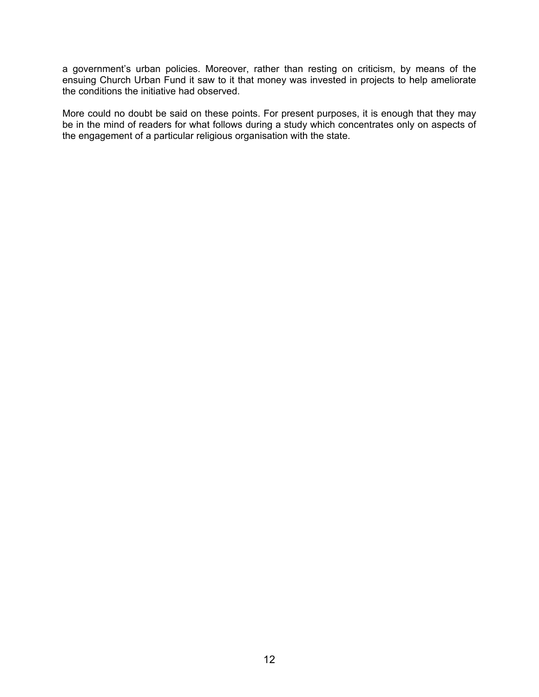a government's urban policies. Moreover, rather than resting on criticism, by means of the ensuing Church Urban Fund it saw to it that money was invested in projects to help ameliorate the conditions the initiative had observed.

More could no doubt be said on these points. For present purposes, it is enough that they may be in the mind of readers for what follows during a study which concentrates only on aspects of the engagement of a particular religious organisation with the state.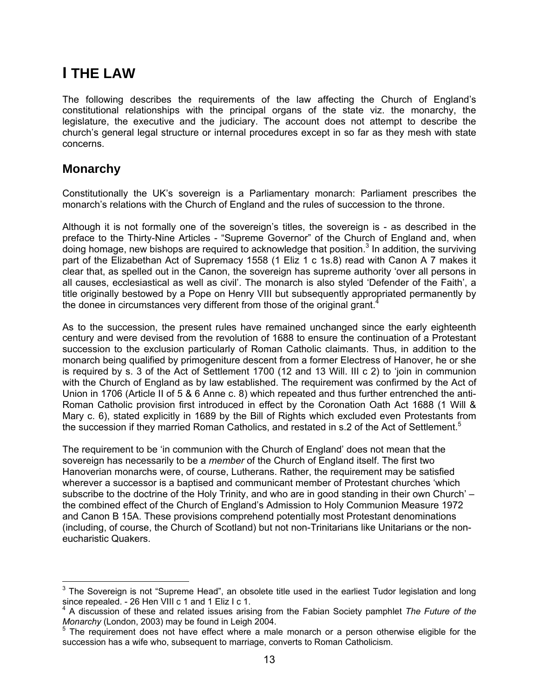# **I THE LAW**

The following describes the requirements of the law affecting the Church of England's constitutional relationships with the principal organs of the state viz. the monarchy, the legislature, the executive and the judiciary. The account does not attempt to describe the church's general legal structure or internal procedures except in so far as they mesh with state concerns.

## **Monarchy**

Constitutionally the UK's sovereign is a Parliamentary monarch: Parliament prescribes the monarch's relations with the Church of England and the rules of succession to the throne.

Although it is not formally one of the sovereign's titles, the sovereign is - as described in the preface to the Thirty-Nine Articles - "Supreme Governor" of the Church of England and, when doing homage, new bishops are required to acknowledge that position.<sup>3</sup> In addition, the surviving part of the Elizabethan Act of Supremacy 1558 (1 Eliz 1 c 1s.8) read with Canon A 7 makes it clear that, as spelled out in the Canon, the sovereign has supreme authority 'over all persons in all causes, ecclesiastical as well as civil'. The monarch is also styled 'Defender of the Faith', a title originally bestowed by a Pope on Henry VIII but subsequently appropriated permanently by the donee in circumstances very different from those of the original grant.<sup>4</sup>

As to the succession, the present rules have remained unchanged since the early eighteenth century and were devised from the revolution of 1688 to ensure the continuation of a Protestant succession to the exclusion particularly of Roman Catholic claimants. Thus, in addition to the monarch being qualified by primogeniture descent from a former Electress of Hanover, he or she is required by s. 3 of the Act of Settlement 1700 (12 and 13 Will. III c 2) to 'join in communion with the Church of England as by law established. The requirement was confirmed by the Act of Union in 1706 (Article II of 5 & 6 Anne c. 8) which repeated and thus further entrenched the anti-Roman Catholic provision first introduced in effect by the Coronation Oath Act 1688 (1 Will & Mary c. 6), stated explicitly in 1689 by the Bill of Rights which excluded even Protestants from the succession if they married Roman Catholics, and restated in s.2 of the Act of Settlement.<sup>5</sup>

The requirement to be 'in communion with the Church of England' does not mean that the sovereign has necessarily to be a *member* of the Church of England itself. The first two Hanoverian monarchs were, of course, Lutherans. Rather, the requirement may be satisfied wherever a successor is a baptised and communicant member of Protestant churches 'which subscribe to the doctrine of the Holy Trinity, and who are in good standing in their own Church' – the combined effect of the Church of England's Admission to Holy Communion Measure 1972 and Canon B 15A. These provisions comprehend potentially most Protestant denominations (including, of course, the Church of Scotland) but not non-Trinitarians like Unitarians or the noneucharistic Quakers.

**ENEVALLE 2018**<br><sup>3</sup> The Sovereign is not "Supreme Head", an obsolete title used in the earliest Tudor legislation and long since repealed. - 26 Hen VIII c 1 and 1 Eliz I c 1.

<sup>4</sup> A discussion of these and related issues arising from the Fabian Society pamphlet *The Future of the Monarchy* (London, 2003) may be found in Leigh 2004.

The requirement does not have effect where a male monarch or a person otherwise eligible for the succession has a wife who, subsequent to marriage, converts to Roman Catholicism.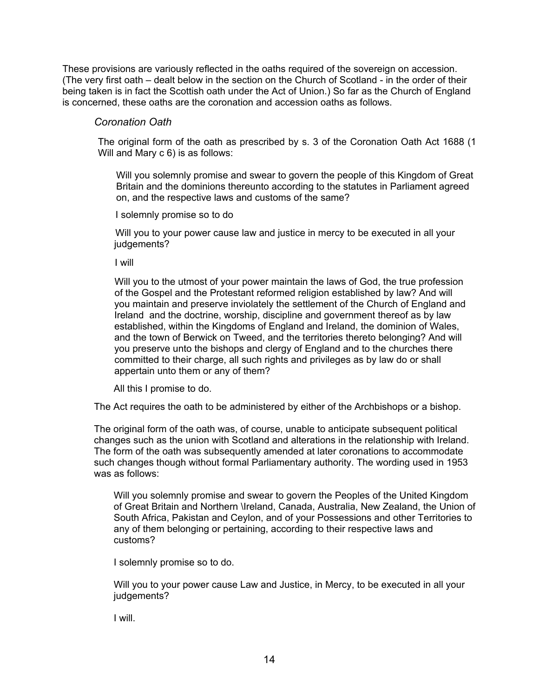These provisions are variously reflected in the oaths required of the sovereign on accession. (The very first oath – dealt below in the section on the Church of Scotland - in the order of their being taken is in fact the Scottish oath under the Act of Union.) So far as the Church of England is concerned, these oaths are the coronation and accession oaths as follows.

#### *Coronation Oath*

The original form of the oath as prescribed by s. 3 of the Coronation Oath Act 1688 (1 Will and Mary c 6) is as follows:

Will you solemnly promise and swear to govern the people of this Kingdom of Great Britain and the dominions thereunto according to the statutes in Parliament agreed on, and the respective laws and customs of the same?

I solemnly promise so to do

Will you to your power cause law and justice in mercy to be executed in all your judgements?

I will

Will you to the utmost of your power maintain the laws of God, the true profession of the Gospel and the Protestant reformed religion established by law? And will you maintain and preserve inviolately the settlement of the Church of England and Ireland and the doctrine, worship, discipline and government thereof as by law established, within the Kingdoms of England and Ireland, the dominion of Wales, and the town of Berwick on Tweed, and the territories thereto belonging? And will you preserve unto the bishops and clergy of England and to the churches there committed to their charge, all such rights and privileges as by law do or shall appertain unto them or any of them?

All this I promise to do.

The Act requires the oath to be administered by either of the Archbishops or a bishop.

The original form of the oath was, of course, unable to anticipate subsequent political changes such as the union with Scotland and alterations in the relationship with Ireland. The form of the oath was subsequently amended at later coronations to accommodate such changes though without formal Parliamentary authority. The wording used in 1953 was as follows:

Will you solemnly promise and swear to govern the Peoples of the United Kingdom of Great Britain and Northern \Ireland, Canada, Australia, New Zealand, the Union of South Africa, Pakistan and Ceylon, and of your Possessions and other Territories to any of them belonging or pertaining, according to their respective laws and customs?

I solemnly promise so to do.

Will you to your power cause Law and Justice, in Mercy, to be executed in all your judgements?

I will.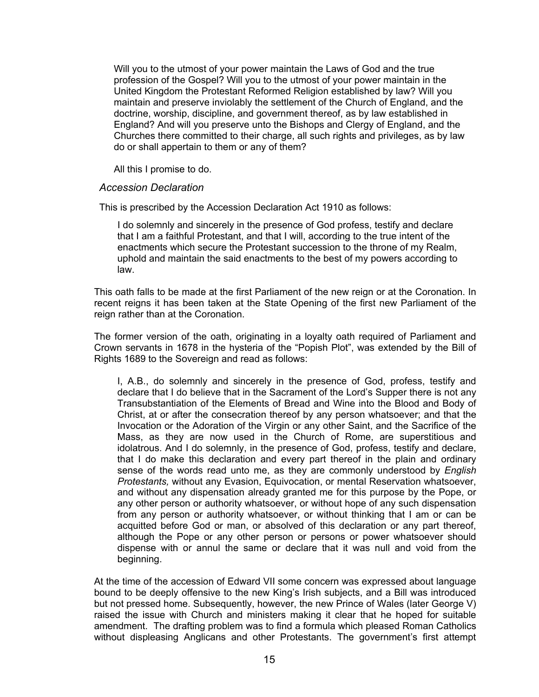Will you to the utmost of your power maintain the Laws of God and the true profession of the Gospel? Will you to the utmost of your power maintain in the United Kingdom the Protestant Reformed Religion established by law? Will you maintain and preserve inviolably the settlement of the Church of England, and the doctrine, worship, discipline, and government thereof, as by law established in England? And will you preserve unto the Bishops and Clergy of England, and the Churches there committed to their charge, all such rights and privileges, as by law do or shall appertain to them or any of them?

All this I promise to do.

#### *Accession Declaration*

This is prescribed by the Accession Declaration Act 1910 as follows:

I do solemnly and sincerely in the presence of God profess, testify and declare that I am a faithful Protestant, and that I will, according to the true intent of the enactments which secure the Protestant succession to the throne of my Realm, uphold and maintain the said enactments to the best of my powers according to law.

This oath falls to be made at the first Parliament of the new reign or at the Coronation. In recent reigns it has been taken at the State Opening of the first new Parliament of the reign rather than at the Coronation.

The former version of the oath, originating in a loyalty oath required of Parliament and Crown servants in 1678 in the hysteria of the "Popish Plot", was extended by the Bill of Rights 1689 to the Sovereign and read as follows:

I, A.B., do solemnly and sincerely in the presence of God, profess, testify and declare that I do believe that in the Sacrament of the Lord's Supper there is not any Transubstantiation of the Elements of Bread and Wine into the Blood and Body of Christ, at or after the consecration thereof by any person whatsoever; and that the Invocation or the Adoration of the Virgin or any other Saint, and the Sacrifice of the Mass, as they are now used in the Church of Rome, are superstitious and idolatrous. And I do solemnly, in the presence of God, profess, testify and declare, that I do make this declaration and every part thereof in the plain and ordinary sense of the words read unto me, as they are commonly understood by *English Protestants,* without any Evasion, Equivocation, or mental Reservation whatsoever, and without any dispensation already granted me for this purpose by the Pope, or any other person or authority whatsoever, or without hope of any such dispensation from any person or authority whatsoever, or without thinking that I am or can be acquitted before God or man, or absolved of this declaration or any part thereof, although the Pope or any other person or persons or power whatsoever should dispense with or annul the same or declare that it was null and void from the beginning.

At the time of the accession of Edward VII some concern was expressed about language bound to be deeply offensive to the new King's Irish subjects, and a Bill was introduced but not pressed home. Subsequently, however, the new Prince of Wales (later George V) raised the issue with Church and ministers making it clear that he hoped for suitable amendment. The drafting problem was to find a formula which pleased Roman Catholics without displeasing Anglicans and other Protestants. The government's first attempt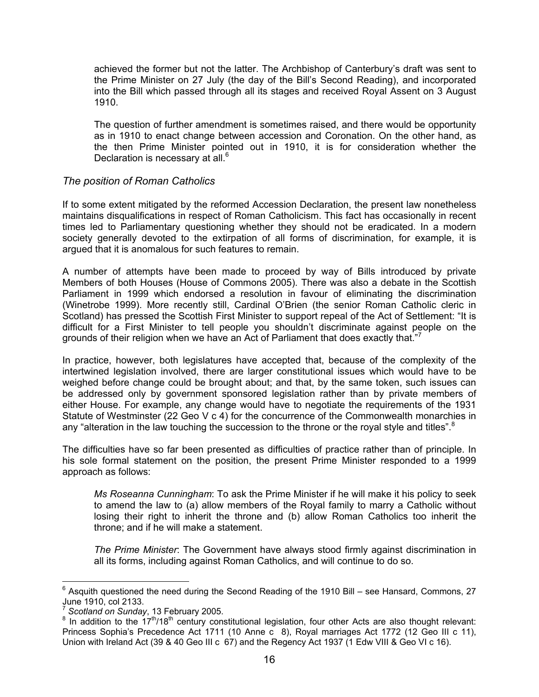achieved the former but not the latter. The Archbishop of Canterbury's draft was sent to the Prime Minister on 27 July (the day of the Bill's Second Reading), and incorporated into the Bill which passed through all its stages and received Royal Assent on 3 August 1910.

The question of further amendment is sometimes raised, and there would be opportunity as in 1910 to enact change between accession and Coronation. On the other hand, as the then Prime Minister pointed out in 1910, it is for consideration whether the Declaration is necessary at all.<sup>6</sup>

#### *The position of Roman Catholics*

If to some extent mitigated by the reformed Accession Declaration, the present law nonetheless maintains disqualifications in respect of Roman Catholicism. This fact has occasionally in recent times led to Parliamentary questioning whether they should not be eradicated. In a modern society generally devoted to the extirpation of all forms of discrimination, for example, it is argued that it is anomalous for such features to remain.

A number of attempts have been made to proceed by way of Bills introduced by private Members of both Houses (House of Commons 2005). There was also a debate in the Scottish Parliament in 1999 which endorsed a resolution in favour of eliminating the discrimination (Winetrobe 1999). More recently still, Cardinal O'Brien (the senior Roman Catholic cleric in Scotland) has pressed the Scottish First Minister to support repeal of the Act of Settlement: "It is difficult for a First Minister to tell people you shouldn't discriminate against people on the grounds of their religion when we have an Act of Parliament that does exactly that."<sup>7</sup>

In practice, however, both legislatures have accepted that, because of the complexity of the intertwined legislation involved, there are larger constitutional issues which would have to be weighed before change could be brought about; and that, by the same token, such issues can be addressed only by government sponsored legislation rather than by private members of either House. For example, any change would have to negotiate the requirements of the 1931 Statute of Westminster (22 Geo V c 4) for the concurrence of the Commonwealth monarchies in any "alteration in the law touching the succession to the throne or the royal style and titles".<sup>8</sup>

The difficulties have so far been presented as difficulties of practice rather than of principle. In his sole formal statement on the position, the present Prime Minister responded to a 1999 approach as follows:

*Ms Roseanna Cunningham*: To ask the Prime Minister if he will make it his policy to seek to amend the law to (a) allow members of the Royal family to marry a Catholic without losing their right to inherit the throne and (b) allow Roman Catholics too inherit the throne; and if he will make a statement.

*The Prime Minister*: The Government have always stood firmly against discrimination in all its forms, including against Roman Catholics, and will continue to do so.

 6 Asquith questioned the need during the Second Reading of the 1910 Bill – see Hansard, Commons, 27 June 1910, col 2133.

<sup>&</sup>lt;sup>7</sup> Scotland on Sunday, 13 February 2005.

<sup>&</sup>lt;sup>8</sup> In addition to the 17<sup>th</sup>/18<sup>th</sup> century constitutional legislation, four other Acts are also thought relevant: Princess Sophia's Precedence Act 1711 (10 Anne c 8), Royal marriages Act 1772 (12 Geo III c 11), Union with Ireland Act (39 & 40 Geo III c 67) and the Regency Act 1937 (1 Edw VIII & Geo VI c 16).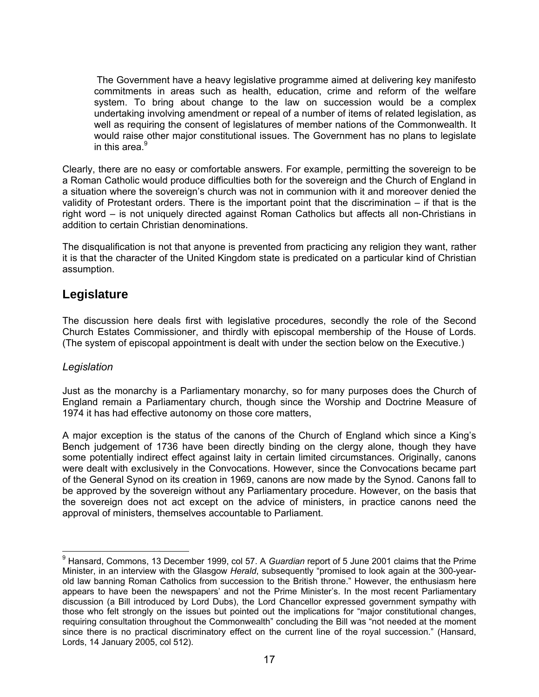The Government have a heavy legislative programme aimed at delivering key manifesto commitments in areas such as health, education, crime and reform of the welfare system. To bring about change to the law on succession would be a complex undertaking involving amendment or repeal of a number of items of related legislation, as well as requiring the consent of legislatures of member nations of the Commonwealth. It would raise other major constitutional issues. The Government has no plans to legislate in this area. $9$ 

Clearly, there are no easy or comfortable answers. For example, permitting the sovereign to be a Roman Catholic would produce difficulties both for the sovereign and the Church of England in a situation where the sovereign's church was not in communion with it and moreover denied the validity of Protestant orders. There is the important point that the discrimination – if that is the right word – is not uniquely directed against Roman Catholics but affects all non-Christians in addition to certain Christian denominations.

The disqualification is not that anyone is prevented from practicing any religion they want, rather it is that the character of the United Kingdom state is predicated on a particular kind of Christian assumption.

### **Legislature**

The discussion here deals first with legislative procedures, secondly the role of the Second Church Estates Commissioner, and thirdly with episcopal membership of the House of Lords. (The system of episcopal appointment is dealt with under the section below on the Executive.)

#### *Legislation*

l

Just as the monarchy is a Parliamentary monarchy, so for many purposes does the Church of England remain a Parliamentary church, though since the Worship and Doctrine Measure of 1974 it has had effective autonomy on those core matters,

A major exception is the status of the canons of the Church of England which since a King's Bench judgement of 1736 have been directly binding on the clergy alone, though they have some potentially indirect effect against laity in certain limited circumstances. Originally, canons were dealt with exclusively in the Convocations. However, since the Convocations became part of the General Synod on its creation in 1969, canons are now made by the Synod. Canons fall to be approved by the sovereign without any Parliamentary procedure. However, on the basis that the sovereign does not act except on the advice of ministers, in practice canons need the approval of ministers, themselves accountable to Parliament.

<sup>9</sup> Hansard, Commons, 13 December 1999, col 57. A *Guardian* report of 5 June 2001 claims that the Prime Minister, in an interview with the Glasgow *Herald*, subsequently "promised to look again at the 300-yearold law banning Roman Catholics from succession to the British throne." However, the enthusiasm here appears to have been the newspapers' and not the Prime Minister's. In the most recent Parliamentary discussion (a Bill introduced by Lord Dubs), the Lord Chancellor expressed government sympathy with those who felt strongly on the issues but pointed out the implications for "major constitutional changes, requiring consultation throughout the Commonwealth" concluding the Bill was "not needed at the moment since there is no practical discriminatory effect on the current line of the royal succession." (Hansard, Lords, 14 January 2005, col 512).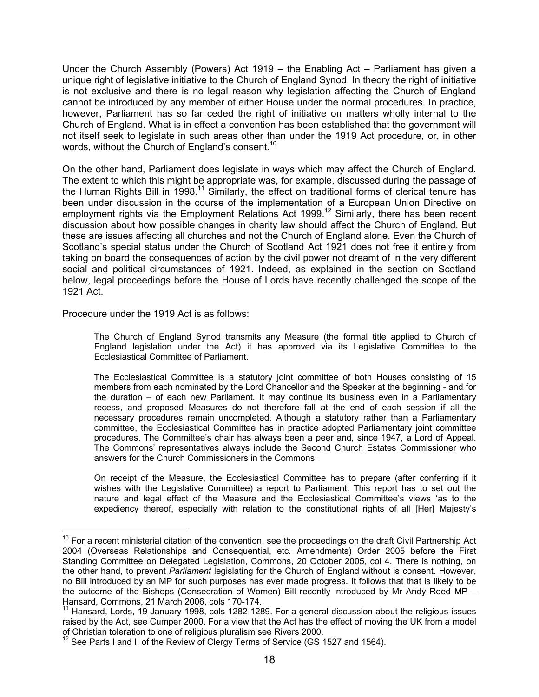Under the Church Assembly (Powers) Act 1919 – the Enabling Act – Parliament has given a unique right of legislative initiative to the Church of England Synod. In theory the right of initiative is not exclusive and there is no legal reason why legislation affecting the Church of England cannot be introduced by any member of either House under the normal procedures. In practice, however, Parliament has so far ceded the right of initiative on matters wholly internal to the Church of England. What is in effect a convention has been established that the government will not itself seek to legislate in such areas other than under the 1919 Act procedure, or, in other words, without the Church of England's consent.<sup>10</sup>

On the other hand, Parliament does legislate in ways which may affect the Church of England. The extent to which this might be appropriate was, for example, discussed during the passage of the Human Rights Bill in 1998.<sup>11</sup> Similarly, the effect on traditional forms of clerical tenure has been under discussion in the course of the implementation of a European Union Directive on employment rights via the Employment Relations Act 1999.<sup>12</sup> Similarly, there has been recent discussion about how possible changes in charity law should affect the Church of England. But these are issues affecting all churches and not the Church of England alone. Even the Church of Scotland's special status under the Church of Scotland Act 1921 does not free it entirely from taking on board the consequences of action by the civil power not dreamt of in the very different social and political circumstances of 1921. Indeed, as explained in the section on Scotland below, legal proceedings before the House of Lords have recently challenged the scope of the 1921 Act.

Procedure under the 1919 Act is as follows:

l

The Church of England Synod transmits any Measure (the formal title applied to Church of England legislation under the Act) it has approved via its Legislative Committee to the Ecclesiastical Committee of Parliament.

The Ecclesiastical Committee is a statutory joint committee of both Houses consisting of 15 members from each nominated by the Lord Chancellor and the Speaker at the beginning - and for the duration – of each new Parliament. It may continue its business even in a Parliamentary recess, and proposed Measures do not therefore fall at the end of each session if all the necessary procedures remain uncompleted. Although a statutory rather than a Parliamentary committee, the Ecclesiastical Committee has in practice adopted Parliamentary joint committee procedures. The Committee's chair has always been a peer and, since 1947, a Lord of Appeal. The Commons' representatives always include the Second Church Estates Commissioner who answers for the Church Commissioners in the Commons.

On receipt of the Measure, the Ecclesiastical Committee has to prepare (after conferring if it wishes with the Legislative Committee) a report to Parliament. This report has to set out the nature and legal effect of the Measure and the Ecclesiastical Committee's views 'as to the expediency thereof, especially with relation to the constitutional rights of all [Her] Majesty's

 $10$  For a recent ministerial citation of the convention, see the proceedings on the draft Civil Partnership Act 2004 (Overseas Relationships and Consequential, etc. Amendments) Order 2005 before the First Standing Committee on Delegated Legislation, Commons, 20 October 2005, col 4. There is nothing, on the other hand, to prevent *Parliament* legislating for the Church of England without is consent. However, no Bill introduced by an MP for such purposes has ever made progress. It follows that that is likely to be the outcome of the Bishops (Consecration of Women) Bill recently introduced by Mr Andy Reed MP – Hansard, Commons, 21 March 2006, cols 170-174.

 $11$  Hansard, Lords, 19 January 1998, cols 1282-1289. For a general discussion about the religious issues raised by the Act, see Cumper 2000. For a view that the Act has the effect of moving the UK from a model of Christian toleration to one of religious pluralism see Rivers 2000.

 $12$  See Parts I and II of the Review of Clergy Terms of Service (GS 1527 and 1564).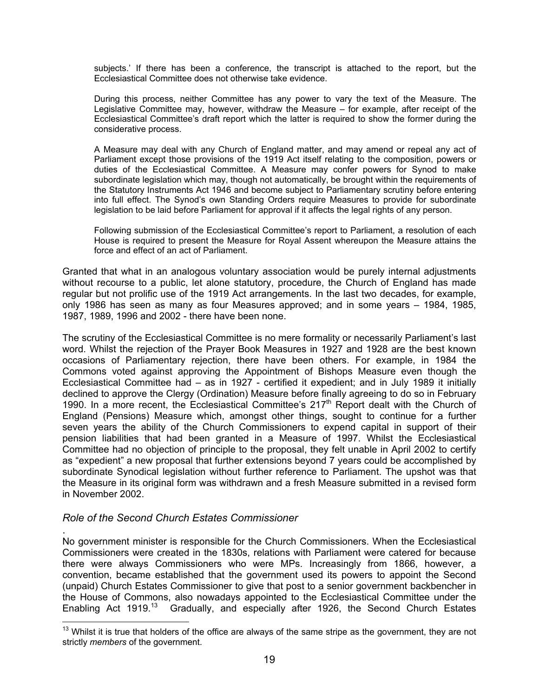subjects.' If there has been a conference, the transcript is attached to the report, but the Ecclesiastical Committee does not otherwise take evidence.

During this process, neither Committee has any power to vary the text of the Measure. The Legislative Committee may, however, withdraw the Measure – for example, after receipt of the Ecclesiastical Committee's draft report which the latter is required to show the former during the considerative process.

A Measure may deal with any Church of England matter, and may amend or repeal any act of Parliament except those provisions of the 1919 Act itself relating to the composition, powers or duties of the Ecclesiastical Committee. A Measure may confer powers for Synod to make subordinate legislation which may, though not automatically, be brought within the requirements of the Statutory Instruments Act 1946 and become subject to Parliamentary scrutiny before entering into full effect. The Synod's own Standing Orders require Measures to provide for subordinate legislation to be laid before Parliament for approval if it affects the legal rights of any person.

Following submission of the Ecclesiastical Committee's report to Parliament, a resolution of each House is required to present the Measure for Royal Assent whereupon the Measure attains the force and effect of an act of Parliament.

Granted that what in an analogous voluntary association would be purely internal adjustments without recourse to a public, let alone statutory, procedure, the Church of England has made regular but not prolific use of the 1919 Act arrangements. In the last two decades, for example, only 1986 has seen as many as four Measures approved; and in some years – 1984, 1985, 1987, 1989, 1996 and 2002 - there have been none.

The scrutiny of the Ecclesiastical Committee is no mere formality or necessarily Parliament's last word. Whilst the rejection of the Prayer Book Measures in 1927 and 1928 are the best known occasions of Parliamentary rejection, there have been others. For example, in 1984 the Commons voted against approving the Appointment of Bishops Measure even though the Ecclesiastical Committee had – as in 1927 - certified it expedient; and in July 1989 it initially declined to approve the Clergy (Ordination) Measure before finally agreeing to do so in February 1990. In a more recent, the Ecclesiastical Committee's  $217<sup>th</sup>$  Report dealt with the Church of England (Pensions) Measure which, amongst other things, sought to continue for a further seven years the ability of the Church Commissioners to expend capital in support of their pension liabilities that had been granted in a Measure of 1997. Whilst the Ecclesiastical Committee had no objection of principle to the proposal, they felt unable in April 2002 to certify as "expedient" a new proposal that further extensions beyond 7 years could be accomplished by subordinate Synodical legislation without further reference to Parliament. The upshot was that the Measure in its original form was withdrawn and a fresh Measure submitted in a revised form in November 2002.

#### *Role of the Second Church Estates Commissioner*

l

. No government minister is responsible for the Church Commissioners. When the Ecclesiastical Commissioners were created in the 1830s, relations with Parliament were catered for because there were always Commissioners who were MPs. Increasingly from 1866, however, a convention, became established that the government used its powers to appoint the Second (unpaid) Church Estates Commissioner to give that post to a senior government backbencher in the House of Commons, also nowadays appointed to the Ecclesiastical Committee under the Enabling Act 1919.<sup>13</sup> Gradually, and especially after 1926, the Second Church Estates

 $13$  Whilst it is true that holders of the office are always of the same stripe as the government, they are not strictly *members* of the government.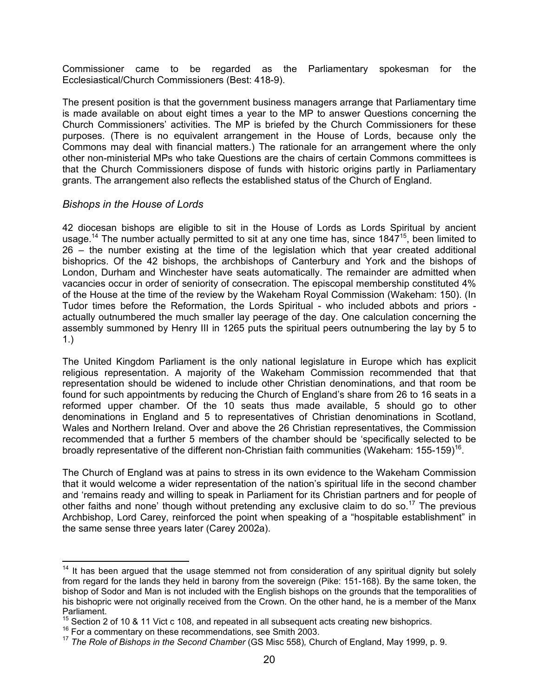Commissioner came to be regarded as the Parliamentary spokesman for the Ecclesiastical/Church Commissioners (Best: 418-9).

The present position is that the government business managers arrange that Parliamentary time is made available on about eight times a year to the MP to answer Questions concerning the Church Commissioners' activities. The MP is briefed by the Church Commissioners for these purposes. (There is no equivalent arrangement in the House of Lords, because only the Commons may deal with financial matters.) The rationale for an arrangement where the only other non-ministerial MPs who take Questions are the chairs of certain Commons committees is that the Church Commissioners dispose of funds with historic origins partly in Parliamentary grants. The arrangement also reflects the established status of the Church of England.

#### *Bishops in the House of Lords*

l

42 diocesan bishops are eligible to sit in the House of Lords as Lords Spiritual by ancient usage.<sup>14</sup> The number actually permitted to sit at any one time has, since 1847<sup>15</sup>, been limited to 26 – the number existing at the time of the legislation which that year created additional bishoprics. Of the 42 bishops, the archbishops of Canterbury and York and the bishops of London, Durham and Winchester have seats automatically. The remainder are admitted when vacancies occur in order of seniority of consecration. The episcopal membership constituted 4% of the House at the time of the review by the Wakeham Royal Commission (Wakeham: 150). (In Tudor times before the Reformation, the Lords Spiritual - who included abbots and priors actually outnumbered the much smaller lay peerage of the day. One calculation concerning the assembly summoned by Henry III in 1265 puts the spiritual peers outnumbering the lay by 5 to 1.)

The United Kingdom Parliament is the only national legislature in Europe which has explicit religious representation. A majority of the Wakeham Commission recommended that that representation should be widened to include other Christian denominations, and that room be found for such appointments by reducing the Church of England's share from 26 to 16 seats in a reformed upper chamber. Of the 10 seats thus made available, 5 should go to other denominations in England and 5 to representatives of Christian denominations in Scotland, Wales and Northern Ireland. Over and above the 26 Christian representatives, the Commission recommended that a further 5 members of the chamber should be 'specifically selected to be broadly representative of the different non-Christian faith communities (Wakeham: 155-159)<sup>16</sup>.

The Church of England was at pains to stress in its own evidence to the Wakeham Commission that it would welcome a wider representation of the nation's spiritual life in the second chamber and 'remains ready and willing to speak in Parliament for its Christian partners and for people of other faiths and none' though without pretending any exclusive claim to do so.<sup>17</sup> The previous Archbishop, Lord Carey, reinforced the point when speaking of a "hospitable establishment" in the same sense three years later (Carey 2002a).

 $14$  It has been argued that the usage stemmed not from consideration of any spiritual dignity but solely from regard for the lands they held in barony from the sovereign (Pike: 151-168). By the same token, the bishop of Sodor and Man is not included with the English bishops on the grounds that the temporalities of his bishopric were not originally received from the Crown. On the other hand, he is a member of the Manx Parliament.<br><sup>15</sup> Section 2 of 10 & 11 Vict c 108, and repeated in all subsequent acts creating new bishoprics.

<sup>&</sup>lt;sup>16</sup> For a commentary on these recommendations, see Smith 2003.<br><sup>17</sup> The Role of Bishops in the Second Chamber (GS Misc 558), Church of England, May 1999, p. 9.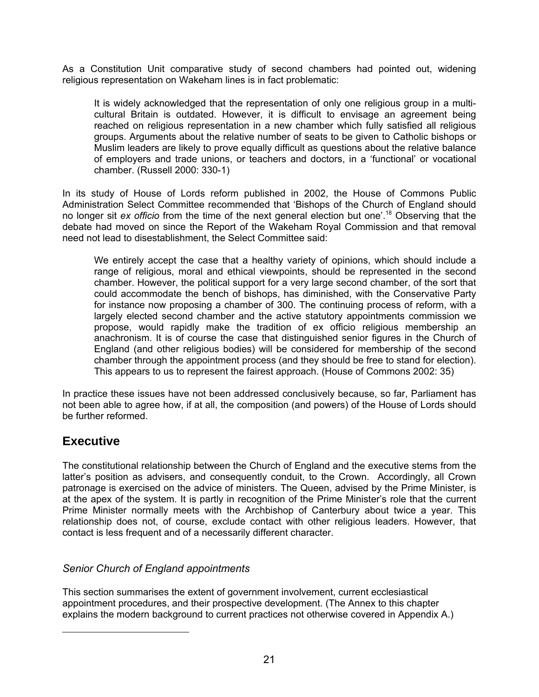As a Constitution Unit comparative study of second chambers had pointed out, widening religious representation on Wakeham lines is in fact problematic:

It is widely acknowledged that the representation of only one religious group in a multicultural Britain is outdated. However, it is difficult to envisage an agreement being reached on religious representation in a new chamber which fully satisfied all religious groups. Arguments about the relative number of seats to be given to Catholic bishops or Muslim leaders are likely to prove equally difficult as questions about the relative balance of employers and trade unions, or teachers and doctors, in a 'functional' or vocational chamber. (Russell 2000: 330-1)

In its study of House of Lords reform published in 2002, the House of Commons Public Administration Select Committee recommended that 'Bishops of the Church of England should no longer sit *ex officio* from the time of the next general election but one'.18 Observing that the debate had moved on since the Report of the Wakeham Royal Commission and that removal need not lead to disestablishment, the Select Committee said:

We entirely accept the case that a healthy variety of opinions, which should include a range of religious, moral and ethical viewpoints, should be represented in the second chamber. However, the political support for a very large second chamber, of the sort that could accommodate the bench of bishops, has diminished, with the Conservative Party for instance now proposing a chamber of 300. The continuing process of reform, with a largely elected second chamber and the active statutory appointments commission we propose, would rapidly make the tradition of ex officio religious membership an anachronism. It is of course the case that distinguished senior figures in the Church of England (and other religious bodies) will be considered for membership of the second chamber through the appointment process (and they should be free to stand for election). This appears to us to represent the fairest approach. (House of Commons 2002: 35)

In practice these issues have not been addressed conclusively because, so far, Parliament has not been able to agree how, if at all, the composition (and powers) of the House of Lords should be further reformed.

# **Executive**

l

The constitutional relationship between the Church of England and the executive stems from the latter's position as advisers, and consequently conduit, to the Crown. Accordingly, all Crown patronage is exercised on the advice of ministers. The Queen, advised by the Prime Minister, is at the apex of the system. It is partly in recognition of the Prime Minister's role that the current Prime Minister normally meets with the Archbishop of Canterbury about twice a year. This relationship does not, of course, exclude contact with other religious leaders. However, that contact is less frequent and of a necessarily different character.

### *Senior Church of England appointments*

This section summarises the extent of government involvement, current ecclesiastical appointment procedures, and their prospective development. (The Annex to this chapter explains the modern background to current practices not otherwise covered in Appendix A.)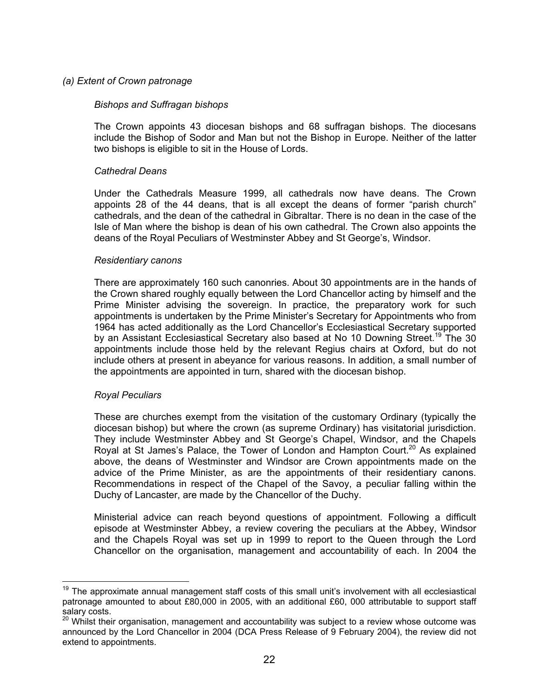#### *(a) Extent of Crown patronage*

#### *Bishops and Suffragan bishops*

The Crown appoints 43 diocesan bishops and 68 suffragan bishops. The diocesans include the Bishop of Sodor and Man but not the Bishop in Europe. Neither of the latter two bishops is eligible to sit in the House of Lords.

#### *Cathedral Deans*

Under the Cathedrals Measure 1999, all cathedrals now have deans. The Crown appoints 28 of the 44 deans, that is all except the deans of former "parish church" cathedrals, and the dean of the cathedral in Gibraltar. There is no dean in the case of the Isle of Man where the bishop is dean of his own cathedral. The Crown also appoints the deans of the Royal Peculiars of Westminster Abbey and St George's, Windsor.

#### *Residentiary canons*

There are approximately 160 such canonries. About 30 appointments are in the hands of the Crown shared roughly equally between the Lord Chancellor acting by himself and the Prime Minister advising the sovereign. In practice, the preparatory work for such appointments is undertaken by the Prime Minister's Secretary for Appointments who from 1964 has acted additionally as the Lord Chancellor's Ecclesiastical Secretary supported by an Assistant Ecclesiastical Secretary also based at No 10 Downing Street.<sup>19</sup> The 30 appointments include those held by the relevant Regius chairs at Oxford, but do not include others at present in abeyance for various reasons. In addition, a small number of the appointments are appointed in turn, shared with the diocesan bishop.

#### *Royal Peculiars*

l

These are churches exempt from the visitation of the customary Ordinary (typically the diocesan bishop) but where the crown (as supreme Ordinary) has visitatorial jurisdiction. They include Westminster Abbey and St George's Chapel, Windsor, and the Chapels Royal at St James's Palace, the Tower of London and Hampton Court.<sup>20</sup> As explained above, the deans of Westminster and Windsor are Crown appointments made on the advice of the Prime Minister, as are the appointments of their residentiary canons. Recommendations in respect of the Chapel of the Savoy, a peculiar falling within the Duchy of Lancaster, are made by the Chancellor of the Duchy.

Ministerial advice can reach beyond questions of appointment. Following a difficult episode at Westminster Abbey, a review covering the peculiars at the Abbey, Windsor and the Chapels Royal was set up in 1999 to report to the Queen through the Lord Chancellor on the organisation, management and accountability of each. In 2004 the

<sup>&</sup>lt;sup>19</sup> The approximate annual management staff costs of this small unit's involvement with all ecclesiastical patronage amounted to about £80,000 in 2005, with an additional £60, 000 attributable to support staff salary costs.

<sup>&</sup>lt;sup>20</sup> Whilst their organisation, management and accountability was subject to a review whose outcome was announced by the Lord Chancellor in 2004 (DCA Press Release of 9 February 2004), the review did not extend to appointments.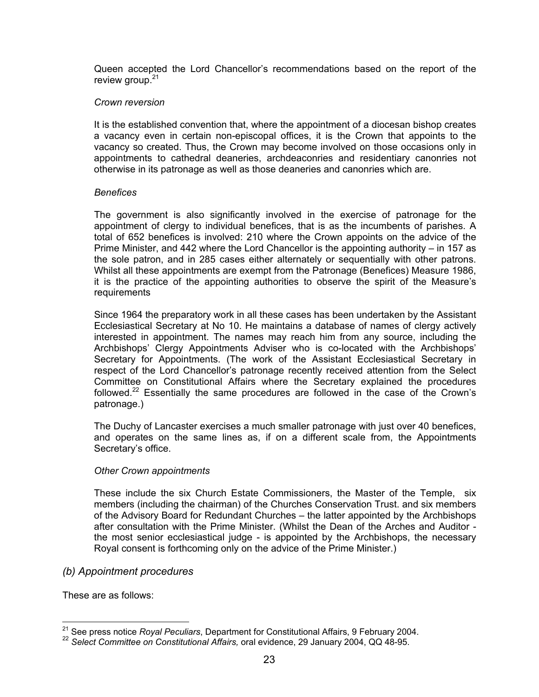Queen accepted the Lord Chancellor's recommendations based on the report of the review group.<sup>21</sup>

#### *Crown reversion*

It is the established convention that, where the appointment of a diocesan bishop creates a vacancy even in certain non-episcopal offices, it is the Crown that appoints to the vacancy so created. Thus, the Crown may become involved on those occasions only in appointments to cathedral deaneries, archdeaconries and residentiary canonries not otherwise in its patronage as well as those deaneries and canonries which are.

#### *Benefices*

The government is also significantly involved in the exercise of patronage for the appointment of clergy to individual benefices, that is as the incumbents of parishes. A total of 652 benefices is involved: 210 where the Crown appoints on the advice of the Prime Minister, and 442 where the Lord Chancellor is the appointing authority – in 157 as the sole patron, and in 285 cases either alternately or sequentially with other patrons. Whilst all these appointments are exempt from the Patronage (Benefices) Measure 1986, it is the practice of the appointing authorities to observe the spirit of the Measure's requirements

Since 1964 the preparatory work in all these cases has been undertaken by the Assistant Ecclesiastical Secretary at No 10. He maintains a database of names of clergy actively interested in appointment. The names may reach him from any source, including the Archbishops' Clergy Appointments Adviser who is co-located with the Archbishops' Secretary for Appointments. (The work of the Assistant Ecclesiastical Secretary in respect of the Lord Chancellor's patronage recently received attention from the Select Committee on Constitutional Affairs where the Secretary explained the procedures followed.22 Essentially the same procedures are followed in the case of the Crown's patronage.)

The Duchy of Lancaster exercises a much smaller patronage with just over 40 benefices, and operates on the same lines as, if on a different scale from, the Appointments Secretary's office.

#### *Other Crown appointments*

These include the six Church Estate Commissioners, the Master of the Temple, six members (including the chairman) of the Churches Conservation Trust. and six members of the Advisory Board for Redundant Churches – the latter appointed by the Archbishops after consultation with the Prime Minister. (Whilst the Dean of the Arches and Auditor the most senior ecclesiastical judge - is appointed by the Archbishops, the necessary Royal consent is forthcoming only on the advice of the Prime Minister.)

#### *(b) Appointment procedures*

These are as follows:

<sup>&</sup>lt;sup>21</sup> See press notice Royal Peculiars, Department for Constitutional Affairs, 9 February 2004.

<sup>21</sup> See press notice *Royal Peculiars*, Department for Constitutional Affairs, 9 February 2004. 22 *Select Committee on Constitutional Affairs,* oral evidence, 29 January 2004, QQ 48-95.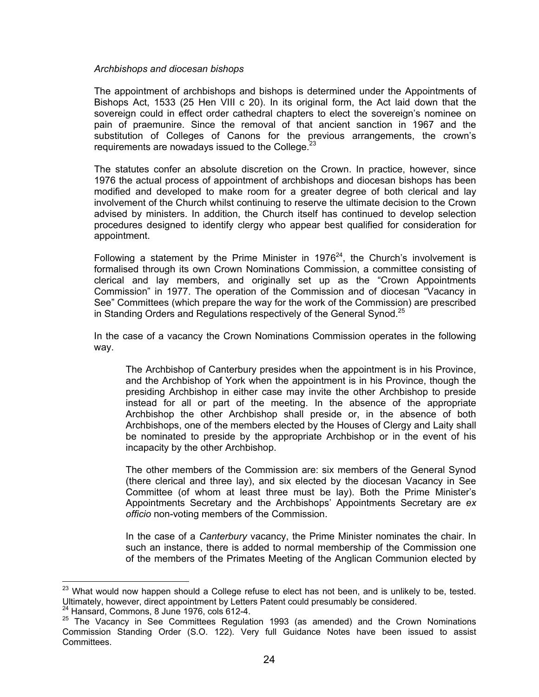#### *Archbishops and diocesan bishops*

The appointment of archbishops and bishops is determined under the Appointments of Bishops Act, 1533 (25 Hen VIII c 20). In its original form, the Act laid down that the sovereign could in effect order cathedral chapters to elect the sovereign's nominee on pain of praemunire. Since the removal of that ancient sanction in 1967 and the substitution of Colleges of Canons for the previous arrangements, the crown's requirements are nowadays issued to the College.<sup>23</sup>

The statutes confer an absolute discretion on the Crown. In practice, however, since 1976 the actual process of appointment of archbishops and diocesan bishops has been modified and developed to make room for a greater degree of both clerical and lay involvement of the Church whilst continuing to reserve the ultimate decision to the Crown advised by ministers. In addition, the Church itself has continued to develop selection procedures designed to identify clergy who appear best qualified for consideration for appointment.

Following a statement by the Prime Minister in  $1976^{24}$ , the Church's involvement is formalised through its own Crown Nominations Commission, a committee consisting of clerical and lay members, and originally set up as the "Crown Appointments Commission" in 1977. The operation of the Commission and of diocesan "Vacancy in See" Committees (which prepare the way for the work of the Commission) are prescribed in Standing Orders and Regulations respectively of the General Synod. $^{25}$ 

In the case of a vacancy the Crown Nominations Commission operates in the following way.

The Archbishop of Canterbury presides when the appointment is in his Province, and the Archbishop of York when the appointment is in his Province, though the presiding Archbishop in either case may invite the other Archbishop to preside instead for all or part of the meeting. In the absence of the appropriate Archbishop the other Archbishop shall preside or, in the absence of both Archbishops, one of the members elected by the Houses of Clergy and Laity shall be nominated to preside by the appropriate Archbishop or in the event of his incapacity by the other Archbishop.

The other members of the Commission are: six members of the General Synod (there clerical and three lay), and six elected by the diocesan Vacancy in See Committee (of whom at least three must be lay). Both the Prime Minister's Appointments Secretary and the Archbishops' Appointments Secretary are *ex officio* non-voting members of the Commission.

In the case of a *Canterbury* vacancy, the Prime Minister nominates the chair. In such an instance, there is added to normal membership of the Commission one of the members of the Primates Meeting of the Anglican Communion elected by

l

 $^{23}$  What would now happen should a College refuse to elect has not been, and is unlikely to be, tested. Ultimately, however, direct appointment by Letters Patent could presumably be considered. 24 Hansard, Commons, 8 June 1976, cols 612-4.

<sup>25</sup> The Vacancy in See Committees Regulation 1993 (as amended) and the Crown Nominations Commission Standing Order (S.O. 122). Very full Guidance Notes have been issued to assist **Committees**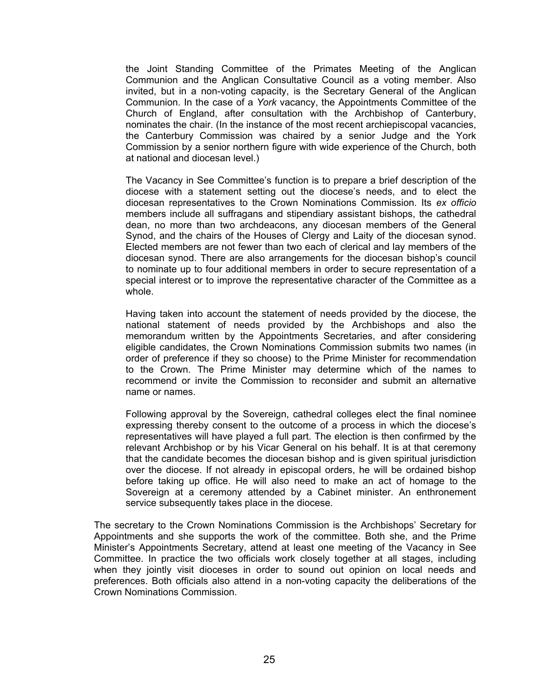the Joint Standing Committee of the Primates Meeting of the Anglican Communion and the Anglican Consultative Council as a voting member. Also invited, but in a non-voting capacity, is the Secretary General of the Anglican Communion. In the case of a *York* vacancy, the Appointments Committee of the Church of England, after consultation with the Archbishop of Canterbury, nominates the chair. (In the instance of the most recent archiepiscopal vacancies, the Canterbury Commission was chaired by a senior Judge and the York Commission by a senior northern figure with wide experience of the Church, both at national and diocesan level.)

The Vacancy in See Committee's function is to prepare a brief description of the diocese with a statement setting out the diocese's needs, and to elect the diocesan representatives to the Crown Nominations Commission. Its *ex officio* members include all suffragans and stipendiary assistant bishops, the cathedral dean, no more than two archdeacons, any diocesan members of the General Synod, and the chairs of the Houses of Clergy and Laity of the diocesan synod. Elected members are not fewer than two each of clerical and lay members of the diocesan synod. There are also arrangements for the diocesan bishop's council to nominate up to four additional members in order to secure representation of a special interest or to improve the representative character of the Committee as a whole.

Having taken into account the statement of needs provided by the diocese, the national statement of needs provided by the Archbishops and also the memorandum written by the Appointments Secretaries, and after considering eligible candidates, the Crown Nominations Commission submits two names (in order of preference if they so choose) to the Prime Minister for recommendation to the Crown. The Prime Minister may determine which of the names to recommend or invite the Commission to reconsider and submit an alternative name or names.

Following approval by the Sovereign, cathedral colleges elect the final nominee expressing thereby consent to the outcome of a process in which the diocese's representatives will have played a full part. The election is then confirmed by the relevant Archbishop or by his Vicar General on his behalf. It is at that ceremony that the candidate becomes the diocesan bishop and is given spiritual jurisdiction over the diocese. If not already in episcopal orders, he will be ordained bishop before taking up office. He will also need to make an act of homage to the Sovereign at a ceremony attended by a Cabinet minister. An enthronement service subsequently takes place in the diocese.

The secretary to the Crown Nominations Commission is the Archbishops' Secretary for Appointments and she supports the work of the committee. Both she, and the Prime Minister's Appointments Secretary, attend at least one meeting of the Vacancy in See Committee. In practice the two officials work closely together at all stages, including when they jointly visit dioceses in order to sound out opinion on local needs and preferences. Both officials also attend in a non-voting capacity the deliberations of the Crown Nominations Commission.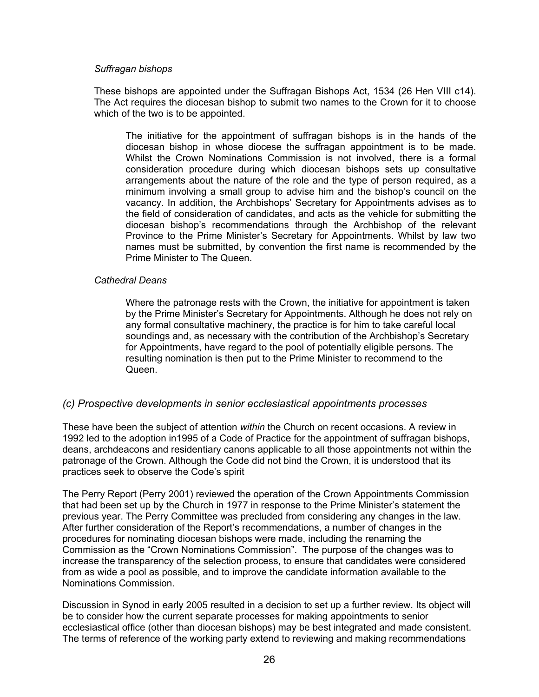#### *Suffragan bishops*

These bishops are appointed under the Suffragan Bishops Act, 1534 (26 Hen VIII c14). The Act requires the diocesan bishop to submit two names to the Crown for it to choose which of the two is to be appointed.

The initiative for the appointment of suffragan bishops is in the hands of the diocesan bishop in whose diocese the suffragan appointment is to be made. Whilst the Crown Nominations Commission is not involved, there is a formal consideration procedure during which diocesan bishops sets up consultative arrangements about the nature of the role and the type of person required, as a minimum involving a small group to advise him and the bishop's council on the vacancy. In addition, the Archbishops' Secretary for Appointments advises as to the field of consideration of candidates, and acts as the vehicle for submitting the diocesan bishop's recommendations through the Archbishop of the relevant Province to the Prime Minister's Secretary for Appointments. Whilst by law two names must be submitted, by convention the first name is recommended by the Prime Minister to The Queen.

#### *Cathedral Deans*

Where the patronage rests with the Crown, the initiative for appointment is taken by the Prime Minister's Secretary for Appointments. Although he does not rely on any formal consultative machinery, the practice is for him to take careful local soundings and, as necessary with the contribution of the Archbishop's Secretary for Appointments, have regard to the pool of potentially eligible persons. The resulting nomination is then put to the Prime Minister to recommend to the Queen.

#### *(c) Prospective developments in senior ecclesiastical appointments processes*

These have been the subject of attention *within* the Church on recent occasions. A review in 1992 led to the adoption in1995 of a Code of Practice for the appointment of suffragan bishops, deans, archdeacons and residentiary canons applicable to all those appointments not within the patronage of the Crown. Although the Code did not bind the Crown, it is understood that its practices seek to observe the Code's spirit

The Perry Report (Perry 2001) reviewed the operation of the Crown Appointments Commission that had been set up by the Church in 1977 in response to the Prime Minister's statement the previous year. The Perry Committee was precluded from considering any changes in the law. After further consideration of the Report's recommendations, a number of changes in the procedures for nominating diocesan bishops were made, including the renaming the Commission as the "Crown Nominations Commission". The purpose of the changes was to increase the transparency of the selection process, to ensure that candidates were considered from as wide a pool as possible, and to improve the candidate information available to the Nominations Commission.

Discussion in Synod in early 2005 resulted in a decision to set up a further review. Its object will be to consider how the current separate processes for making appointments to senior ecclesiastical office (other than diocesan bishops) may be best integrated and made consistent. The terms of reference of the working party extend to reviewing and making recommendations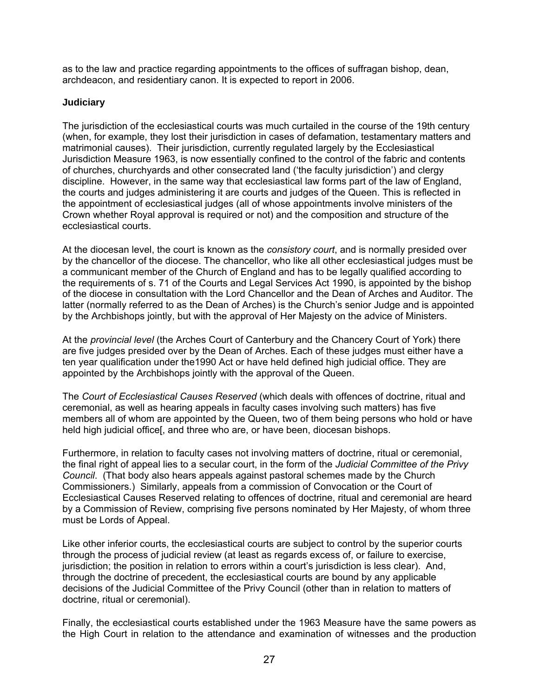as to the law and practice regarding appointments to the offices of suffragan bishop, dean, archdeacon, and residentiary canon. It is expected to report in 2006.

#### **Judiciary**

The jurisdiction of the ecclesiastical courts was much curtailed in the course of the 19th century (when, for example, they lost their jurisdiction in cases of defamation, testamentary matters and matrimonial causes). Their jurisdiction, currently regulated largely by the Ecclesiastical Jurisdiction Measure 1963, is now essentially confined to the control of the fabric and contents of churches, churchyards and other consecrated land ('the faculty jurisdiction') and clergy discipline. However, in the same way that ecclesiastical law forms part of the law of England, the courts and judges administering it are courts and judges of the Queen. This is reflected in the appointment of ecclesiastical judges (all of whose appointments involve ministers of the Crown whether Royal approval is required or not) and the composition and structure of the ecclesiastical courts.

At the diocesan level, the court is known as the *consistory court*, and is normally presided over by the chancellor of the diocese. The chancellor, who like all other ecclesiastical judges must be a communicant member of the Church of England and has to be legally qualified according to the requirements of s. 71 of the Courts and Legal Services Act 1990, is appointed by the bishop of the diocese in consultation with the Lord Chancellor and the Dean of Arches and Auditor. The latter (normally referred to as the Dean of Arches) is the Church's senior Judge and is appointed by the Archbishops jointly, but with the approval of Her Majesty on the advice of Ministers.

At the *provincial level* (the Arches Court of Canterbury and the Chancery Court of York) there are five judges presided over by the Dean of Arches. Each of these judges must either have a ten year qualification under the1990 Act or have held defined high judicial office. They are appointed by the Archbishops jointly with the approval of the Queen.

The *Court of Ecclesiastical Causes Reserved* (which deals with offences of doctrine, ritual and ceremonial, as well as hearing appeals in faculty cases involving such matters) has five members all of whom are appointed by the Queen, two of them being persons who hold or have held high judicial office[, and three who are, or have been, diocesan bishops.

Furthermore, in relation to faculty cases not involving matters of doctrine, ritual or ceremonial, the final right of appeal lies to a secular court, in the form of the *Judicial Committee of the Privy Council*. (That body also hears appeals against pastoral schemes made by the Church Commissioners.) Similarly, appeals from a commission of Convocation or the Court of Ecclesiastical Causes Reserved relating to offences of doctrine, ritual and ceremonial are heard by a Commission of Review, comprising five persons nominated by Her Majesty, of whom three must be Lords of Appeal.

Like other inferior courts, the ecclesiastical courts are subject to control by the superior courts through the process of judicial review (at least as regards excess of, or failure to exercise, jurisdiction; the position in relation to errors within a court's jurisdiction is less clear). And, through the doctrine of precedent, the ecclesiastical courts are bound by any applicable decisions of the Judicial Committee of the Privy Council (other than in relation to matters of doctrine, ritual or ceremonial).

Finally, the ecclesiastical courts established under the 1963 Measure have the same powers as the High Court in relation to the attendance and examination of witnesses and the production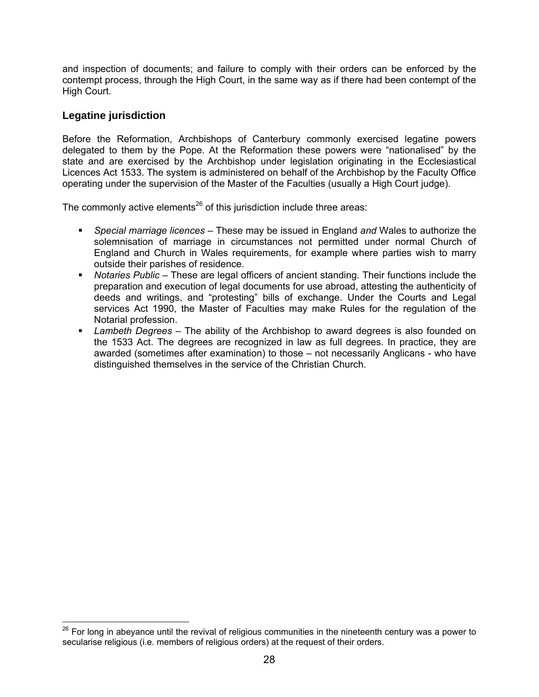and inspection of documents; and failure to comply with their orders can be enforced by the contempt process, through the High Court, in the same way as if there had been contempt of the High Court.

#### **Legatine jurisdiction**

l

Before the Reformation, Archbishops of Canterbury commonly exercised legatine powers delegated to them by the Pope. At the Reformation these powers were "nationalised" by the state and are exercised by the Archbishop under legislation originating in the Ecclesiastical Licences Act 1533. The system is administered on behalf of the Archbishop by the Faculty Office operating under the supervision of the Master of the Faculties (usually a High Court judge).

The commonly active elements<sup>26</sup> of this jurisdiction include three areas:

- *Special marriage licences*  These may be issued in England *and* Wales to authorize the solemnisation of marriage in circumstances not permitted under normal Church of England and Church in Wales requirements, for example where parties wish to marry outside their parishes of residence.
- *Notaries Public* These are legal officers of ancient standing. Their functions include the preparation and execution of legal documents for use abroad, attesting the authenticity of deeds and writings, and "protesting" bills of exchange. Under the Courts and Legal services Act 1990, the Master of Faculties may make Rules for the regulation of the Notarial profession.
- *Lambeth Degrees* The ability of the Archbishop to award degrees is also founded on the 1533 Act. The degrees are recognized in law as full degrees. In practice, they are awarded (sometimes after examination) to those – not necessarily Anglicans - who have distinguished themselves in the service of the Christian Church.

 $26$  For long in abeyance until the revival of religious communities in the nineteenth century was a power to secularise religious (i.e. members of religious orders) at the request of their orders.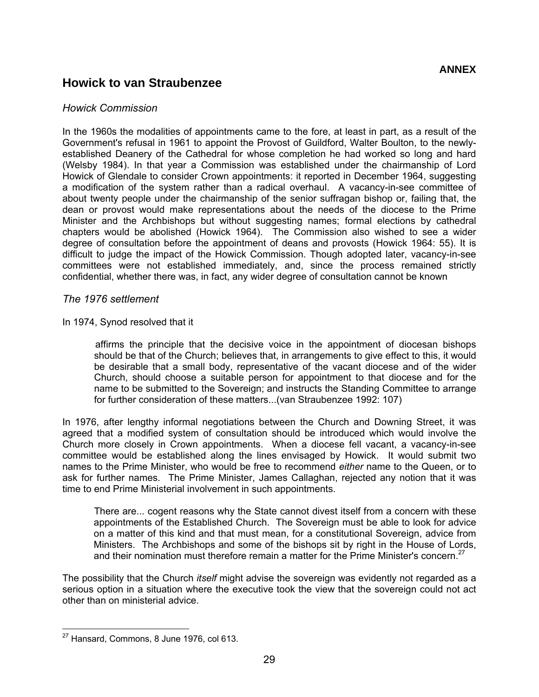## **Howick to van Straubenzee**

#### *Howick Commission*

In the 1960s the modalities of appointments came to the fore, at least in part, as a result of the Government's refusal in 1961 to appoint the Provost of Guildford, Walter Boulton, to the newlyestablished Deanery of the Cathedral for whose completion he had worked so long and hard (Welsby 1984). In that year a Commission was established under the chairmanship of Lord Howick of Glendale to consider Crown appointments: it reported in December 1964, suggesting a modification of the system rather than a radical overhaul. A vacancy-in-see committee of about twenty people under the chairmanship of the senior suffragan bishop or, failing that, the dean or provost would make representations about the needs of the diocese to the Prime Minister and the Archbishops but without suggesting names; formal elections by cathedral chapters would be abolished (Howick 1964). The Commission also wished to see a wider degree of consultation before the appointment of deans and provosts (Howick 1964: 55). It is difficult to judge the impact of the Howick Commission. Though adopted later, vacancy-in-see committees were not established immediately, and, since the process remained strictly confidential, whether there was, in fact, any wider degree of consultation cannot be known

#### *The 1976 settlement*

#### In 1974, Synod resolved that it

affirms the principle that the decisive voice in the appointment of diocesan bishops should be that of the Church; believes that, in arrangements to give effect to this, it would be desirable that a small body, representative of the vacant diocese and of the wider Church, should choose a suitable person for appointment to that diocese and for the name to be submitted to the Sovereign; and instructs the Standing Committee to arrange for further consideration of these matters...(van Straubenzee 1992: 107)

In 1976, after lengthy informal negotiations between the Church and Downing Street, it was agreed that a modified system of consultation should be introduced which would involve the Church more closely in Crown appointments. When a diocese fell vacant, a vacancy-in-see committee would be established along the lines envisaged by Howick. It would submit two names to the Prime Minister, who would be free to recommend *either* name to the Queen, or to ask for further names. The Prime Minister, James Callaghan, rejected any notion that it was time to end Prime Ministerial involvement in such appointments.

There are... cogent reasons why the State cannot divest itself from a concern with these appointments of the Established Church. The Sovereign must be able to look for advice on a matter of this kind and that must mean, for a constitutional Sovereign, advice from Ministers. The Archbishops and some of the bishops sit by right in the House of Lords, and their nomination must therefore remain a matter for the Prime Minister's concern. $27$ 

The possibility that the Church *itself* might advise the sovereign was evidently not regarded as a serious option in a situation where the executive took the view that the sovereign could not act other than on ministerial advice.

l  $^{27}$  Hansard, Commons, 8 June 1976, col 613.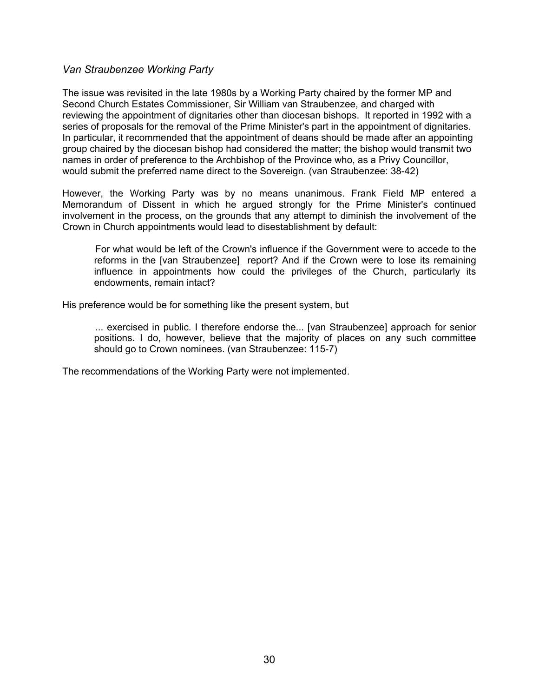#### *Van Straubenzee Working Party*

The issue was revisited in the late 1980s by a Working Party chaired by the former MP and Second Church Estates Commissioner, Sir William van Straubenzee, and charged with reviewing the appointment of dignitaries other than diocesan bishops. It reported in 1992 with a series of proposals for the removal of the Prime Minister's part in the appointment of dignitaries. In particular, it recommended that the appointment of deans should be made after an appointing group chaired by the diocesan bishop had considered the matter; the bishop would transmit two names in order of preference to the Archbishop of the Province who, as a Privy Councillor, would submit the preferred name direct to the Sovereign. (van Straubenzee: 38-42)

However, the Working Party was by no means unanimous. Frank Field MP entered a Memorandum of Dissent in which he argued strongly for the Prime Minister's continued involvement in the process, on the grounds that any attempt to diminish the involvement of the Crown in Church appointments would lead to disestablishment by default:

For what would be left of the Crown's influence if the Government were to accede to the reforms in the [van Straubenzee] report? And if the Crown were to lose its remaining influence in appointments how could the privileges of the Church, particularly its endowments, remain intact?

His preference would be for something like the present system, but

... exercised in public. I therefore endorse the... [van Straubenzee] approach for senior positions. I do, however, believe that the majority of places on any such committee should go to Crown nominees. (van Straubenzee: 115-7)

The recommendations of the Working Party were not implemented.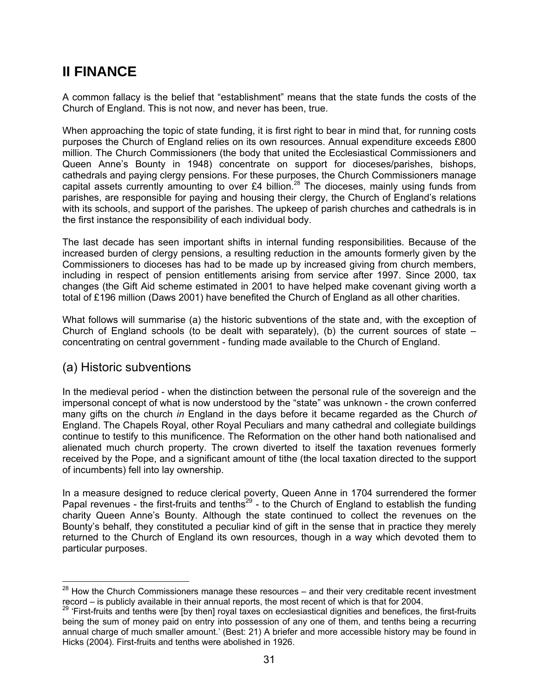# **II FINANCE**

A common fallacy is the belief that "establishment" means that the state funds the costs of the Church of England. This is not now, and never has been, true.

When approaching the topic of state funding, it is first right to bear in mind that, for running costs purposes the Church of England relies on its own resources. Annual expenditure exceeds £800 million. The Church Commissioners (the body that united the Ecclesiastical Commissioners and Queen Anne's Bounty in 1948) concentrate on support for dioceses/parishes, bishops, cathedrals and paying clergy pensions. For these purposes, the Church Commissioners manage capital assets currently amounting to over £4 billion.<sup>28</sup> The dioceses, mainly using funds from parishes, are responsible for paying and housing their clergy, the Church of England's relations with its schools, and support of the parishes. The upkeep of parish churches and cathedrals is in the first instance the responsibility of each individual body.

The last decade has seen important shifts in internal funding responsibilities. Because of the increased burden of clergy pensions, a resulting reduction in the amounts formerly given by the Commissioners to dioceses has had to be made up by increased giving from church members, including in respect of pension entitlements arising from service after 1997. Since 2000, tax changes (the Gift Aid scheme estimated in 2001 to have helped make covenant giving worth a total of £196 million (Daws 2001) have benefited the Church of England as all other charities.

What follows will summarise (a) the historic subventions of the state and, with the exception of Church of England schools (to be dealt with separately), (b) the current sources of state  $$ concentrating on central government - funding made available to the Church of England.

### (a) Historic subventions

l

In the medieval period - when the distinction between the personal rule of the sovereign and the impersonal concept of what is now understood by the "state" was unknown - the crown conferred many gifts on the church *in* England in the days before it became regarded as the Church *of* England. The Chapels Royal, other Royal Peculiars and many cathedral and collegiate buildings continue to testify to this munificence. The Reformation on the other hand both nationalised and alienated much church property. The crown diverted to itself the taxation revenues formerly received by the Pope, and a significant amount of tithe (the local taxation directed to the support of incumbents) fell into lay ownership.

In a measure designed to reduce clerical poverty, Queen Anne in 1704 surrendered the former Papal revenues - the first-fruits and tenths<sup>29</sup> - to the Church of England to establish the funding charity Queen Anne's Bounty. Although the state continued to collect the revenues on the Bounty's behalf, they constituted a peculiar kind of gift in the sense that in practice they merely returned to the Church of England its own resources, though in a way which devoted them to particular purposes.

 $28$  How the Church Commissioners manage these resources  $-$  and their very creditable recent investment record – is publicly available in their annual reports, the most recent of which is that for 2004.

<sup>&</sup>lt;sup>29</sup> 'First-fruits and tenths were [by then] royal taxes on ecclesiastical dignities and benefices, the first-fruits being the sum of money paid on entry into possession of any one of them, and tenths being a recurring annual charge of much smaller amount.' (Best: 21) A briefer and more accessible history may be found in Hicks (2004). First-fruits and tenths were abolished in 1926.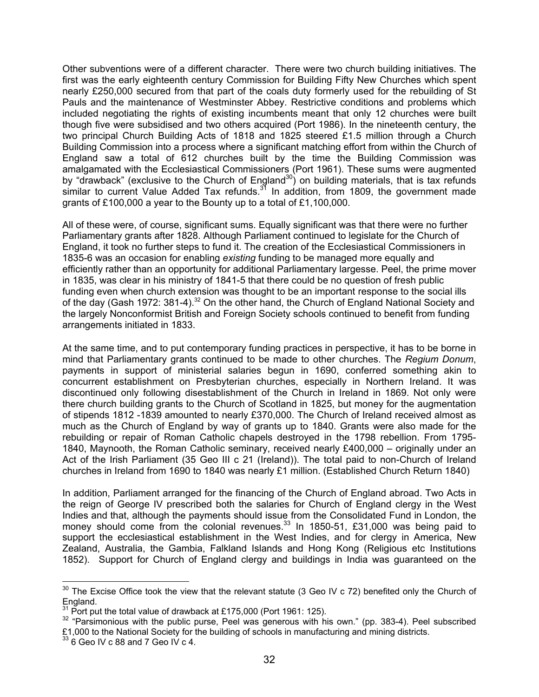Other subventions were of a different character. There were two church building initiatives. The first was the early eighteenth century Commission for Building Fifty New Churches which spent nearly £250,000 secured from that part of the coals duty formerly used for the rebuilding of St Pauls and the maintenance of Westminster Abbey. Restrictive conditions and problems which included negotiating the rights of existing incumbents meant that only 12 churches were built though five were subsidised and two others acquired (Port 1986). In the nineteenth century, the two principal Church Building Acts of 1818 and 1825 steered £1.5 million through a Church Building Commission into a process where a significant matching effort from within the Church of England saw a total of 612 churches built by the time the Building Commission was amalgamated with the Ecclesiastical Commissioners (Port 1961). These sums were augmented by "drawback" (exclusive to the Church of England<sup>30</sup>) on building materials, that is tax refunds similar to current Value Added Tax refunds. $31$  In addition, from 1809, the government made grants of £100,000 a year to the Bounty up to a total of £1,100,000.

All of these were, of course, significant sums. Equally significant was that there were no further Parliamentary grants after 1828. Although Parliament continued to legislate for the Church of England, it took no further steps to fund it. The creation of the Ecclesiastical Commissioners in 1835-6 was an occasion for enabling *existing* funding to be managed more equally and efficiently rather than an opportunity for additional Parliamentary largesse. Peel, the prime mover in 1835, was clear in his ministry of 1841-5 that there could be no question of fresh public funding even when church extension was thought to be an important response to the social ills of the day (Gash 1972: 381-4).<sup>32</sup> On the other hand, the Church of England National Society and the largely Nonconformist British and Foreign Society schools continued to benefit from funding arrangements initiated in 1833.

At the same time, and to put contemporary funding practices in perspective, it has to be borne in mind that Parliamentary grants continued to be made to other churches. The *Regium Donum*, payments in support of ministerial salaries begun in 1690, conferred something akin to concurrent establishment on Presbyterian churches, especially in Northern Ireland. It was discontinued only following disestablishment of the Church in Ireland in 1869. Not only were there church building grants to the Church of Scotland in 1825, but money for the augmentation of stipends 1812 -1839 amounted to nearly £370,000. The Church of Ireland received almost as much as the Church of England by way of grants up to 1840. Grants were also made for the rebuilding or repair of Roman Catholic chapels destroyed in the 1798 rebellion. From 1795- 1840, Maynooth, the Roman Catholic seminary, received nearly £400,000 – originally under an Act of the Irish Parliament (35 Geo III c 21 (Ireland)). The total paid to non-Church of Ireland churches in Ireland from 1690 to 1840 was nearly £1 million. (Established Church Return 1840)

In addition, Parliament arranged for the financing of the Church of England abroad. Two Acts in the reign of George IV prescribed both the salaries for Church of England clergy in the West Indies and that, although the payments should issue from the Consolidated Fund in London, the money should come from the colonial revenues.<sup>33</sup> In 1850-51, £31,000 was being paid to support the ecclesiastical establishment in the West Indies, and for clergy in America, New Zealand, Australia, the Gambia, Falkland Islands and Hong Kong (Religious etc Institutions 1852). Support for Church of England clergy and buildings in India was guaranteed on the

l

 $30$  The Excise Office took the view that the relevant statute (3 Geo IV c 72) benefited only the Church of England.<br><sup>31</sup> Port put the total value of drawback at £175,000 (Port 1961: 125).

 $32$  "Parsimonious with the public purse, Peel was generous with his own." (pp. 383-4). Peel subscribed £1,000 to the National Society for the building of schools in manufacturing and mining districts.  $^{33}$  6 Geo IV c 88 and 7 Geo IV c 4.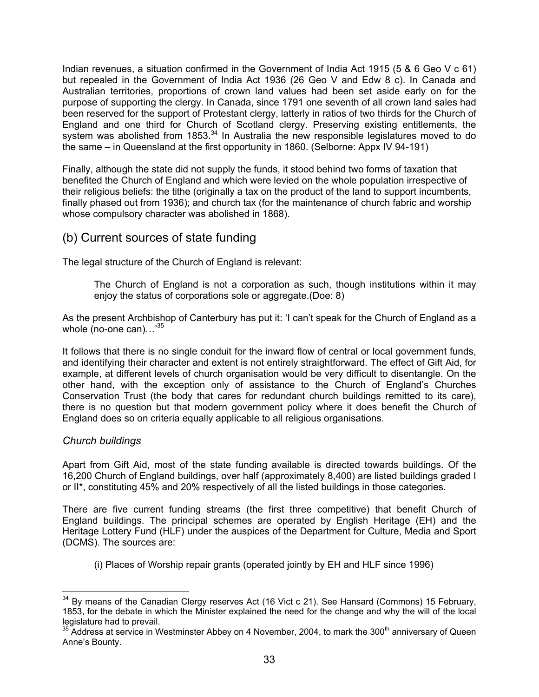Indian revenues, a situation confirmed in the Government of India Act 1915 (5 & 6 Geo V c 61) but repealed in the Government of India Act 1936 (26 Geo V and Edw 8 c). In Canada and Australian territories, proportions of crown land values had been set aside early on for the purpose of supporting the clergy. In Canada, since 1791 one seventh of all crown land sales had been reserved for the support of Protestant clergy, latterly in ratios of two thirds for the Church of England and one third for Church of Scotland clergy. Preserving existing entitlements, the system was abolished from 1853.<sup>34</sup> In Australia the new responsible legislatures moved to do the same – in Queensland at the first opportunity in 1860. (Selborne: Appx IV 94-191)

Finally, although the state did not supply the funds, it stood behind two forms of taxation that benefited the Church of England and which were levied on the whole population irrespective of their religious beliefs: the tithe (originally a tax on the product of the land to support incumbents, finally phased out from 1936); and church tax (for the maintenance of church fabric and worship whose compulsory character was abolished in 1868).

### (b) Current sources of state funding

The legal structure of the Church of England is relevant:

The Church of England is not a corporation as such, though institutions within it may enjoy the status of corporations sole or aggregate.(Doe: 8)

As the present Archbishop of Canterbury has put it: 'I can't speak for the Church of England as a whole (no-one can)...<sup>'35</sup>

It follows that there is no single conduit for the inward flow of central or local government funds, and identifying their character and extent is not entirely straightforward. The effect of Gift Aid, for example, at different levels of church organisation would be very difficult to disentangle. On the other hand, with the exception only of assistance to the Church of England's Churches Conservation Trust (the body that cares for redundant church buildings remitted to its care), there is no question but that modern government policy where it does benefit the Church of England does so on criteria equally applicable to all religious organisations.

#### *Church buildings*

Apart from Gift Aid, most of the state funding available is directed towards buildings. Of the 16,200 Church of England buildings, over half (approximately 8,400) are listed buildings graded I or II\*, constituting 45% and 20% respectively of all the listed buildings in those categories.

There are five current funding streams (the first three competitive) that benefit Church of England buildings. The principal schemes are operated by English Heritage (EH) and the Heritage Lottery Fund (HLF) under the auspices of the Department for Culture, Media and Sport (DCMS). The sources are:

(i) Places of Worship repair grants (operated jointly by EH and HLF since 1996)

l  $34$  By means of the Canadian Clergy reserves Act (16 Vict c 21). See Hansard (Commons) 15 February, 1853, for the debate in which the Minister explained the need for the change and why the will of the local legislature had to prevail.

Address at service in Westminster Abbey on 4 November, 2004, to mark the 300<sup>th</sup> anniversary of Queen Anne's Bounty.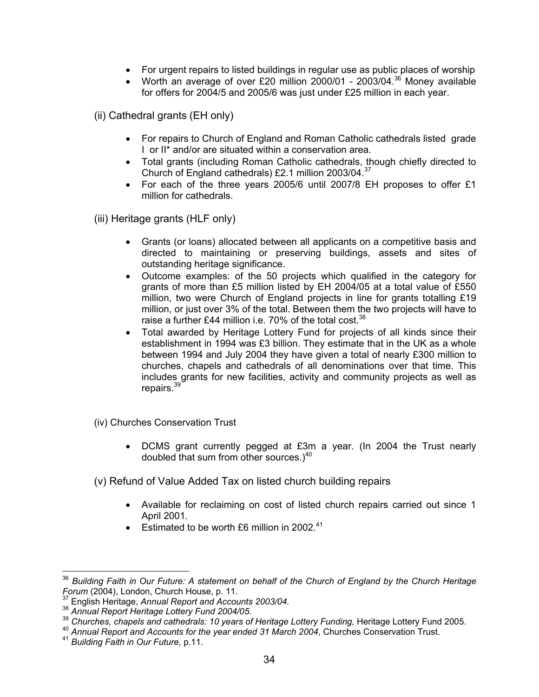- For urgent repairs to listed buildings in regular use as public places of worship
- Worth an average of over £20 million 2000/01 2003/04.<sup>36</sup> Money available for offers for 2004/5 and 2005/6 was just under £25 million in each year.

(ii) Cathedral grants (EH only)

- For repairs to Church of England and Roman Catholic cathedrals listed grade I or II\* and/or are situated within a conservation area.
- Total grants (including Roman Catholic cathedrals, though chiefly directed to Church of England cathedrals) £2.1 million 2003/04.<sup>37</sup>
- For each of the three years 2005/6 until 2007/8 EH proposes to offer £1 million for cathedrals.

(iii) Heritage grants (HLF only)

- Grants (or loans) allocated between all applicants on a competitive basis and directed to maintaining or preserving buildings, assets and sites of outstanding heritage significance.
- Outcome examples: of the 50 projects which qualified in the category for grants of more than £5 million listed by EH 2004/05 at a total value of £550 million, two were Church of England projects in line for grants totalling £19 million, or just over 3% of the total. Between them the two projects will have to raise a further £44 million i.e. 70% of the total cost.<sup>38</sup>
- Total awarded by Heritage Lottery Fund for projects of all kinds since their establishment in 1994 was £3 billion. They estimate that in the UK as a whole between 1994 and July 2004 they have given a total of nearly £300 million to churches, chapels and cathedrals of all denominations over that time. This includes grants for new facilities, activity and community projects as well as repairs.<sup>39</sup>

(iv) Churches Conservation Trust

- DCMS grant currently pegged at £3m a year. (In 2004 the Trust nearly doubled that sum from other sources.)<sup>40</sup>
- (v) Refund of Value Added Tax on listed church building repairs
	- Available for reclaiming on cost of listed church repairs carried out since 1 April 2001.
	- Estimated to be worth £6 million in 2002.<sup>41</sup>

l

<sup>&</sup>lt;sup>36</sup> Building Faith in Our Future: A statement on behalf of the Church of England by the Church Heritage Forum (2004), London, Church House, p. 11.<br>Forum (2004), London, Church House, p. 11.

<sup>&</sup>lt;sup>37</sup> English Heritage, Annual Report and Accounts 2003/04.<br><sup>38</sup> Annual Report Heritage Lottery Fund 2004/05.<br><sup>39</sup> Churches, chapels and cathedrals: 10 years of Heritage Lottery Funding, Heritage Lottery Fund 2005.<br><sup>40</sup> An

<sup>41</sup> *Building Faith in Our Future,* p.11.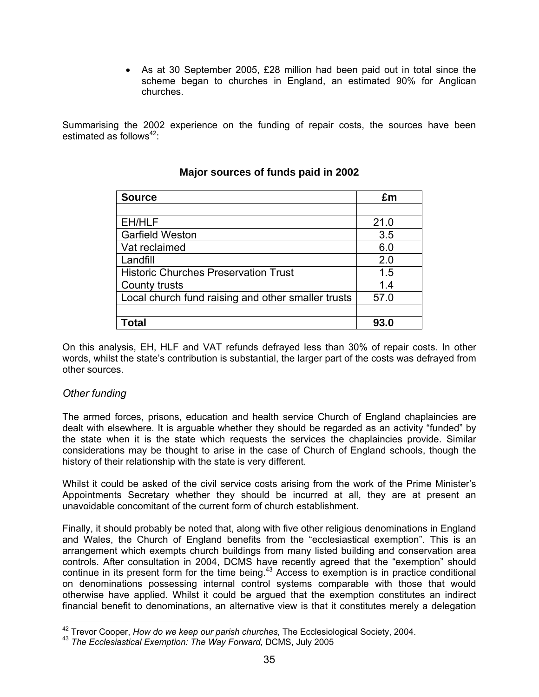• As at 30 September 2005, £28 million had been paid out in total since the scheme began to churches in England, an estimated 90% for Anglican churches.

Summarising the 2002 experience on the funding of repair costs, the sources have been estimated as follows $42$ :

| <b>Source</b>                                      | £m   |
|----------------------------------------------------|------|
|                                                    |      |
| EH/HLF                                             | 21.0 |
| <b>Garfield Weston</b>                             | 3.5  |
| Vat reclaimed                                      | 6.0  |
| Landfill                                           | 2.0  |
| <b>Historic Churches Preservation Trust</b>        | 1.5  |
| County trusts                                      | 1.4  |
| Local church fund raising and other smaller trusts | 57.0 |
|                                                    |      |
| Total                                              | 93.0 |

#### **Major sources of funds paid in 2002**

On this analysis, EH, HLF and VAT refunds defrayed less than 30% of repair costs. In other words, whilst the state's contribution is substantial, the larger part of the costs was defrayed from other sources.

#### *Other funding*

The armed forces, prisons, education and health service Church of England chaplaincies are dealt with elsewhere. It is arguable whether they should be regarded as an activity "funded" by the state when it is the state which requests the services the chaplaincies provide. Similar considerations may be thought to arise in the case of Church of England schools, though the history of their relationship with the state is very different.

Whilst it could be asked of the civil service costs arising from the work of the Prime Minister's Appointments Secretary whether they should be incurred at all, they are at present an unavoidable concomitant of the current form of church establishment.

Finally, it should probably be noted that, along with five other religious denominations in England and Wales, the Church of England benefits from the "ecclesiastical exemption". This is an arrangement which exempts church buildings from many listed building and conservation area controls. After consultation in 2004, DCMS have recently agreed that the "exemption" should continue in its present form for the time being.<sup>43</sup> Access to exemption is in practice conditional on denominations possessing internal control systems comparable with those that would otherwise have applied. Whilst it could be argued that the exemption constitutes an indirect financial benefit to denominations, an alternative view is that it constitutes merely a delegation

<sup>&</sup>lt;sup>42</sup> Trevor Cooper, How do we keep our parish churches. The Ecclesiological Society, 2004.

<sup>&</sup>lt;sup>43</sup> The Ecclesiastical Exemption: The Way Forward, DCMS, July 2005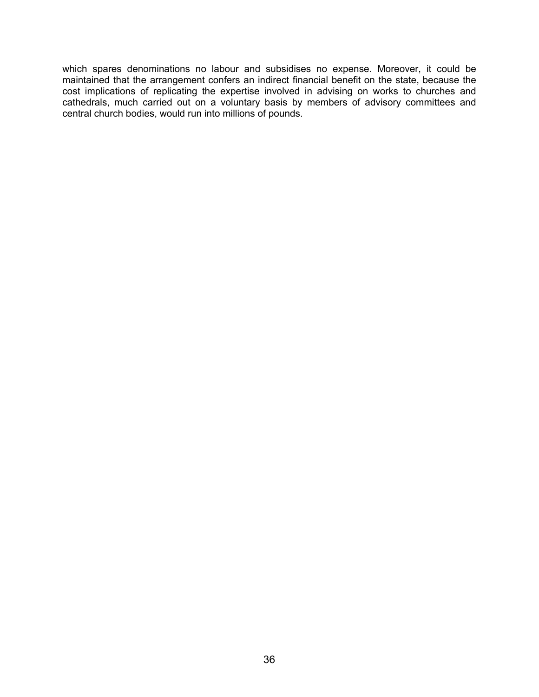which spares denominations no labour and subsidises no expense. Moreover, it could be maintained that the arrangement confers an indirect financial benefit on the state, because the cost implications of replicating the expertise involved in advising on works to churches and cathedrals, much carried out on a voluntary basis by members of advisory committees and central church bodies, would run into millions of pounds.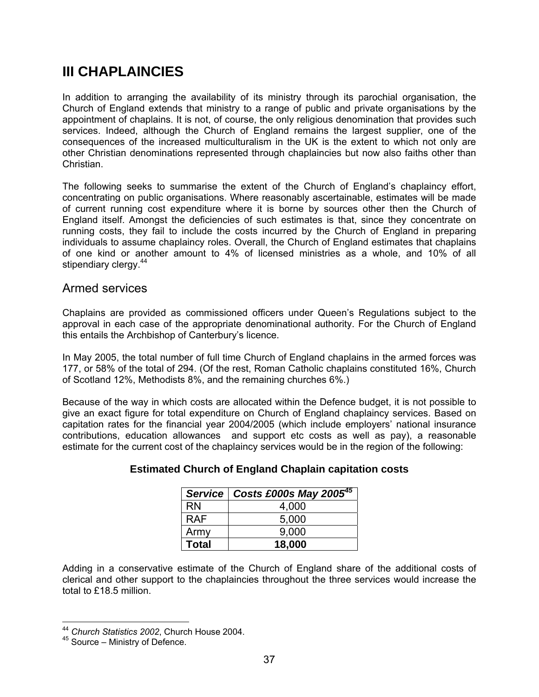# **III CHAPLAINCIES**

In addition to arranging the availability of its ministry through its parochial organisation, the Church of England extends that ministry to a range of public and private organisations by the appointment of chaplains. It is not, of course, the only religious denomination that provides such services. Indeed, although the Church of England remains the largest supplier, one of the consequences of the increased multiculturalism in the UK is the extent to which not only are other Christian denominations represented through chaplaincies but now also faiths other than Christian.

The following seeks to summarise the extent of the Church of England's chaplaincy effort, concentrating on public organisations. Where reasonably ascertainable, estimates will be made of current running cost expenditure where it is borne by sources other then the Church of England itself. Amongst the deficiencies of such estimates is that, since they concentrate on running costs, they fail to include the costs incurred by the Church of England in preparing individuals to assume chaplaincy roles. Overall, the Church of England estimates that chaplains of one kind or another amount to 4% of licensed ministries as a whole, and 10% of all stipendiary clergy.<sup>44</sup>

#### Armed services

Chaplains are provided as commissioned officers under Queen's Regulations subject to the approval in each case of the appropriate denominational authority. For the Church of England this entails the Archbishop of Canterbury's licence.

In May 2005, the total number of full time Church of England chaplains in the armed forces was 177, or 58% of the total of 294. (Of the rest, Roman Catholic chaplains constituted 16%, Church of Scotland 12%, Methodists 8%, and the remaining churches 6%.)

Because of the way in which costs are allocated within the Defence budget, it is not possible to give an exact figure for total expenditure on Church of England chaplaincy services. Based on capitation rates for the financial year 2004/2005 (which include employers' national insurance contributions, education allowances and support etc costs as well as pay), a reasonable estimate for the current cost of the chaplaincy services would be in the region of the following:

|              | Service   Costs £000s May 2005 <sup>45</sup> |
|--------------|----------------------------------------------|
| <b>RN</b>    | 4,000                                        |
| <b>RAF</b>   | 5,000                                        |
| Army         | 9,000                                        |
| <b>Total</b> | 18,000                                       |

### **Estimated Church of England Chaplain capitation costs**

Adding in a conservative estimate of the Church of England share of the additional costs of clerical and other support to the chaplaincies throughout the three services would increase the total to £18.5 million.

l

<sup>44</sup> *Church Statistics 2002*, Church House 2004.

<sup>45</sup> Source – Ministry of Defence.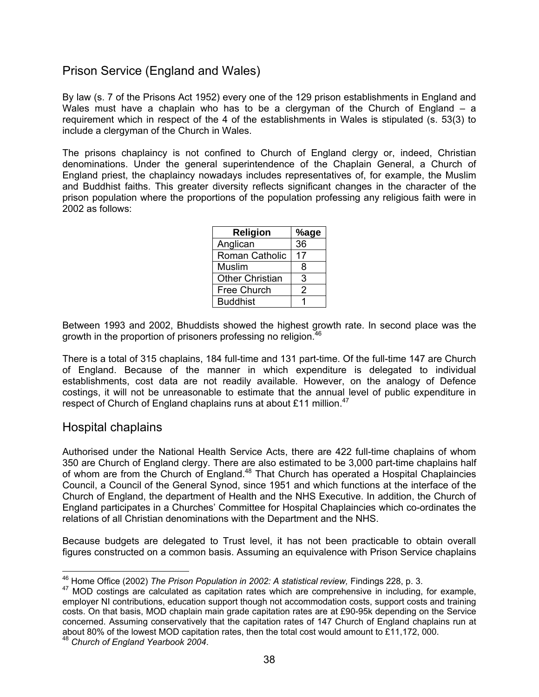### Prison Service (England and Wales)

By law (s. 7 of the Prisons Act 1952) every one of the 129 prison establishments in England and Wales must have a chaplain who has to be a clergyman of the Church of England  $-$  a requirement which in respect of the 4 of the establishments in Wales is stipulated (s. 53(3) to include a clergyman of the Church in Wales.

The prisons chaplaincy is not confined to Church of England clergy or, indeed, Christian denominations. Under the general superintendence of the Chaplain General, a Church of England priest, the chaplaincy nowadays includes representatives of, for example, the Muslim and Buddhist faiths. This greater diversity reflects significant changes in the character of the prison population where the proportions of the population professing any religious faith were in 2002 as follows:

| <b>Religion</b>        | %age |
|------------------------|------|
| Anglican               | 36   |
| Roman Catholic         | 17   |
| Muslim                 | 8    |
| <b>Other Christian</b> | 3    |
| <b>Free Church</b>     | 2    |
| <b>Buddhist</b>        |      |

Between 1993 and 2002, Bhuddists showed the highest growth rate. In second place was the growth in the proportion of prisoners professing no religion.<sup>46</sup>

There is a total of 315 chaplains, 184 full-time and 131 part-time. Of the full-time 147 are Church of England. Because of the manner in which expenditure is delegated to individual establishments, cost data are not readily available. However, on the analogy of Defence costings, it will not be unreasonable to estimate that the annual level of public expenditure in respect of Church of England chaplains runs at about £11 million.<sup>47</sup>

#### Hospital chaplains

Authorised under the National Health Service Acts, there are 422 full-time chaplains of whom 350 are Church of England clergy. There are also estimated to be 3,000 part-time chaplains half of whom are from the Church of England.<sup>48</sup> That Church has operated a Hospital Chaplaincies Council, a Council of the General Synod, since 1951 and which functions at the interface of the Church of England, the department of Health and the NHS Executive. In addition, the Church of England participates in a Churches' Committee for Hospital Chaplaincies which co-ordinates the relations of all Christian denominations with the Department and the NHS.

Because budgets are delegated to Trust level, it has not been practicable to obtain overall figures constructed on a common basis. Assuming an equivalence with Prison Service chaplains

l

<sup>&</sup>lt;sup>46</sup> Home Office (2002) *The Prison Population in 2002: A statistical review,* Findings 228, p. 3.<br><sup>47</sup> MOD costings are calculated as capitation rates which are comprehensive in including, for example, employer NI contributions, education support though not accommodation costs, support costs and training costs. On that basis, MOD chaplain main grade capitation rates are at £90-95k depending on the Service concerned. Assuming conservatively that the capitation rates of 147 Church of England chaplains run at about 80% of the lowest MOD capitation rates, then the total cost would amount to £11,172, 000.

<sup>48</sup> *Church of England Yearbook 2004*.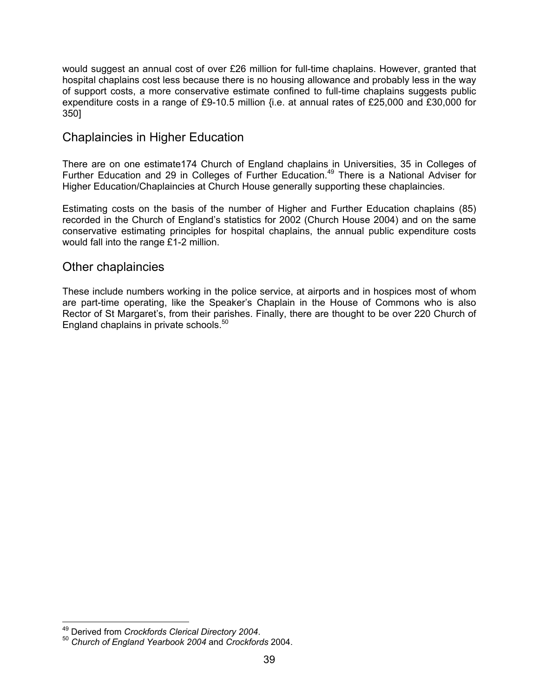would suggest an annual cost of over £26 million for full-time chaplains. However, granted that hospital chaplains cost less because there is no housing allowance and probably less in the way of support costs, a more conservative estimate confined to full-time chaplains suggests public expenditure costs in a range of £9-10.5 million {i.e. at annual rates of £25,000 and £30,000 for 350]

### Chaplaincies in Higher Education

There are on one estimate174 Church of England chaplains in Universities, 35 in Colleges of Further Education and 29 in Colleges of Further Education.<sup>49</sup> There is a National Adviser for Higher Education/Chaplaincies at Church House generally supporting these chaplaincies.

Estimating costs on the basis of the number of Higher and Further Education chaplains (85) recorded in the Church of England's statistics for 2002 (Church House 2004) and on the same conservative estimating principles for hospital chaplains, the annual public expenditure costs would fall into the range £1-2 million.

#### Other chaplaincies

These include numbers working in the police service, at airports and in hospices most of whom are part-time operating, like the Speaker's Chaplain in the House of Commons who is also Rector of St Margaret's, from their parishes. Finally, there are thought to be over 220 Church of England chaplains in private schools.<sup>50</sup>

<sup>&</sup>lt;sup>49</sup> Derived from Crockfords Clerical Directory 2004.

<sup>&</sup>lt;sup>50</sup> Church of England Yearbook 2004 and Crockfords 2004.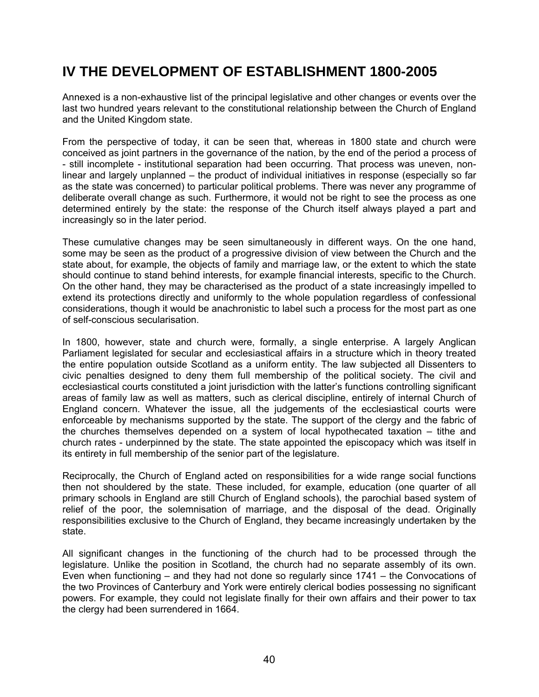# **IV THE DEVELOPMENT OF ESTABLISHMENT 1800-2005**

Annexed is a non-exhaustive list of the principal legislative and other changes or events over the last two hundred years relevant to the constitutional relationship between the Church of England and the United Kingdom state.

From the perspective of today, it can be seen that, whereas in 1800 state and church were conceived as joint partners in the governance of the nation, by the end of the period a process of - still incomplete - institutional separation had been occurring. That process was uneven, nonlinear and largely unplanned – the product of individual initiatives in response (especially so far as the state was concerned) to particular political problems. There was never any programme of deliberate overall change as such. Furthermore, it would not be right to see the process as one determined entirely by the state: the response of the Church itself always played a part and increasingly so in the later period.

These cumulative changes may be seen simultaneously in different ways. On the one hand, some may be seen as the product of a progressive division of view between the Church and the state about, for example, the objects of family and marriage law, or the extent to which the state should continue to stand behind interests, for example financial interests, specific to the Church. On the other hand, they may be characterised as the product of a state increasingly impelled to extend its protections directly and uniformly to the whole population regardless of confessional considerations, though it would be anachronistic to label such a process for the most part as one of self-conscious secularisation.

In 1800, however, state and church were, formally, a single enterprise. A largely Anglican Parliament legislated for secular and ecclesiastical affairs in a structure which in theory treated the entire population outside Scotland as a uniform entity. The law subjected all Dissenters to civic penalties designed to deny them full membership of the political society. The civil and ecclesiastical courts constituted a joint jurisdiction with the latter's functions controlling significant areas of family law as well as matters, such as clerical discipline, entirely of internal Church of England concern. Whatever the issue, all the judgements of the ecclesiastical courts were enforceable by mechanisms supported by the state. The support of the clergy and the fabric of the churches themselves depended on a system of local hypothecated taxation – tithe and church rates - underpinned by the state. The state appointed the episcopacy which was itself in its entirety in full membership of the senior part of the legislature.

Reciprocally, the Church of England acted on responsibilities for a wide range social functions then not shouldered by the state. These included, for example, education (one quarter of all primary schools in England are still Church of England schools), the parochial based system of relief of the poor, the solemnisation of marriage, and the disposal of the dead. Originally responsibilities exclusive to the Church of England, they became increasingly undertaken by the state.

All significant changes in the functioning of the church had to be processed through the legislature. Unlike the position in Scotland, the church had no separate assembly of its own. Even when functioning – and they had not done so regularly since 1741 – the Convocations of the two Provinces of Canterbury and York were entirely clerical bodies possessing no significant powers. For example, they could not legislate finally for their own affairs and their power to tax the clergy had been surrendered in 1664.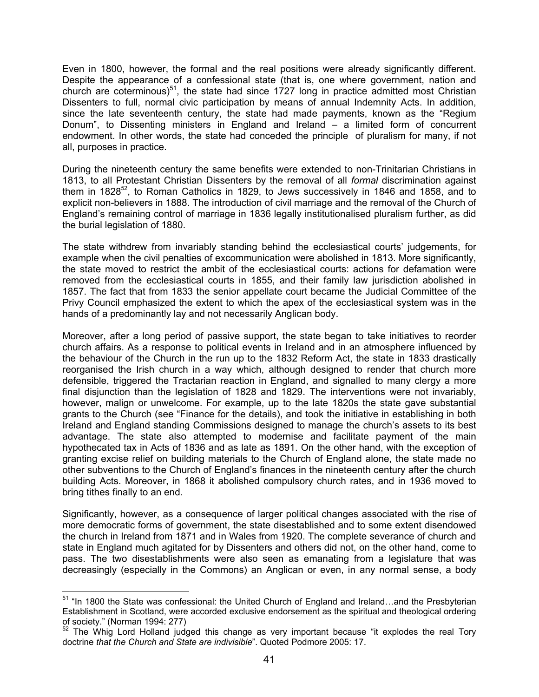Even in 1800, however, the formal and the real positions were already significantly different. Despite the appearance of a confessional state (that is, one where government, nation and church are coterminous)<sup>51</sup>, the state had since 1727 long in practice admitted most Christian Dissenters to full, normal civic participation by means of annual Indemnity Acts. In addition, since the late seventeenth century, the state had made payments, known as the "Regium Donum", to Dissenting ministers in England and Ireland – a limited form of concurrent endowment. In other words, the state had conceded the principle of pluralism for many, if not all, purposes in practice.

During the nineteenth century the same benefits were extended to non-Trinitarian Christians in 1813, to all Protestant Christian Dissenters by the removal of all *formal* discrimination against them in 1828<sup>52</sup>, to Roman Catholics in 1829, to Jews successively in 1846 and 1858, and to explicit non-believers in 1888. The introduction of civil marriage and the removal of the Church of England's remaining control of marriage in 1836 legally institutionalised pluralism further, as did the burial legislation of 1880.

The state withdrew from invariably standing behind the ecclesiastical courts' judgements, for example when the civil penalties of excommunication were abolished in 1813. More significantly, the state moved to restrict the ambit of the ecclesiastical courts: actions for defamation were removed from the ecclesiastical courts in 1855, and their family law jurisdiction abolished in 1857. The fact that from 1833 the senior appellate court became the Judicial Committee of the Privy Council emphasized the extent to which the apex of the ecclesiastical system was in the hands of a predominantly lay and not necessarily Anglican body.

Moreover, after a long period of passive support, the state began to take initiatives to reorder church affairs. As a response to political events in Ireland and in an atmosphere influenced by the behaviour of the Church in the run up to the 1832 Reform Act, the state in 1833 drastically reorganised the Irish church in a way which, although designed to render that church more defensible, triggered the Tractarian reaction in England, and signalled to many clergy a more final disjunction than the legislation of 1828 and 1829. The interventions were not invariably, however, malign or unwelcome. For example, up to the late 1820s the state gave substantial grants to the Church (see "Finance for the details), and took the initiative in establishing in both Ireland and England standing Commissions designed to manage the church's assets to its best advantage. The state also attempted to modernise and facilitate payment of the main hypothecated tax in Acts of 1836 and as late as 1891. On the other hand, with the exception of granting excise relief on building materials to the Church of England alone, the state made no other subventions to the Church of England's finances in the nineteenth century after the church building Acts. Moreover, in 1868 it abolished compulsory church rates, and in 1936 moved to bring tithes finally to an end.

Significantly, however, as a consequence of larger political changes associated with the rise of more democratic forms of government, the state disestablished and to some extent disendowed the church in Ireland from 1871 and in Wales from 1920. The complete severance of church and state in England much agitated for by Dissenters and others did not, on the other hand, come to pass. The two disestablishments were also seen as emanating from a legislature that was decreasingly (especially in the Commons) an Anglican or even, in any normal sense, a body

l

<sup>&</sup>lt;sup>51</sup> "In 1800 the State was confessional: the United Church of England and Ireland...and the Presbyterian Establishment in Scotland, were accorded exclusive endorsement as the spiritual and theological ordering of society." (Norman 1994: 277)

The Whig Lord Holland judged this change as very important because "it explodes the real Tory doctrine *that the Church and State are indivisible*". Quoted Podmore 2005: 17.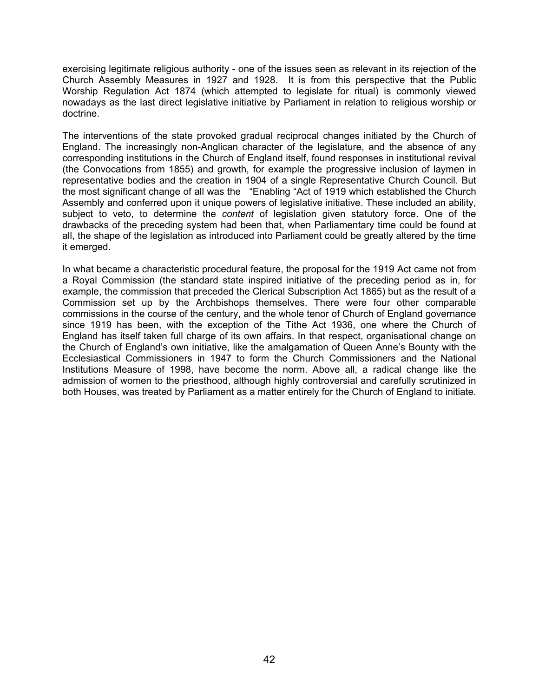exercising legitimate religious authority - one of the issues seen as relevant in its rejection of the Church Assembly Measures in 1927 and 1928. It is from this perspective that the Public Worship Regulation Act 1874 (which attempted to legislate for ritual) is commonly viewed nowadays as the last direct legislative initiative by Parliament in relation to religious worship or doctrine.

The interventions of the state provoked gradual reciprocal changes initiated by the Church of England. The increasingly non-Anglican character of the legislature, and the absence of any corresponding institutions in the Church of England itself, found responses in institutional revival (the Convocations from 1855) and growth, for example the progressive inclusion of laymen in representative bodies and the creation in 1904 of a single Representative Church Council. But the most significant change of all was the "Enabling "Act of 1919 which established the Church Assembly and conferred upon it unique powers of legislative initiative. These included an ability, subject to veto, to determine the *content* of legislation given statutory force. One of the drawbacks of the preceding system had been that, when Parliamentary time could be found at all, the shape of the legislation as introduced into Parliament could be greatly altered by the time it emerged.

In what became a characteristic procedural feature, the proposal for the 1919 Act came not from a Royal Commission (the standard state inspired initiative of the preceding period as in, for example, the commission that preceded the Clerical Subscription Act 1865) but as the result of a Commission set up by the Archbishops themselves. There were four other comparable commissions in the course of the century, and the whole tenor of Church of England governance since 1919 has been, with the exception of the Tithe Act 1936, one where the Church of England has itself taken full charge of its own affairs. In that respect, organisational change on the Church of England's own initiative, like the amalgamation of Queen Anne's Bounty with the Ecclesiastical Commissioners in 1947 to form the Church Commissioners and the National Institutions Measure of 1998, have become the norm. Above all, a radical change like the admission of women to the priesthood, although highly controversial and carefully scrutinized in both Houses, was treated by Parliament as a matter entirely for the Church of England to initiate.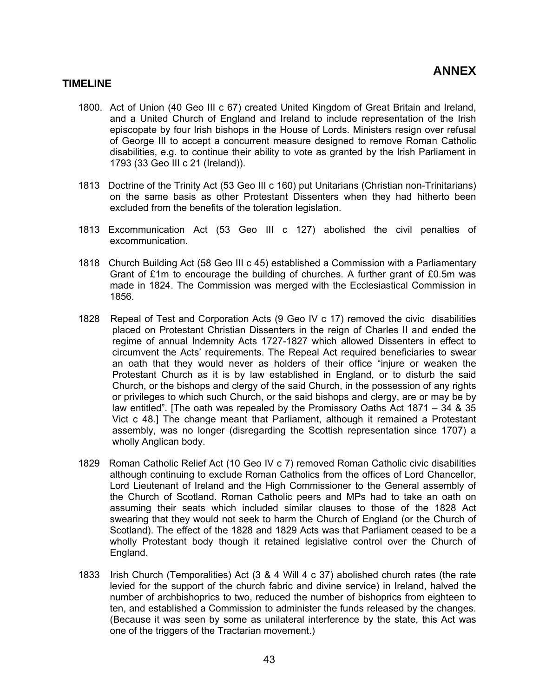#### **TIMELINE**

- 1800. Act of Union (40 Geo III c 67) created United Kingdom of Great Britain and Ireland, and a United Church of England and Ireland to include representation of the Irish episcopate by four Irish bishops in the House of Lords. Ministers resign over refusal of George III to accept a concurrent measure designed to remove Roman Catholic disabilities, e.g. to continue their ability to vote as granted by the Irish Parliament in 1793 (33 Geo III c 21 (Ireland)).
- 1813 Doctrine of the Trinity Act (53 Geo III c 160) put Unitarians (Christian non-Trinitarians) on the same basis as other Protestant Dissenters when they had hitherto been excluded from the benefits of the toleration legislation.
- 1813 Excommunication Act (53 Geo III c 127) abolished the civil penalties of excommunication.
- 1818 Church Building Act (58 Geo III c 45) established a Commission with a Parliamentary Grant of £1m to encourage the building of churches. A further grant of £0.5m was made in 1824. The Commission was merged with the Ecclesiastical Commission in 1856.
- 1828 Repeal of Test and Corporation Acts (9 Geo IV c 17) removed the civic disabilities placed on Protestant Christian Dissenters in the reign of Charles II and ended the regime of annual Indemnity Acts 1727-1827 which allowed Dissenters in effect to circumvent the Acts' requirements. The Repeal Act required beneficiaries to swear an oath that they would never as holders of their office "injure or weaken the Protestant Church as it is by law established in England, or to disturb the said Church, or the bishops and clergy of the said Church, in the possession of any rights or privileges to which such Church, or the said bishops and clergy, are or may be by law entitled". [The oath was repealed by the Promissory Oaths Act 1871 – 34 & 35 Vict c 48.] The change meant that Parliament, although it remained a Protestant assembly, was no longer (disregarding the Scottish representation since 1707) a wholly Anglican body.
- 1829 Roman Catholic Relief Act (10 Geo IV c 7) removed Roman Catholic civic disabilities although continuing to exclude Roman Catholics from the offices of Lord Chancellor, Lord Lieutenant of Ireland and the High Commissioner to the General assembly of the Church of Scotland. Roman Catholic peers and MPs had to take an oath on assuming their seats which included similar clauses to those of the 1828 Act swearing that they would not seek to harm the Church of England (or the Church of Scotland). The effect of the 1828 and 1829 Acts was that Parliament ceased to be a wholly Protestant body though it retained legislative control over the Church of England.
- 1833 Irish Church (Temporalities) Act (3 & 4 Will 4 c 37) abolished church rates (the rate levied for the support of the church fabric and divine service) in Ireland, halved the number of archbishoprics to two, reduced the number of bishoprics from eighteen to ten, and established a Commission to administer the funds released by the changes. (Because it was seen by some as unilateral interference by the state, this Act was one of the triggers of the Tractarian movement.)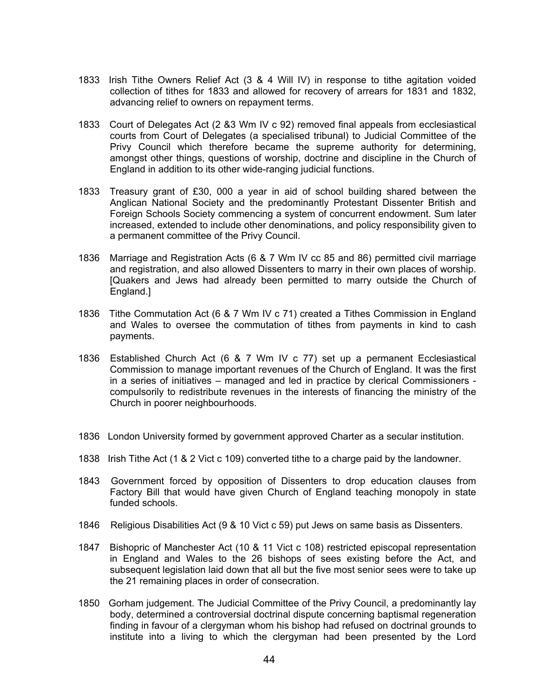- 1833 Irish Tithe Owners Relief Act (3 & 4 Will IV) in response to tithe agitation voided collection of tithes for 1833 and allowed for recovery of arrears for 1831 and 1832, advancing relief to owners on repayment terms.
- 1833 Court of Delegates Act (2 &3 Wm IV c 92) removed final appeals from ecclesiastical courts from Court of Delegates (a specialised tribunal) to Judicial Committee of the Privy Council which therefore became the supreme authority for determining, amongst other things, questions of worship, doctrine and discipline in the Church of England in addition to its other wide-ranging judicial functions.
- 1833 Treasury grant of £30, 000 a year in aid of school building shared between the Anglican National Society and the predominantly Protestant Dissenter British and Foreign Schools Society commencing a system of concurrent endowment. Sum later increased, extended to include other denominations, and policy responsibility given to a permanent committee of the Privy Council.
- 1836 Marriage and Registration Acts (6 & 7 Wm IV cc 85 and 86) permitted civil marriage and registration, and also allowed Dissenters to marry in their own places of worship. [Quakers and Jews had already been permitted to marry outside the Church of England.]
- 1836 Tithe Commutation Act (6 & 7 Wm IV c 71) created a Tithes Commission in England and Wales to oversee the commutation of tithes from payments in kind to cash payments.
- 1836 Established Church Act (6 & 7 Wm IV c 77) set up a permanent Ecclesiastical Commission to manage important revenues of the Church of England. It was the first in a series of initiatives – managed and led in practice by clerical Commissioners compulsorily to redistribute revenues in the interests of financing the ministry of the Church in poorer neighbourhoods.
- 1836 London University formed by government approved Charter as a secular institution.
- 1838 Irish Tithe Act (1 & 2 Vict c 109) converted tithe to a charge paid by the landowner.
- 1843 Government forced by opposition of Dissenters to drop education clauses from Factory Bill that would have given Church of England teaching monopoly in state funded schools.
- 1846 Religious Disabilities Act (9 & 10 Vict c 59) put Jews on same basis as Dissenters.
- 1847 Bishopric of Manchester Act (10 & 11 Vict c 108) restricted episcopal representation in England and Wales to the 26 bishops of sees existing before the Act, and subsequent legislation laid down that all but the five most senior sees were to take up the 21 remaining places in order of consecration.
- 1850 Gorham judgement. The Judicial Committee of the Privy Council, a predominantly lay body, determined a controversial doctrinal dispute concerning baptismal regeneration finding in favour of a clergyman whom his bishop had refused on doctrinal grounds to institute into a living to which the clergyman had been presented by the Lord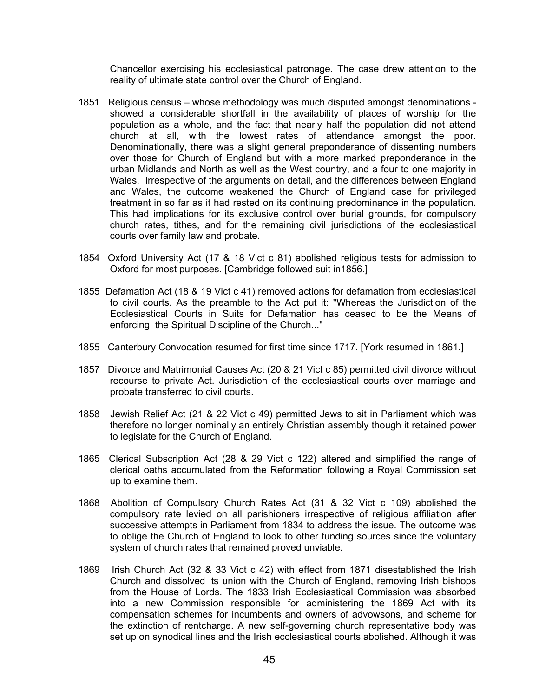Chancellor exercising his ecclesiastical patronage. The case drew attention to the reality of ultimate state control over the Church of England.

- 1851 Religious census whose methodology was much disputed amongst denominations showed a considerable shortfall in the availability of places of worship for the population as a whole, and the fact that nearly half the population did not attend church at all, with the lowest rates of attendance amongst the poor. Denominationally, there was a slight general preponderance of dissenting numbers over those for Church of England but with a more marked preponderance in the urban Midlands and North as well as the West country, and a four to one majority in Wales. Irrespective of the arguments on detail, and the differences between England and Wales, the outcome weakened the Church of England case for privileged treatment in so far as it had rested on its continuing predominance in the population. This had implications for its exclusive control over burial grounds, for compulsory church rates, tithes, and for the remaining civil jurisdictions of the ecclesiastical courts over family law and probate.
- 1854 Oxford University Act (17 & 18 Vict c 81) abolished religious tests for admission to Oxford for most purposes. [Cambridge followed suit in1856.]
- 1855 Defamation Act (18 & 19 Vict c 41) removed actions for defamation from ecclesiastical to civil courts. As the preamble to the Act put it: "Whereas the Jurisdiction of the Ecclesiastical Courts in Suits for Defamation has ceased to be the Means of enforcing the Spiritual Discipline of the Church..."
- 1855 Canterbury Convocation resumed for first time since 1717. [York resumed in 1861.]
- 1857 Divorce and Matrimonial Causes Act (20 & 21 Vict c 85) permitted civil divorce without recourse to private Act. Jurisdiction of the ecclesiastical courts over marriage and probate transferred to civil courts.
- 1858 Jewish Relief Act (21 & 22 Vict c 49) permitted Jews to sit in Parliament which was therefore no longer nominally an entirely Christian assembly though it retained power to legislate for the Church of England.
- 1865 Clerical Subscription Act (28 & 29 Vict c 122) altered and simplified the range of clerical oaths accumulated from the Reformation following a Royal Commission set up to examine them.
- 1868 Abolition of Compulsory Church Rates Act (31 & 32 Vict c 109) abolished the compulsory rate levied on all parishioners irrespective of religious affiliation after successive attempts in Parliament from 1834 to address the issue. The outcome was to oblige the Church of England to look to other funding sources since the voluntary system of church rates that remained proved unviable.
- 1869 Irish Church Act (32 & 33 Vict c 42) with effect from 1871 disestablished the Irish Church and dissolved its union with the Church of England, removing Irish bishops from the House of Lords. The 1833 Irish Ecclesiastical Commission was absorbed into a new Commission responsible for administering the 1869 Act with its compensation schemes for incumbents and owners of advowsons, and scheme for the extinction of rentcharge. A new self-governing church representative body was set up on synodical lines and the Irish ecclesiastical courts abolished. Although it was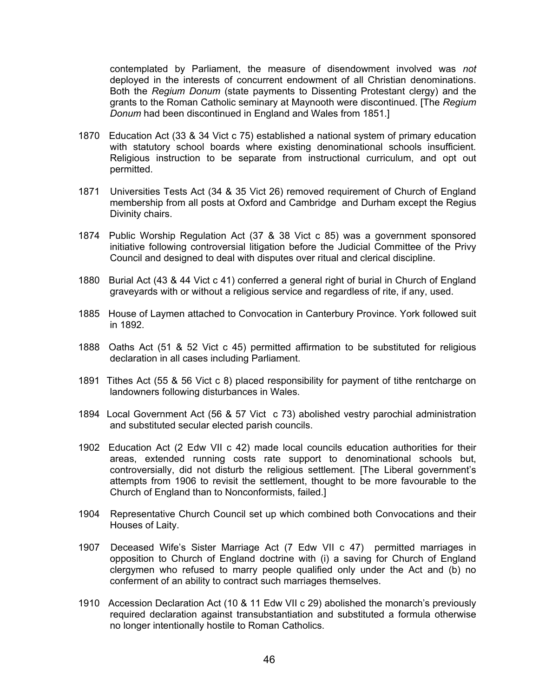contemplated by Parliament, the measure of disendowment involved was *not* deployed in the interests of concurrent endowment of all Christian denominations. Both the *Regium Donum* (state payments to Dissenting Protestant clergy) and the grants to the Roman Catholic seminary at Maynooth were discontinued. [The *Regium Donum* had been discontinued in England and Wales from 1851.]

- 1870 Education Act (33 & 34 Vict c 75) established a national system of primary education with statutory school boards where existing denominational schools insufficient. Religious instruction to be separate from instructional curriculum, and opt out permitted.
- 1871 Universities Tests Act (34 & 35 Vict 26) removed requirement of Church of England membership from all posts at Oxford and Cambridge and Durham except the Regius Divinity chairs.
- 1874 Public Worship Regulation Act (37 & 38 Vict c 85) was a government sponsored initiative following controversial litigation before the Judicial Committee of the Privy Council and designed to deal with disputes over ritual and clerical discipline.
- 1880 Burial Act (43 & 44 Vict c 41) conferred a general right of burial in Church of England graveyards with or without a religious service and regardless of rite, if any, used.
- 1885 House of Laymen attached to Convocation in Canterbury Province. York followed suit in 1892.
- 1888 Oaths Act (51 & 52 Vict c 45) permitted affirmation to be substituted for religious declaration in all cases including Parliament.
- 1891 Tithes Act (55 & 56 Vict c 8) placed responsibility for payment of tithe rentcharge on landowners following disturbances in Wales.
- 1894 Local Government Act (56 & 57 Vict c 73) abolished vestry parochial administration and substituted secular elected parish councils.
- 1902 Education Act (2 Edw VII c 42) made local councils education authorities for their areas, extended running costs rate support to denominational schools but, controversially, did not disturb the religious settlement. [The Liberal government's attempts from 1906 to revisit the settlement, thought to be more favourable to the Church of England than to Nonconformists, failed.]
- 1904 Representative Church Council set up which combined both Convocations and their Houses of Laity.
- 1907 Deceased Wife's Sister Marriage Act (7 Edw VII c 47) permitted marriages in opposition to Church of England doctrine with (i) a saving for Church of England clergymen who refused to marry people qualified only under the Act and (b) no conferment of an ability to contract such marriages themselves.
- 1910 Accession Declaration Act (10 & 11 Edw VII c 29) abolished the monarch's previously required declaration against transubstantiation and substituted a formula otherwise no longer intentionally hostile to Roman Catholics.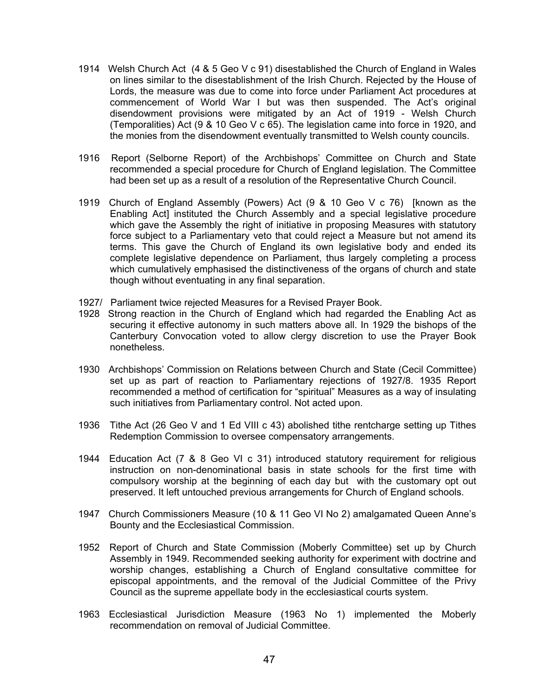- 1914 Welsh Church Act (4 & 5 Geo V c 91) disestablished the Church of England in Wales on lines similar to the disestablishment of the Irish Church. Rejected by the House of Lords, the measure was due to come into force under Parliament Act procedures at commencement of World War I but was then suspended. The Act's original disendowment provisions were mitigated by an Act of 1919 - Welsh Church (Temporalities) Act (9 & 10 Geo V c 65). The legislation came into force in 1920, and the monies from the disendowment eventually transmitted to Welsh county councils.
- 1916 Report (Selborne Report) of the Archbishops' Committee on Church and State recommended a special procedure for Church of England legislation. The Committee had been set up as a result of a resolution of the Representative Church Council.
- 1919 Church of England Assembly (Powers) Act (9 & 10 Geo V c 76) [known as the Enabling Act] instituted the Church Assembly and a special legislative procedure which gave the Assembly the right of initiative in proposing Measures with statutory force subject to a Parliamentary veto that could reject a Measure but not amend its terms. This gave the Church of England its own legislative body and ended its complete legislative dependence on Parliament, thus largely completing a process which cumulatively emphasised the distinctiveness of the organs of church and state though without eventuating in any final separation.
- 1927/ Parliament twice rejected Measures for a Revised Prayer Book.
- 1928 Strong reaction in the Church of England which had regarded the Enabling Act as securing it effective autonomy in such matters above all. In 1929 the bishops of the Canterbury Convocation voted to allow clergy discretion to use the Prayer Book nonetheless.
- 1930 Archbishops' Commission on Relations between Church and State (Cecil Committee) set up as part of reaction to Parliamentary rejections of 1927/8. 1935 Report recommended a method of certification for "spiritual" Measures as a way of insulating such initiatives from Parliamentary control. Not acted upon.
- 1936 Tithe Act (26 Geo V and 1 Ed VIII c 43) abolished tithe rentcharge setting up Tithes Redemption Commission to oversee compensatory arrangements.
- 1944 Education Act (7 & 8 Geo VI c 31) introduced statutory requirement for religious instruction on non-denominational basis in state schools for the first time with compulsory worship at the beginning of each day but with the customary opt out preserved. It left untouched previous arrangements for Church of England schools.
- 1947 Church Commissioners Measure (10 & 11 Geo VI No 2) amalgamated Queen Anne's Bounty and the Ecclesiastical Commission.
- 1952 Report of Church and State Commission (Moberly Committee) set up by Church Assembly in 1949. Recommended seeking authority for experiment with doctrine and worship changes, establishing a Church of England consultative committee for episcopal appointments, and the removal of the Judicial Committee of the Privy Council as the supreme appellate body in the ecclesiastical courts system.
- 1963 Ecclesiastical Jurisdiction Measure (1963 No 1) implemented the Moberly recommendation on removal of Judicial Committee.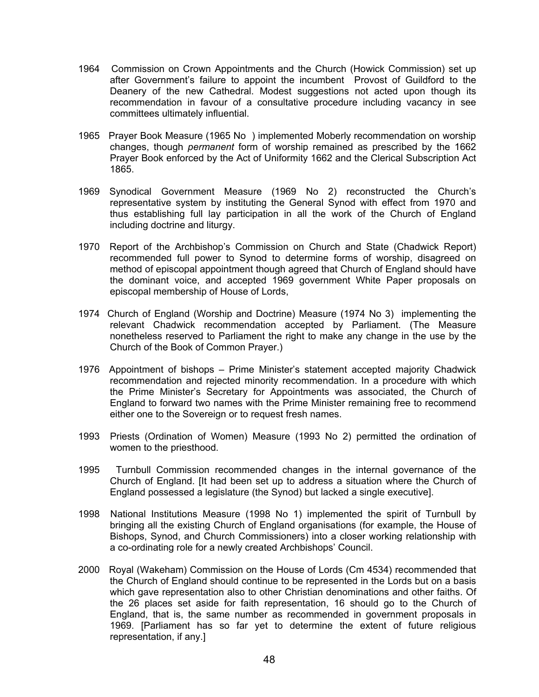- 1964 Commission on Crown Appointments and the Church (Howick Commission) set up after Government's failure to appoint the incumbent Provost of Guildford to the Deanery of the new Cathedral. Modest suggestions not acted upon though its recommendation in favour of a consultative procedure including vacancy in see committees ultimately influential.
- 1965 Prayer Book Measure (1965 No ) implemented Moberly recommendation on worship changes, though *permanent* form of worship remained as prescribed by the 1662 Prayer Book enforced by the Act of Uniformity 1662 and the Clerical Subscription Act 1865.
- 1969 Synodical Government Measure (1969 No 2) reconstructed the Church's representative system by instituting the General Synod with effect from 1970 and thus establishing full lay participation in all the work of the Church of England including doctrine and liturgy.
- 1970 Report of the Archbishop's Commission on Church and State (Chadwick Report) recommended full power to Synod to determine forms of worship, disagreed on method of episcopal appointment though agreed that Church of England should have the dominant voice, and accepted 1969 government White Paper proposals on episcopal membership of House of Lords,
- 1974 Church of England (Worship and Doctrine) Measure (1974 No 3) implementing the relevant Chadwick recommendation accepted by Parliament. (The Measure nonetheless reserved to Parliament the right to make any change in the use by the Church of the Book of Common Prayer.)
- 1976 Appointment of bishops Prime Minister's statement accepted majority Chadwick recommendation and rejected minority recommendation. In a procedure with which the Prime Minister's Secretary for Appointments was associated, the Church of England to forward two names with the Prime Minister remaining free to recommend either one to the Sovereign or to request fresh names.
- 1993 Priests (Ordination of Women) Measure (1993 No 2) permitted the ordination of women to the priesthood.
- 1995 Turnbull Commission recommended changes in the internal governance of the Church of England. [It had been set up to address a situation where the Church of England possessed a legislature (the Synod) but lacked a single executive].
- 1998 National Institutions Measure (1998 No 1) implemented the spirit of Turnbull by bringing all the existing Church of England organisations (for example, the House of Bishops, Synod, and Church Commissioners) into a closer working relationship with a co-ordinating role for a newly created Archbishops' Council.
- 2000 Royal (Wakeham) Commission on the House of Lords (Cm 4534) recommended that the Church of England should continue to be represented in the Lords but on a basis which gave representation also to other Christian denominations and other faiths. Of the 26 places set aside for faith representation, 16 should go to the Church of England, that is, the same number as recommended in government proposals in 1969. [Parliament has so far yet to determine the extent of future religious representation, if any.]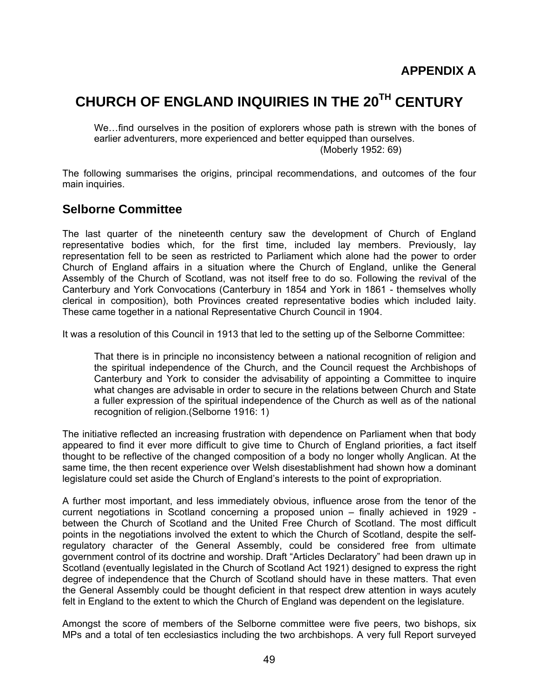# **CHURCH OF ENGLAND INQUIRIES IN THE 20TH CENTURY**

We…find ourselves in the position of explorers whose path is strewn with the bones of earlier adventurers, more experienced and better equipped than ourselves. (Moberly 1952: 69)

The following summarises the origins, principal recommendations, and outcomes of the four main inquiries.

### **Selborne Committee**

The last quarter of the nineteenth century saw the development of Church of England representative bodies which, for the first time, included lay members. Previously, lay representation fell to be seen as restricted to Parliament which alone had the power to order Church of England affairs in a situation where the Church of England, unlike the General Assembly of the Church of Scotland, was not itself free to do so. Following the revival of the Canterbury and York Convocations (Canterbury in 1854 and York in 1861 - themselves wholly clerical in composition), both Provinces created representative bodies which included laity. These came together in a national Representative Church Council in 1904.

It was a resolution of this Council in 1913 that led to the setting up of the Selborne Committee:

That there is in principle no inconsistency between a national recognition of religion and the spiritual independence of the Church, and the Council request the Archbishops of Canterbury and York to consider the advisability of appointing a Committee to inquire what changes are advisable in order to secure in the relations between Church and State a fuller expression of the spiritual independence of the Church as well as of the national recognition of religion.(Selborne 1916: 1)

The initiative reflected an increasing frustration with dependence on Parliament when that body appeared to find it ever more difficult to give time to Church of England priorities, a fact itself thought to be reflective of the changed composition of a body no longer wholly Anglican. At the same time, the then recent experience over Welsh disestablishment had shown how a dominant legislature could set aside the Church of England's interests to the point of expropriation.

A further most important, and less immediately obvious, influence arose from the tenor of the current negotiations in Scotland concerning a proposed union – finally achieved in 1929 between the Church of Scotland and the United Free Church of Scotland. The most difficult points in the negotiations involved the extent to which the Church of Scotland, despite the selfregulatory character of the General Assembly, could be considered free from ultimate government control of its doctrine and worship. Draft "Articles Declaratory" had been drawn up in Scotland (eventually legislated in the Church of Scotland Act 1921) designed to express the right degree of independence that the Church of Scotland should have in these matters. That even the General Assembly could be thought deficient in that respect drew attention in ways acutely felt in England to the extent to which the Church of England was dependent on the legislature.

Amongst the score of members of the Selborne committee were five peers, two bishops, six MPs and a total of ten ecclesiastics including the two archbishops. A very full Report surveyed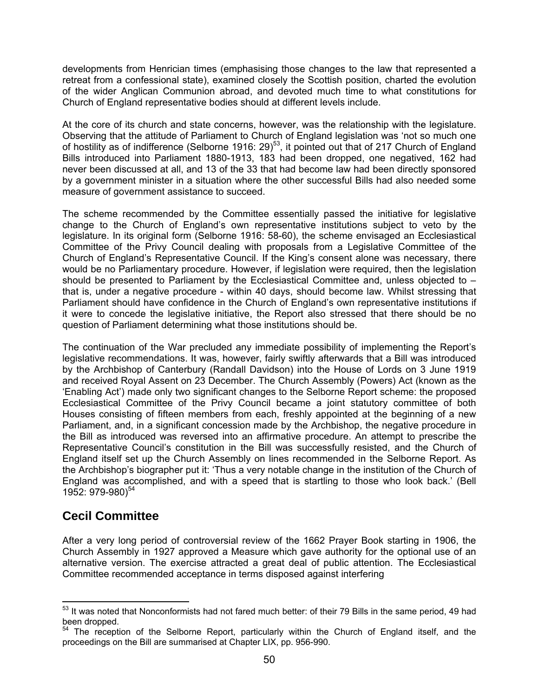developments from Henrician times (emphasising those changes to the law that represented a retreat from a confessional state), examined closely the Scottish position, charted the evolution of the wider Anglican Communion abroad, and devoted much time to what constitutions for Church of England representative bodies should at different levels include.

At the core of its church and state concerns, however, was the relationship with the legislature. Observing that the attitude of Parliament to Church of England legislation was 'not so much one of hostility as of indifference (Selborne 1916: 29)<sup>53</sup>, it pointed out that of 217 Church of England Bills introduced into Parliament 1880-1913, 183 had been dropped, one negatived, 162 had never been discussed at all, and 13 of the 33 that had become law had been directly sponsored by a government minister in a situation where the other successful Bills had also needed some measure of government assistance to succeed.

The scheme recommended by the Committee essentially passed the initiative for legislative change to the Church of England's own representative institutions subject to veto by the legislature. In its original form (Selborne 1916: 58-60), the scheme envisaged an Ecclesiastical Committee of the Privy Council dealing with proposals from a Legislative Committee of the Church of England's Representative Council. If the King's consent alone was necessary, there would be no Parliamentary procedure. However, if legislation were required, then the legislation should be presented to Parliament by the Ecclesiastical Committee and, unless objected to – that is, under a negative procedure - within 40 days, should become law. Whilst stressing that Parliament should have confidence in the Church of England's own representative institutions if it were to concede the legislative initiative, the Report also stressed that there should be no question of Parliament determining what those institutions should be.

The continuation of the War precluded any immediate possibility of implementing the Report's legislative recommendations. It was, however, fairly swiftly afterwards that a Bill was introduced by the Archbishop of Canterbury (Randall Davidson) into the House of Lords on 3 June 1919 and received Royal Assent on 23 December. The Church Assembly (Powers) Act (known as the 'Enabling Act') made only two significant changes to the Selborne Report scheme: the proposed Ecclesiastical Committee of the Privy Council became a joint statutory committee of both Houses consisting of fifteen members from each, freshly appointed at the beginning of a new Parliament, and, in a significant concession made by the Archbishop, the negative procedure in the Bill as introduced was reversed into an affirmative procedure. An attempt to prescribe the Representative Council's constitution in the Bill was successfully resisted, and the Church of England itself set up the Church Assembly on lines recommended in the Selborne Report. As the Archbishop's biographer put it: 'Thus a very notable change in the institution of the Church of England was accomplished, and with a speed that is startling to those who look back.' (Bell 1952: 979-980)<sup>54</sup>

### **Cecil Committee**

l

After a very long period of controversial review of the 1662 Prayer Book starting in 1906, the Church Assembly in 1927 approved a Measure which gave authority for the optional use of an alternative version. The exercise attracted a great deal of public attention. The Ecclesiastical Committee recommended acceptance in terms disposed against interfering

<sup>&</sup>lt;sup>53</sup> It was noted that Nonconformists had not fared much better: of their 79 Bills in the same period, 49 had been dropped.

The reception of the Selborne Report, particularly within the Church of England itself, and the proceedings on the Bill are summarised at Chapter LIX, pp. 956-990.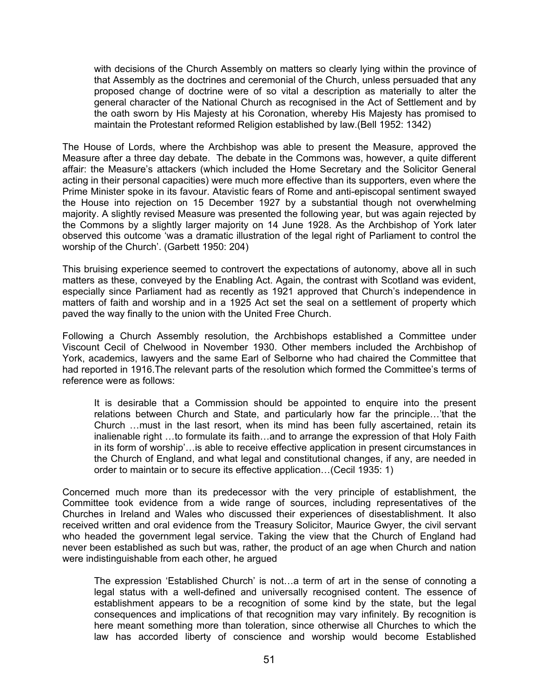with decisions of the Church Assembly on matters so clearly lying within the province of that Assembly as the doctrines and ceremonial of the Church, unless persuaded that any proposed change of doctrine were of so vital a description as materially to alter the general character of the National Church as recognised in the Act of Settlement and by the oath sworn by His Majesty at his Coronation, whereby His Majesty has promised to maintain the Protestant reformed Religion established by law.(Bell 1952: 1342)

The House of Lords, where the Archbishop was able to present the Measure, approved the Measure after a three day debate. The debate in the Commons was, however, a quite different affair: the Measure's attackers (which included the Home Secretary and the Solicitor General acting in their personal capacities) were much more effective than its supporters, even where the Prime Minister spoke in its favour. Atavistic fears of Rome and anti-episcopal sentiment swayed the House into rejection on 15 December 1927 by a substantial though not overwhelming majority. A slightly revised Measure was presented the following year, but was again rejected by the Commons by a slightly larger majority on 14 June 1928. As the Archbishop of York later observed this outcome 'was a dramatic illustration of the legal right of Parliament to control the worship of the Church'. (Garbett 1950: 204)

This bruising experience seemed to controvert the expectations of autonomy, above all in such matters as these, conveyed by the Enabling Act. Again, the contrast with Scotland was evident, especially since Parliament had as recently as 1921 approved that Church's independence in matters of faith and worship and in a 1925 Act set the seal on a settlement of property which paved the way finally to the union with the United Free Church.

Following a Church Assembly resolution, the Archbishops established a Committee under Viscount Cecil of Chelwood in November 1930. Other members included the Archbishop of York, academics, lawyers and the same Earl of Selborne who had chaired the Committee that had reported in 1916.The relevant parts of the resolution which formed the Committee's terms of reference were as follows:

It is desirable that a Commission should be appointed to enquire into the present relations between Church and State, and particularly how far the principle…'that the Church …must in the last resort, when its mind has been fully ascertained, retain its inalienable right …to formulate its faith…and to arrange the expression of that Holy Faith in its form of worship'…is able to receive effective application in present circumstances in the Church of England, and what legal and constitutional changes, if any, are needed in order to maintain or to secure its effective application…(Cecil 1935: 1)

Concerned much more than its predecessor with the very principle of establishment, the Committee took evidence from a wide range of sources, including representatives of the Churches in Ireland and Wales who discussed their experiences of disestablishment. It also received written and oral evidence from the Treasury Solicitor, Maurice Gwyer, the civil servant who headed the government legal service. Taking the view that the Church of England had never been established as such but was, rather, the product of an age when Church and nation were indistinguishable from each other, he argued

The expression 'Established Church' is not…a term of art in the sense of connoting a legal status with a well-defined and universally recognised content. The essence of establishment appears to be a recognition of some kind by the state, but the legal consequences and implications of that recognition may vary infinitely. By recognition is here meant something more than toleration, since otherwise all Churches to which the law has accorded liberty of conscience and worship would become Established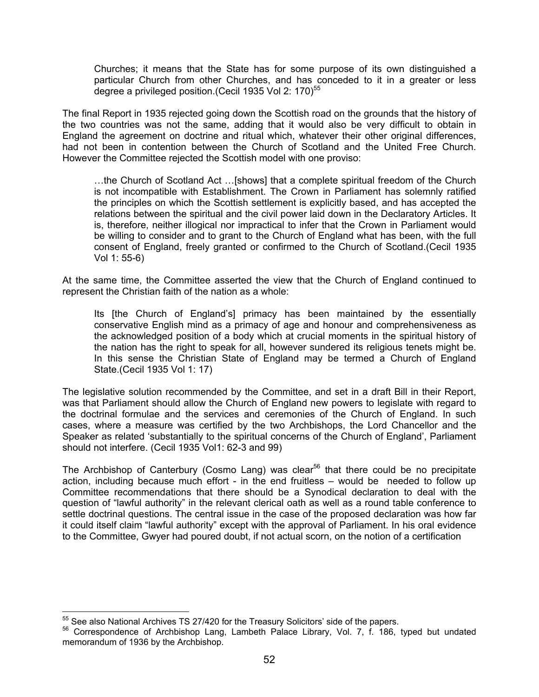Churches; it means that the State has for some purpose of its own distinguished a particular Church from other Churches, and has conceded to it in a greater or less degree a privileged position. (Cecil 1935 Vol 2:  $170$ )<sup>55</sup>

The final Report in 1935 rejected going down the Scottish road on the grounds that the history of the two countries was not the same, adding that it would also be very difficult to obtain in England the agreement on doctrine and ritual which, whatever their other original differences, had not been in contention between the Church of Scotland and the United Free Church. However the Committee rejected the Scottish model with one proviso:

…the Church of Scotland Act …[shows] that a complete spiritual freedom of the Church is not incompatible with Establishment. The Crown in Parliament has solemnly ratified the principles on which the Scottish settlement is explicitly based, and has accepted the relations between the spiritual and the civil power laid down in the Declaratory Articles. It is, therefore, neither illogical nor impractical to infer that the Crown in Parliament would be willing to consider and to grant to the Church of England what has been, with the full consent of England, freely granted or confirmed to the Church of Scotland.(Cecil 1935 Vol 1: 55-6)

At the same time, the Committee asserted the view that the Church of England continued to represent the Christian faith of the nation as a whole:

Its [the Church of England's] primacy has been maintained by the essentially conservative English mind as a primacy of age and honour and comprehensiveness as the acknowledged position of a body which at crucial moments in the spiritual history of the nation has the right to speak for all, however sundered its religious tenets might be. In this sense the Christian State of England may be termed a Church of England State.(Cecil 1935 Vol 1: 17)

The legislative solution recommended by the Committee, and set in a draft Bill in their Report, was that Parliament should allow the Church of England new powers to legislate with regard to the doctrinal formulae and the services and ceremonies of the Church of England. In such cases, where a measure was certified by the two Archbishops, the Lord Chancellor and the Speaker as related 'substantially to the spiritual concerns of the Church of England', Parliament should not interfere. (Cecil 1935 Vol1: 62-3 and 99)

The Archbishop of Canterbury (Cosmo Lang) was clear<sup>56</sup> that there could be no precipitate action, including because much effort - in the end fruitless – would be needed to follow up Committee recommendations that there should be a Synodical declaration to deal with the question of "lawful authority" in the relevant clerical oath as well as a round table conference to settle doctrinal questions. The central issue in the case of the proposed declaration was how far it could itself claim "lawful authority" except with the approval of Parliament. In his oral evidence to the Committee, Gwyer had poured doubt, if not actual scorn, on the notion of a certification

<sup>55</sup> See also National Archives TS 27/420 for the Treasury Solicitors' side of the papers.

<sup>56</sup> Correspondence of Archbishop Lang, Lambeth Palace Library, Vol. 7, f. 186, typed but undated memorandum of 1936 by the Archbishop.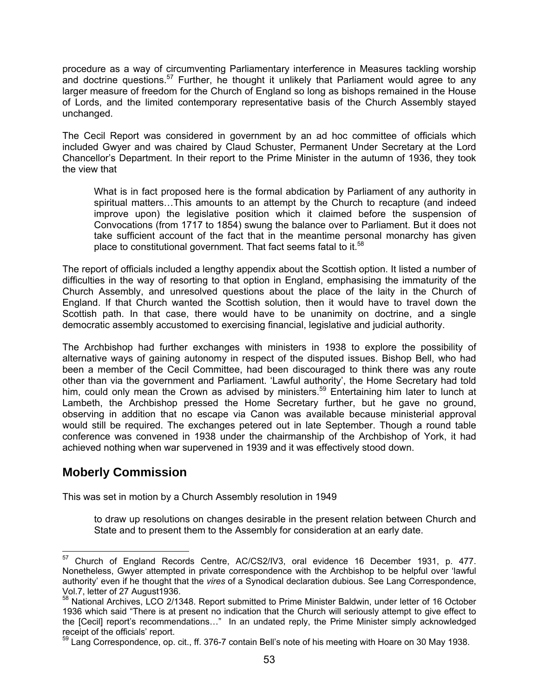procedure as a way of circumventing Parliamentary interference in Measures tackling worship and doctrine questions.<sup>57</sup> Further, he thought it unlikely that Parliament would agree to any larger measure of freedom for the Church of England so long as bishops remained in the House of Lords, and the limited contemporary representative basis of the Church Assembly stayed unchanged.

The Cecil Report was considered in government by an ad hoc committee of officials which included Gwyer and was chaired by Claud Schuster, Permanent Under Secretary at the Lord Chancellor's Department. In their report to the Prime Minister in the autumn of 1936, they took the view that

What is in fact proposed here is the formal abdication by Parliament of any authority in spiritual matters…This amounts to an attempt by the Church to recapture (and indeed improve upon) the legislative position which it claimed before the suspension of Convocations (from 1717 to 1854) swung the balance over to Parliament. But it does not take sufficient account of the fact that in the meantime personal monarchy has given place to constitutional government. That fact seems fatal to it. $58$ 

The report of officials included a lengthy appendix about the Scottish option. It listed a number of difficulties in the way of resorting to that option in England, emphasising the immaturity of the Church Assembly, and unresolved questions about the place of the laity in the Church of England. If that Church wanted the Scottish solution, then it would have to travel down the Scottish path. In that case, there would have to be unanimity on doctrine, and a single democratic assembly accustomed to exercising financial, legislative and judicial authority.

The Archbishop had further exchanges with ministers in 1938 to explore the possibility of alternative ways of gaining autonomy in respect of the disputed issues. Bishop Bell, who had been a member of the Cecil Committee, had been discouraged to think there was any route other than via the government and Parliament. 'Lawful authority', the Home Secretary had told him, could only mean the Crown as advised by ministers.<sup>59</sup> Entertaining him later to lunch at Lambeth, the Archbishop pressed the Home Secretary further, but he gave no ground, observing in addition that no escape via Canon was available because ministerial approval would still be required. The exchanges petered out in late September. Though a round table conference was convened in 1938 under the chairmanship of the Archbishop of York, it had achieved nothing when war supervened in 1939 and it was effectively stood down.

### **Moberly Commission**

This was set in motion by a Church Assembly resolution in 1949

to draw up resolutions on changes desirable in the present relation between Church and State and to present them to the Assembly for consideration at an early date.

<sup>57</sup> 57 Church of England Records Centre, AC/CS2/IV3, oral evidence 16 December 1931, p. 477. Nonetheless, Gwyer attempted in private correspondence with the Archbishop to be helpful over 'lawful authority' even if he thought that the *vires* of a Synodical declaration dubious. See Lang Correspondence, Vol.7, letter of 27 August1936.

<sup>58</sup> National Archives, LCO 2/1348. Report submitted to Prime Minister Baldwin, under letter of 16 October 1936 which said "There is at present no indication that the Church will seriously attempt to give effect to the [Cecil] report's recommendations…" In an undated reply, the Prime Minister simply acknowledged receipt of the officials' report.

 $59$  Lang Correspondence, op. cit., ff. 376-7 contain Bell's note of his meeting with Hoare on 30 May 1938.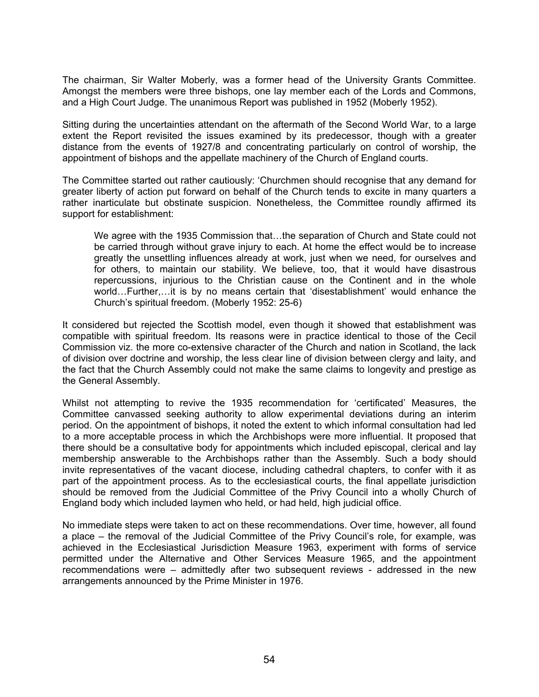The chairman, Sir Walter Moberly, was a former head of the University Grants Committee. Amongst the members were three bishops, one lay member each of the Lords and Commons, and a High Court Judge. The unanimous Report was published in 1952 (Moberly 1952).

Sitting during the uncertainties attendant on the aftermath of the Second World War, to a large extent the Report revisited the issues examined by its predecessor, though with a greater distance from the events of 1927/8 and concentrating particularly on control of worship, the appointment of bishops and the appellate machinery of the Church of England courts.

The Committee started out rather cautiously: 'Churchmen should recognise that any demand for greater liberty of action put forward on behalf of the Church tends to excite in many quarters a rather inarticulate but obstinate suspicion. Nonetheless, the Committee roundly affirmed its support for establishment:

We agree with the 1935 Commission that…the separation of Church and State could not be carried through without grave injury to each. At home the effect would be to increase greatly the unsettling influences already at work, just when we need, for ourselves and for others, to maintain our stability. We believe, too, that it would have disastrous repercussions, injurious to the Christian cause on the Continent and in the whole world…Further,…it is by no means certain that 'disestablishment' would enhance the Church's spiritual freedom. (Moberly 1952: 25-6)

It considered but rejected the Scottish model, even though it showed that establishment was compatible with spiritual freedom. Its reasons were in practice identical to those of the Cecil Commission viz. the more co-extensive character of the Church and nation in Scotland, the lack of division over doctrine and worship, the less clear line of division between clergy and laity, and the fact that the Church Assembly could not make the same claims to longevity and prestige as the General Assembly.

Whilst not attempting to revive the 1935 recommendation for 'certificated' Measures, the Committee canvassed seeking authority to allow experimental deviations during an interim period. On the appointment of bishops, it noted the extent to which informal consultation had led to a more acceptable process in which the Archbishops were more influential. It proposed that there should be a consultative body for appointments which included episcopal, clerical and lay membership answerable to the Archbishops rather than the Assembly. Such a body should invite representatives of the vacant diocese, including cathedral chapters, to confer with it as part of the appointment process. As to the ecclesiastical courts, the final appellate jurisdiction should be removed from the Judicial Committee of the Privy Council into a wholly Church of England body which included laymen who held, or had held, high judicial office.

No immediate steps were taken to act on these recommendations. Over time, however, all found a place – the removal of the Judicial Committee of the Privy Council's role, for example, was achieved in the Ecclesiastical Jurisdiction Measure 1963, experiment with forms of service permitted under the Alternative and Other Services Measure 1965, and the appointment recommendations were – admittedly after two subsequent reviews - addressed in the new arrangements announced by the Prime Minister in 1976.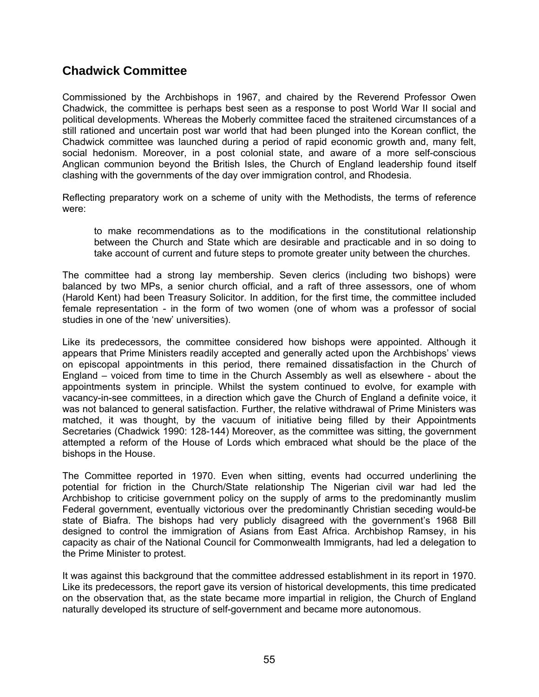### **Chadwick Committee**

Commissioned by the Archbishops in 1967, and chaired by the Reverend Professor Owen Chadwick, the committee is perhaps best seen as a response to post World War II social and political developments. Whereas the Moberly committee faced the straitened circumstances of a still rationed and uncertain post war world that had been plunged into the Korean conflict, the Chadwick committee was launched during a period of rapid economic growth and, many felt, social hedonism. Moreover, in a post colonial state, and aware of a more self-conscious Anglican communion beyond the British Isles, the Church of England leadership found itself clashing with the governments of the day over immigration control, and Rhodesia.

Reflecting preparatory work on a scheme of unity with the Methodists, the terms of reference were:

to make recommendations as to the modifications in the constitutional relationship between the Church and State which are desirable and practicable and in so doing to take account of current and future steps to promote greater unity between the churches.

The committee had a strong lay membership. Seven clerics (including two bishops) were balanced by two MPs, a senior church official, and a raft of three assessors, one of whom (Harold Kent) had been Treasury Solicitor. In addition, for the first time, the committee included female representation - in the form of two women (one of whom was a professor of social studies in one of the 'new' universities).

Like its predecessors, the committee considered how bishops were appointed. Although it appears that Prime Ministers readily accepted and generally acted upon the Archbishops' views on episcopal appointments in this period, there remained dissatisfaction in the Church of England – voiced from time to time in the Church Assembly as well as elsewhere - about the appointments system in principle. Whilst the system continued to evolve, for example with vacancy-in-see committees, in a direction which gave the Church of England a definite voice, it was not balanced to general satisfaction. Further, the relative withdrawal of Prime Ministers was matched, it was thought, by the vacuum of initiative being filled by their Appointments Secretaries (Chadwick 1990: 128-144) Moreover, as the committee was sitting, the government attempted a reform of the House of Lords which embraced what should be the place of the bishops in the House.

The Committee reported in 1970. Even when sitting, events had occurred underlining the potential for friction in the Church/State relationship The Nigerian civil war had led the Archbishop to criticise government policy on the supply of arms to the predominantly muslim Federal government, eventually victorious over the predominantly Christian seceding would-be state of Biafra. The bishops had very publicly disagreed with the government's 1968 Bill designed to control the immigration of Asians from East Africa. Archbishop Ramsey, in his capacity as chair of the National Council for Commonwealth Immigrants, had led a delegation to the Prime Minister to protest.

It was against this background that the committee addressed establishment in its report in 1970. Like its predecessors, the report gave its version of historical developments, this time predicated on the observation that, as the state became more impartial in religion, the Church of England naturally developed its structure of self-government and became more autonomous.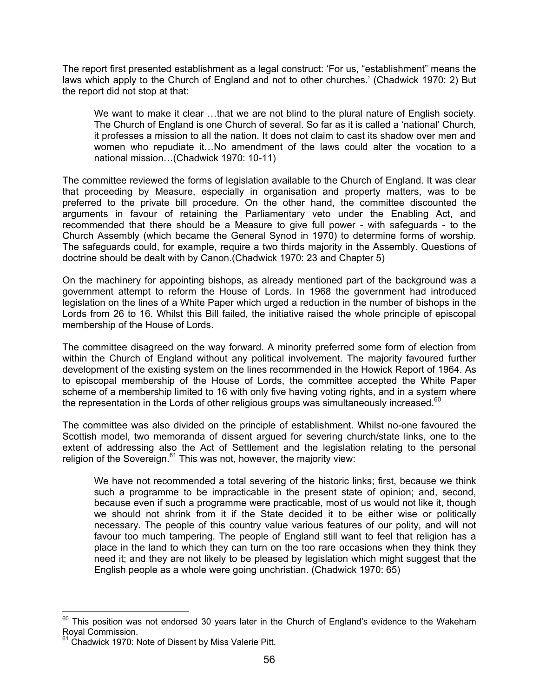The report first presented establishment as a legal construct: 'For us, "establishment" means the laws which apply to the Church of England and not to other churches.' (Chadwick 1970: 2) But the report did not stop at that:

We want to make it clear ...that we are not blind to the plural nature of English society. The Church of England is one Church of several. So far as it is called a 'national' Church, it professes a mission to all the nation. It does not claim to cast its shadow over men and women who repudiate it…No amendment of the laws could alter the vocation to a national mission…(Chadwick 1970: 10-11)

The committee reviewed the forms of legislation available to the Church of England. It was clear that proceeding by Measure, especially in organisation and property matters, was to be preferred to the private bill procedure. On the other hand, the committee discounted the arguments in favour of retaining the Parliamentary veto under the Enabling Act, and recommended that there should be a Measure to give full power - with safeguards - to the Church Assembly (which became the General Synod in 1970) to determine forms of worship. The safeguards could, for example, require a two thirds majority in the Assembly. Questions of doctrine should be dealt with by Canon.(Chadwick 1970: 23 and Chapter 5)

On the machinery for appointing bishops, as already mentioned part of the background was a government attempt to reform the House of Lords. In 1968 the government had introduced legislation on the lines of a White Paper which urged a reduction in the number of bishops in the Lords from 26 to 16. Whilst this Bill failed, the initiative raised the whole principle of episcopal membership of the House of Lords.

The committee disagreed on the way forward. A minority preferred some form of election from within the Church of England without any political involvement. The majority favoured further development of the existing system on the lines recommended in the Howick Report of 1964. As to episcopal membership of the House of Lords, the committee accepted the White Paper scheme of a membership limited to 16 with only five having voting rights, and in a system where the representation in the Lords of other religious groups was simultaneously increased. $60$ 

The committee was also divided on the principle of establishment. Whilst no-one favoured the Scottish model, two memoranda of dissent argued for severing church/state links, one to the extent of addressing also the Act of Settlement and the legislation relating to the personal religion of the Sovereign. $61$  This was not, however, the majority view:

We have not recommended a total severing of the historic links; first, because we think such a programme to be impracticable in the present state of opinion; and, second, because even if such a programme were practicable, most of us would not like it, though we should not shrink from it if the State decided it to be either wise or politically necessary. The people of this country value various features of our polity, and will not favour too much tampering. The people of England still want to feel that religion has a place in the land to which they can turn on the too rare occasions when they think they need it; and they are not likely to be pleased by legislation which might suggest that the English people as a whole were going unchristian. (Chadwick 1970: 65)

l

 $60$  This position was not endorsed 30 years later in the Church of England's evidence to the Wakeham Royal Commission.

<sup>&</sup>lt;sup>61</sup> Chadwick 1970: Note of Dissent by Miss Valerie Pitt.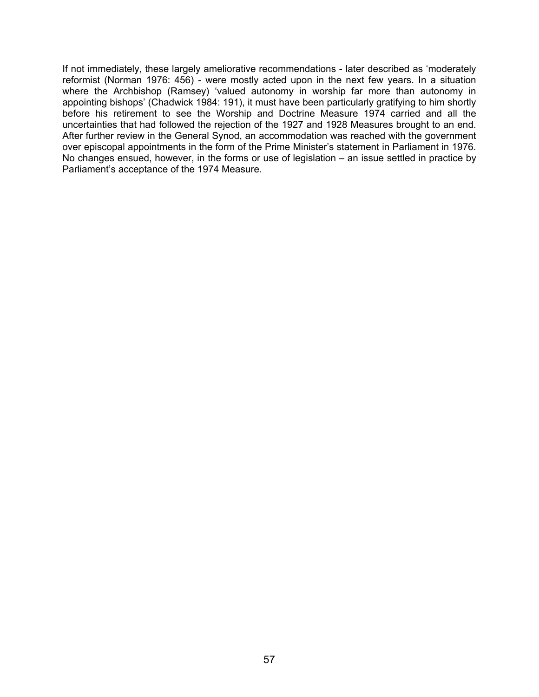If not immediately, these largely ameliorative recommendations - later described as 'moderately reformist (Norman 1976: 456) - were mostly acted upon in the next few years. In a situation where the Archbishop (Ramsey) 'valued autonomy in worship far more than autonomy in appointing bishops' (Chadwick 1984: 191), it must have been particularly gratifying to him shortly before his retirement to see the Worship and Doctrine Measure 1974 carried and all the uncertainties that had followed the rejection of the 1927 and 1928 Measures brought to an end. After further review in the General Synod, an accommodation was reached with the government over episcopal appointments in the form of the Prime Minister's statement in Parliament in 1976. No changes ensued, however, in the forms or use of legislation – an issue settled in practice by Parliament's acceptance of the 1974 Measure.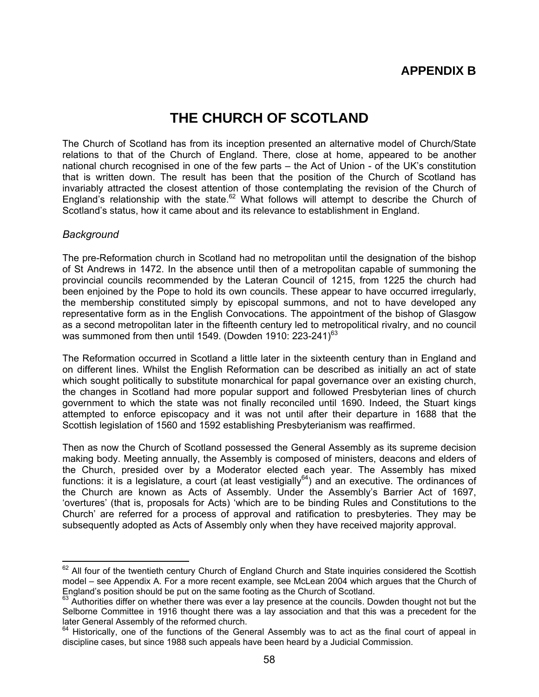### **APPENDIX B**

# **THE CHURCH OF SCOTLAND**

The Church of Scotland has from its inception presented an alternative model of Church/State relations to that of the Church of England. There, close at home, appeared to be another national church recognised in one of the few parts – the Act of Union - of the UK's constitution that is written down. The result has been that the position of the Church of Scotland has invariably attracted the closest attention of those contemplating the revision of the Church of England's relationship with the state.<sup>62</sup> What follows will attempt to describe the Church of Scotland's status, how it came about and its relevance to establishment in England.

#### *Background*

l

The pre-Reformation church in Scotland had no metropolitan until the designation of the bishop of St Andrews in 1472. In the absence until then of a metropolitan capable of summoning the provincial councils recommended by the Lateran Council of 1215, from 1225 the church had been enjoined by the Pope to hold its own councils. These appear to have occurred irregularly, the membership constituted simply by episcopal summons, and not to have developed any representative form as in the English Convocations. The appointment of the bishop of Glasgow as a second metropolitan later in the fifteenth century led to metropolitical rivalry, and no council was summoned from then until 1549. (Dowden 1910: 223-241)<sup>63</sup>

The Reformation occurred in Scotland a little later in the sixteenth century than in England and on different lines. Whilst the English Reformation can be described as initially an act of state which sought politically to substitute monarchical for papal governance over an existing church, the changes in Scotland had more popular support and followed Presbyterian lines of church government to which the state was not finally reconciled until 1690. Indeed, the Stuart kings attempted to enforce episcopacy and it was not until after their departure in 1688 that the Scottish legislation of 1560 and 1592 establishing Presbyterianism was reaffirmed.

Then as now the Church of Scotland possessed the General Assembly as its supreme decision making body. Meeting annually, the Assembly is composed of ministers, deacons and elders of the Church, presided over by a Moderator elected each year. The Assembly has mixed functions: it is a legislature, a court (at least vestigially $64$ ) and an executive. The ordinances of the Church are known as Acts of Assembly. Under the Assembly's Barrier Act of 1697, 'overtures' (that is, proposals for Acts) 'which are to be binding Rules and Constitutions to the Church' are referred for a process of approval and ratification to presbyteries. They may be subsequently adopted as Acts of Assembly only when they have received majority approval.

 $62$  All four of the twentieth century Church of England Church and State inquiries considered the Scottish model – see Appendix A. For a more recent example, see McLean 2004 which argues that the Church of England's position should be put on the same footing as the Church of Scotland.<br><sup>63</sup> Authorities differ on whether there was ever a lay presence at the councils. Dowden thought not but the

Selborne Committee in 1916 thought there was a lay association and that this was a precedent for the later General Assembly of the reformed church.

Historically, one of the functions of the General Assembly was to act as the final court of appeal in discipline cases, but since 1988 such appeals have been heard by a Judicial Commission.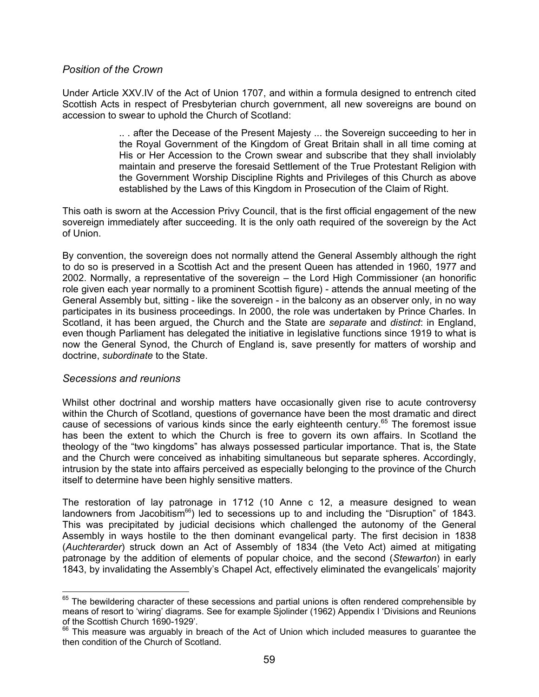#### *Position of the Crown*

Under Article XXV.IV of the Act of Union 1707, and within a formula designed to entrench cited Scottish Acts in respect of Presbyterian church government, all new sovereigns are bound on accession to swear to uphold the Church of Scotland:

> .. . after the Decease of the Present Majesty ... the Sovereign succeeding to her in the Royal Government of the Kingdom of Great Britain shall in all time coming at His or Her Accession to the Crown swear and subscribe that they shall inviolably maintain and preserve the foresaid Settlement of the True Protestant Religion with the Government Worship Discipline Rights and Privileges of this Church as above established by the Laws of this Kingdom in Prosecution of the Claim of Right.

This oath is sworn at the Accession Privy Council, that is the first official engagement of the new sovereign immediately after succeeding. It is the only oath required of the sovereign by the Act of Union.

By convention, the sovereign does not normally attend the General Assembly although the right to do so is preserved in a Scottish Act and the present Queen has attended in 1960, 1977 and 2002. Normally, a representative of the sovereign – the Lord High Commissioner (an honorific role given each year normally to a prominent Scottish figure) - attends the annual meeting of the General Assembly but, sitting - like the sovereign - in the balcony as an observer only, in no way participates in its business proceedings. In 2000, the role was undertaken by Prince Charles. In Scotland, it has been argued, the Church and the State are *separate* and *distinct*: in England, even though Parliament has delegated the initiative in legislative functions since 1919 to what is now the General Synod, the Church of England is, save presently for matters of worship and doctrine, *subordinate* to the State.

#### *Secessions and reunions*

l

Whilst other doctrinal and worship matters have occasionally given rise to acute controversy within the Church of Scotland, questions of governance have been the most dramatic and direct cause of secessions of various kinds since the early eighteenth century.<sup>65</sup> The foremost issue has been the extent to which the Church is free to govern its own affairs. In Scotland the theology of the "two kingdoms" has always possessed particular importance. That is, the State and the Church were conceived as inhabiting simultaneous but separate spheres. Accordingly, intrusion by the state into affairs perceived as especially belonging to the province of the Church itself to determine have been highly sensitive matters.

The restoration of lay patronage in 1712 (10 Anne c 12, a measure designed to wean landowners from Jacobitism<sup>66</sup>) led to secessions up to and including the "Disruption" of 1843. This was precipitated by judicial decisions which challenged the autonomy of the General Assembly in ways hostile to the then dominant evangelical party. The first decision in 1838 (*Auchterarder*) struck down an Act of Assembly of 1834 (the Veto Act) aimed at mitigating patronage by the addition of elements of popular choice, and the second (*Stewarton*) in early 1843, by invalidating the Assembly's Chapel Act, effectively eliminated the evangelicals' majority

 $65$  The bewildering character of these secessions and partial unions is often rendered comprehensible by means of resort to 'wiring' diagrams. See for example Sjolinder (1962) Appendix I 'Divisions and Reunions of the Scottish Church 1690-1929'.

 $66$  This measure was arguably in breach of the Act of Union which included measures to guarantee the then condition of the Church of Scotland.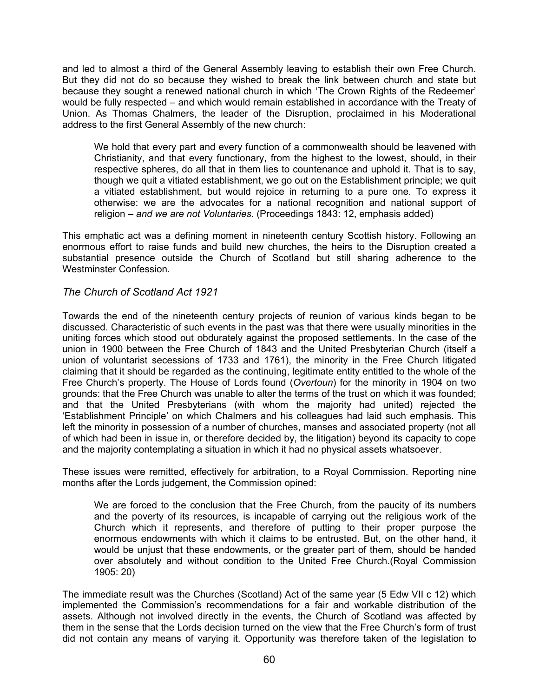and led to almost a third of the General Assembly leaving to establish their own Free Church. But they did not do so because they wished to break the link between church and state but because they sought a renewed national church in which 'The Crown Rights of the Redeemer' would be fully respected – and which would remain established in accordance with the Treaty of Union. As Thomas Chalmers, the leader of the Disruption, proclaimed in his Moderational address to the first General Assembly of the new church:

We hold that every part and every function of a commonwealth should be leavened with Christianity, and that every functionary, from the highest to the lowest, should, in their respective spheres, do all that in them lies to countenance and uphold it. That is to say, though we quit a vitiated establishment, we go out on the Establishment principle; we quit a vitiated establishment, but would rejoice in returning to a pure one. To express it otherwise: we are the advocates for a national recognition and national support of religion – *and we are not Voluntaries.* (Proceedings 1843: 12, emphasis added)

This emphatic act was a defining moment in nineteenth century Scottish history. Following an enormous effort to raise funds and build new churches, the heirs to the Disruption created a substantial presence outside the Church of Scotland but still sharing adherence to the Westminster Confession.

#### *The Church of Scotland Act 1921*

Towards the end of the nineteenth century projects of reunion of various kinds began to be discussed. Characteristic of such events in the past was that there were usually minorities in the uniting forces which stood out obdurately against the proposed settlements. In the case of the union in 1900 between the Free Church of 1843 and the United Presbyterian Church (itself a union of voluntarist secessions of 1733 and 1761), the minority in the Free Church litigated claiming that it should be regarded as the continuing, legitimate entity entitled to the whole of the Free Church's property. The House of Lords found (*Overtoun*) for the minority in 1904 on two grounds: that the Free Church was unable to alter the terms of the trust on which it was founded; and that the United Presbyterians (with whom the majority had united) rejected the 'Establishment Principle' on which Chalmers and his colleagues had laid such emphasis. This left the minority in possession of a number of churches, manses and associated property (not all of which had been in issue in, or therefore decided by, the litigation) beyond its capacity to cope and the majority contemplating a situation in which it had no physical assets whatsoever.

These issues were remitted, effectively for arbitration, to a Royal Commission. Reporting nine months after the Lords judgement, the Commission opined:

We are forced to the conclusion that the Free Church, from the paucity of its numbers and the poverty of its resources, is incapable of carrying out the religious work of the Church which it represents, and therefore of putting to their proper purpose the enormous endowments with which it claims to be entrusted. But, on the other hand, it would be unjust that these endowments, or the greater part of them, should be handed over absolutely and without condition to the United Free Church.(Royal Commission 1905: 20)

The immediate result was the Churches (Scotland) Act of the same year (5 Edw VII c 12) which implemented the Commission's recommendations for a fair and workable distribution of the assets. Although not involved directly in the events, the Church of Scotland was affected by them in the sense that the Lords decision turned on the view that the Free Church's form of trust did not contain any means of varying it. Opportunity was therefore taken of the legislation to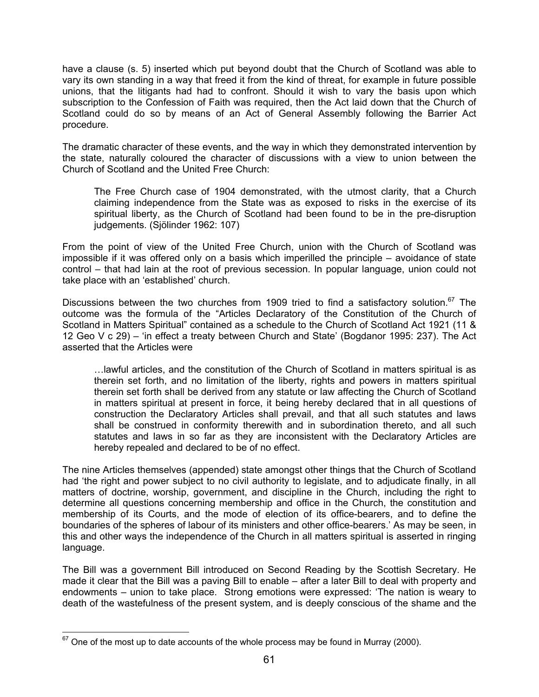have a clause (s. 5) inserted which put beyond doubt that the Church of Scotland was able to vary its own standing in a way that freed it from the kind of threat, for example in future possible unions, that the litigants had had to confront. Should it wish to vary the basis upon which subscription to the Confession of Faith was required, then the Act laid down that the Church of Scotland could do so by means of an Act of General Assembly following the Barrier Act procedure.

The dramatic character of these events, and the way in which they demonstrated intervention by the state, naturally coloured the character of discussions with a view to union between the Church of Scotland and the United Free Church:

The Free Church case of 1904 demonstrated, with the utmost clarity, that a Church claiming independence from the State was as exposed to risks in the exercise of its spiritual liberty, as the Church of Scotland had been found to be in the pre-disruption judgements. (Sjölinder 1962: 107)

From the point of view of the United Free Church, union with the Church of Scotland was impossible if it was offered only on a basis which imperilled the principle – avoidance of state control – that had lain at the root of previous secession. In popular language, union could not take place with an 'established' church.

Discussions between the two churches from 1909 tried to find a satisfactory solution.<sup>67</sup> The outcome was the formula of the "Articles Declaratory of the Constitution of the Church of Scotland in Matters Spiritual" contained as a schedule to the Church of Scotland Act 1921 (11 & 12 Geo V c 29) – 'in effect a treaty between Church and State' (Bogdanor 1995: 237). The Act asserted that the Articles were

…lawful articles, and the constitution of the Church of Scotland in matters spiritual is as therein set forth, and no limitation of the liberty, rights and powers in matters spiritual therein set forth shall be derived from any statute or law affecting the Church of Scotland in matters spiritual at present in force, it being hereby declared that in all questions of construction the Declaratory Articles shall prevail, and that all such statutes and laws shall be construed in conformity therewith and in subordination thereto, and all such statutes and laws in so far as they are inconsistent with the Declaratory Articles are hereby repealed and declared to be of no effect.

The nine Articles themselves (appended) state amongst other things that the Church of Scotland had 'the right and power subject to no civil authority to legislate, and to adjudicate finally, in all matters of doctrine, worship, government, and discipline in the Church, including the right to determine all questions concerning membership and office in the Church, the constitution and membership of its Courts, and the mode of election of its office-bearers, and to define the boundaries of the spheres of labour of its ministers and other office-bearers.' As may be seen, in this and other ways the independence of the Church in all matters spiritual is asserted in ringing language.

The Bill was a government Bill introduced on Second Reading by the Scottish Secretary. He made it clear that the Bill was a paving Bill to enable – after a later Bill to deal with property and endowments – union to take place. Strong emotions were expressed: 'The nation is weary to death of the wastefulness of the present system, and is deeply conscious of the shame and the

l  $67$  One of the most up to date accounts of the whole process may be found in Murray (2000).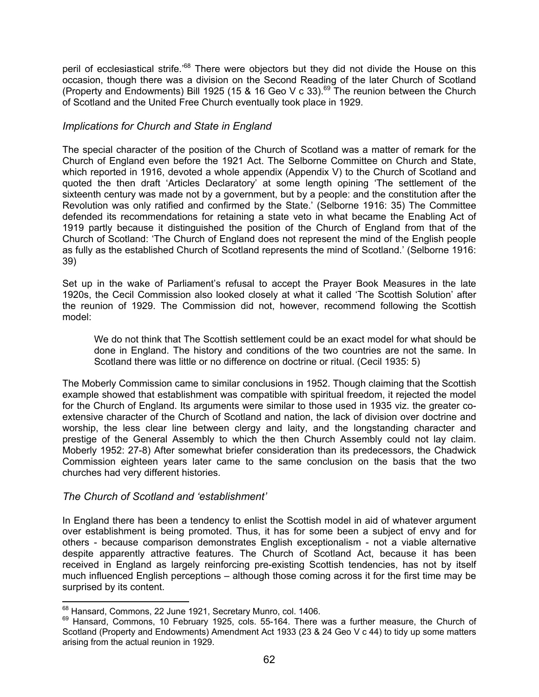peril of ecclesiastical strife.<sup>'68</sup> There were objectors but they did not divide the House on this occasion, though there was a division on the Second Reading of the later Church of Scotland (Property and Endowments) Bill 1925 (15 & 16 Geo V c 33).<sup>69</sup> The reunion between the Church of Scotland and the United Free Church eventually took place in 1929.

#### *Implications for Church and State in England*

The special character of the position of the Church of Scotland was a matter of remark for the Church of England even before the 1921 Act. The Selborne Committee on Church and State, which reported in 1916, devoted a whole appendix (Appendix V) to the Church of Scotland and quoted the then draft 'Articles Declaratory' at some length opining 'The settlement of the sixteenth century was made not by a government, but by a people: and the constitution after the Revolution was only ratified and confirmed by the State.' (Selborne 1916: 35) The Committee defended its recommendations for retaining a state veto in what became the Enabling Act of 1919 partly because it distinguished the position of the Church of England from that of the Church of Scotland: 'The Church of England does not represent the mind of the English people as fully as the established Church of Scotland represents the mind of Scotland.' (Selborne 1916: 39)

Set up in the wake of Parliament's refusal to accept the Prayer Book Measures in the late 1920s, the Cecil Commission also looked closely at what it called 'The Scottish Solution' after the reunion of 1929. The Commission did not, however, recommend following the Scottish model:

We do not think that The Scottish settlement could be an exact model for what should be done in England. The history and conditions of the two countries are not the same. In Scotland there was little or no difference on doctrine or ritual. (Cecil 1935: 5)

The Moberly Commission came to similar conclusions in 1952. Though claiming that the Scottish example showed that establishment was compatible with spiritual freedom, it rejected the model for the Church of England. Its arguments were similar to those used in 1935 viz. the greater coextensive character of the Church of Scotland and nation, the lack of division over doctrine and worship, the less clear line between clergy and laity, and the longstanding character and prestige of the General Assembly to which the then Church Assembly could not lay claim. Moberly 1952: 27-8) After somewhat briefer consideration than its predecessors, the Chadwick Commission eighteen years later came to the same conclusion on the basis that the two churches had very different histories.

#### *The Church of Scotland and 'establishment'*

In England there has been a tendency to enlist the Scottish model in aid of whatever argument over establishment is being promoted. Thus, it has for some been a subject of envy and for others - because comparison demonstrates English exceptionalism - not a viable alternative despite apparently attractive features. The Church of Scotland Act, because it has been received in England as largely reinforcing pre-existing Scottish tendencies, has not by itself much influenced English perceptions – although those coming across it for the first time may be surprised by its content.

l

<sup>&</sup>lt;sup>68</sup> Hansard, Commons, 22 June 1921, Secretary Munro, col. 1406.<br><sup>69</sup> Hansard, Commons, 10 February 1925, cols. 55-164. There was a further measure, the Church of Scotland (Property and Endowments) Amendment Act 1933 (23 & 24 Geo V c 44) to tidy up some matters arising from the actual reunion in 1929.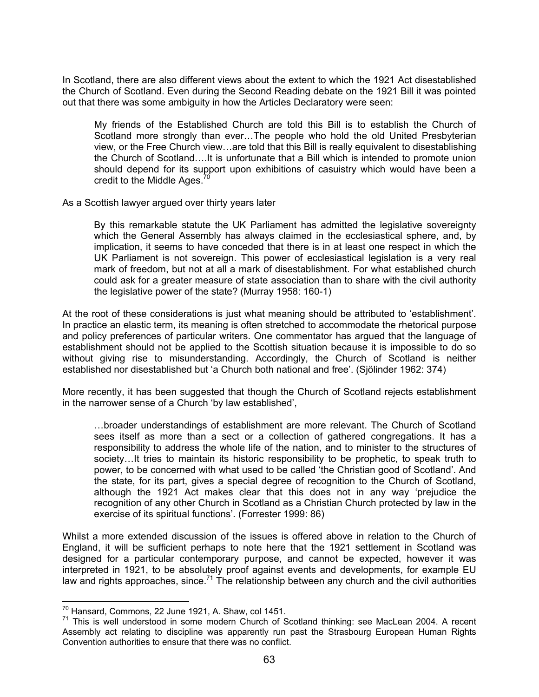In Scotland, there are also different views about the extent to which the 1921 Act disestablished the Church of Scotland. Even during the Second Reading debate on the 1921 Bill it was pointed out that there was some ambiguity in how the Articles Declaratory were seen:

My friends of the Established Church are told this Bill is to establish the Church of Scotland more strongly than ever…The people who hold the old United Presbyterian view, or the Free Church view…are told that this Bill is really equivalent to disestablishing the Church of Scotland….It is unfortunate that a Bill which is intended to promote union should depend for its support upon exhibitions of casuistry which would have been a credit to the Middle Ages.<sup>70</sup>

As a Scottish lawyer argued over thirty years later

By this remarkable statute the UK Parliament has admitted the legislative sovereignty which the General Assembly has always claimed in the ecclesiastical sphere, and, by implication, it seems to have conceded that there is in at least one respect in which the UK Parliament is not sovereign. This power of ecclesiastical legislation is a very real mark of freedom, but not at all a mark of disestablishment. For what established church could ask for a greater measure of state association than to share with the civil authority the legislative power of the state? (Murray 1958: 160-1)

At the root of these considerations is just what meaning should be attributed to 'establishment'. In practice an elastic term, its meaning is often stretched to accommodate the rhetorical purpose and policy preferences of particular writers. One commentator has argued that the language of establishment should not be applied to the Scottish situation because it is impossible to do so without giving rise to misunderstanding. Accordingly, the Church of Scotland is neither established nor disestablished but 'a Church both national and free'. (Sjölinder 1962: 374)

More recently, it has been suggested that though the Church of Scotland rejects establishment in the narrower sense of a Church 'by law established',

…broader understandings of establishment are more relevant. The Church of Scotland sees itself as more than a sect or a collection of gathered congregations. It has a responsibility to address the whole life of the nation, and to minister to the structures of society…It tries to maintain its historic responsibility to be prophetic, to speak truth to power, to be concerned with what used to be called 'the Christian good of Scotland'. And the state, for its part, gives a special degree of recognition to the Church of Scotland, although the 1921 Act makes clear that this does not in any way 'prejudice the recognition of any other Church in Scotland as a Christian Church protected by law in the exercise of its spiritual functions'. (Forrester 1999: 86)

Whilst a more extended discussion of the issues is offered above in relation to the Church of England, it will be sufficient perhaps to note here that the 1921 settlement in Scotland was designed for a particular contemporary purpose, and cannot be expected, however it was interpreted in 1921, to be absolutely proof against events and developments, for example EU law and rights approaches, since.<sup>71</sup> The relationship between any church and the civil authorities

l  $70$  Hansard, Commons, 22 June 1921, A. Shaw, col 1451.

 $71$  This is well understood in some modern Church of Scotland thinking: see MacLean 2004. A recent Assembly act relating to discipline was apparently run past the Strasbourg European Human Rights Convention authorities to ensure that there was no conflict.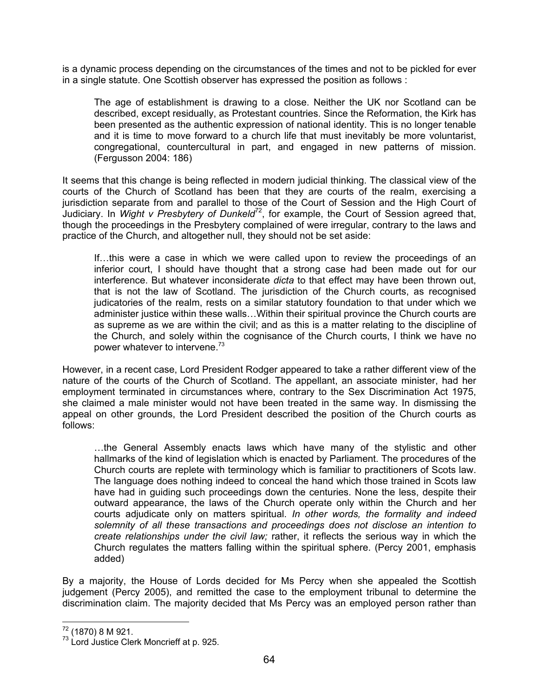is a dynamic process depending on the circumstances of the times and not to be pickled for ever in a single statute. One Scottish observer has expressed the position as follows :

The age of establishment is drawing to a close. Neither the UK nor Scotland can be described, except residually, as Protestant countries. Since the Reformation, the Kirk has been presented as the authentic expression of national identity. This is no longer tenable and it is time to move forward to a church life that must inevitably be more voluntarist, congregational, countercultural in part, and engaged in new patterns of mission. (Fergusson 2004: 186)

It seems that this change is being reflected in modern judicial thinking. The classical view of the courts of the Church of Scotland has been that they are courts of the realm, exercising a jurisdiction separate from and parallel to those of the Court of Session and the High Court of Judiciary. In *Wight v Presbytery of Dunkeld*72, for example, the Court of Session agreed that, though the proceedings in the Presbytery complained of were irregular, contrary to the laws and practice of the Church, and altogether null, they should not be set aside:

If…this were a case in which we were called upon to review the proceedings of an inferior court, I should have thought that a strong case had been made out for our interference. But whatever inconsiderate *dicta* to that effect may have been thrown out, that is not the law of Scotland. The jurisdiction of the Church courts, as recognised judicatories of the realm, rests on a similar statutory foundation to that under which we administer justice within these walls…Within their spiritual province the Church courts are as supreme as we are within the civil; and as this is a matter relating to the discipline of the Church, and solely within the cognisance of the Church courts, I think we have no power whatever to intervene.<sup>73</sup>

However, in a recent case, Lord President Rodger appeared to take a rather different view of the nature of the courts of the Church of Scotland. The appellant, an associate minister, had her employment terminated in circumstances where, contrary to the Sex Discrimination Act 1975, she claimed a male minister would not have been treated in the same way. In dismissing the appeal on other grounds, the Lord President described the position of the Church courts as follows:

…the General Assembly enacts laws which have many of the stylistic and other hallmarks of the kind of legislation which is enacted by Parliament. The procedures of the Church courts are replete with terminology which is familiar to practitioners of Scots law. The language does nothing indeed to conceal the hand which those trained in Scots law have had in guiding such proceedings down the centuries. None the less, despite their outward appearance, the laws of the Church operate only within the Church and her courts adjudicate only on matters spiritual. *In other words, the formality and indeed solemnity of all these transactions and proceedings does not disclose an intention to create relationships under the civil law;* rather, it reflects the serious way in which the Church regulates the matters falling within the spiritual sphere. (Percy 2001, emphasis added)

By a majority, the House of Lords decided for Ms Percy when she appealed the Scottish judgement (Percy 2005), and remitted the case to the employment tribunal to determine the discrimination claim. The majority decided that Ms Percy was an employed person rather than

<sup>&</sup>lt;sup>72</sup> (1870) 8 M 921.

 $73$  Lord Justice Clerk Moncrieff at p. 925.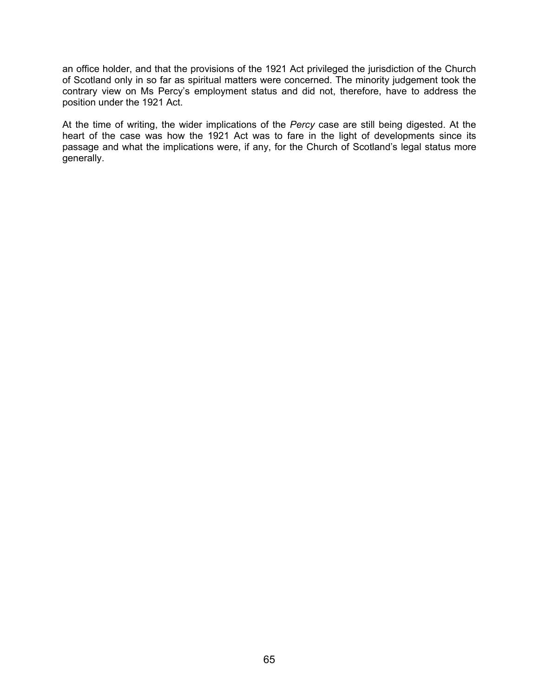an office holder, and that the provisions of the 1921 Act privileged the jurisdiction of the Church of Scotland only in so far as spiritual matters were concerned. The minority judgement took the contrary view on Ms Percy's employment status and did not, therefore, have to address the position under the 1921 Act.

At the time of writing, the wider implications of the *Percy* case are still being digested. At the heart of the case was how the 1921 Act was to fare in the light of developments since its passage and what the implications were, if any, for the Church of Scotland's legal status more generally.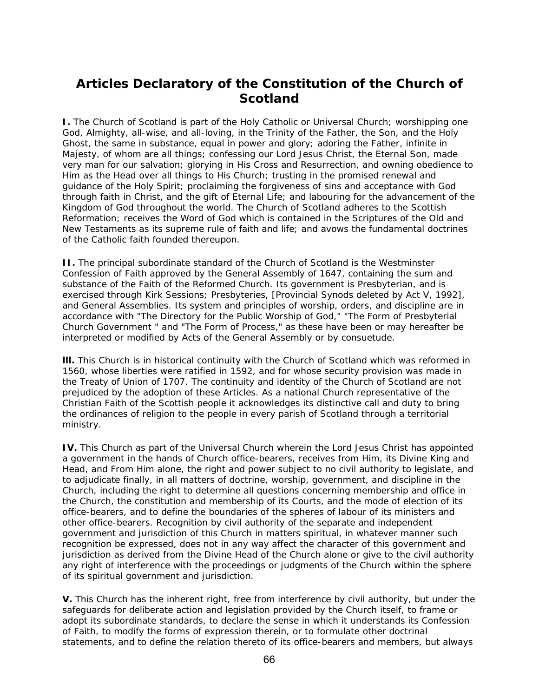### **Articles Declaratory of the Constitution of the Church of Scotland**

**I.** The Church of Scotland is part of the Holy Catholic or Universal Church; worshipping one God, Almighty, all-wise, and all-loving, in the Trinity of the Father, the Son, and the Holy Ghost, the same in substance, equal in power and glory; adoring the Father, infinite in Majesty, of whom are all things; confessing our Lord Jesus Christ, the Eternal Son, made very man for our salvation; glorying in His Cross and Resurrection, and owning obedience to Him as the Head over all things to His Church; trusting in the promised renewal and guidance of the Holy Spirit; proclaiming the forgiveness of sins and acceptance with God through faith in Christ, and the gift of Eternal Life; and labouring for the advancement of the Kingdom of God throughout the world. The Church of Scotland adheres to the Scottish Reformation; receives the Word of God which is contained in the Scriptures of the Old and New Testaments as its supreme rule of faith and life; and avows the fundamental doctrines of the Catholic faith founded thereupon.

**II.** The principal subordinate standard of the Church of Scotland is the Westminster Confession of Faith approved by the General Assembly of 1647, containing the sum and substance of the Faith of the Reformed Church. Its government is Presbyterian, and is exercised through Kirk Sessions; Presbyteries, [Provincial Synods deleted by Act V, 1992], and General Assemblies. Its system and principles of worship, orders, and discipline are in accordance with "The Directory for the Public Worship of God," "The Form of Presbyterial Church Government " and "The Form of Process," as these have been or may hereafter be interpreted or modified by Acts of the General Assembly or by consuetude.

**lll.** This Church is in historical continuity with the Church of Scotland which was reformed in 1560, whose liberties were ratified in 1592, and for whose security provision was made in the Treaty of Union of 1707. The continuity and identity of the Church of Scotland are not prejudiced by the adoption of these Articles. As a national Church representative of the Christian Faith of the Scottish people it acknowledges its distinctive call and duty to bring the ordinances of religion to the people in every parish of Scotland through a territorial ministry.

**IV.** This Church as part of the Universal Church wherein the Lord Jesus Christ has appointed a government in the hands of Church office-bearers, receives from Him, its Divine King and Head, and From Him alone, the right and power subject to no civil authority to legislate, and to adjudicate finally, in all matters of doctrine, worship, government, and discipline in the Church, including the right to determine all questions concerning membership and office in the Church, the constitution and membership of its Courts, and the mode of election of its office-bearers, and to define the boundaries of the spheres of labour of its ministers and other office-bearers. Recognition by civil authority of the separate and independent government and jurisdiction of this Church in matters spiritual, in whatever manner such recognition be expressed, does not in any way affect the character of this government and jurisdiction as derived from the Divine Head of the Church alone or give to the civil authority any right of interference with the proceedings or judgments of the Church within the sphere of its spiritual government and jurisdiction.

**V.** This Church has the inherent right, free from interference by civil authority, but under the safeguards for deliberate action and legislation provided by the Church itself, to frame or adopt its subordinate standards, to declare the sense in which it understands its Confession of Faith, to modify the forms of expression therein, or to formulate other doctrinal statements, and to define the relation thereto of its office-bearers and members, but always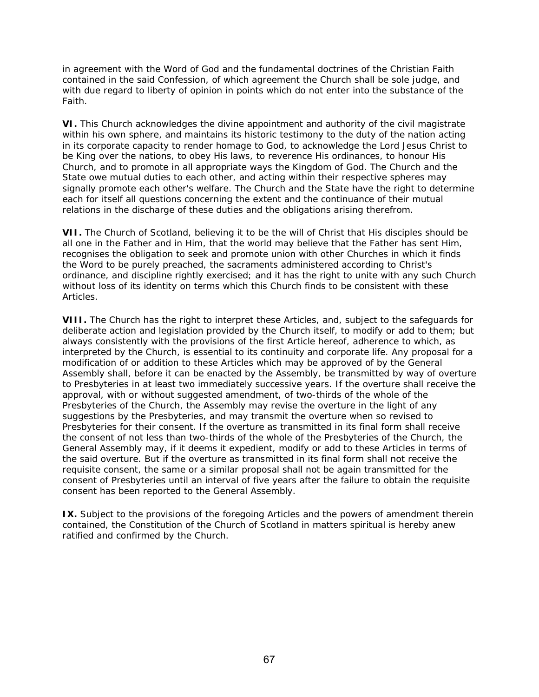in agreement with the Word of God and the fundamental doctrines of the Christian Faith contained in the said Confession, of which agreement the Church shall be sole judge, and with due regard to liberty of opinion in points which do not enter into the substance of the Faith.

**VI.** This Church acknowledges the divine appointment and authority of the civil magistrate within his own sphere, and maintains its historic testimony to the duty of the nation acting in its corporate capacity to render homage to God, to acknowledge the Lord Jesus Christ to be King over the nations, to obey His laws, to reverence His ordinances, to honour His Church, and to promote in all appropriate ways the Kingdom of God. The Church and the State owe mutual duties to each other, and acting within their respective spheres may signally promote each other's welfare. The Church and the State have the right to determine each for itself all questions concerning the extent and the continuance of their mutual relations in the discharge of these duties and the obligations arising therefrom.

**VII.** The Church of Scotland, believing it to be the will of Christ that His disciples should be all one in the Father and in Him, that the world may believe that the Father has sent Him, recognises the obligation to seek and promote union with other Churches in which it finds the Word to be purely preached, the sacraments administered according to Christ's ordinance, and discipline rightly exercised; and it has the right to unite with any such Church without loss of its identity on terms which this Church finds to be consistent with these Articles.

**VIII.** The Church has the right to interpret these Articles, and, subject to the safeguards for deliberate action and legislation provided by the Church itself, to modify or add to them; but always consistently with the provisions of the first Article hereof, adherence to which, as interpreted by the Church, is essential to its continuity and corporate life. Any proposal for a modification of or addition to these Articles which may be approved of by the General Assembly shall, before it can be enacted by the Assembly, be transmitted by way of overture to Presbyteries in at least two immediately successive years. If the overture shall receive the approval, with or without suggested amendment, of two-thirds of the whole of the Presbyteries of the Church, the Assembly may revise the overture in the light of any suggestions by the Presbyteries, and may transmit the overture when so revised to Presbyteries for their consent. If the overture as transmitted in its final form shall receive the consent of not less than two-thirds of the whole of the Presbyteries of the Church, the General Assembly may, if it deems it expedient, modify or add to these Articles in terms of the said overture. But if the overture as transmitted in its final form shall not receive the requisite consent, the same or a similar proposal shall not be again transmitted for the consent of Presbyteries until an interval of five years after the failure to obtain the requisite consent has been reported to the General Assembly.

**IX.** Subject to the provisions of the foregoing Articles and the powers of amendment therein contained, the Constitution of the Church of Scotland in matters spiritual is hereby anew ratified and confirmed by the Church.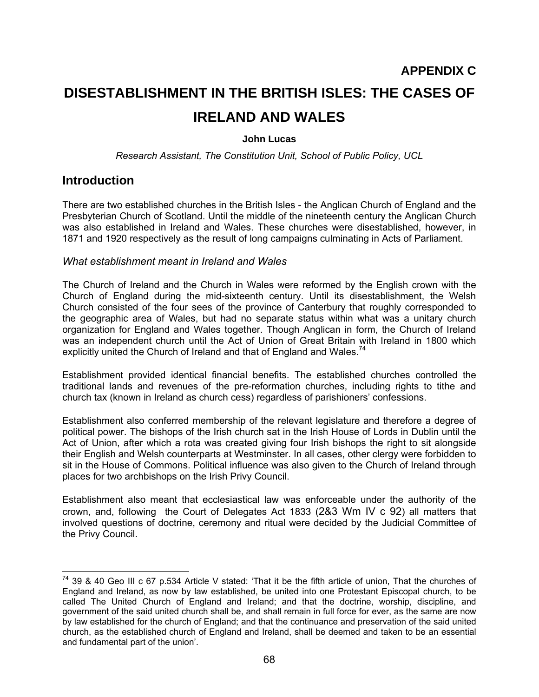# **DISESTABLISHMENT IN THE BRITISH ISLES: THE CASES OF IRELAND AND WALES**

#### **John Lucas**

*Research Assistant, The Constitution Unit, School of Public Policy, UCL* 

### **Introduction**

There are two established churches in the British Isles - the Anglican Church of England and the Presbyterian Church of Scotland. Until the middle of the nineteenth century the Anglican Church was also established in Ireland and Wales. These churches were disestablished, however, in 1871 and 1920 respectively as the result of long campaigns culminating in Acts of Parliament.

#### *What establishment meant in Ireland and Wales*

The Church of Ireland and the Church in Wales were reformed by the English crown with the Church of England during the mid-sixteenth century. Until its disestablishment, the Welsh Church consisted of the four sees of the province of Canterbury that roughly corresponded to the geographic area of Wales, but had no separate status within what was a unitary church organization for England and Wales together. Though Anglican in form, the Church of Ireland was an independent church until the Act of Union of Great Britain with Ireland in 1800 which explicitly united the Church of Ireland and that of England and Wales.<sup>74</sup>

Establishment provided identical financial benefits. The established churches controlled the traditional lands and revenues of the pre-reformation churches, including rights to tithe and church tax (known in Ireland as church cess) regardless of parishioners' confessions.

Establishment also conferred membership of the relevant legislature and therefore a degree of political power. The bishops of the Irish church sat in the Irish House of Lords in Dublin until the Act of Union, after which a rota was created giving four Irish bishops the right to sit alongside their English and Welsh counterparts at Westminster. In all cases, other clergy were forbidden to sit in the House of Commons. Political influence was also given to the Church of Ireland through places for two archbishops on the Irish Privy Council.

Establishment also meant that ecclesiastical law was enforceable under the authority of the crown, and, following the Court of Delegates Act 1833 (2&3 Wm IV c 92) all matters that involved questions of doctrine, ceremony and ritual were decided by the Judicial Committee of the Privy Council.

l <sup>74</sup> 39 & 40 Geo III c 67 p.534 Article V stated: 'That it be the fifth article of union, That the churches of England and Ireland, as now by law established, be united into one Protestant Episcopal church, to be called The United Church of England and Ireland; and that the doctrine, worship, discipline, and government of the said united church shall be, and shall remain in full force for ever, as the same are now by law established for the church of England; and that the continuance and preservation of the said united church, as the established church of England and Ireland, shall be deemed and taken to be an essential and fundamental part of the union'.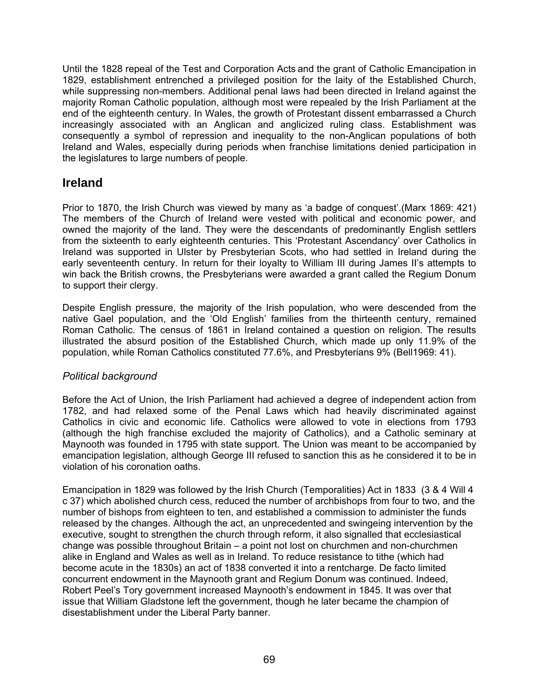Until the 1828 repeal of the Test and Corporation Acts and the grant of Catholic Emancipation in 1829, establishment entrenched a privileged position for the laity of the Established Church, while suppressing non-members. Additional penal laws had been directed in Ireland against the majority Roman Catholic population, although most were repealed by the Irish Parliament at the end of the eighteenth century. In Wales, the growth of Protestant dissent embarrassed a Church increasingly associated with an Anglican and anglicized ruling class. Establishment was consequently a symbol of repression and inequality to the non-Anglican populations of both Ireland and Wales, especially during periods when franchise limitations denied participation in the legislatures to large numbers of people.

### **Ireland**

Prior to 1870, the Irish Church was viewed by many as 'a badge of conquest'.(Marx 1869: 421) The members of the Church of Ireland were vested with political and economic power, and owned the majority of the land. They were the descendants of predominantly English settlers from the sixteenth to early eighteenth centuries. This 'Protestant Ascendancy' over Catholics in Ireland was supported in Ulster by Presbyterian Scots, who had settled in Ireland during the early seventeenth century. In return for their loyalty to William III during James II's attempts to win back the British crowns, the Presbyterians were awarded a grant called the Regium Donum to support their clergy.

Despite English pressure, the majority of the Irish population, who were descended from the native Gael population, and the 'Old English' families from the thirteenth century, remained Roman Catholic. The census of 1861 in Ireland contained a question on religion. The results illustrated the absurd position of the Established Church, which made up only 11.9% of the population, while Roman Catholics constituted 77.6%, and Presbyterians 9% (Bell1969: 41).

#### *Political background*

Before the Act of Union, the Irish Parliament had achieved a degree of independent action from 1782, and had relaxed some of the Penal Laws which had heavily discriminated against Catholics in civic and economic life. Catholics were allowed to vote in elections from 1793 (although the high franchise excluded the majority of Catholics), and a Catholic seminary at Maynooth was founded in 1795 with state support. The Union was meant to be accompanied by emancipation legislation, although George III refused to sanction this as he considered it to be in violation of his coronation oaths.

Emancipation in 1829 was followed by the Irish Church (Temporalities) Act in 1833 (3 & 4 Will 4 c 37) which abolished church cess, reduced the number of archbishops from four to two, and the number of bishops from eighteen to ten, and established a commission to administer the funds released by the changes. Although the act, an unprecedented and swingeing intervention by the executive, sought to strengthen the church through reform, it also signalled that ecclesiastical change was possible throughout Britain – a point not lost on churchmen and non-churchmen alike in England and Wales as well as in Ireland. To reduce resistance to tithe (which had become acute in the 1830s) an act of 1838 converted it into a rentcharge. De facto limited concurrent endowment in the Maynooth grant and Regium Donum was continued. Indeed, Robert Peel's Tory government increased Maynooth's endowment in 1845. It was over that issue that William Gladstone left the government, though he later became the champion of disestablishment under the Liberal Party banner.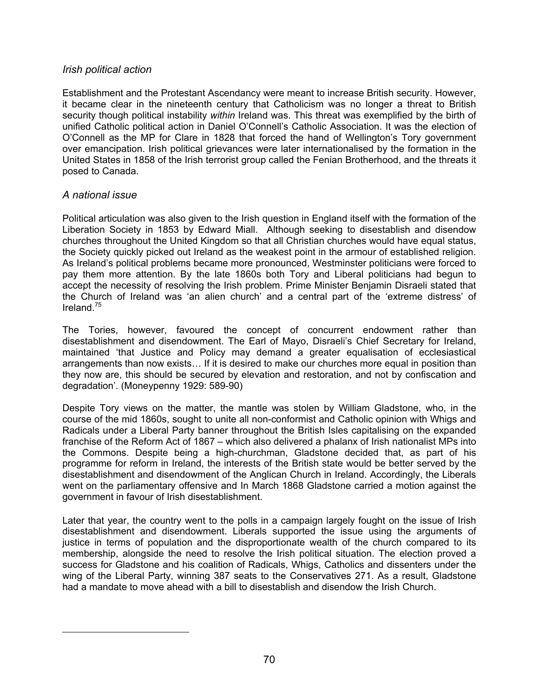#### *Irish political action*

Establishment and the Protestant Ascendancy were meant to increase British security. However, it became clear in the nineteenth century that Catholicism was no longer a threat to British security though political instability *within* Ireland was. This threat was exemplified by the birth of unified Catholic political action in Daniel O'Connell's Catholic Association. It was the election of O'Connell as the MP for Clare in 1828 that forced the hand of Wellington's Tory government over emancipation. Irish political grievances were later internationalised by the formation in the United States in 1858 of the Irish terrorist group called the Fenian Brotherhood, and the threats it posed to Canada.

#### *A national issue*

l

Political articulation was also given to the Irish question in England itself with the formation of the Liberation Society in 1853 by Edward Miall. Although seeking to disestablish and disendow churches throughout the United Kingdom so that all Christian churches would have equal status, the Society quickly picked out Ireland as the weakest point in the armour of established religion. As Ireland's political problems became more pronounced, Westminster politicians were forced to pay them more attention. By the late 1860s both Tory and Liberal politicians had begun to accept the necessity of resolving the Irish problem. Prime Minister Benjamin Disraeli stated that the Church of Ireland was 'an alien church' and a central part of the 'extreme distress' of Ireland.75

The Tories, however, favoured the concept of concurrent endowment rather than disestablishment and disendowment. The Earl of Mayo, Disraeli's Chief Secretary for Ireland, maintained 'that Justice and Policy may demand a greater equalisation of ecclesiastical arrangements than now exists… If it is desired to make our churches more equal in position than they now are, this should be secured by elevation and restoration, and not by confiscation and degradation'. (Moneypenny 1929: 589-90)

Despite Tory views on the matter, the mantle was stolen by William Gladstone, who, in the course of the mid 1860s, sought to unite all non-conformist and Catholic opinion with Whigs and Radicals under a Liberal Party banner throughout the British Isles capitalising on the expanded franchise of the Reform Act of 1867 – which also delivered a phalanx of Irish nationalist MPs into the Commons. Despite being a high-churchman, Gladstone decided that, as part of his programme for reform in Ireland, the interests of the British state would be better served by the disestablishment and disendowment of the Anglican Church in Ireland. Accordingly, the Liberals went on the parliamentary offensive and In March 1868 Gladstone carried a motion against the government in favour of Irish disestablishment.

Later that year, the country went to the polls in a campaign largely fought on the issue of Irish disestablishment and disendowment. Liberals supported the issue using the arguments of justice in terms of population and the disproportionate wealth of the church compared to its membership, alongside the need to resolve the Irish political situation. The election proved a success for Gladstone and his coalition of Radicals, Whigs, Catholics and dissenters under the wing of the Liberal Party, winning 387 seats to the Conservatives 271. As a result, Gladstone had a mandate to move ahead with a bill to disestablish and disendow the Irish Church.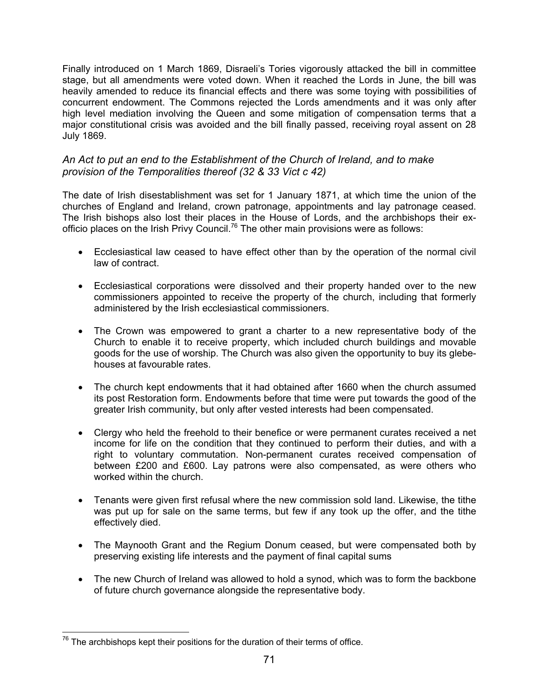Finally introduced on 1 March 1869, Disraeli's Tories vigorously attacked the bill in committee stage, but all amendments were voted down. When it reached the Lords in June, the bill was heavily amended to reduce its financial effects and there was some toying with possibilities of concurrent endowment. The Commons rejected the Lords amendments and it was only after high level mediation involving the Queen and some mitigation of compensation terms that a major constitutional crisis was avoided and the bill finally passed, receiving royal assent on 28 July 1869.

#### *An Act to put an end to the Establishment of the Church of Ireland, and to make provision of the Temporalities thereof (32 & 33 Vict c 42)*

The date of Irish disestablishment was set for 1 January 1871, at which time the union of the churches of England and Ireland, crown patronage, appointments and lay patronage ceased. The Irish bishops also lost their places in the House of Lords, and the archbishops their exofficio places on the Irish Privy Council.76 The other main provisions were as follows:

- Ecclesiastical law ceased to have effect other than by the operation of the normal civil law of contract.
- Ecclesiastical corporations were dissolved and their property handed over to the new commissioners appointed to receive the property of the church, including that formerly administered by the Irish ecclesiastical commissioners.
- The Crown was empowered to grant a charter to a new representative body of the Church to enable it to receive property, which included church buildings and movable goods for the use of worship. The Church was also given the opportunity to buy its glebehouses at favourable rates.
- The church kept endowments that it had obtained after 1660 when the church assumed its post Restoration form. Endowments before that time were put towards the good of the greater Irish community, but only after vested interests had been compensated.
- Clergy who held the freehold to their benefice or were permanent curates received a net income for life on the condition that they continued to perform their duties, and with a right to voluntary commutation. Non-permanent curates received compensation of between £200 and £600. Lay patrons were also compensated, as were others who worked within the church.
- Tenants were given first refusal where the new commission sold land. Likewise, the tithe was put up for sale on the same terms, but few if any took up the offer, and the tithe effectively died.
- The Maynooth Grant and the Regium Donum ceased, but were compensated both by preserving existing life interests and the payment of final capital sums
- The new Church of Ireland was allowed to hold a synod, which was to form the backbone of future church governance alongside the representative body.

l  $76$  The archbishops kept their positions for the duration of their terms of office.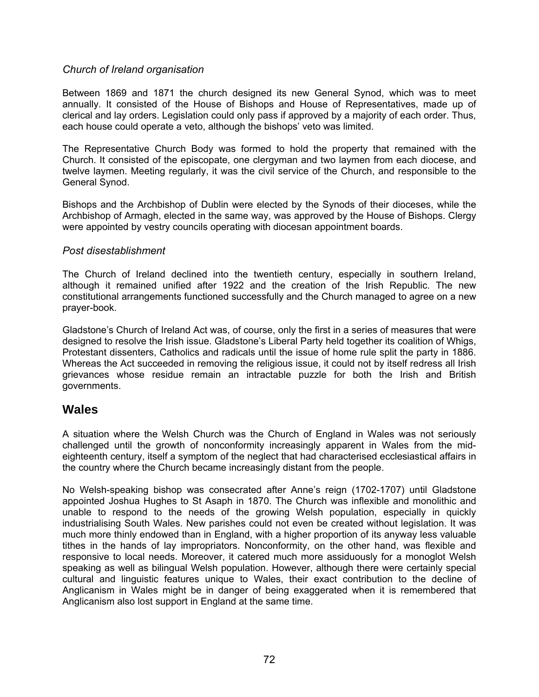#### *Church of Ireland organisation*

Between 1869 and 1871 the church designed its new General Synod, which was to meet annually. It consisted of the House of Bishops and House of Representatives, made up of clerical and lay orders. Legislation could only pass if approved by a majority of each order. Thus, each house could operate a veto, although the bishops' veto was limited.

The Representative Church Body was formed to hold the property that remained with the Church. It consisted of the episcopate, one clergyman and two laymen from each diocese, and twelve laymen. Meeting regularly, it was the civil service of the Church, and responsible to the General Synod.

Bishops and the Archbishop of Dublin were elected by the Synods of their dioceses, while the Archbishop of Armagh, elected in the same way, was approved by the House of Bishops. Clergy were appointed by vestry councils operating with diocesan appointment boards.

#### *Post disestablishment*

The Church of Ireland declined into the twentieth century, especially in southern Ireland, although it remained unified after 1922 and the creation of the Irish Republic. The new constitutional arrangements functioned successfully and the Church managed to agree on a new prayer-book.

Gladstone's Church of Ireland Act was, of course, only the first in a series of measures that were designed to resolve the Irish issue. Gladstone's Liberal Party held together its coalition of Whigs, Protestant dissenters, Catholics and radicals until the issue of home rule split the party in 1886. Whereas the Act succeeded in removing the religious issue, it could not by itself redress all Irish grievances whose residue remain an intractable puzzle for both the Irish and British governments.

#### **Wales**

A situation where the Welsh Church was the Church of England in Wales was not seriously challenged until the growth of nonconformity increasingly apparent in Wales from the mideighteenth century, itself a symptom of the neglect that had characterised ecclesiastical affairs in the country where the Church became increasingly distant from the people.

No Welsh-speaking bishop was consecrated after Anne's reign (1702-1707) until Gladstone appointed Joshua Hughes to St Asaph in 1870. The Church was inflexible and monolithic and unable to respond to the needs of the growing Welsh population, especially in quickly industrialising South Wales. New parishes could not even be created without legislation. It was much more thinly endowed than in England, with a higher proportion of its anyway less valuable tithes in the hands of lay impropriators. Nonconformity, on the other hand, was flexible and responsive to local needs. Moreover, it catered much more assiduously for a monoglot Welsh speaking as well as bilingual Welsh population. However, although there were certainly special cultural and linguistic features unique to Wales, their exact contribution to the decline of Anglicanism in Wales might be in danger of being exaggerated when it is remembered that Anglicanism also lost support in England at the same time.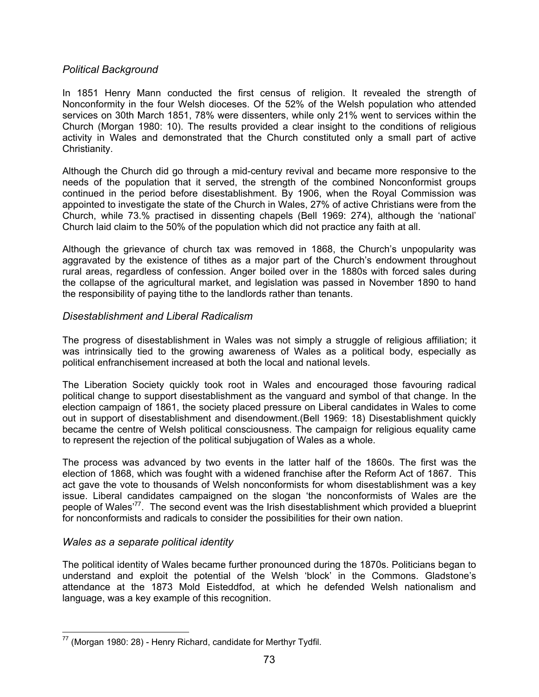### *Political Background*

In 1851 Henry Mann conducted the first census of religion. It revealed the strength of Nonconformity in the four Welsh dioceses. Of the 52% of the Welsh population who attended services on 30th March 1851, 78% were dissenters, while only 21% went to services within the Church (Morgan 1980: 10). The results provided a clear insight to the conditions of religious activity in Wales and demonstrated that the Church constituted only a small part of active Christianity.

Although the Church did go through a mid-century revival and became more responsive to the needs of the population that it served, the strength of the combined Nonconformist groups continued in the period before disestablishment. By 1906, when the Royal Commission was appointed to investigate the state of the Church in Wales, 27% of active Christians were from the Church, while 73.% practised in dissenting chapels (Bell 1969: 274), although the 'national' Church laid claim to the 50% of the population which did not practice any faith at all.

Although the grievance of church tax was removed in 1868, the Church's unpopularity was aggravated by the existence of tithes as a major part of the Church's endowment throughout rural areas, regardless of confession. Anger boiled over in the 1880s with forced sales during the collapse of the agricultural market, and legislation was passed in November 1890 to hand the responsibility of paying tithe to the landlords rather than tenants.

### *Disestablishment and Liberal Radicalism*

The progress of disestablishment in Wales was not simply a struggle of religious affiliation; it was intrinsically tied to the growing awareness of Wales as a political body, especially as political enfranchisement increased at both the local and national levels.

The Liberation Society quickly took root in Wales and encouraged those favouring radical political change to support disestablishment as the vanguard and symbol of that change. In the election campaign of 1861, the society placed pressure on Liberal candidates in Wales to come out in support of disestablishment and disendowment.(Bell 1969: 18) Disestablishment quickly became the centre of Welsh political consciousness. The campaign for religious equality came to represent the rejection of the political subjugation of Wales as a whole.

The process was advanced by two events in the latter half of the 1860s. The first was the election of 1868, which was fought with a widened franchise after the Reform Act of 1867. This act gave the vote to thousands of Welsh nonconformists for whom disestablishment was a key issue. Liberal candidates campaigned on the slogan 'the nonconformists of Wales are the people of Wales<sup>77</sup>. The second event was the Irish disestablishment which provided a blueprint for nonconformists and radicals to consider the possibilities for their own nation.

### *Wales as a separate political identity*

The political identity of Wales became further pronounced during the 1870s. Politicians began to understand and exploit the potential of the Welsh 'block' in the Commons. Gladstone's attendance at the 1873 Mold Eisteddfod, at which he defended Welsh nationalism and language, was a key example of this recognition.

l  $77$  (Morgan 1980: 28) - Henry Richard, candidate for Merthyr Tydfil.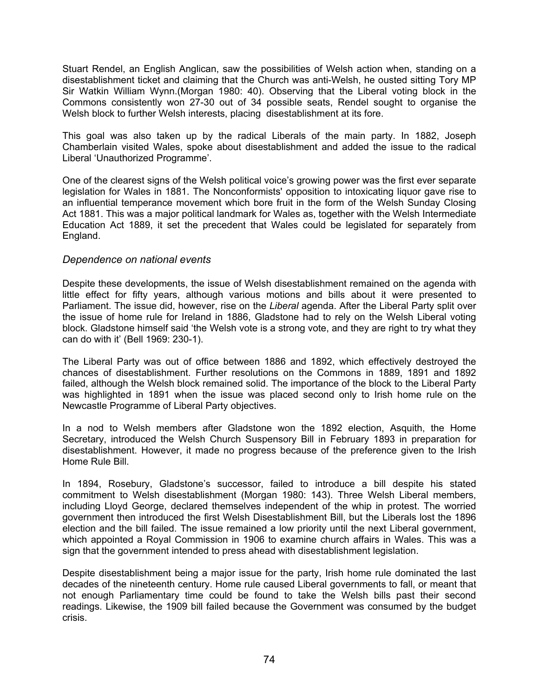Stuart Rendel, an English Anglican, saw the possibilities of Welsh action when, standing on a disestablishment ticket and claiming that the Church was anti-Welsh, he ousted sitting Tory MP Sir Watkin William Wynn.(Morgan 1980: 40). Observing that the Liberal voting block in the Commons consistently won 27-30 out of 34 possible seats, Rendel sought to organise the Welsh block to further Welsh interests, placing disestablishment at its fore.

This goal was also taken up by the radical Liberals of the main party. In 1882, Joseph Chamberlain visited Wales, spoke about disestablishment and added the issue to the radical Liberal 'Unauthorized Programme'.

One of the clearest signs of the Welsh political voice's growing power was the first ever separate legislation for Wales in 1881. The Nonconformists' opposition to intoxicating liquor gave rise to an influential temperance movement which bore fruit in the form of the Welsh Sunday Closing Act 1881. This was a major political landmark for Wales as, together with the Welsh Intermediate Education Act 1889, it set the precedent that Wales could be legislated for separately from England.

#### *Dependence on national events*

Despite these developments, the issue of Welsh disestablishment remained on the agenda with little effect for fifty years, although various motions and bills about it were presented to Parliament. The issue did, however, rise on the *Liberal* agenda. After the Liberal Party split over the issue of home rule for Ireland in 1886, Gladstone had to rely on the Welsh Liberal voting block. Gladstone himself said 'the Welsh vote is a strong vote, and they are right to try what they can do with it' (Bell 1969: 230-1).

The Liberal Party was out of office between 1886 and 1892, which effectively destroyed the chances of disestablishment. Further resolutions on the Commons in 1889, 1891 and 1892 failed, although the Welsh block remained solid. The importance of the block to the Liberal Party was highlighted in 1891 when the issue was placed second only to Irish home rule on the Newcastle Programme of Liberal Party objectives.

In a nod to Welsh members after Gladstone won the 1892 election, Asquith, the Home Secretary, introduced the Welsh Church Suspensory Bill in February 1893 in preparation for disestablishment. However, it made no progress because of the preference given to the Irish Home Rule Bill.

In 1894, Rosebury, Gladstone's successor, failed to introduce a bill despite his stated commitment to Welsh disestablishment (Morgan 1980: 143). Three Welsh Liberal members, including Lloyd George, declared themselves independent of the whip in protest. The worried government then introduced the first Welsh Disestablishment Bill, but the Liberals lost the 1896 election and the bill failed. The issue remained a low priority until the next Liberal government, which appointed a Royal Commission in 1906 to examine church affairs in Wales. This was a sign that the government intended to press ahead with disestablishment legislation.

Despite disestablishment being a major issue for the party, Irish home rule dominated the last decades of the nineteenth century. Home rule caused Liberal governments to fall, or meant that not enough Parliamentary time could be found to take the Welsh bills past their second readings. Likewise, the 1909 bill failed because the Government was consumed by the budget crisis.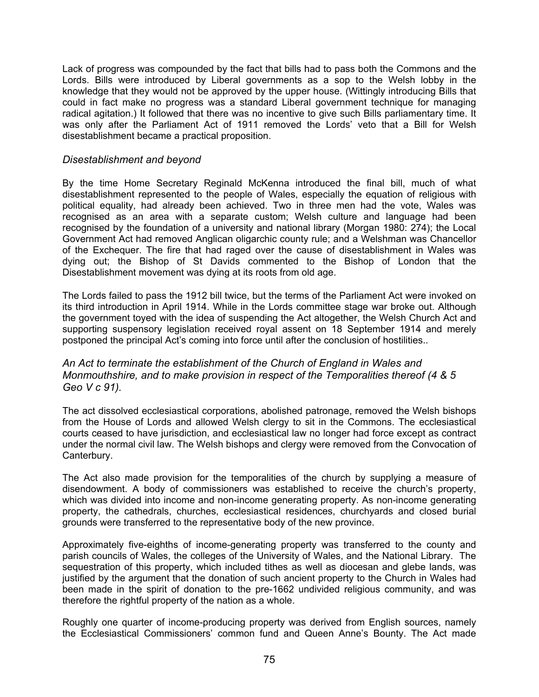Lack of progress was compounded by the fact that bills had to pass both the Commons and the Lords. Bills were introduced by Liberal governments as a sop to the Welsh lobby in the knowledge that they would not be approved by the upper house. (Wittingly introducing Bills that could in fact make no progress was a standard Liberal government technique for managing radical agitation.) It followed that there was no incentive to give such Bills parliamentary time. It was only after the Parliament Act of 1911 removed the Lords' veto that a Bill for Welsh disestablishment became a practical proposition.

#### *Disestablishment and beyond*

By the time Home Secretary Reginald McKenna introduced the final bill, much of what disestablishment represented to the people of Wales, especially the equation of religious with political equality, had already been achieved. Two in three men had the vote, Wales was recognised as an area with a separate custom; Welsh culture and language had been recognised by the foundation of a university and national library (Morgan 1980: 274); the Local Government Act had removed Anglican oligarchic county rule; and a Welshman was Chancellor of the Exchequer. The fire that had raged over the cause of disestablishment in Wales was dying out; the Bishop of St Davids commented to the Bishop of London that the Disestablishment movement was dying at its roots from old age.

The Lords failed to pass the 1912 bill twice, but the terms of the Parliament Act were invoked on its third introduction in April 1914. While in the Lords committee stage war broke out. Although the government toyed with the idea of suspending the Act altogether, the Welsh Church Act and supporting suspensory legislation received royal assent on 18 September 1914 and merely postponed the principal Act's coming into force until after the conclusion of hostilities..

### *An Act to terminate the establishment of the Church of England in Wales and Monmouthshire, and to make provision in respect of the Temporalities thereof (4 & 5 Geo V c 91).*

The act dissolved ecclesiastical corporations, abolished patronage, removed the Welsh bishops from the House of Lords and allowed Welsh clergy to sit in the Commons. The ecclesiastical courts ceased to have jurisdiction, and ecclesiastical law no longer had force except as contract under the normal civil law. The Welsh bishops and clergy were removed from the Convocation of Canterbury.

The Act also made provision for the temporalities of the church by supplying a measure of disendowment. A body of commissioners was established to receive the church's property, which was divided into income and non-income generating property. As non-income generating property, the cathedrals, churches, ecclesiastical residences, churchyards and closed burial grounds were transferred to the representative body of the new province.

Approximately five-eighths of income-generating property was transferred to the county and parish councils of Wales, the colleges of the University of Wales, and the National Library. The sequestration of this property, which included tithes as well as diocesan and glebe lands, was justified by the argument that the donation of such ancient property to the Church in Wales had been made in the spirit of donation to the pre-1662 undivided religious community, and was therefore the rightful property of the nation as a whole.

Roughly one quarter of income-producing property was derived from English sources, namely the Ecclesiastical Commissioners' common fund and Queen Anne's Bounty. The Act made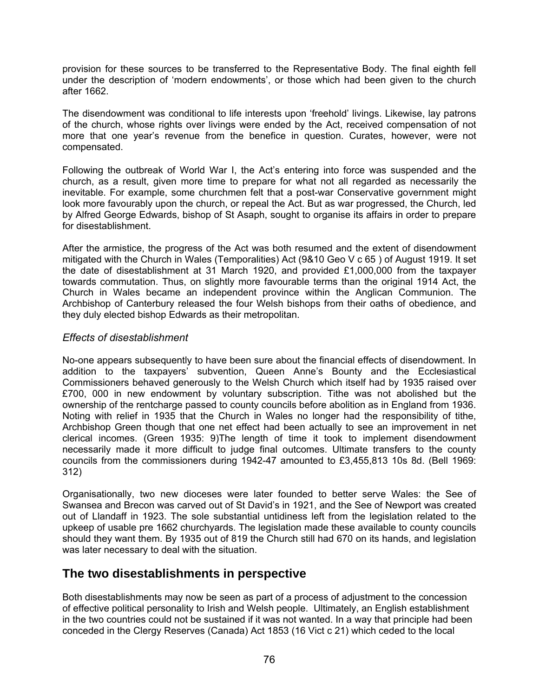provision for these sources to be transferred to the Representative Body. The final eighth fell under the description of 'modern endowments', or those which had been given to the church after 1662.

The disendowment was conditional to life interests upon 'freehold' livings. Likewise, lay patrons of the church, whose rights over livings were ended by the Act, received compensation of not more that one year's revenue from the benefice in question. Curates, however, were not compensated.

Following the outbreak of World War I, the Act's entering into force was suspended and the church, as a result, given more time to prepare for what not all regarded as necessarily the inevitable. For example, some churchmen felt that a post-war Conservative government might look more favourably upon the church, or repeal the Act. But as war progressed, the Church, led by Alfred George Edwards, bishop of St Asaph, sought to organise its affairs in order to prepare for disestablishment.

After the armistice, the progress of the Act was both resumed and the extent of disendowment mitigated with the Church in Wales (Temporalities) Act (9&10 Geo V c 65 ) of August 1919. It set the date of disestablishment at 31 March 1920, and provided £1,000,000 from the taxpayer towards commutation. Thus, on slightly more favourable terms than the original 1914 Act, the Church in Wales became an independent province within the Anglican Communion. The Archbishop of Canterbury released the four Welsh bishops from their oaths of obedience, and they duly elected bishop Edwards as their metropolitan.

### *Effects of disestablishment*

No-one appears subsequently to have been sure about the financial effects of disendowment. In addition to the taxpayers' subvention, Queen Anne's Bounty and the Ecclesiastical Commissioners behaved generously to the Welsh Church which itself had by 1935 raised over £700, 000 in new endowment by voluntary subscription. Tithe was not abolished but the ownership of the rentcharge passed to county councils before abolition as in England from 1936. Noting with relief in 1935 that the Church in Wales no longer had the responsibility of tithe, Archbishop Green though that one net effect had been actually to see an improvement in net clerical incomes. (Green 1935: 9)The length of time it took to implement disendowment necessarily made it more difficult to judge final outcomes. Ultimate transfers to the county councils from the commissioners during 1942-47 amounted to £3,455,813 10s 8d. (Bell 1969: 312)

Organisationally, two new dioceses were later founded to better serve Wales: the See of Swansea and Brecon was carved out of St David's in 1921, and the See of Newport was created out of Llandaff in 1923. The sole substantial untidiness left from the legislation related to the upkeep of usable pre 1662 churchyards. The legislation made these available to county councils should they want them. By 1935 out of 819 the Church still had 670 on its hands, and legislation was later necessary to deal with the situation.

## **The two disestablishments in perspective**

Both disestablishments may now be seen as part of a process of adjustment to the concession of effective political personality to Irish and Welsh people. Ultimately, an English establishment in the two countries could not be sustained if it was not wanted. In a way that principle had been conceded in the Clergy Reserves (Canada) Act 1853 (16 Vict c 21) which ceded to the local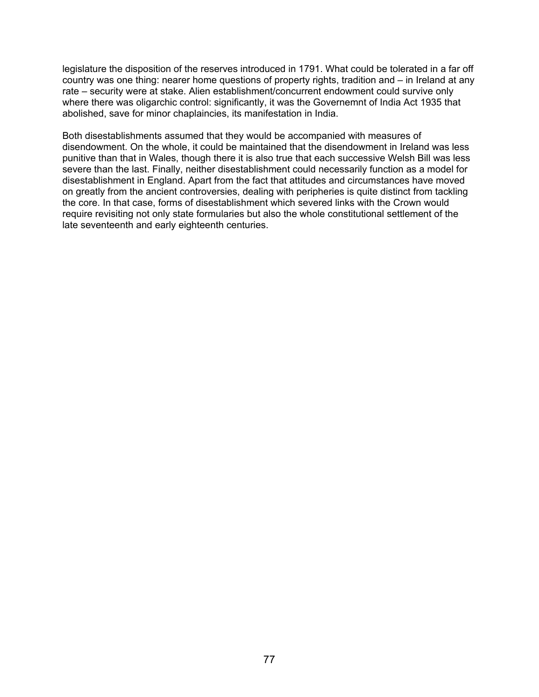legislature the disposition of the reserves introduced in 1791. What could be tolerated in a far off country was one thing: nearer home questions of property rights, tradition and – in Ireland at any rate – security were at stake. Alien establishment/concurrent endowment could survive only where there was oligarchic control: significantly, it was the Governemnt of India Act 1935 that abolished, save for minor chaplaincies, its manifestation in India.

Both disestablishments assumed that they would be accompanied with measures of disendowment. On the whole, it could be maintained that the disendowment in Ireland was less punitive than that in Wales, though there it is also true that each successive Welsh Bill was less severe than the last. Finally, neither disestablishment could necessarily function as a model for disestablishment in England. Apart from the fact that attitudes and circumstances have moved on greatly from the ancient controversies, dealing with peripheries is quite distinct from tackling the core. In that case, forms of disestablishment which severed links with the Crown would require revisiting not only state formularies but also the whole constitutional settlement of the late seventeenth and early eighteenth centuries.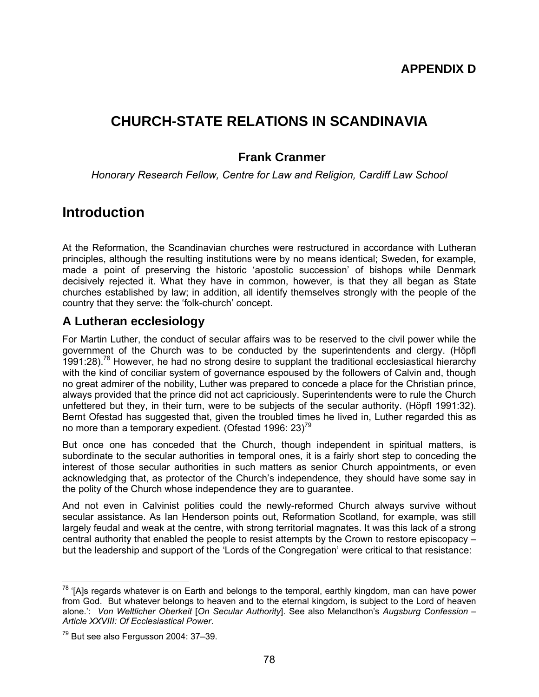# **APPENDIX D**

# **CHURCH-STATE RELATIONS IN SCANDINAVIA**

# **Frank Cranmer**

*Honorary Research Fellow, Centre for Law and Religion, Cardiff Law School* 

# **Introduction**

At the Reformation, the Scandinavian churches were restructured in accordance with Lutheran principles, although the resulting institutions were by no means identical; Sweden, for example, made a point of preserving the historic 'apostolic succession' of bishops while Denmark decisively rejected it. What they have in common, however, is that they all began as State churches established by law; in addition, all identify themselves strongly with the people of the country that they serve: the 'folk-church' concept.

## **A Lutheran ecclesiology**

For Martin Luther, the conduct of secular affairs was to be reserved to the civil power while the government of the Church was to be conducted by the superintendents and clergy. (Höpfl 1991:28).<sup>78</sup> However, he had no strong desire to supplant the traditional ecclesiastical hierarchy with the kind of conciliar system of governance espoused by the followers of Calvin and, though no great admirer of the nobility, Luther was prepared to concede a place for the Christian prince, always provided that the prince did not act capriciously. Superintendents were to rule the Church unfettered but they, in their turn, were to be subjects of the secular authority. (Höpfl 1991:32). Bernt Ofestad has suggested that, given the troubled times he lived in, Luther regarded this as no more than a temporary expedient. (Ofestad 1996:  $23$ )<sup>79</sup>

But once one has conceded that the Church, though independent in spiritual matters, is subordinate to the secular authorities in temporal ones, it is a fairly short step to conceding the interest of those secular authorities in such matters as senior Church appointments, or even acknowledging that, as protector of the Church's independence, they should have some say in the polity of the Church whose independence they are to guarantee.

And not even in Calvinist polities could the newly-reformed Church always survive without secular assistance. As Ian Henderson points out, Reformation Scotland, for example, was still largely feudal and weak at the centre, with strong territorial magnates. It was this lack of a strong central authority that enabled the people to resist attempts by the Crown to restore episcopacy – but the leadership and support of the 'Lords of the Congregation' were critical to that resistance:

l

 $78$  '[A]s regards whatever is on Earth and belongs to the temporal, earthly kingdom, man can have power from God. But whatever belongs to heaven and to the eternal kingdom, is subject to the Lord of heaven alone.': *Von Weltlicher Oberkeit* [*On Secular Authority*]. See also Melancthon's *Augsburg Confession* – *Article XXVIII: Of Ecclesiastical Power*.

 $79$  But see also Fergusson 2004: 37–39.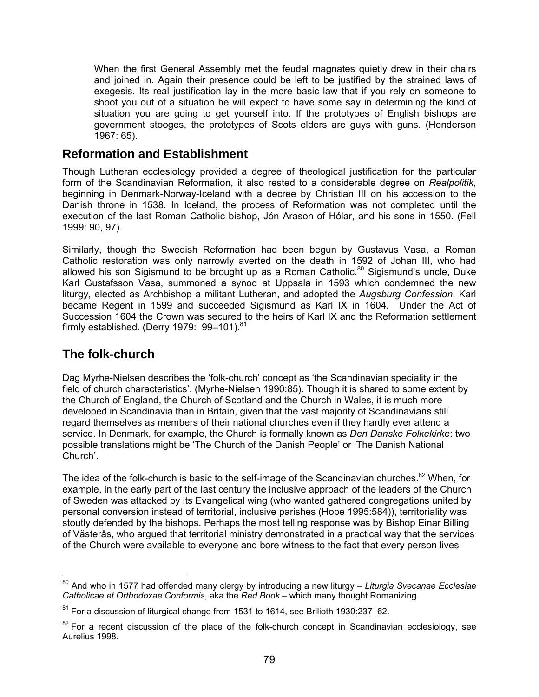When the first General Assembly met the feudal magnates quietly drew in their chairs and joined in. Again their presence could be left to be justified by the strained laws of exegesis. Its real justification lay in the more basic law that if you rely on someone to shoot you out of a situation he will expect to have some say in determining the kind of situation you are going to get yourself into. If the prototypes of English bishops are government stooges, the prototypes of Scots elders are guys with guns. (Henderson 1967: 65).

## **Reformation and Establishment**

Though Lutheran ecclesiology provided a degree of theological justification for the particular form of the Scandinavian Reformation, it also rested to a considerable degree on *Realpolitik*, beginning in Denmark-Norway-Iceland with a decree by Christian III on his accession to the Danish throne in 1538. In Iceland, the process of Reformation was not completed until the execution of the last Roman Catholic bishop, Jón Arason of Hólar, and his sons in 1550. (Fell 1999: 90, 97).

Similarly, though the Swedish Reformation had been begun by Gustavus Vasa, a Roman Catholic restoration was only narrowly averted on the death in 1592 of Johan III, who had allowed his son Sigismund to be brought up as a Roman Catholic.<sup>80</sup> Sigismund's uncle, Duke Karl Gustafsson Vasa, summoned a synod at Uppsala in 1593 which condemned the new liturgy, elected as Archbishop a militant Lutheran, and adopted the *Augsburg Confession*. Karl became Regent in 1599 and succeeded Sigismund as Karl IX in 1604. Under the Act of Succession 1604 the Crown was secured to the heirs of Karl IX and the Reformation settlement firmly established. (Derry 1979:  $99-101$ ).<sup>81</sup>

# **The folk-church**

Dag Myrhe-Nielsen describes the 'folk-church' concept as 'the Scandinavian speciality in the field of church characteristics'. (Myrhe-Nielsen 1990:85). Though it is shared to some extent by the Church of England, the Church of Scotland and the Church in Wales, it is much more developed in Scandinavia than in Britain, given that the vast majority of Scandinavians still regard themselves as members of their national churches even if they hardly ever attend a service. In Denmark, for example, the Church is formally known as *Den Danske Folkekirke*: two possible translations might be 'The Church of the Danish People' or 'The Danish National Church'.

The idea of the folk-church is basic to the self-image of the Scandinavian churches.<sup>82</sup> When, for example, in the early part of the last century the inclusive approach of the leaders of the Church of Sweden was attacked by its Evangelical wing (who wanted gathered congregations united by personal conversion instead of territorial, inclusive parishes (Hope 1995:584)), territoriality was stoutly defended by the bishops. Perhaps the most telling response was by Bishop Einar Billing of Västerås, who argued that territorial ministry demonstrated in a practical way that the services of the Church were available to everyone and bore witness to the fact that every person lives

l 80 And who in 1577 had offended many clergy by introducing a new liturgy – *Liturgia Svecanae Ecclesiae Catholicae et Orthodoxae Conformis*, aka the *Red Book* – which many thought Romanizing.

 $81$  For a discussion of liturgical change from 1531 to 1614, see Brilioth 1930:237–62.

 $82$  For a recent discussion of the place of the folk-church concept in Scandinavian ecclesiology, see Aurelius 1998.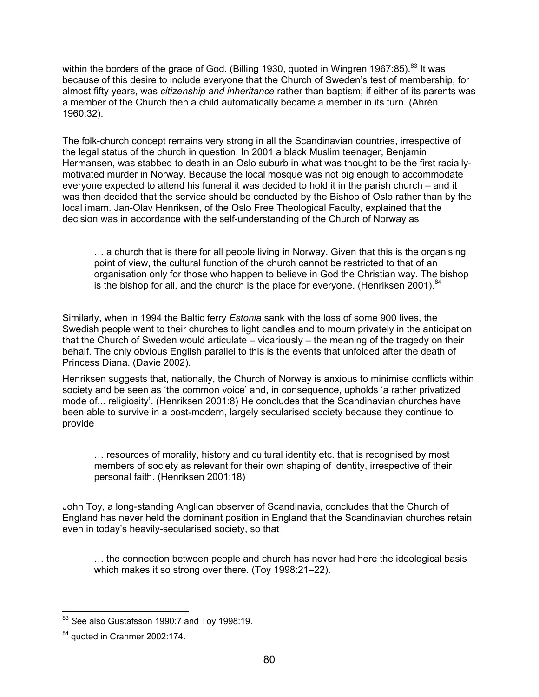within the borders of the grace of God. (Billing 1930, quoted in Wingren 1967:85).<sup>83</sup> It was because of this desire to include everyone that the Church of Sweden's test of membership, for almost fifty years, was *citizenship and inheritance* rather than baptism; if either of its parents was a member of the Church then a child automatically became a member in its turn. (Ahrén 1960:32).

The folk-church concept remains very strong in all the Scandinavian countries, irrespective of the legal status of the church in question. In 2001 a black Muslim teenager, Benjamin Hermansen, was stabbed to death in an Oslo suburb in what was thought to be the first raciallymotivated murder in Norway. Because the local mosque was not big enough to accommodate everyone expected to attend his funeral it was decided to hold it in the parish church – and it was then decided that the service should be conducted by the Bishop of Oslo rather than by the local imam. Jan-Olav Henriksen, of the Oslo Free Theological Faculty, explained that the decision was in accordance with the self-understanding of the Church of Norway as

… a church that is there for all people living in Norway. Given that this is the organising point of view, the cultural function of the church cannot be restricted to that of an organisation only for those who happen to believe in God the Christian way. The bishop is the bishop for all, and the church is the place for everyone. (Henriksen 2001). $84$ 

Similarly, when in 1994 the Baltic ferry *Estonia* sank with the loss of some 900 lives, the Swedish people went to their churches to light candles and to mourn privately in the anticipation that the Church of Sweden would articulate – vicariously – the meaning of the tragedy on their behalf. The only obvious English parallel to this is the events that unfolded after the death of Princess Diana. (Davie 2002).

Henriksen suggests that, nationally, the Church of Norway is anxious to minimise conflicts within society and be seen as 'the common voice' and, in consequence, upholds 'a rather privatized mode of... religiosity'. (Henriksen 2001:8) He concludes that the Scandinavian churches have been able to survive in a post-modern, largely secularised society because they continue to provide

… resources of morality, history and cultural identity etc. that is recognised by most members of society as relevant for their own shaping of identity, irrespective of their personal faith. (Henriksen 2001:18)

John Toy, a long-standing Anglican observer of Scandinavia, concludes that the Church of England has never held the dominant position in England that the Scandinavian churches retain even in today's heavily-secularised society, so that

… the connection between people and church has never had here the ideological basis which makes it so strong over there. (Toy 1998:21–22).

l

<sup>83</sup> *S*ee also Gustafsson 1990:7 and Toy 1998:19.

 $84$  quoted in Cranmer 2002:174.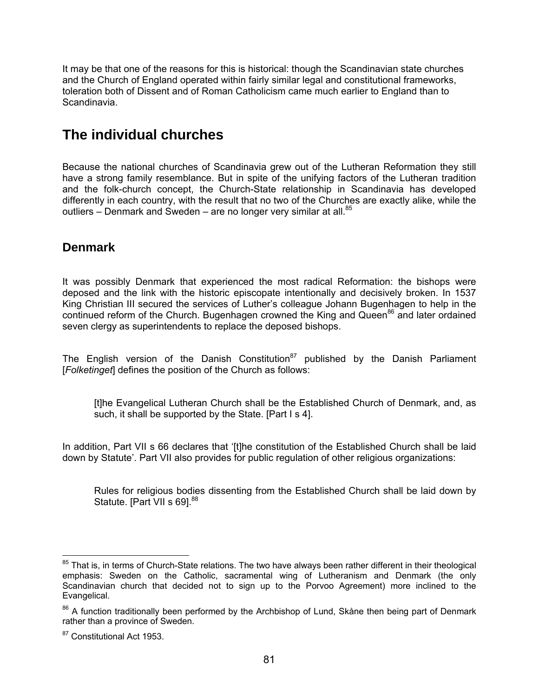It may be that one of the reasons for this is historical: though the Scandinavian state churches and the Church of England operated within fairly similar legal and constitutional frameworks, toleration both of Dissent and of Roman Catholicism came much earlier to England than to Scandinavia.

# **The individual churches**

Because the national churches of Scandinavia grew out of the Lutheran Reformation they still have a strong family resemblance. But in spite of the unifying factors of the Lutheran tradition and the folk-church concept, the Church-State relationship in Scandinavia has developed differently in each country, with the result that no two of the Churches are exactly alike, while the outliers – Denmark and Sweden – are no longer very similar at all. $85$ 

# **Denmark**

It was possibly Denmark that experienced the most radical Reformation: the bishops were deposed and the link with the historic episcopate intentionally and decisively broken. In 1537 King Christian III secured the services of Luther's colleague Johann Bugenhagen to help in the continued reform of the Church. Bugenhagen crowned the King and Queen<sup>86</sup> and later ordained seven clergy as superintendents to replace the deposed bishops.

The English version of the Danish Constitution<sup>87</sup> published by the Danish Parliament [*Folketinget*] defines the position of the Church as follows:

[t]he Evangelical Lutheran Church shall be the Established Church of Denmark, and, as such, it shall be supported by the State. [Part I s 4].

In addition, Part VII s 66 declares that '[t]he constitution of the Established Church shall be laid down by Statute'. Part VII also provides for public regulation of other religious organizations:

Rules for religious bodies dissenting from the Established Church shall be laid down by Statute. [Part VII s 69].<sup>88</sup>

l <sup>85</sup> That is, in terms of Church-State relations. The two have always been rather different in their theological emphasis: Sweden on the Catholic, sacramental wing of Lutheranism and Denmark (the only Scandinavian church that decided not to sign up to the Porvoo Agreement) more inclined to the Evangelical.

<sup>&</sup>lt;sup>86</sup> A function traditionally been performed by the Archbishop of Lund, Skåne then being part of Denmark rather than a province of Sweden.

<sup>&</sup>lt;sup>87</sup> Constitutional Act 1953.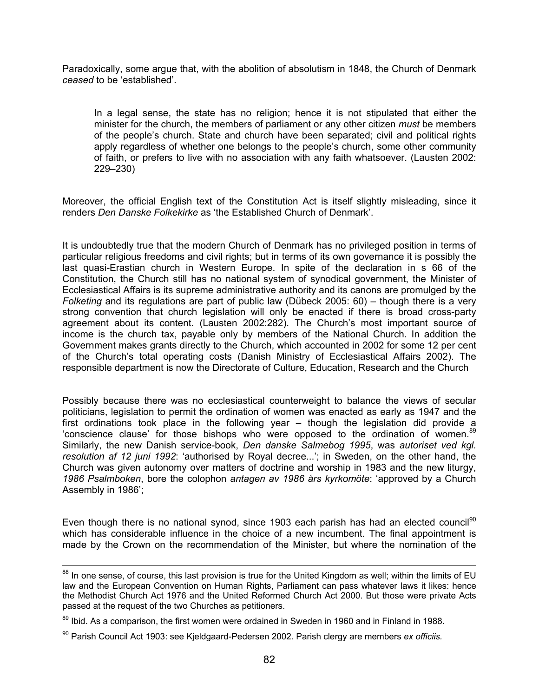Paradoxically, some argue that, with the abolition of absolutism in 1848, the Church of Denmark *ceased* to be 'established'.

In a legal sense, the state has no religion; hence it is not stipulated that either the minister for the church, the members of parliament or any other citizen *must* be members of the people's church. State and church have been separated; civil and political rights apply regardless of whether one belongs to the people's church, some other community of faith, or prefers to live with no association with any faith whatsoever. (Lausten 2002: 229–230)

Moreover, the official English text of the Constitution Act is itself slightly misleading, since it renders *Den Danske Folkekirke* as 'the Established Church of Denmark'.

It is undoubtedly true that the modern Church of Denmark has no privileged position in terms of particular religious freedoms and civil rights; but in terms of its own governance it is possibly the last quasi-Erastian church in Western Europe. In spite of the declaration in s 66 of the Constitution, the Church still has no national system of synodical government, the Minister of Ecclesiastical Affairs is its supreme administrative authority and its canons are promulged by the *Folketing* and its regulations are part of public law (Dübeck 2005: 60) – though there is a very strong convention that church legislation will only be enacted if there is broad cross-party agreement about its content. (Lausten 2002:282). The Church's most important source of income is the church tax, payable only by members of the National Church. In addition the Government makes grants directly to the Church, which accounted in 2002 for some 12 per cent of the Church's total operating costs (Danish Ministry of Ecclesiastical Affairs 2002). The responsible department is now the Directorate of Culture, Education, Research and the Church

Possibly because there was no ecclesiastical counterweight to balance the views of secular politicians, legislation to permit the ordination of women was enacted as early as 1947 and the first ordinations took place in the following year – though the legislation did provide a 'conscience clause' for those bishops who were opposed to the ordination of women.<sup>89</sup> Similarly, the new Danish service-book, *Den danske Salmebog 1995*, was *autoriset ved kgl. resolution af 12 juni 1992*: 'authorised by Royal decree...'; in Sweden, on the other hand, the Church was given autonomy over matters of doctrine and worship in 1983 and the new liturgy, *1986 Psalmboken*, bore the colophon *antagen av 1986 års kyrkomöte*: 'approved by a Church Assembly in 1986';

Even though there is no national synod, since 1903 each parish has had an elected council<sup>90</sup> which has considerable influence in the choice of a new incumbent. The final appointment is made by the Crown on the recommendation of the Minister, but where the nomination of the

<sup>&</sup>lt;sup>88</sup> In one sense, of course, this last provision is true for the United Kingdom as well; within the limits of EU law and the European Convention on Human Rights, Parliament can pass whatever laws it likes: hence the Methodist Church Act 1976 and the United Reformed Church Act 2000. But those were private Acts passed at the request of the two Churches as petitioners.

<sup>&</sup>lt;sup>89</sup> Ibid. As a comparison, the first women were ordained in Sweden in 1960 and in Finland in 1988.

<sup>90</sup> Parish Council Act 1903: see Kjeldgaard-Pedersen 2002. Parish clergy are members *ex officiis.*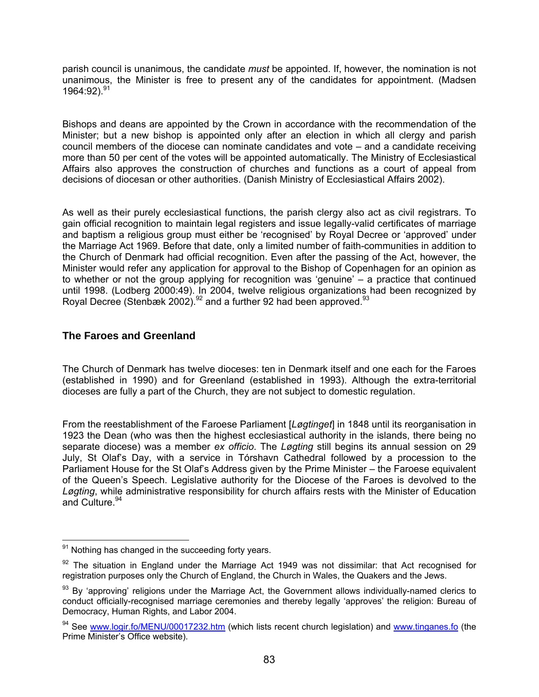parish council is unanimous, the candidate *must* be appointed. If, however, the nomination is not unanimous, the Minister is free to present any of the candidates for appointment. (Madsen  $1964:92$ ).<sup>91</sup>

Bishops and deans are appointed by the Crown in accordance with the recommendation of the Minister; but a new bishop is appointed only after an election in which all clergy and parish council members of the diocese can nominate candidates and vote – and a candidate receiving more than 50 per cent of the votes will be appointed automatically. The Ministry of Ecclesiastical Affairs also approves the construction of churches and functions as a court of appeal from decisions of diocesan or other authorities. (Danish Ministry of Ecclesiastical Affairs 2002).

As well as their purely ecclesiastical functions, the parish clergy also act as civil registrars. To gain official recognition to maintain legal registers and issue legally-valid certificates of marriage and baptism a religious group must either be 'recognised' by Royal Decree or 'approved' under the Marriage Act 1969. Before that date, only a limited number of faith-communities in addition to the Church of Denmark had official recognition. Even after the passing of the Act, however, the Minister would refer any application for approval to the Bishop of Copenhagen for an opinion as to whether or not the group applying for recognition was 'genuine' – a practice that continued until 1998. (Lodberg 2000:49). In 2004, twelve religious organizations had been recognized by Royal Decree (Stenbæk 2002).<sup>92</sup> and a further 92 had been approved.<sup>93</sup>

### **The Faroes and Greenland**

The Church of Denmark has twelve dioceses: ten in Denmark itself and one each for the Faroes (established in 1990) and for Greenland (established in 1993). Although the extra-territorial dioceses are fully a part of the Church, they are not subject to domestic regulation.

From the reestablishment of the Faroese Parliament [*Løgtinget*] in 1848 until its reorganisation in 1923 the Dean (who was then the highest ecclesiastical authority in the islands, there being no separate diocese) was a member *ex officio*. The *Løgting* still begins its annual session on 29 July, St Olaf's Day, with a service in Tórshavn Cathedral followed by a procession to the Parliament House for the St Olaf's Address given by the Prime Minister – the Faroese equivalent of the Queen's Speech. Legislative authority for the Diocese of the Faroes is devolved to the *Løgting*, while administrative responsibility for church affairs rests with the Minister of Education and Culture.<sup>94</sup>

l <sup>91</sup> Nothing has changed in the succeeding forty years.

 $92$  The situation in England under the Marriage Act 1949 was not dissimilar: that Act recognised for registration purposes only the Church of England, the Church in Wales, the Quakers and the Jews.

<sup>93</sup> By 'approving' religions under the Marriage Act, the Government allows individually-named clerics to conduct officially-recognised marriage ceremonies and thereby legally 'approves' the religion: Bureau of Democracy, Human Rights, and Labor 2004.

<sup>94</sup> See www.logir.fo/MENU/00017232.htm (which lists recent church legislation) and www.tinganes.fo (the Prime Minister's Office website).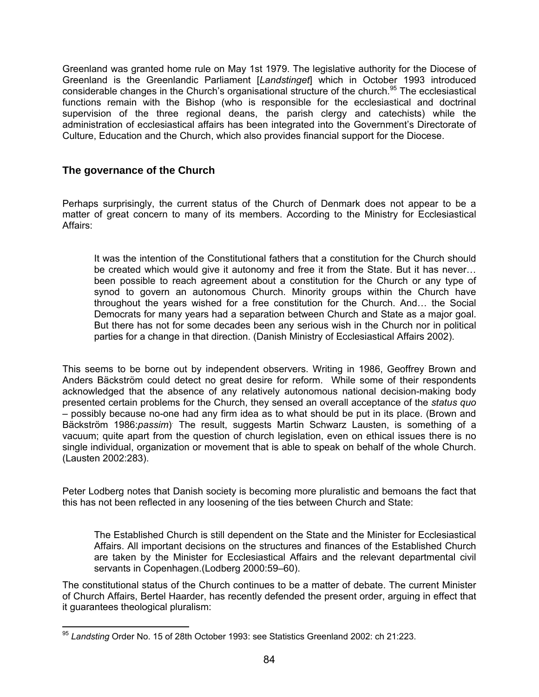Greenland was granted home rule on May 1st 1979. The legislative authority for the Diocese of Greenland is the Greenlandic Parliament [*Landstinget*] which in October 1993 introduced considerable changes in the Church's organisational structure of the church.<sup>95</sup> The ecclesiastical functions remain with the Bishop (who is responsible for the ecclesiastical and doctrinal supervision of the three regional deans, the parish clergy and catechists) while the administration of ecclesiastical affairs has been integrated into the Government's Directorate of Culture, Education and the Church, which also provides financial support for the Diocese.

### **The governance of the Church**

Perhaps surprisingly, the current status of the Church of Denmark does not appear to be a matter of great concern to many of its members. According to the Ministry for Ecclesiastical Affairs:

It was the intention of the Constitutional fathers that a constitution for the Church should be created which would give it autonomy and free it from the State. But it has never… been possible to reach agreement about a constitution for the Church or any type of synod to govern an autonomous Church. Minority groups within the Church have throughout the years wished for a free constitution for the Church. And… the Social Democrats for many years had a separation between Church and State as a major goal. But there has not for some decades been any serious wish in the Church nor in political parties for a change in that direction. (Danish Ministry of Ecclesiastical Affairs 2002).

This seems to be borne out by independent observers. Writing in 1986, Geoffrey Brown and Anders Bäckström could detect no great desire for reform. While some of their respondents acknowledged that the absence of any relatively autonomous national decision-making body presented certain problems for the Church, they sensed an overall acceptance of the *status quo*  – possibly because no-one had any firm idea as to what should be put in its place. (Brown and Bäckström 1986: passim) The result, suggests Martin Schwarz Lausten, is something of a vacuum; quite apart from the question of church legislation, even on ethical issues there is no single individual, organization or movement that is able to speak on behalf of the whole Church. (Lausten 2002:283).

Peter Lodberg notes that Danish society is becoming more pluralistic and bemoans the fact that this has not been reflected in any loosening of the ties between Church and State:

The Established Church is still dependent on the State and the Minister for Ecclesiastical Affairs. All important decisions on the structures and finances of the Established Church are taken by the Minister for Ecclesiastical Affairs and the relevant departmental civil servants in Copenhagen.(Lodberg 2000:59–60).

The constitutional status of the Church continues to be a matter of debate. The current Minister of Church Affairs, Bertel Haarder, has recently defended the present order, arguing in effect that it guarantees theological pluralism:

l <sup>95</sup> *Landsting* Order No. 15 of 28th October 1993: see Statistics Greenland 2002: ch 21:223.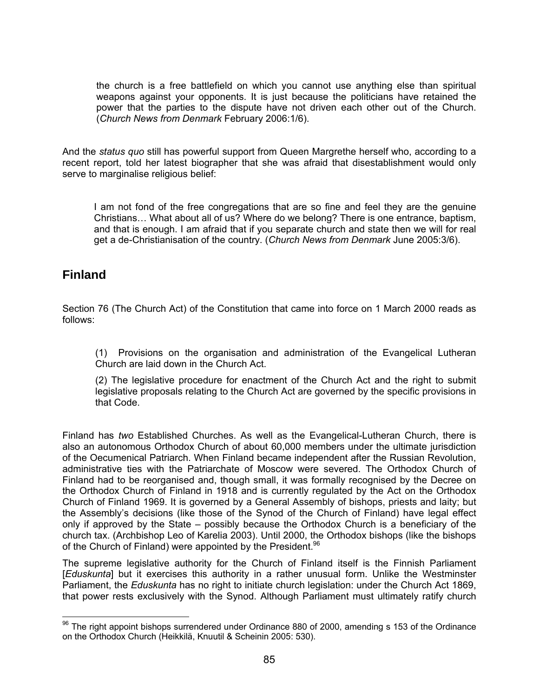the church is a free battlefield on which you cannot use anything else than spiritual weapons against your opponents. It is just because the politicians have retained the power that the parties to the dispute have not driven each other out of the Church. (*Church News from Denmark* February 2006:1/6).

And the *status quo* still has powerful support from Queen Margrethe herself who, according to a recent report, told her latest biographer that she was afraid that disestablishment would only serve to marginalise religious belief:

I am not fond of the free congregations that are so fine and feel they are the genuine Christians… What about all of us? Where do we belong? There is one entrance, baptism, and that is enough. I am afraid that if you separate church and state then we will for real get a de-Christianisation of the country. (*Church News from Denmark* June 2005:3/6).

# **Finland**

l

Section 76 (The Church Act) of the Constitution that came into force on 1 March 2000 reads as follows:

(1) Provisions on the organisation and administration of the Evangelical Lutheran Church are laid down in the Church Act.

(2) The legislative procedure for enactment of the Church Act and the right to submit legislative proposals relating to the Church Act are governed by the specific provisions in that Code.

Finland has *two* Established Churches. As well as the Evangelical-Lutheran Church, there is also an autonomous Orthodox Church of about 60,000 members under the ultimate jurisdiction of the Oecumenical Patriarch. When Finland became independent after the Russian Revolution, administrative ties with the Patriarchate of Moscow were severed. The Orthodox Church of Finland had to be reorganised and, though small, it was formally recognised by the Decree on the Orthodox Church of Finland in 1918 and is currently regulated by the Act on the Orthodox Church of Finland 1969. It is governed by a General Assembly of bishops, priests and laity; but the Assembly's decisions (like those of the Synod of the Church of Finland) have legal effect only if approved by the State – possibly because the Orthodox Church is a beneficiary of the church tax. (Archbishop Leo of Karelia 2003). Until 2000, the Orthodox bishops (like the bishops of the Church of Finland) were appointed by the President.<sup>96</sup>

The supreme legislative authority for the Church of Finland itself is the Finnish Parliament [*Eduskunta*] but it exercises this authority in a rather unusual form. Unlike the Westminster Parliament, the *Eduskunta* has no right to initiate church legislation: under the Church Act 1869, that power rests exclusively with the Synod. Although Parliament must ultimately ratify church

 $96$  The right appoint bishops surrendered under Ordinance 880 of 2000, amending s 153 of the Ordinance on the Orthodox Church (Heikkilä, Knuutil & Scheinin 2005: 530).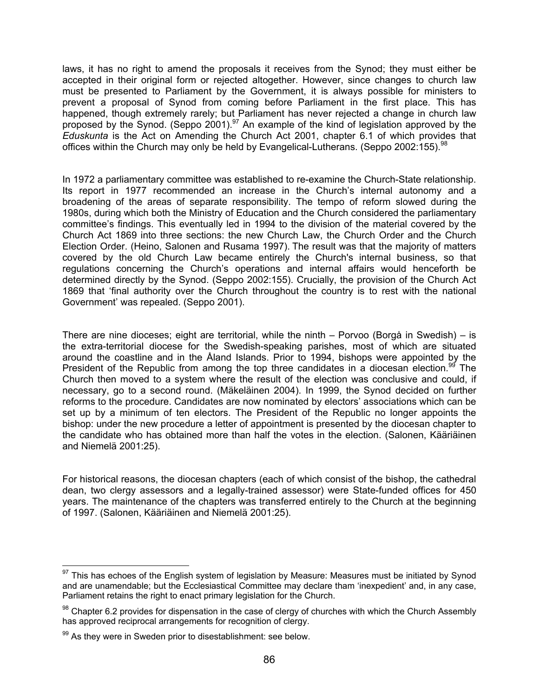laws, it has no right to amend the proposals it receives from the Synod; they must either be accepted in their original form or rejected altogether. However, since changes to church law must be presented to Parliament by the Government, it is always possible for ministers to prevent a proposal of Synod from coming before Parliament in the first place. This has happened, though extremely rarely; but Parliament has never rejected a change in church law proposed by the Synod. (Seppo 2001).<sup>97</sup> An example of the kind of legislation approved by the *Eduskunta* is the Act on Amending the Church Act 2001, chapter 6.1 of which provides that offices within the Church may only be held by Evangelical-Lutherans. (Seppo 2002:155).<sup>98</sup>

In 1972 a parliamentary committee was established to re-examine the Church-State relationship. Its report in 1977 recommended an increase in the Church's internal autonomy and a broadening of the areas of separate responsibility. The tempo of reform slowed during the 1980s, during which both the Ministry of Education and the Church considered the parliamentary committee's findings. This eventually led in 1994 to the division of the material covered by the Church Act 1869 into three sections: the new Church Law, the Church Order and the Church Election Order. (Heino, Salonen and Rusama 1997). The result was that the majority of matters covered by the old Church Law became entirely the Church's internal business, so that regulations concerning the Church's operations and internal affairs would henceforth be determined directly by the Synod. (Seppo 2002:155). Crucially, the provision of the Church Act 1869 that 'final authority over the Church throughout the country is to rest with the national Government' was repealed. (Seppo 2001).

There are nine dioceses; eight are territorial, while the ninth – Porvoo (Borgå in Swedish) – is the extra-territorial diocese for the Swedish-speaking parishes, most of which are situated around the coastline and in the Åland Islands. Prior to 1994, bishops were appointed by the President of the Republic from among the top three candidates in a diocesan election.<sup>99</sup> The Church then moved to a system where the result of the election was conclusive and could, if necessary, go to a second round. (Mäkeläinen 2004). In 1999, the Synod decided on further reforms to the procedure. Candidates are now nominated by electors' associations which can be set up by a minimum of ten electors. The President of the Republic no longer appoints the bishop: under the new procedure a letter of appointment is presented by the diocesan chapter to the candidate who has obtained more than half the votes in the election. (Salonen, Kääriäinen and Niemelä 2001:25).

For historical reasons, the diocesan chapters (each of which consist of the bishop, the cathedral dean, two clergy assessors and a legally-trained assessor) were State-funded offices for 450 years. The maintenance of the chapters was transferred entirely to the Church at the beginning of 1997. (Salonen, Kääriäinen and Niemelä 2001:25).

l

 $97$  This has echoes of the English system of legislation by Measure: Measures must be initiated by Synod and are unamendable; but the Ecclesiastical Committee may declare tham 'inexpedient' and, in any case, Parliament retains the right to enact primary legislation for the Church.

<sup>98</sup> Chapter 6.2 provides for dispensation in the case of clergy of churches with which the Church Assembly has approved reciprocal arrangements for recognition of clergy.

 $99$  As they were in Sweden prior to disestablishment: see below.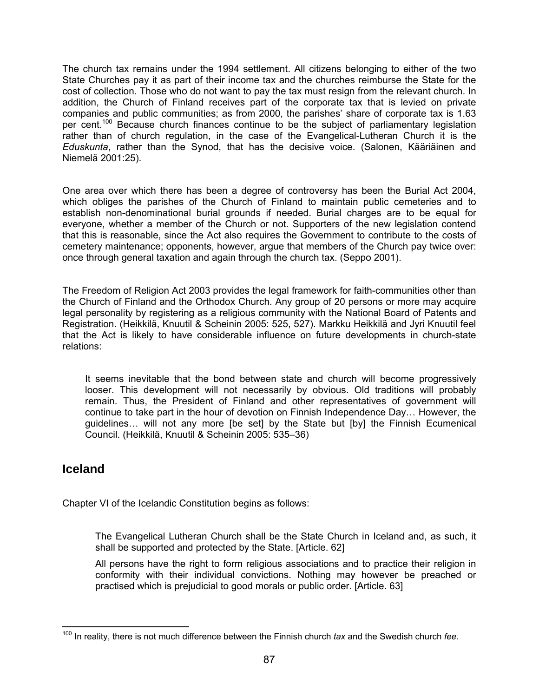The church tax remains under the 1994 settlement. All citizens belonging to either of the two State Churches pay it as part of their income tax and the churches reimburse the State for the cost of collection. Those who do not want to pay the tax must resign from the relevant church. In addition, the Church of Finland receives part of the corporate tax that is levied on private companies and public communities; as from 2000, the parishes' share of corporate tax is 1.63 per cent.<sup>100</sup> Because church finances continue to be the subject of parliamentary legislation rather than of church regulation, in the case of the Evangelical-Lutheran Church it is the *Eduskunta*, rather than the Synod, that has the decisive voice. (Salonen, Kääriäinen and Niemelä 2001:25).

One area over which there has been a degree of controversy has been the Burial Act 2004, which obliges the parishes of the Church of Finland to maintain public cemeteries and to establish non-denominational burial grounds if needed. Burial charges are to be equal for everyone, whether a member of the Church or not. Supporters of the new legislation contend that this is reasonable, since the Act also requires the Government to contribute to the costs of cemetery maintenance; opponents, however, argue that members of the Church pay twice over: once through general taxation and again through the church tax. (Seppo 2001).

The Freedom of Religion Act 2003 provides the legal framework for faith-communities other than the Church of Finland and the Orthodox Church. Any group of 20 persons or more may acquire legal personality by registering as a religious community with the National Board of Patents and Registration. (Heikkilä, Knuutil & Scheinin 2005: 525, 527). Markku Heikkilä and Jyri Knuutil feel that the Act is likely to have considerable influence on future developments in church-state relations:

It seems inevitable that the bond between state and church will become progressively looser. This development will not necessarily by obvious. Old traditions will probably remain. Thus, the President of Finland and other representatives of government will continue to take part in the hour of devotion on Finnish Independence Day… However, the guidelines… will not any more [be set] by the State but [by] the Finnish Ecumenical Council. (Heikkilä, Knuutil & Scheinin 2005: 535–36)

## **Iceland**

Chapter VI of the Icelandic Constitution begins as follows:

The Evangelical Lutheran Church shall be the State Church in Iceland and, as such, it shall be supported and protected by the State. [Article. 62]

All persons have the right to form religious associations and to practice their religion in conformity with their individual convictions. Nothing may however be preached or practised which is prejudicial to good morals or public order. [Article. 63]

l 100 In reality, there is not much difference between the Finnish church *tax* and the Swedish church *fee*.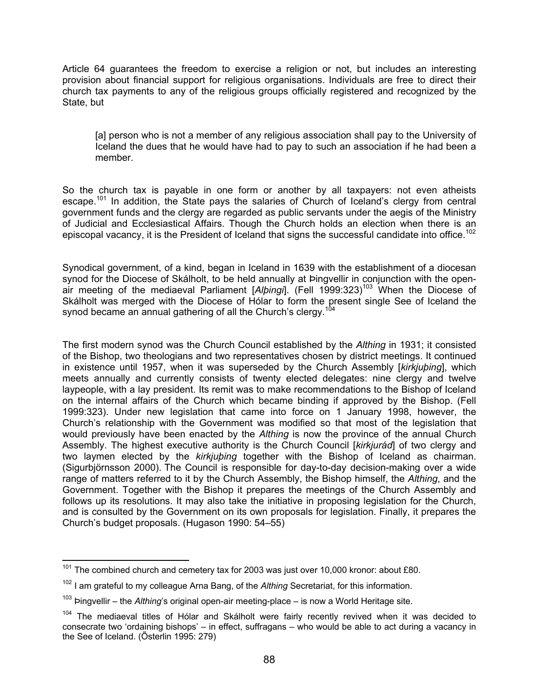Article 64 guarantees the freedom to exercise a religion or not, but includes an interesting provision about financial support for religious organisations. Individuals are free to direct their church tax payments to any of the religious groups officially registered and recognized by the State, but

[a] person who is not a member of any religious association shall pay to the University of Iceland the dues that he would have had to pay to such an association if he had been a member.

So the church tax is payable in one form or another by all taxpayers: not even atheists escape.<sup>101</sup> In addition, the State pays the salaries of Church of Iceland's clergy from central government funds and the clergy are regarded as public servants under the aegis of the Ministry of Judicial and Ecclesiastical Affairs. Though the Church holds an election when there is an episcopal vacancy, it is the President of Iceland that signs the successful candidate into office.<sup>102</sup>

Synodical government, of a kind, began in Iceland in 1639 with the establishment of a diocesan synod for the Diocese of Skálholt, to be held annually at Þingvellir in conjunction with the openair meeting of the mediaeval Parliament [*Alþingi*]. (Fell 1999:323)103 When the Diocese of Skálholt was merged with the Diocese of Hólar to form the present single See of Iceland the synod became an annual gathering of all the Church's clergy.<sup>104</sup>

The first modern synod was the Church Council established by the *Althing* in 1931; it consisted of the Bishop, two theologians and two representatives chosen by district meetings. It continued in existence until 1957, when it was superseded by the Church Assembly [*kirkjuþing*], which meets annually and currently consists of twenty elected delegates: nine clergy and twelve laypeople, with a lay president. Its remit was to make recommendations to the Bishop of Iceland on the internal affairs of the Church which became binding if approved by the Bishop. (Fell 1999:323). Under new legislation that came into force on 1 January 1998, however, the Church's relationship with the Government was modified so that most of the legislation that would previously have been enacted by the *Althing* is now the province of the annual Church Assembly. The highest executive authority is the Church Council [*kirkjurád*] of two clergy and two laymen elected by the *kirkjuþing* together with the Bishop of Iceland as chairman. (Sigurbjörnsson 2000). The Council is responsible for day-to-day decision-making over a wide range of matters referred to it by the Church Assembly, the Bishop himself, the *Althing*, and the Government. Together with the Bishop it prepares the meetings of the Church Assembly and follows up its resolutions. It may also take the initiative in proposing legislation for the Church, and is consulted by the Government on its own proposals for legislation. Finally, it prepares the Church's budget proposals. (Hugason 1990: 54–55)

l

 $101$  The combined church and cemetery tax for 2003 was just over 10,000 kronor: about £80.

<sup>102</sup> I am grateful to my colleague Arna Bang, of the *Althing* Secretariat, for this information.

<sup>103</sup> Þingvellir – the *Althing*'s original open-air meeting-place – is now a World Heritage site.

<sup>&</sup>lt;sup>104</sup> The mediaeval titles of Hólar and Skálholt were fairly recently revived when it was decided to consecrate two 'ordaining bishops' *–* in effect, suffragans *–* who would be able to act during a vacancy in the See of Iceland. (Ősterlin 1995: 279)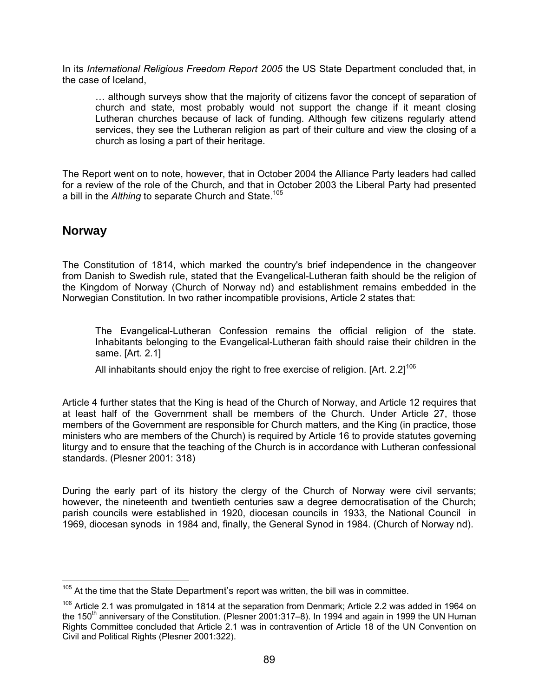In its *International Religious Freedom Report 2005* the US State Department concluded that, in the case of Iceland,

… although surveys show that the majority of citizens favor the concept of separation of church and state, most probably would not support the change if it meant closing Lutheran churches because of lack of funding. Although few citizens regularly attend services, they see the Lutheran religion as part of their culture and view the closing of a church as losing a part of their heritage.

The Report went on to note, however, that in October 2004 the Alliance Party leaders had called for a review of the role of the Church, and that in October 2003 the Liberal Party had presented a bill in the *Althing* to separate Church and State.105

## **Norway**

l

The Constitution of 1814, which marked the country's brief independence in the changeover from Danish to Swedish rule, stated that the Evangelical-Lutheran faith should be the religion of the Kingdom of Norway (Church of Norway nd) and establishment remains embedded in the Norwegian Constitution. In two rather incompatible provisions, Article 2 states that:

The Evangelical-Lutheran Confession remains the official religion of the state. Inhabitants belonging to the Evangelical-Lutheran faith should raise their children in the same. [Art. 2.1]

All inhabitants should enjoy the right to free exercise of religion. [Art. 2.2]<sup>106</sup>

Article 4 further states that the King is head of the Church of Norway, and Article 12 requires that at least half of the Government shall be members of the Church. Under Article 27, those members of the Government are responsible for Church matters, and the King (in practice, those ministers who are members of the Church) is required by Article 16 to provide statutes governing liturgy and to ensure that the teaching of the Church is in accordance with Lutheran confessional standards. (Plesner 2001: 318)

During the early part of its history the clergy of the Church of Norway were civil servants; however, the nineteenth and twentieth centuries saw a degree democratisation of the Church; parish councils were established in 1920, diocesan councils in 1933, the National Council in 1969, diocesan synods in 1984 and, finally, the General Synod in 1984. (Church of Norway nd).

 $105$  At the time that the State Department's report was written, the bill was in committee.

 $106$  Article 2.1 was promulgated in 1814 at the separation from Denmark; Article 2.2 was added in 1964 on the 150<sup>th</sup> anniversary of the Constitution. (Plesner 2001:317–8). In 1994 and again in 1999 the UN Human Rights Committee concluded that Article 2.1 was in contravention of Article 18 of the UN Convention on Civil and Political Rights (Plesner 2001:322).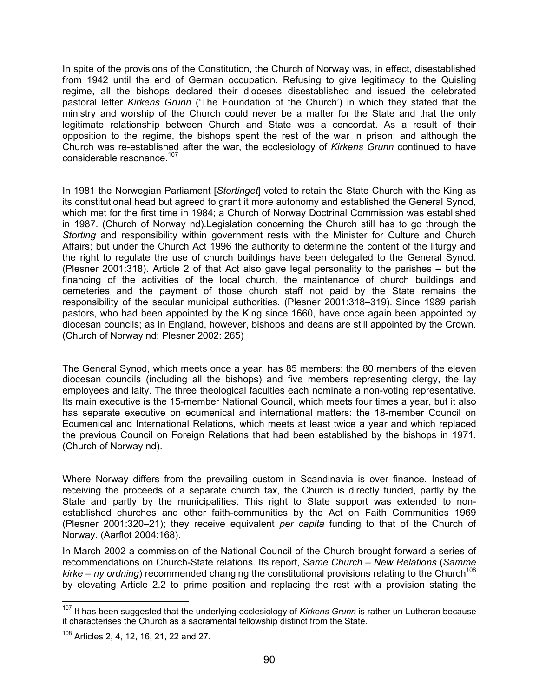In spite of the provisions of the Constitution, the Church of Norway was, in effect, disestablished from 1942 until the end of German occupation. Refusing to give legitimacy to the Quisling regime, all the bishops declared their dioceses disestablished and issued the celebrated pastoral letter *Kirkens Grunn* ('The Foundation of the Church') in which they stated that the ministry and worship of the Church could never be a matter for the State and that the only legitimate relationship between Church and State was a concordat. As a result of their opposition to the regime, the bishops spent the rest of the war in prison; and although the Church was re-established after the war, the ecclesiology of *Kirkens Grunn* continued to have considerable resonance.<sup>107</sup>

In 1981 the Norwegian Parliament [*Stortinget*] voted to retain the State Church with the King as its constitutional head but agreed to grant it more autonomy and established the General Synod, which met for the first time in 1984; a Church of Norway Doctrinal Commission was established in 1987. (Church of Norway nd).Legislation concerning the Church still has to go through the *Storting* and responsibility within government rests with the Minister for Culture and Church Affairs; but under the Church Act 1996 the authority to determine the content of the liturgy and the right to regulate the use of church buildings have been delegated to the General Synod. (Plesner 2001:318). Article 2 of that Act also gave legal personality to the parishes – but the financing of the activities of the local church, the maintenance of church buildings and cemeteries and the payment of those church staff not paid by the State remains the responsibility of the secular municipal authorities. (Plesner 2001:318–319). Since 1989 parish pastors, who had been appointed by the King since 1660, have once again been appointed by diocesan councils; as in England, however, bishops and deans are still appointed by the Crown. (Church of Norway nd; Plesner 2002: 265)

The General Synod, which meets once a year, has 85 members: the 80 members of the eleven diocesan councils (including all the bishops) and five members representing clergy, the lay employees and laity. The three theological faculties each nominate a non-voting representative. Its main executive is the 15-member National Council, which meets four times a year, but it also has separate executive on ecumenical and international matters: the 18-member Council on Ecumenical and International Relations, which meets at least twice a year and which replaced the previous Council on Foreign Relations that had been established by the bishops in 1971. (Church of Norway nd).

Where Norway differs from the prevailing custom in Scandinavia is over finance. Instead of receiving the proceeds of a separate church tax, the Church is directly funded, partly by the State and partly by the municipalities. This right to State support was extended to nonestablished churches and other faith-communities by the Act on Faith Communities 1969 (Plesner 2001:320–21); they receive equivalent *per capita* funding to that of the Church of Norway. (Aarflot 2004:168).

In March 2002 a commission of the National Council of the Church brought forward a series of recommendations on Church-State relations. Its report, *Same Church – New Relations* (*Samme kirke – ny ordning*) recommended changing the constitutional provisions relating to the Church<sup>108</sup> by elevating Article 2.2 to prime position and replacing the rest with a provision stating the

l

<sup>&</sup>lt;sup>107</sup> It has been suggested that the underlying ecclesiology of *Kirkens Grunn* is rather un-Lutheran because it characterises the Church as a sacramental fellowship distinct from the State.

<sup>&</sup>lt;sup>108</sup> Articles 2, 4, 12, 16, 21, 22 and 27.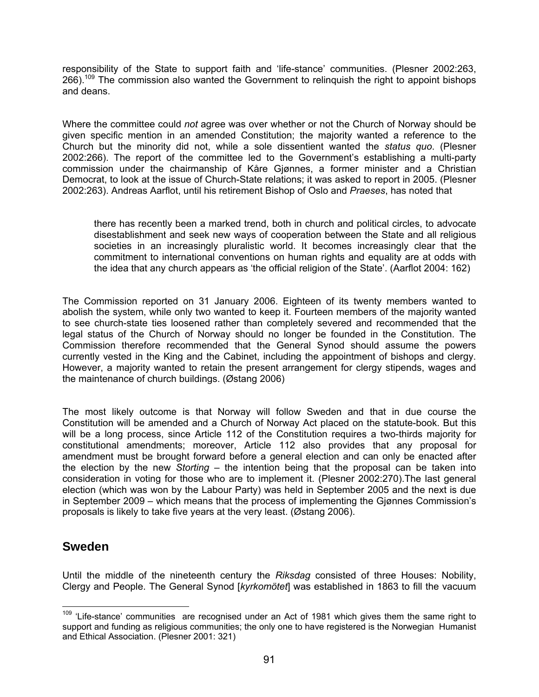responsibility of the State to support faith and 'life-stance' communities. (Plesner 2002:263,  $266$ ).<sup>109</sup> The commission also wanted the Government to relinguish the right to appoint bishops and deans.

Where the committee could *not* agree was over whether or not the Church of Norway should be given specific mention in an amended Constitution; the majority wanted a reference to the Church but the minority did not, while a sole dissentient wanted the *status quo*. (Plesner 2002:266). The report of the committee led to the Government's establishing a multi-party commission under the chairmanship of Kåre Gjønnes, a former minister and a Christian Democrat, to look at the issue of Church-State relations; it was asked to report in 2005. (Plesner 2002:263). Andreas Aarflot, until his retirement Bishop of Oslo and *Praeses*, has noted that

there has recently been a marked trend, both in church and political circles, to advocate disestablishment and seek new ways of cooperation between the State and all religious societies in an increasingly pluralistic world. It becomes increasingly clear that the commitment to international conventions on human rights and equality are at odds with the idea that any church appears as 'the official religion of the State'. (Aarflot 2004: 162)

The Commission reported on 31 January 2006. Eighteen of its twenty members wanted to abolish the system, while only two wanted to keep it. Fourteen members of the majority wanted to see church-state ties loosened rather than completely severed and recommended that the legal status of the Church of Norway should no longer be founded in the Constitution. The Commission therefore recommended that the General Synod should assume the powers currently vested in the King and the Cabinet, including the appointment of bishops and clergy. However, a majority wanted to retain the present arrangement for clergy stipends, wages and the maintenance of church buildings. (Østang 2006)

The most likely outcome is that Norway will follow Sweden and that in due course the Constitution will be amended and a Church of Norway Act placed on the statute-book. But this will be a long process, since Article 112 of the Constitution requires a two-thirds majority for constitutional amendments; moreover, Article 112 also provides that any proposal for amendment must be brought forward before a general election and can only be enacted after the election by the new *Storting* – the intention being that the proposal can be taken into consideration in voting for those who are to implement it. (Plesner 2002:270).The last general election (which was won by the Labour Party) was held in September 2005 and the next is due in September 2009 – which means that the process of implementing the Gjønnes Commission's proposals is likely to take five years at the very least. (Østang 2006).

## **Sweden**

l

Until the middle of the nineteenth century the *Riksdag* consisted of three Houses: Nobility, Clergy and People. The General Synod [*kyrkomötet*] was established in 1863 to fill the vacuum

<sup>&</sup>lt;sup>109</sup> 'Life-stance' communities are recognised under an Act of 1981 which gives them the same right to support and funding as religious communities; the only one to have registered is the Norwegian Humanist and Ethical Association. (Plesner 2001: 321)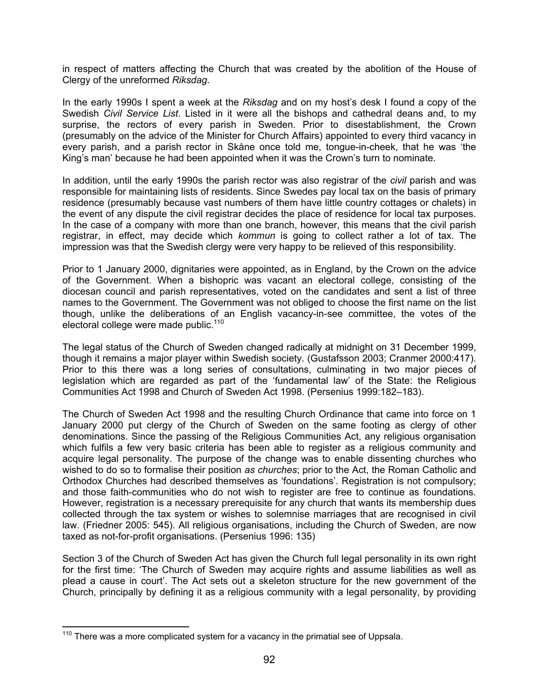in respect of matters affecting the Church that was created by the abolition of the House of Clergy of the unreformed *Riksdag*.

In the early 1990s I spent a week at the *Riksdag* and on my host's desk I found a copy of the Swedish *Civil Service List*. Listed in it were all the bishops and cathedral deans and, to my surprise, the rectors of every parish in Sweden. Prior to disestablishment, the Crown (presumably on the advice of the Minister for Church Affairs) appointed to every third vacancy in every parish, and a parish rector in Skåne once told me, tongue-in-cheek, that he was 'the King's man' because he had been appointed when it was the Crown's turn to nominate.

In addition, until the early 1990s the parish rector was also registrar of the *civil* parish and was responsible for maintaining lists of residents. Since Swedes pay local tax on the basis of primary residence (presumably because vast numbers of them have little country cottages or chalets) in the event of any dispute the civil registrar decides the place of residence for local tax purposes. In the case of a company with more than one branch, however, this means that the civil parish registrar, in effect, may decide which *kommun* is going to collect rather a lot of tax. The impression was that the Swedish clergy were very happy to be relieved of this responsibility.

Prior to 1 January 2000, dignitaries were appointed, as in England, by the Crown on the advice of the Government. When a bishopric was vacant an electoral college, consisting of the diocesan council and parish representatives, voted on the candidates and sent a list of three names to the Government. The Government was not obliged to choose the first name on the list though, unlike the deliberations of an English vacancy-in-see committee, the votes of the electoral college were made public.<sup>110</sup>

The legal status of the Church of Sweden changed radically at midnight on 31 December 1999, though it remains a major player within Swedish society. (Gustafsson 2003; Cranmer 2000:417). Prior to this there was a long series of consultations, culminating in two major pieces of legislation which are regarded as part of the 'fundamental law' of the State: the Religious Communities Act 1998 and Church of Sweden Act 1998. (Persenius 1999:182–183).

The Church of Sweden Act 1998 and the resulting Church Ordinance that came into force on 1 January 2000 put clergy of the Church of Sweden on the same footing as clergy of other denominations. Since the passing of the Religious Communities Act, any religious organisation which fulfils a few very basic criteria has been able to register as a religious community and acquire legal personality. The purpose of the change was to enable dissenting churches who wished to do so to formalise their position *as churches*; prior to the Act, the Roman Catholic and Orthodox Churches had described themselves as 'foundations'. Registration is not compulsory; and those faith-communities who do not wish to register are free to continue as foundations. However, registration is a necessary prerequisite for any church that wants its membership dues collected through the tax system or wishes to solemnise marriages that are recognised in civil law. (Friedner 2005: 545). All religious organisations, including the Church of Sweden, are now taxed as not-for-profit organisations. (Persenius 1996: 135)

Section 3 of the Church of Sweden Act has given the Church full legal personality in its own right for the first time: 'The Church of Sweden may acquire rights and assume liabilities as well as plead a cause in court'. The Act sets out a skeleton structure for the new government of the Church, principally by defining it as a religious community with a legal personality, by providing

l

 $110$  There was a more complicated system for a vacancy in the primatial see of Uppsala.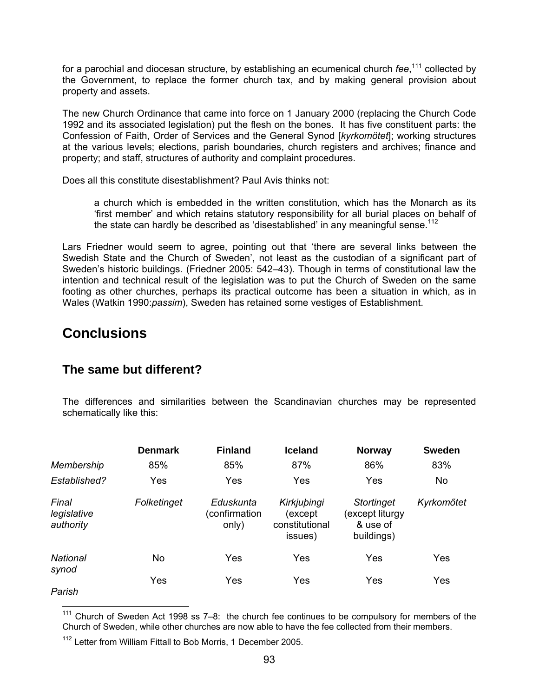for a parochial and diocesan structure, by establishing an ecumenical church *fee*,<sup>111</sup> collected by the Government, to replace the former church tax, and by making general provision about property and assets.

The new Church Ordinance that came into force on 1 January 2000 (replacing the Church Code 1992 and its associated legislation) put the flesh on the bones. It has five constituent parts: the Confession of Faith, Order of Services and the General Synod [*kyrkomötet*]; working structures at the various levels; elections, parish boundaries, church registers and archives; finance and property; and staff, structures of authority and complaint procedures.

Does all this constitute disestablishment? Paul Avis thinks not:

a church which is embedded in the written constitution, which has the Monarch as its 'first member' and which retains statutory responsibility for all burial places on behalf of the state can hardly be described as 'disestablished' in any meaningful sense.<sup>112</sup>

Lars Friedner would seem to agree, pointing out that 'there are several links between the Swedish State and the Church of Sweden', not least as the custodian of a significant part of Sweden's historic buildings. (Friedner 2005: 542–43). Though in terms of constitutional law the intention and technical result of the legislation was to put the Church of Sweden on the same footing as other churches, perhaps its practical outcome has been a situation in which, as in Wales (Watkin 1990:*passim*), Sweden has retained some vestiges of Establishment.

# **Conclusions**

# **The same but different?**

The differences and similarities between the Scandinavian churches may be represented schematically like this:

|                                   | <b>Denmark</b> | <b>Finland</b>                      | <b>Iceland</b>                                      | <b>Norway</b>                                           | <b>Sweden</b>  |
|-----------------------------------|----------------|-------------------------------------|-----------------------------------------------------|---------------------------------------------------------|----------------|
| Membership                        | 85%            | 85%                                 | 87%                                                 | 86%                                                     | 83%            |
| Established?                      | Yes            | Yes                                 | Yes                                                 | Yes                                                     | N <sub>o</sub> |
| Final<br>legislative<br>authority | Folketinget    | Eduskunta<br>(confirmation<br>only) | Kirkjubingi<br>(except<br>constitutional<br>issues) | Stortinget<br>(except liturgy<br>& use of<br>buildings) | Kyrkomőtet     |
| National<br>synod<br>Parish       | No             | Yes                                 | Yes                                                 | Yes                                                     | Yes            |
|                                   | Yes            | Yes                                 | Yes                                                 | Yes                                                     | Yes            |

l  $111$  Church of Sweden Act 1998 ss 7–8: the church fee continues to be compulsory for members of the Church of Sweden, while other churches are now able to have the fee collected from their members.

<sup>&</sup>lt;sup>112</sup> Letter from William Fittall to Bob Morris, 1 December 2005.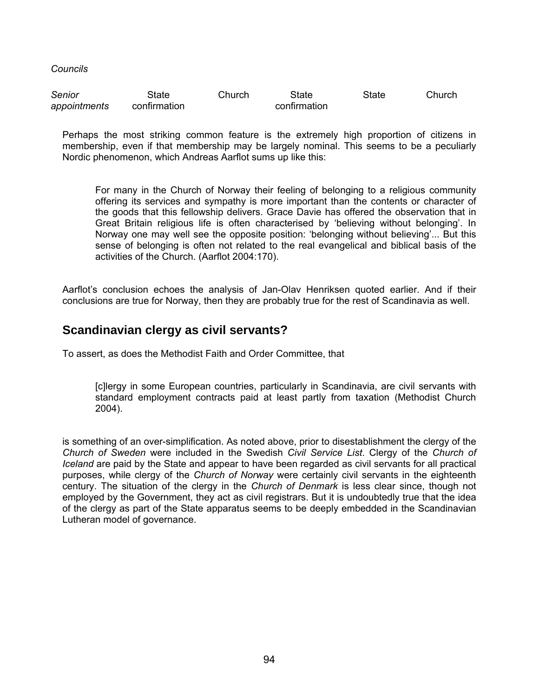*Councils* 

| Senior       | State        | Church | State        | <b>State</b> | Church |
|--------------|--------------|--------|--------------|--------------|--------|
| appointments | confirmation |        | confirmation |              |        |

Perhaps the most striking common feature is the extremely high proportion of citizens in membership, even if that membership may be largely nominal. This seems to be a peculiarly Nordic phenomenon, which Andreas Aarflot sums up like this:

For many in the Church of Norway their feeling of belonging to a religious community offering its services and sympathy is more important than the contents or character of the goods that this fellowship delivers. Grace Davie has offered the observation that in Great Britain religious life is often characterised by 'believing without belonging'. In Norway one may well see the opposite position: 'belonging without believing'... But this sense of belonging is often not related to the real evangelical and biblical basis of the activities of the Church. (Aarflot 2004:170).

Aarflot's conclusion echoes the analysis of Jan-Olav Henriksen quoted earlier. And if their conclusions are true for Norway, then they are probably true for the rest of Scandinavia as well.

## **Scandinavian clergy as civil servants?**

To assert, as does the Methodist Faith and Order Committee, that

[c]lergy in some European countries, particularly in Scandinavia, are civil servants with standard employment contracts paid at least partly from taxation (Methodist Church 2004).

is something of an over-simplification. As noted above, prior to disestablishment the clergy of the *Church of Sweden* were included in the Swedish *Civil Service List*. Clergy of the *Church of Iceland* are paid by the State and appear to have been regarded as civil servants for all practical purposes, while clergy of the *Church of Norway* were certainly civil servants in the eighteenth century. The situation of the clergy in the *Church of Denmark* is less clear since, though not employed by the Government, they act as civil registrars. But it is undoubtedly true that the idea of the clergy as part of the State apparatus seems to be deeply embedded in the Scandinavian Lutheran model of governance.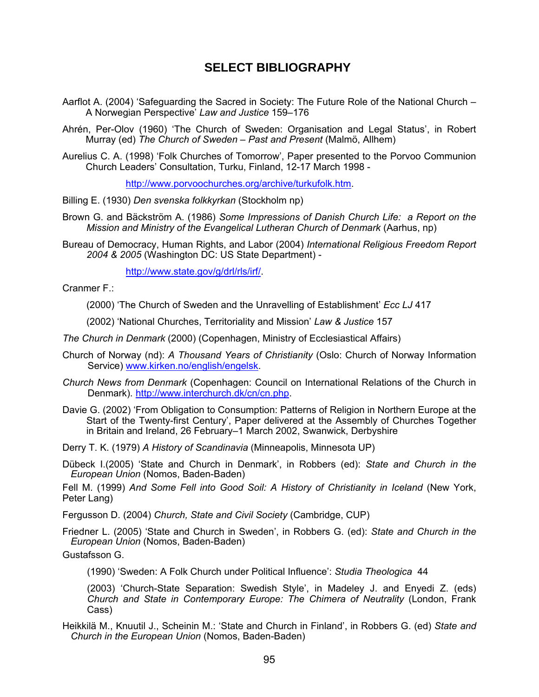## **SELECT BIBLIOGRAPHY**

- Aarflot A. (2004) 'Safeguarding the Sacred in Society: The Future Role of the National Church A Norwegian Perspective' *Law and Justice* 159–176
- Ahrén, Per-Olov (1960) 'The Church of Sweden: Organisation and Legal Status', in Robert Murray (ed) *The Church of Sweden* – *Past and Present* (Malmö, Allhem)
- Aurelius C. A. (1998) 'Folk Churches of Tomorrow', Paper presented to the Porvoo Communion Church Leaders' Consultation, Turku, Finland, 12-17 March 1998 -

http://www.porvoochurches.org/archive/turkufolk.htm.

Billing E. (1930) *Den svenska folkkyrkan* (Stockholm np)

- Brown G. and Bäckström A. (1986) *Some Impressions of Danish Church Life: a Report on the Mission and Ministry of the Evangelical Lutheran Church of Denmark* (Aarhus, np)
- Bureau of Democracy, Human Rights, and Labor (2004) *International Religious Freedom Report 2004 & 2005* (Washington DC: US State Department) -

http://www.state.gov/g/drl/rls/irf/.

Cranmer F.:

(2000) 'The Church of Sweden and the Unravelling of Establishment' *Ecc LJ* 417

(2002) 'National Churches, Territoriality and Mission' *Law & Justice* 157

*The Church in Denmark* (2000) (Copenhagen, Ministry of Ecclesiastical Affairs)

- Church of Norway (nd): *A Thousand Years of Christianity* (Oslo: Church of Norway Information Service) www.kirken.no/english/engelsk.
- *Church News from Denmark* (Copenhagen: Council on International Relations of the Church in Denmark). http://www.interchurch.dk/cn/cn.php.
- Davie G. (2002) 'From Obligation to Consumption: Patterns of Religion in Northern Europe at the Start of the Twenty-first Century', Paper delivered at the Assembly of Churches Together in Britain and Ireland, 26 February–1 March 2002, Swanwick, Derbyshire

Derry T. K. (1979) *A History of Scandinavia* (Minneapolis, Minnesota UP)

Dübeck I.(2005) 'State and Church in Denmark', in Robbers (ed): *State and Church in the European Union* (Nomos, Baden-Baden)

Fell M. (1999) *And Some Fell into Good Soil: A History of Christianity in Iceland* (New York, Peter Lang)

Fergusson D. (2004) *Church, State and Civil Society* (Cambridge, CUP)

Friedner L. (2005) 'State and Church in Sweden', in Robbers G. (ed): *State and Church in the European Union* (Nomos, Baden-Baden)

Gustafsson G.

(1990) 'Sweden: A Folk Church under Political Influence': *Studia Theologica* 44

(2003) 'Church-State Separation: Swedish Style', in Madeley J. and Enyedi Z. (eds) *Church and State in Contemporary Europe: The Chimera of Neutrality* (London, Frank Cass)

Heikkilä M., Knuutil J., Scheinin M.: 'State and Church in Finland', in Robbers G. (ed) *State and Church in the European Union* (Nomos, Baden-Baden)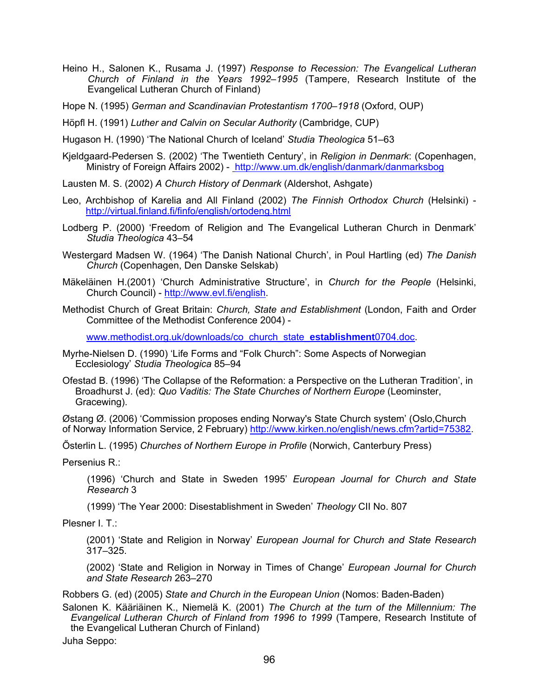- Heino H., Salonen K., Rusama J. (1997) *Response to Recession: The Evangelical Lutheran Church of Finland in the Years 1992–1995* (Tampere, Research Institute of the Evangelical Lutheran Church of Finland)
- Hope N. (1995) *German and Scandinavian Protestantism 1700*–*1918* (Oxford, OUP)
- Höpfl H. (1991) *Luther and Calvin on Secular Authority* (Cambridge, CUP)
- Hugason H. (1990) 'The National Church of Iceland' *Studia Theologica* 51–63
- Kjeldgaard-Pedersen S. (2002) 'The Twentieth Century', in *Religion in Denmark*: (Copenhagen, Ministry of Foreign Affairs 2002) - http://www.um.dk/english/danmark/danmarksbog
- Lausten M. S. (2002) *A Church History of Denmark* (Aldershot, Ashgate)
- Leo, Archbishop of Karelia and All Finland (2002) *The Finnish Orthodox Church* (Helsinki) http://virtual.finland.fi/finfo/english/ortodeng.html
- Lodberg P. (2000) 'Freedom of Religion and The Evangelical Lutheran Church in Denmark' *Studia Theologica* 43–54
- Westergard Madsen W. (1964) 'The Danish National Church', in Poul Hartling (ed) *The Danish Church* (Copenhagen, Den Danske Selskab)
- Mäkeläinen H.(2001) 'Church Administrative Structure', in *Church for the People* (Helsinki, Church Council) - http://www.evl.fi/english.
- Methodist Church of Great Britain: *Church, State and Establishment* (London, Faith and Order Committee of the Methodist Conference 2004) -

www.methodist.org.uk/downloads/co\_church\_state\_**establishment**0704.doc.

- Myrhe-Nielsen D. (1990) 'Life Forms and "Folk Church": Some Aspects of Norwegian Ecclesiology' *Studia Theologica* 85–94
- Ofestad B. (1996) 'The Collapse of the Reformation: a Perspective on the Lutheran Tradition', in Broadhurst J. (ed): *Quo Vaditis: The State Churches of Northern Europe* (Leominster, Gracewing).

Østang Ø. (2006) 'Commission proposes ending Norway's State Church system' (Oslo,Church of Norway Information Service, 2 February) http://www.kirken.no/english/news.cfm?artid=75382.

Ősterlin L. (1995) *Churches of Northern Europe in Profile* (Norwich, Canterbury Press)

Persenius R.:

(1996) 'Church and State in Sweden 1995' *European Journal for Church and State Research* 3

(1999) 'The Year 2000: Disestablishment in Sweden' *Theology* CII No. 807

Plesner I. T.:

(2001) 'State and Religion in Norway' *European Journal for Church and State Research*  317–325.

(2002) 'State and Religion in Norway in Times of Change' *European Journal for Church and State Research* 263–270

Robbers G. (ed) (2005) *State and Church in the European Union* (Nomos: Baden-Baden)

Salonen K. Kääriäinen K., Niemelä K. (2001) *The Church at the turn of the Millennium: The Evangelical Lutheran Church of Finland from 1996 to 1999* (Tampere, Research Institute of the Evangelical Lutheran Church of Finland)

Juha Seppo: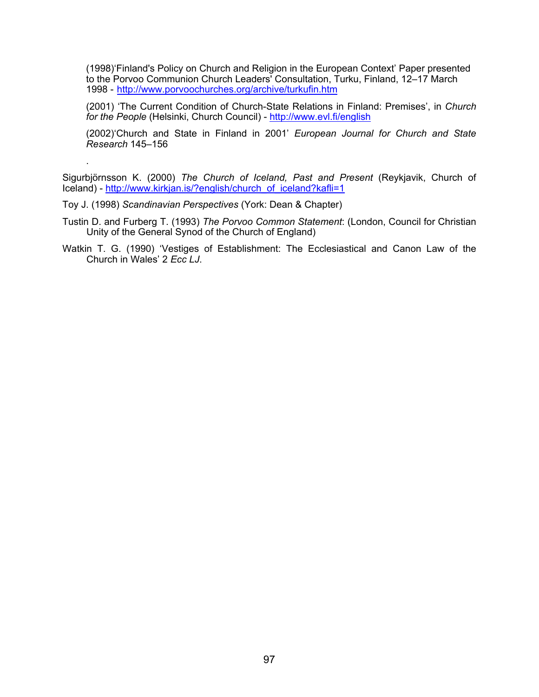(1998)'Finland's Policy on Church and Religion in the European Context' Paper presented to the Porvoo Communion Church Leaders' Consultation, Turku, Finland, 12–17 March 1998 - http://www.porvoochurches.org/archive/turkufin.htm

(2001) 'The Current Condition of Church-State Relations in Finland: Premises', in *Church for the People* (Helsinki, Church Council) - http://www.evl.fi/english

(2002)'Church and State in Finland in 2001' *European Journal for Church and State Research* 145–156

Sigurbjörnsson K. (2000) *The Church of Iceland, Past and Present* (Reykjavik, Church of Iceland) - http://www.kirkjan.is/?english/church\_of\_iceland?kafli=1

Toy J. (1998) *Scandinavian Perspectives* (York: Dean & Chapter)

.

- Tustin D. and Furberg T. (1993) *The Porvoo Common Statement*: (London, Council for Christian Unity of the General Synod of the Church of England)
- Watkin T. G. (1990) 'Vestiges of Establishment: The Ecclesiastical and Canon Law of the Church in Wales' 2 *Ecc LJ*.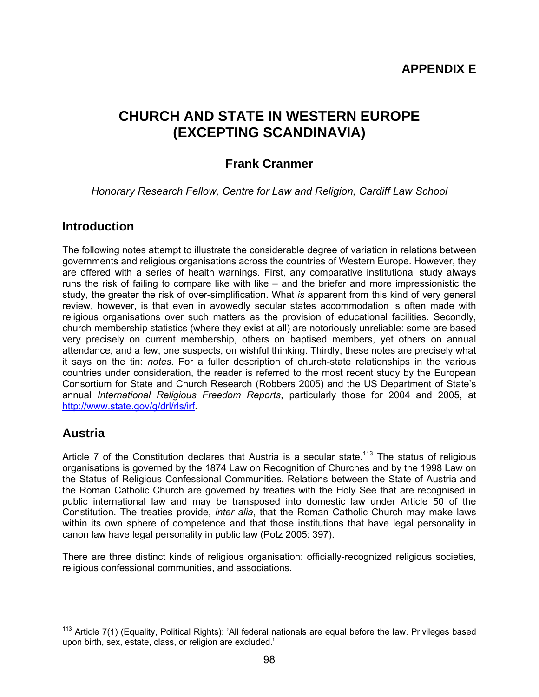## **APPENDIX E**

# **CHURCH AND STATE IN WESTERN EUROPE (EXCEPTING SCANDINAVIA)**

## **Frank Cranmer**

*Honorary Research Fellow, Centre for Law and Religion, Cardiff Law School* 

## **Introduction**

The following notes attempt to illustrate the considerable degree of variation in relations between governments and religious organisations across the countries of Western Europe. However, they are offered with a series of health warnings. First, any comparative institutional study always runs the risk of failing to compare like with like – and the briefer and more impressionistic the study, the greater the risk of over-simplification. What *is* apparent from this kind of very general review, however, is that even in avowedly secular states accommodation is often made with religious organisations over such matters as the provision of educational facilities. Secondly, church membership statistics (where they exist at all) are notoriously unreliable: some are based very precisely on current membership, others on baptised members, yet others on annual attendance, and a few, one suspects, on wishful thinking. Thirdly, these notes are precisely what it says on the tin: *notes*. For a fuller description of church-state relationships in the various countries under consideration, the reader is referred to the most recent study by the European Consortium for State and Church Research (Robbers 2005) and the US Department of State's annual *International Religious Freedom Reports*, particularly those for 2004 and 2005, at http://www.state.gov/g/drl/rls/irf.

## **Austria**

l

Article 7 of the Constitution declares that Austria is a secular state.<sup>113</sup> The status of religious organisations is governed by the 1874 Law on Recognition of Churches and by the 1998 Law on the Status of Religious Confessional Communities. Relations between the State of Austria and the Roman Catholic Church are governed by treaties with the Holy See that are recognised in public international law and may be transposed into domestic law under Article 50 of the Constitution. The treaties provide, *inter alia*, that the Roman Catholic Church may make laws within its own sphere of competence and that those institutions that have legal personality in canon law have legal personality in public law (Potz 2005: 397).

There are three distinct kinds of religious organisation: officially-recognized religious societies, religious confessional communities, and associations.

<sup>&</sup>lt;sup>113</sup> Article 7(1) (Equality, Political Rights): 'All federal nationals are equal before the law. Privileges based upon birth, sex, estate, class, or religion are excluded.'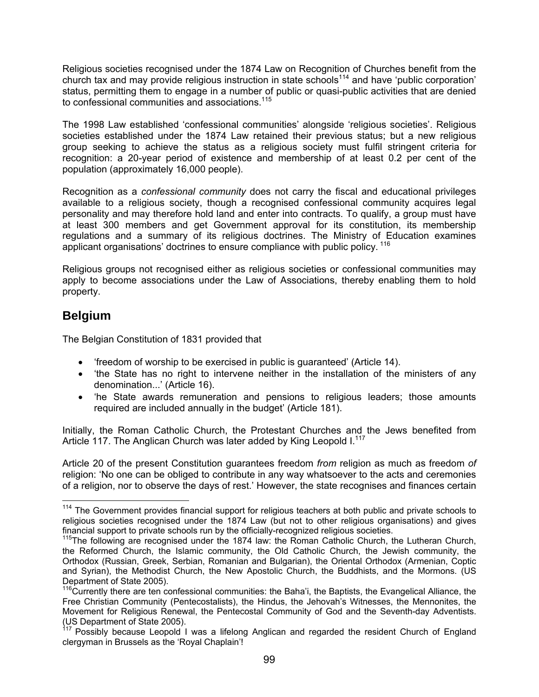Religious societies recognised under the 1874 Law on Recognition of Churches benefit from the church tax and may provide religious instruction in state schools<sup>114</sup> and have 'public corporation' status, permitting them to engage in a number of public or quasi-public activities that are denied to confessional communities and associations.115

The 1998 Law established 'confessional communities' alongside 'religious societies'. Religious societies established under the 1874 Law retained their previous status; but a new religious group seeking to achieve the status as a religious society must fulfil stringent criteria for recognition: a 20-year period of existence and membership of at least 0.2 per cent of the population (approximately 16,000 people).

Recognition as a *confessional community* does not carry the fiscal and educational privileges available to a religious society, though a recognised confessional community acquires legal personality and may therefore hold land and enter into contracts. To qualify, a group must have at least 300 members and get Government approval for its constitution, its membership regulations and a summary of its religious doctrines. The Ministry of Education examines applicant organisations' doctrines to ensure compliance with public policy.<sup>116</sup>

Religious groups not recognised either as religious societies or confessional communities may apply to become associations under the Law of Associations, thereby enabling them to hold property.

# **Belgium**

The Belgian Constitution of 1831 provided that

- 'freedom of worship to be exercised in public is guaranteed' (Article 14).
- 'the State has no right to intervene neither in the installation of the ministers of any denomination...' (Article 16).
- 'he State awards remuneration and pensions to religious leaders; those amounts required are included annually in the budget' (Article 181).

Initially, the Roman Catholic Church, the Protestant Churches and the Jews benefited from Article 117. The Anglican Church was later added by King Leopold I.<sup>117</sup>

Article 20 of the present Constitution guarantees freedom *from* religion as much as freedom *of*  religion: 'No one can be obliged to contribute in any way whatsoever to the acts and ceremonies of a religion, nor to observe the days of rest.' However, the state recognises and finances certain

l <sup>114</sup> The Government provides financial support for religious teachers at both public and private schools to religious societies recognised under the 1874 Law (but not to other religious organisations) and gives financial support to private schools run by the officially-recognized religious societies.

<sup>&</sup>lt;sup>115</sup>The following are recognised under the 1874 law: the Roman Catholic Church, the Lutheran Church, the Reformed Church, the Islamic community, the Old Catholic Church, the Jewish community, the Orthodox (Russian, Greek, Serbian, Romanian and Bulgarian), the Oriental Orthodox (Armenian, Coptic and Syrian), the Methodist Church, the New Apostolic Church, the Buddhists, and the Mormons. (US Department of State 2005).

 $116$ Currently there are ten confessional communities: the Baha'i, the Baptists, the Evangelical Alliance, the Free Christian Community (Pentecostalists), the Hindus, the Jehovah's Witnesses, the Mennonites, the Movement for Religious Renewal, the Pentecostal Community of God and the Seventh-day Adventists. (US Department of State 2005).

Possibly because Leopold I was a lifelong Anglican and regarded the resident Church of England clergyman in Brussels as the 'Royal Chaplain'!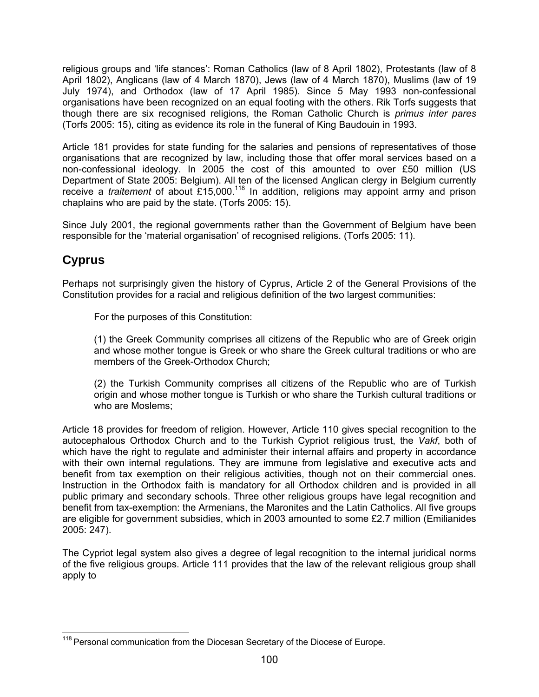religious groups and 'life stances': Roman Catholics (law of 8 April 1802), Protestants (law of 8 April 1802), Anglicans (law of 4 March 1870), Jews (law of 4 March 1870), Muslims (law of 19 July 1974), and Orthodox (law of 17 April 1985). Since 5 May 1993 non-confessional organisations have been recognized on an equal footing with the others. Rik Torfs suggests that though there are six recognised religions, the Roman Catholic Church is *primus inter pares* (Torfs 2005: 15), citing as evidence its role in the funeral of King Baudouin in 1993.

Article 181 provides for state funding for the salaries and pensions of representatives of those organisations that are recognized by law, including those that offer moral services based on a non-confessional ideology. In 2005 the cost of this amounted to over £50 million (US Department of State 2005: Belgium). All ten of the licensed Anglican clergy in Belgium currently receive a *traitement* of about £15,000.118 In addition, religions may appoint army and prison chaplains who are paid by the state. (Torfs 2005: 15).

Since July 2001, the regional governments rather than the Government of Belgium have been responsible for the 'material organisation' of recognised religions. (Torfs 2005: 11).

# **Cyprus**

Perhaps not surprisingly given the history of Cyprus, Article 2 of the General Provisions of the Constitution provides for a racial and religious definition of the two largest communities:

For the purposes of this Constitution:

(1) the Greek Community comprises all citizens of the Republic who are of Greek origin and whose mother tongue is Greek or who share the Greek cultural traditions or who are members of the Greek-Orthodox Church;

(2) the Turkish Community comprises all citizens of the Republic who are of Turkish origin and whose mother tongue is Turkish or who share the Turkish cultural traditions or who are Moslems;

Article 18 provides for freedom of religion. However, Article 110 gives special recognition to the autocephalous Orthodox Church and to the Turkish Cypriot religious trust, the *Vakf*, both of which have the right to regulate and administer their internal affairs and property in accordance with their own internal regulations. They are immune from legislative and executive acts and benefit from tax exemption on their religious activities, though not on their commercial ones. Instruction in the Orthodox faith is mandatory for all Orthodox children and is provided in all public primary and secondary schools. Three other religious groups have legal recognition and benefit from tax-exemption: the Armenians, the Maronites and the Latin Catholics. All five groups are eligible for government subsidies, which in 2003 amounted to some £2.7 million (Emilianides 2005: 247).

The Cypriot legal system also gives a degree of legal recognition to the internal juridical norms of the five religious groups. Article 111 provides that the law of the relevant religious group shall apply to

l <sup>118</sup> Personal communication from the Diocesan Secretary of the Diocese of Europe.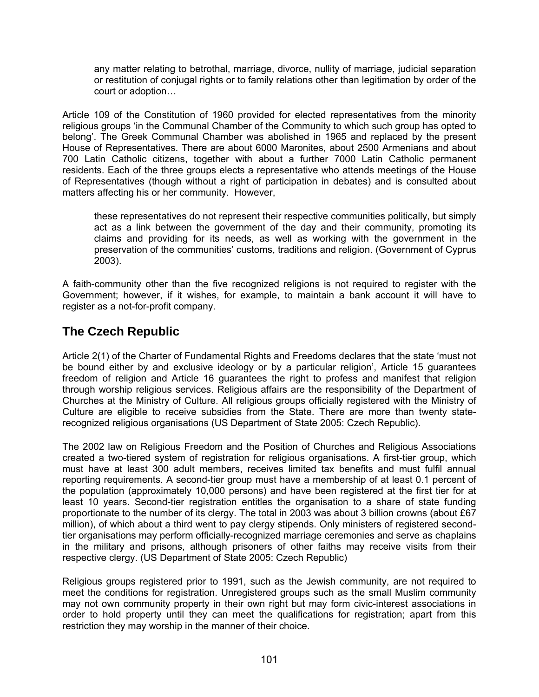any matter relating to betrothal, marriage, divorce, nullity of marriage, judicial separation or restitution of conjugal rights or to family relations other than legitimation by order of the court or adoption…

Article 109 of the Constitution of 1960 provided for elected representatives from the minority religious groups 'in the Communal Chamber of the Community to which such group has opted to belong'. The Greek Communal Chamber was abolished in 1965 and replaced by the present House of Representatives. There are about 6000 Maronites, about 2500 Armenians and about 700 Latin Catholic citizens, together with about a further 7000 Latin Catholic permanent residents. Each of the three groups elects a representative who attends meetings of the House of Representatives (though without a right of participation in debates) and is consulted about matters affecting his or her community. However,

these representatives do not represent their respective communities politically, but simply act as a link between the government of the day and their community, promoting its claims and providing for its needs, as well as working with the government in the preservation of the communities' customs, traditions and religion. (Government of Cyprus 2003).

A faith-community other than the five recognized religions is not required to register with the Government; however, if it wishes, for example, to maintain a bank account it will have to register as a not-for-profit company.

# **The Czech Republic**

Article 2(1) of the Charter of Fundamental Rights and Freedoms declares that the state 'must not be bound either by and exclusive ideology or by a particular religion', Article 15 guarantees freedom of religion and Article 16 guarantees the right to profess and manifest that religion through worship religious services. Religious affairs are the responsibility of the Department of Churches at the Ministry of Culture. All religious groups officially registered with the Ministry of Culture are eligible to receive subsidies from the State. There are more than twenty staterecognized religious organisations (US Department of State 2005: Czech Republic).

The 2002 law on Religious Freedom and the Position of Churches and Religious Associations created a two-tiered system of registration for religious organisations. A first-tier group, which must have at least 300 adult members, receives limited tax benefits and must fulfil annual reporting requirements. A second-tier group must have a membership of at least 0.1 percent of the population (approximately 10,000 persons) and have been registered at the first tier for at least 10 years. Second-tier registration entitles the organisation to a share of state funding proportionate to the number of its clergy. The total in 2003 was about 3 billion crowns (about £67 million), of which about a third went to pay clergy stipends. Only ministers of registered secondtier organisations may perform officially-recognized marriage ceremonies and serve as chaplains in the military and prisons, although prisoners of other faiths may receive visits from their respective clergy. (US Department of State 2005: Czech Republic)

Religious groups registered prior to 1991, such as the Jewish community, are not required to meet the conditions for registration. Unregistered groups such as the small Muslim community may not own community property in their own right but may form civic-interest associations in order to hold property until they can meet the qualifications for registration; apart from this restriction they may worship in the manner of their choice.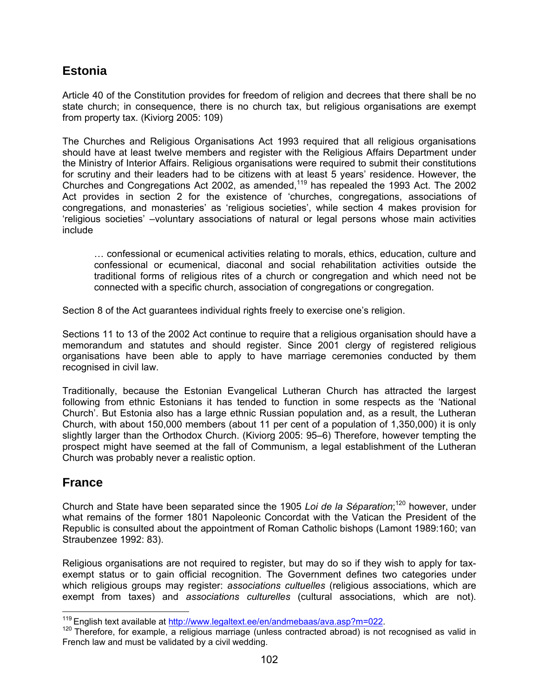# **Estonia**

Article 40 of the Constitution provides for freedom of religion and decrees that there shall be no state church; in consequence, there is no church tax, but religious organisations are exempt from property tax. (Kiviorg 2005: 109)

The Churches and Religious Organisations Act 1993 required that all religious organisations should have at least twelve members and register with the Religious Affairs Department under the Ministry of Interior Affairs. Religious organisations were required to submit their constitutions for scrutiny and their leaders had to be citizens with at least 5 years' residence. However, the Churches and Congregations Act 2002, as amended,119 has repealed the 1993 Act. The 2002 Act provides in section 2 for the existence of 'churches, congregations, associations of congregations, and monasteries' as 'religious societies', while section 4 makes provision for 'religious societies' –voluntary associations of natural or legal persons whose main activities include

… confessional or ecumenical activities relating to morals, ethics, education, culture and confessional or ecumenical, diaconal and social rehabilitation activities outside the traditional forms of religious rites of a church or congregation and which need not be connected with a specific church, association of congregations or congregation.

Section 8 of the Act guarantees individual rights freely to exercise one's religion.

Sections 11 to 13 of the 2002 Act continue to require that a religious organisation should have a memorandum and statutes and should register. Since 2001 clergy of registered religious organisations have been able to apply to have marriage ceremonies conducted by them recognised in civil law.

Traditionally, because the Estonian Evangelical Lutheran Church has attracted the largest following from ethnic Estonians it has tended to function in some respects as the 'National Church'. But Estonia also has a large ethnic Russian population and, as a result, the Lutheran Church, with about 150,000 members (about 11 per cent of a population of 1,350,000) it is only slightly larger than the Orthodox Church. (Kiviorg 2005: 95–6) Therefore, however tempting the prospect might have seemed at the fall of Communism, a legal establishment of the Lutheran Church was probably never a realistic option.

## **France**

Church and State have been separated since the 1905 Loi de la Séparation;<sup>120</sup> however, under what remains of the former 1801 Napoleonic Concordat with the Vatican the President of the Republic is consulted about the appointment of Roman Catholic bishops (Lamont 1989:160; van Straubenzee 1992: 83).

Religious organisations are not required to register, but may do so if they wish to apply for taxexempt status or to gain official recognition. The Government defines two categories under which religious groups may register: *associations cultuelles* (religious associations, which are exempt from taxes) and *associations culturelles* (cultural associations, which are not).

<sup>&</sup>lt;sup>119</sup> English text available at http://www.legaltext.ee/en/andmebaas/ava.asp?m=022.

<sup>120</sup> English text available at **imperioad text.**<br><sup>120</sup> Therefore, for example, a religious marriage (unless contracted abroad) is not recognised as valid in French law and must be validated by a civil wedding.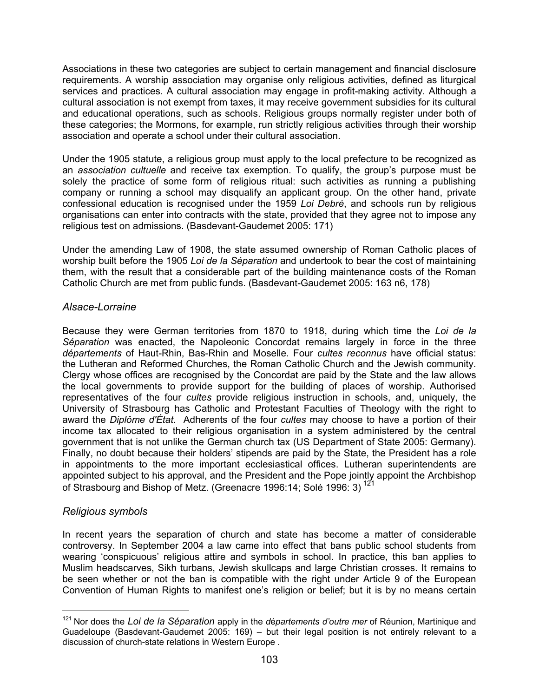Associations in these two categories are subject to certain management and financial disclosure requirements. A worship association may organise only religious activities, defined as liturgical services and practices. A cultural association may engage in profit-making activity. Although a cultural association is not exempt from taxes, it may receive government subsidies for its cultural and educational operations, such as schools. Religious groups normally register under both of these categories; the Mormons, for example, run strictly religious activities through their worship association and operate a school under their cultural association.

Under the 1905 statute, a religious group must apply to the local prefecture to be recognized as an *association cultuelle* and receive tax exemption. To qualify, the group's purpose must be solely the practice of some form of religious ritual: such activities as running a publishing company or running a school may disqualify an applicant group. On the other hand, private confessional education is recognised under the 1959 *Loi Debré*, and schools run by religious organisations can enter into contracts with the state, provided that they agree not to impose any religious test on admissions. (Basdevant-Gaudemet 2005: 171)

Under the amending Law of 1908, the state assumed ownership of Roman Catholic places of worship built before the 1905 *Loi de la Séparation* and undertook to bear the cost of maintaining them, with the result that a considerable part of the building maintenance costs of the Roman Catholic Church are met from public funds. (Basdevant-Gaudemet 2005: 163 n6, 178)

### *Alsace-Lorraine*

Because they were German territories from 1870 to 1918, during which time the *Loi de la Séparation* was enacted, the Napoleonic Concordat remains largely in force in the three *départements* of Haut-Rhin, Bas-Rhin and Moselle. Four *cultes reconnus* have official status: the Lutheran and Reformed Churches, the Roman Catholic Church and the Jewish community. Clergy whose offices are recognised by the Concordat are paid by the State and the law allows the local governments to provide support for the building of places of worship. Authorised representatives of the four *cultes* provide religious instruction in schools, and, uniquely, the University of Strasbourg has Catholic and Protestant Faculties of Theology with the right to award the *Diplôme d'État*. Adherents of the four *cultes* may choose to have a portion of their income tax allocated to their religious organisation in a system administered by the central government that is not unlike the German church tax (US Department of State 2005: Germany). Finally, no doubt because their holders' stipends are paid by the State, the President has a role in appointments to the more important ecclesiastical offices. Lutheran superintendents are appointed subject to his approval, and the President and the Pope jointly appoint the Archbishop of Strasbourg and Bishop of Metz. (Greenacre 1996:14; Solé 1996: 3)<sup>121</sup>

### *Religious symbols*

l

In recent years the separation of church and state has become a matter of considerable controversy. In September 2004 a law came into effect that bans public school students from wearing 'conspicuous' religious attire and symbols in school. In practice, this ban applies to Muslim headscarves, Sikh turbans, Jewish skullcaps and large Christian crosses. It remains to be seen whether or not the ban is compatible with the right under Article 9 of the European Convention of Human Rights to manifest one's religion or belief; but it is by no means certain

<sup>121</sup> Nor does the *Loi de la Séparation* apply in the *d*é*partements d'outre mer* of Réunion, Martinique and Guadeloupe (Basdevant-Gaudemet 2005: 169) – but their legal position is not entirely relevant to a discussion of church-state relations in Western Europe .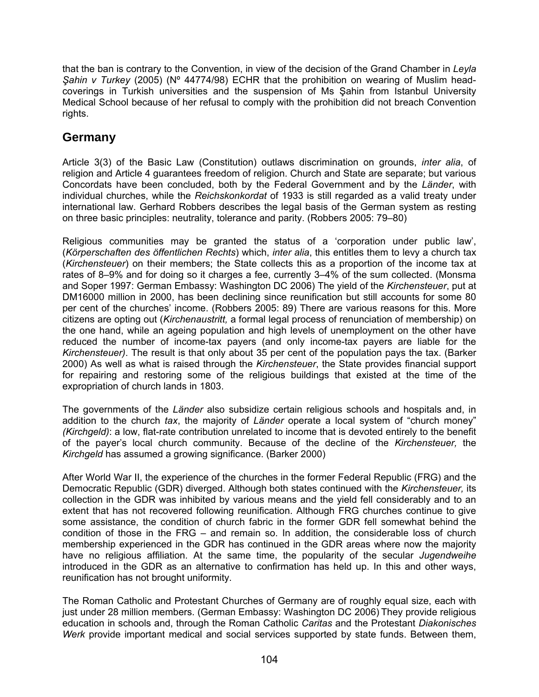that the ban is contrary to the Convention, in view of the decision of the Grand Chamber in *Leyla Şahin v Turkey* (2005) (Nº 44774/98) ECHR that the prohibition on wearing of Muslim headcoverings in Turkish universities and the suspension of Ms Şahin from Istanbul University Medical School because of her refusal to comply with the prohibition did not breach Convention rights.

# **Germany**

Article 3(3) of the Basic Law (Constitution) outlaws discrimination on grounds, *inter alia*, of religion and Article 4 guarantees freedom of religion. Church and State are separate; but various Concordats have been concluded, both by the Federal Government and by the *Länder*, with individual churches, while the *Reichskonkordat* of 1933 is still regarded as a valid treaty under international law. Gerhard Robbers describes the legal basis of the German system as resting on three basic principles: neutrality, tolerance and parity. (Robbers 2005: 79–80)

Religious communities may be granted the status of a 'corporation under public law', (*Körperschaften des öffentlichen Rechts*) which, *inter alia*, this entitles them to levy a church tax (*Kirchensteuer*) on their members; the State collects this as a proportion of the income tax at rates of 8–9% and for doing so it charges a fee, currently 3–4% of the sum collected. (Monsma and Soper 1997: German Embassy: Washington DC 2006) The yield of the *Kirchensteuer*, put at DM16000 million in 2000, has been declining since reunification but still accounts for some 80 per cent of the churches' income. (Robbers 2005: 89) There are various reasons for this. More citizens are opting out (*Kirchenaustritt,* a formal legal process of renunciation of membership) on the one hand, while an ageing population and high levels of unemployment on the other have reduced the number of income-tax payers (and only income-tax payers are liable for the *Kirchensteuer)*. The result is that only about 35 per cent of the population pays the tax. (Barker 2000) As well as what is raised through the *Kirchensteuer*, the State provides financial support for repairing and restoring some of the religious buildings that existed at the time of the expropriation of church lands in 1803.

The governments of the *Länder* also subsidize certain religious schools and hospitals and, in addition to the church *tax*, the majority of *Länder* operate a local system of "church money" *(Kirchgeld)*: a low, flat-rate contribution unrelated to income that is devoted entirely to the benefit of the payer's local church community. Because of the decline of the *Kirchensteuer,* the *Kirchgeld* has assumed a growing significance. (Barker 2000)

After World War II, the experience of the churches in the former Federal Republic (FRG) and the Democratic Republic (GDR) diverged. Although both states continued with the *Kirchensteuer,* its collection in the GDR was inhibited by various means and the yield fell considerably and to an extent that has not recovered following reunification. Although FRG churches continue to give some assistance, the condition of church fabric in the former GDR fell somewhat behind the condition of those in the FRG – and remain so. In addition, the considerable loss of church membership experienced in the GDR has continued in the GDR areas where now the majority have no religious affiliation. At the same time, the popularity of the secular *Jugendweihe*  introduced in the GDR as an alternative to confirmation has held up. In this and other ways, reunification has not brought uniformity.

The Roman Catholic and Protestant Churches of Germany are of roughly equal size, each with just under 28 million members. (German Embassy: Washington DC 2006) They provide religious education in schools and, through the Roman Catholic *Caritas* and the Protestant *Diakonisches Werk* provide important medical and social services supported by state funds. Between them,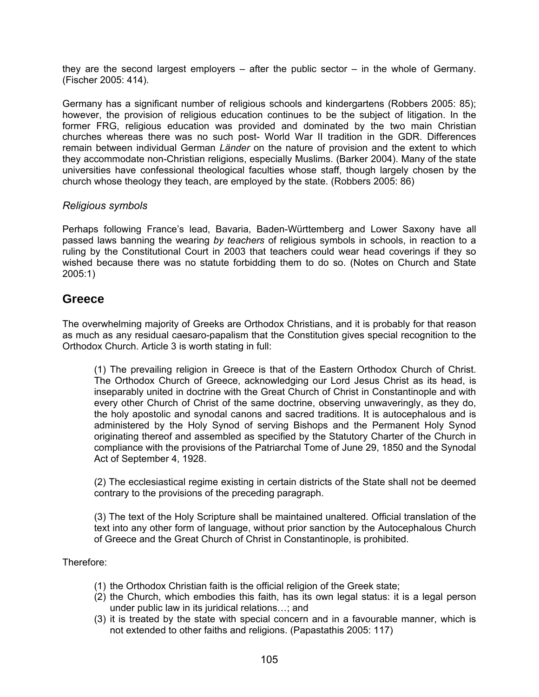they are the second largest employers – after the public sector – in the whole of Germany. (Fischer 2005: 414).

Germany has a significant number of religious schools and kindergartens (Robbers 2005: 85); however, the provision of religious education continues to be the subject of litigation. In the former FRG, religious education was provided and dominated by the two main Christian churches whereas there was no such post- World War II tradition in the GDR. Differences remain between individual German *Länder* on the nature of provision and the extent to which they accommodate non-Christian religions, especially Muslims. (Barker 2004). Many of the state universities have confessional theological faculties whose staff, though largely chosen by the church whose theology they teach, are employed by the state. (Robbers 2005: 86)

#### *Religious symbols*

Perhaps following France's lead, Bavaria, Baden-Württemberg and Lower Saxony have all passed laws banning the wearing *by teachers* of religious symbols in schools, in reaction to a ruling by the Constitutional Court in 2003 that teachers could wear head coverings if they so wished because there was no statute forbidding them to do so. (Notes on Church and State 2005:1)

## **Greece**

The overwhelming majority of Greeks are Orthodox Christians, and it is probably for that reason as much as any residual caesaro-papalism that the Constitution gives special recognition to the Orthodox Church. Article 3 is worth stating in full:

(1) The prevailing religion in Greece is that of the Eastern Orthodox Church of Christ. The Orthodox Church of Greece, acknowledging our Lord Jesus Christ as its head, is inseparably united in doctrine with the Great Church of Christ in Constantinople and with every other Church of Christ of the same doctrine, observing unwaveringly, as they do, the holy apostolic and synodal canons and sacred traditions. It is autocephalous and is administered by the Holy Synod of serving Bishops and the Permanent Holy Synod originating thereof and assembled as specified by the Statutory Charter of the Church in compliance with the provisions of the Patriarchal Tome of June 29, 1850 and the Synodal Act of September 4, 1928.

(2) The ecclesiastical regime existing in certain districts of the State shall not be deemed contrary to the provisions of the preceding paragraph.

(3) The text of the Holy Scripture shall be maintained unaltered. Official translation of the text into any other form of language, without prior sanction by the Autocephalous Church of Greece and the Great Church of Christ in Constantinople, is prohibited.

Therefore:

- (1) the Orthodox Christian faith is the official religion of the Greek state;
- (2) the Church, which embodies this faith, has its own legal status: it is a legal person under public law in its juridical relations…; and
- (3) it is treated by the state with special concern and in a favourable manner, which is not extended to other faiths and religions. (Papastathis 2005: 117)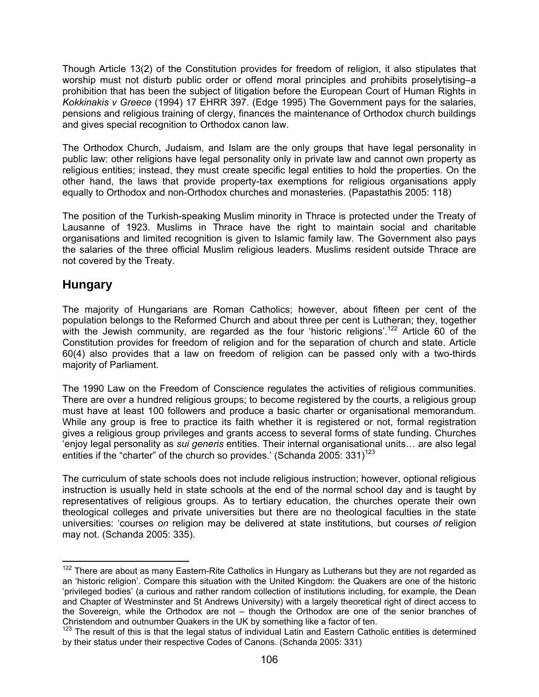Though Article 13(2) of the Constitution provides for freedom of religion, it also stipulates that worship must not disturb public order or offend moral principles and prohibits proselytising–a prohibition that has been the subject of litigation before the European Court of Human Rights in *Kokkinakis v Greece* (1994) 17 EHRR 397. (Edge 1995) The Government pays for the salaries, pensions and religious training of clergy, finances the maintenance of Orthodox church buildings and gives special recognition to Orthodox canon law.

The Orthodox Church, Judaism, and Islam are the only groups that have legal personality in public law: other religions have legal personality only in private law and cannot own property as religious entities; instead, they must create specific legal entities to hold the properties. On the other hand, the laws that provide property-tax exemptions for religious organisations apply equally to Orthodox and non-Orthodox churches and monasteries. (Papastathis 2005: 118)

The position of the Turkish-speaking Muslim minority in Thrace is protected under the Treaty of Lausanne of 1923. Muslims in Thrace have the right to maintain social and charitable organisations and limited recognition is given to Islamic family law. The Government also pays the salaries of the three official Muslim religious leaders. Muslims resident outside Thrace are not covered by the Treaty.

# **Hungary**

The majority of Hungarians are Roman Catholics; however, about fifteen per cent of the population belongs to the Reformed Church and about three per cent is Lutheran; they, together with the Jewish community, are regarded as the four 'historic religions'.<sup>122</sup> Article 60 of the Constitution provides for freedom of religion and for the separation of church and state. Article 60(4) also provides that a law on freedom of religion can be passed only with a two-thirds majority of Parliament.

The 1990 Law on the Freedom of Conscience regulates the activities of religious communities. There are over a hundred religious groups; to become registered by the courts, a religious group must have at least 100 followers and produce a basic charter or organisational memorandum. While any group is free to practice its faith whether it is registered or not, formal registration gives a religious group privileges and grants access to several forms of state funding. Churches 'enjoy legal personality as *sui generis* entities. Their internal organisational units… are also legal entities if the "charter" of the church so provides.' (Schanda 2005: 331)<sup>123</sup>

The curriculum of state schools does not include religious instruction; however, optional religious instruction is usually held in state schools at the end of the normal school day and is taught by representatives of religious groups. As to tertiary education, the churches operate their own theological colleges and private universities but there are no theological faculties in the state universities: 'courses *on* religion may be delivered at state institutions, but courses *of* religion may not. (Schanda 2005: 335).

l  $122$  There are about as many Eastern-Rite Catholics in Hungary as Lutherans but they are not regarded as an 'historic religion'. Compare this situation with the United Kingdom: the Quakers are one of the historic 'privileged bodies' (a curious and rather random collection of institutions including, for example, the Dean and Chapter of Westminster and St Andrews University) with a largely theoretical right of direct access to the Sovereign, while the Orthodox are not – though the Orthodox are one of the senior branches of Christendom and outnumber Quakers in the UK by something like a factor of ten.

The result of this is that the legal status of individual Latin and Eastern Catholic entities is determined by their status under their respective Codes of Canons. (Schanda 2005: 331)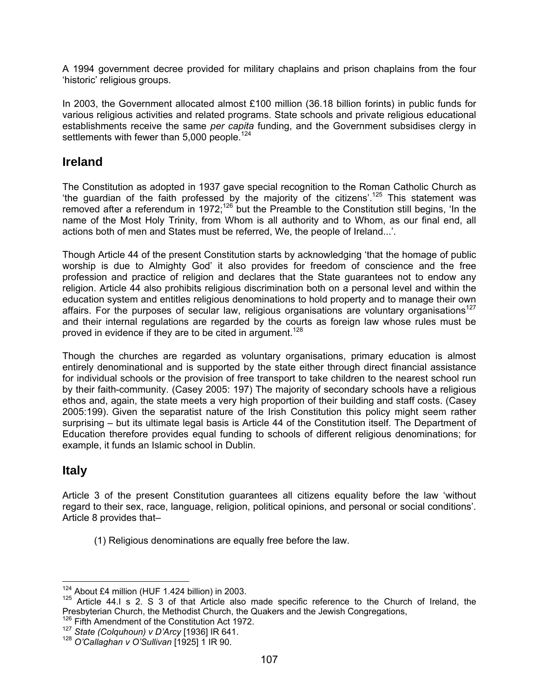A 1994 government decree provided for military chaplains and prison chaplains from the four 'historic' religious groups.

In 2003, the Government allocated almost £100 million (36.18 billion forints) in public funds for various religious activities and related programs. State schools and private religious educational establishments receive the same *per capita* funding, and the Government subsidises clergy in settlements with fewer than 5,000 people.<sup>124</sup>

## **Ireland**

The Constitution as adopted in 1937 gave special recognition to the Roman Catholic Church as 'the guardian of the faith professed by the majority of the citizens'.<sup>125</sup> This statement was removed after a referendum in 1972;<sup>126</sup> but the Preamble to the Constitution still begins, 'In the name of the Most Holy Trinity, from Whom is all authority and to Whom, as our final end, all actions both of men and States must be referred, We, the people of Ireland...'.

Though Article 44 of the present Constitution starts by acknowledging 'that the homage of public worship is due to Almighty God' it also provides for freedom of conscience and the free profession and practice of religion and declares that the State guarantees not to endow any religion. Article 44 also prohibits religious discrimination both on a personal level and within the education system and entitles religious denominations to hold property and to manage their own affairs. For the purposes of secular law, religious organisations are voluntary organisations<sup>127</sup> and their internal regulations are regarded by the courts as foreign law whose rules must be proved in evidence if they are to be cited in argument.<sup>128</sup>

Though the churches are regarded as voluntary organisations, primary education is almost entirely denominational and is supported by the state either through direct financial assistance for individual schools or the provision of free transport to take children to the nearest school run by their faith-community. (Casey 2005: 197) The majority of secondary schools have a religious ethos and, again, the state meets a very high proportion of their building and staff costs. (Casey 2005:199). Given the separatist nature of the Irish Constitution this policy might seem rather surprising – but its ultimate legal basis is Article 44 of the Constitution itself. The Department of Education therefore provides equal funding to schools of different religious denominations; for example, it funds an Islamic school in Dublin.

## **Italy**

Article 3 of the present Constitution guarantees all citizens equality before the law 'without regard to their sex, race, language, religion, political opinions, and personal or social conditions'. Article 8 provides that–

(1) Religious denominations are equally free before the law.

<sup>&</sup>lt;sup>124</sup> About £4 million (HUF 1.424 billion) in 2003.

 $125$  Article 44.I s 2. S 3 of that Article also made specific reference to the Church of Ireland, the Presbyterian Church, the Methodist Church, the Quakers and the Jewish Congregations, 126 Fifth Amendment of the Constitution Act 1972.

<sup>127</sup> *State (Colquhoun) v D'Arcy* [1936] IR 641. 128 *O'Callaghan v O'Sullivan* [1925] 1 IR 90.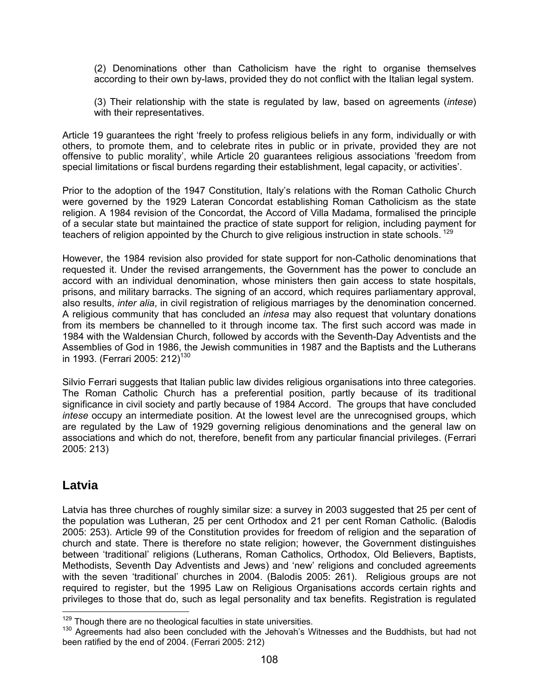(2) Denominations other than Catholicism have the right to organise themselves according to their own by-laws, provided they do not conflict with the Italian legal system.

(3) Their relationship with the state is regulated by law, based on agreements (*intese*) with their representatives.

Article 19 guarantees the right 'freely to profess religious beliefs in any form, individually or with others, to promote them, and to celebrate rites in public or in private, provided they are not offensive to public morality', while Article 20 guarantees religious associations 'freedom from special limitations or fiscal burdens regarding their establishment, legal capacity, or activities'.

Prior to the adoption of the 1947 Constitution, Italy's relations with the Roman Catholic Church were governed by the 1929 Lateran Concordat establishing Roman Catholicism as the state religion. A 1984 revision of the Concordat, the Accord of Villa Madama, formalised the principle of a secular state but maintained the practice of state support for religion, including payment for teachers of religion appointed by the Church to give religious instruction in state schools.<sup>129</sup>

However, the 1984 revision also provided for state support for non-Catholic denominations that requested it. Under the revised arrangements, the Government has the power to conclude an accord with an individual denomination, whose ministers then gain access to state hospitals, prisons, and military barracks. The signing of an accord, which requires parliamentary approval, also results, *inter alia*, in civil registration of religious marriages by the denomination concerned. A religious community that has concluded an *intesa* may also request that voluntary donations from its members be channelled to it through income tax. The first such accord was made in 1984 with the Waldensian Church, followed by accords with the Seventh-Day Adventists and the Assemblies of God in 1986, the Jewish communities in 1987 and the Baptists and the Lutherans in 1993. (Ferrari 2005: 212)<sup>130</sup>

Silvio Ferrari suggests that Italian public law divides religious organisations into three categories. The Roman Catholic Church has a preferential position, partly because of its traditional significance in civil society and partly because of 1984 Accord. The groups that have concluded *intese* occupy an intermediate position. At the lowest level are the unrecognised groups, which are regulated by the Law of 1929 governing religious denominations and the general law on associations and which do not, therefore, benefit from any particular financial privileges. (Ferrari 2005: 213)

## **Latvia**

Latvia has three churches of roughly similar size: a survey in 2003 suggested that 25 per cent of the population was Lutheran, 25 per cent Orthodox and 21 per cent Roman Catholic. (Balodis 2005: 253). Article 99 of the Constitution provides for freedom of religion and the separation of church and state. There is therefore no state religion; however, the Government distinguishes between 'traditional' religions (Lutherans, Roman Catholics, Orthodox, Old Believers, Baptists, Methodists, Seventh Day Adventists and Jews) and 'new' religions and concluded agreements with the seven 'traditional' churches in 2004. (Balodis 2005: 261). Religious groups are not required to register, but the 1995 Law on Religious Organisations accords certain rights and privileges to those that do, such as legal personality and tax benefits. Registration is regulated

<sup>&</sup>lt;sup>129</sup> Though there are no theological faculties in state universities.

 $130$  Agreements had also been concluded with the Jehovah's Witnesses and the Buddhists, but had not been ratified by the end of 2004. (Ferrari 2005: 212)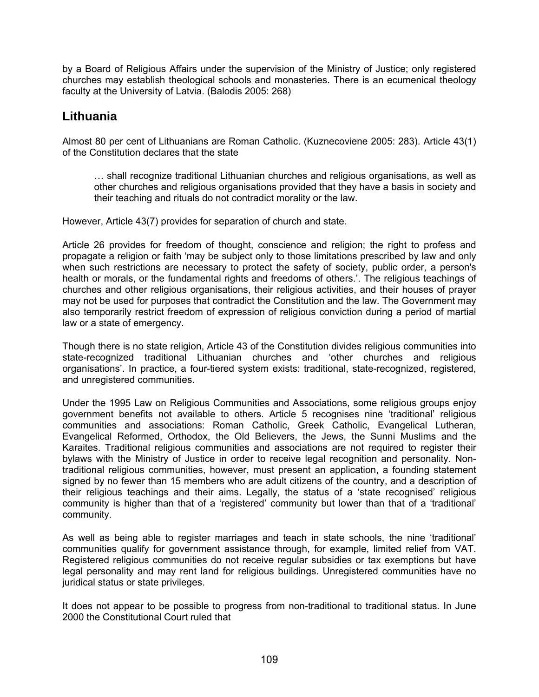by a Board of Religious Affairs under the supervision of the Ministry of Justice; only registered churches may establish theological schools and monasteries. There is an ecumenical theology faculty at the University of Latvia. (Balodis 2005: 268)

### **Lithuania**

Almost 80 per cent of Lithuanians are Roman Catholic. (Kuznecoviene 2005: 283). Article 43(1) of the Constitution declares that the state

… shall recognize traditional Lithuanian churches and religious organisations, as well as other churches and religious organisations provided that they have a basis in society and their teaching and rituals do not contradict morality or the law.

However, Article 43(7) provides for separation of church and state.

Article 26 provides for freedom of thought, conscience and religion; the right to profess and propagate a religion or faith 'may be subject only to those limitations prescribed by law and only when such restrictions are necessary to protect the safety of society, public order, a person's health or morals, or the fundamental rights and freedoms of others.'. The religious teachings of churches and other religious organisations, their religious activities, and their houses of prayer may not be used for purposes that contradict the Constitution and the law. The Government may also temporarily restrict freedom of expression of religious conviction during a period of martial law or a state of emergency.

Though there is no state religion, Article 43 of the Constitution divides religious communities into state-recognized traditional Lithuanian churches and 'other churches and religious organisations'. In practice, a four-tiered system exists: traditional, state-recognized, registered, and unregistered communities.

Under the 1995 Law on Religious Communities and Associations, some religious groups enjoy government benefits not available to others. Article 5 recognises nine 'traditional' religious communities and associations: Roman Catholic, Greek Catholic, Evangelical Lutheran, Evangelical Reformed, Orthodox, the Old Believers, the Jews, the Sunni Muslims and the Karaites. Traditional religious communities and associations are not required to register their bylaws with the Ministry of Justice in order to receive legal recognition and personality. Nontraditional religious communities, however, must present an application, a founding statement signed by no fewer than 15 members who are adult citizens of the country, and a description of their religious teachings and their aims. Legally, the status of a 'state recognised' religious community is higher than that of a 'registered' community but lower than that of a 'traditional' community.

As well as being able to register marriages and teach in state schools, the nine 'traditional' communities qualify for government assistance through, for example, limited relief from VAT. Registered religious communities do not receive regular subsidies or tax exemptions but have legal personality and may rent land for religious buildings. Unregistered communities have no juridical status or state privileges.

It does not appear to be possible to progress from non-traditional to traditional status. In June 2000 the Constitutional Court ruled that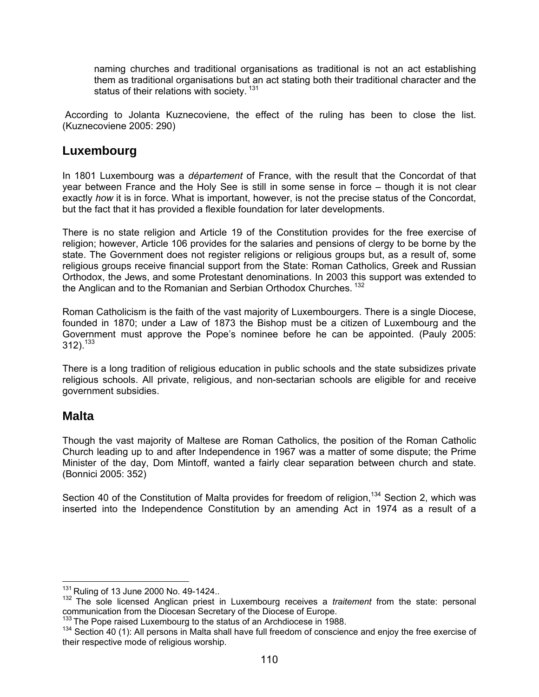naming churches and traditional organisations as traditional is not an act establishing them as traditional organisations but an act stating both their traditional character and the status of their relations with society.<sup>131</sup>

 According to Jolanta Kuznecoviene, the effect of the ruling has been to close the list. (Kuznecoviene 2005: 290)

### **Luxembourg**

In 1801 Luxembourg was a *département* of France, with the result that the Concordat of that year between France and the Holy See is still in some sense in force – though it is not clear exactly *how* it is in force. What is important, however, is not the precise status of the Concordat, but the fact that it has provided a flexible foundation for later developments.

There is no state religion and Article 19 of the Constitution provides for the free exercise of religion; however, Article 106 provides for the salaries and pensions of clergy to be borne by the state. The Government does not register religions or religious groups but, as a result of, some religious groups receive financial support from the State: Roman Catholics, Greek and Russian Orthodox, the Jews, and some Protestant denominations. In 2003 this support was extended to the Anglican and to the Romanian and Serbian Orthodox Churches.<sup>132</sup>

Roman Catholicism is the faith of the vast majority of Luxembourgers. There is a single Diocese, founded in 1870; under a Law of 1873 the Bishop must be a citizen of Luxembourg and the Government must approve the Pope's nominee before he can be appointed. (Pauly 2005:  $312$ ).<sup>133</sup>

There is a long tradition of religious education in public schools and the state subsidizes private religious schools. All private, religious, and non-sectarian schools are eligible for and receive government subsidies.

#### **Malta**

Though the vast majority of Maltese are Roman Catholics, the position of the Roman Catholic Church leading up to and after Independence in 1967 was a matter of some dispute; the Prime Minister of the day, Dom Mintoff, wanted a fairly clear separation between church and state. (Bonnici 2005: 352)

Section 40 of the Constitution of Malta provides for freedom of religion,<sup>134</sup> Section 2, which was inserted into the Independence Constitution by an amending Act in 1974 as a result of a

<sup>&</sup>lt;sup>131</sup> Ruling of 13 June 2000 No. 49-1424..

<sup>&</sup>lt;sup>132</sup> The sole licensed Anglican priest in Luxembourg receives a *traitement* from the state: personal communication from the Diocesan Secretary of the Diocese of Europe.

<sup>&</sup>lt;sup>133</sup> The Pope raised Luxembourg to the status of an Archdiocese in 1988.

<sup>134</sup> Section 40 (1): All persons in Malta shall have full freedom of conscience and enjoy the free exercise of their respective mode of religious worship.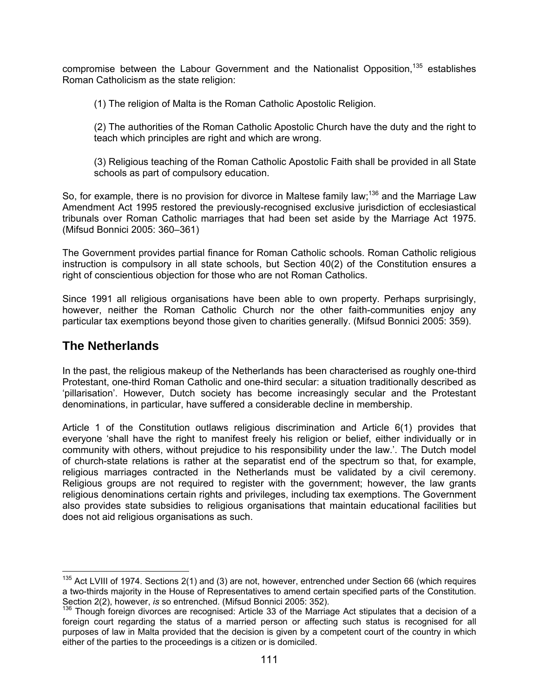compromise between the Labour Government and the Nationalist Opposition,<sup>135</sup> establishes Roman Catholicism as the state religion:

(1) The religion of Malta is the Roman Catholic Apostolic Religion.

(2) The authorities of the Roman Catholic Apostolic Church have the duty and the right to teach which principles are right and which are wrong.

(3) Religious teaching of the Roman Catholic Apostolic Faith shall be provided in all State schools as part of compulsory education.

So, for example, there is no provision for divorce in Maltese family law;<sup>136</sup> and the Marriage Law Amendment Act 1995 restored the previously-recognised exclusive jurisdiction of ecclesiastical tribunals over Roman Catholic marriages that had been set aside by the Marriage Act 1975. (Mifsud Bonnici 2005: 360–361)

The Government provides partial finance for Roman Catholic schools. Roman Catholic religious instruction is compulsory in all state schools, but Section 40(2) of the Constitution ensures a right of conscientious objection for those who are not Roman Catholics.

Since 1991 all religious organisations have been able to own property. Perhaps surprisingly, however, neither the Roman Catholic Church nor the other faith-communities enjoy any particular tax exemptions beyond those given to charities generally. (Mifsud Bonnici 2005: 359).

### **The Netherlands**

l

In the past, the religious makeup of the Netherlands has been characterised as roughly one-third Protestant, one-third Roman Catholic and one-third secular: a situation traditionally described as 'pillarisation'. However, Dutch society has become increasingly secular and the Protestant denominations, in particular, have suffered a considerable decline in membership.

Article 1 of the Constitution outlaws religious discrimination and Article 6(1) provides that everyone 'shall have the right to manifest freely his religion or belief, either individually or in community with others, without prejudice to his responsibility under the law.'. The Dutch model of church-state relations is rather at the separatist end of the spectrum so that, for example, religious marriages contracted in the Netherlands must be validated by a civil ceremony. Religious groups are not required to register with the government; however, the law grants religious denominations certain rights and privileges, including tax exemptions. The Government also provides state subsidies to religious organisations that maintain educational facilities but does not aid religious organisations as such.

 $135$  Act LVIII of 1974. Sections 2(1) and (3) are not, however, entrenched under Section 66 (which requires a two-thirds majority in the House of Representatives to amend certain specified parts of the Constitution.<br>Section 2(2), however, is so entrenched, (Mifsud Bonnici 2005; 352).

<sup>136</sup> Though foreign divorces are recognised: Article 33 of the Marriage Act stipulates that a decision of a foreign court regarding the status of a married person or affecting such status is recognised for all purposes of law in Malta provided that the decision is given by a competent court of the country in which either of the parties to the proceedings is a citizen or is domiciled.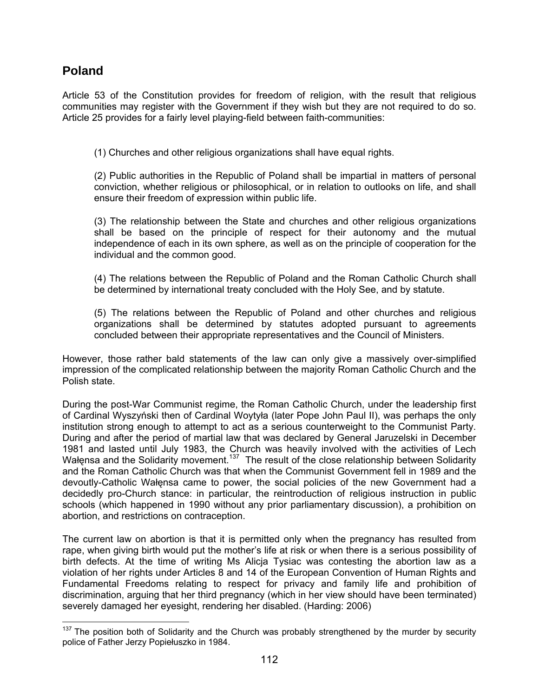### **Poland**

l

Article 53 of the Constitution provides for freedom of religion, with the result that religious communities may register with the Government if they wish but they are not required to do so. Article 25 provides for a fairly level playing-field between faith-communities:

(1) Churches and other religious organizations shall have equal rights.

(2) Public authorities in the Republic of Poland shall be impartial in matters of personal conviction, whether religious or philosophical, or in relation to outlooks on life, and shall ensure their freedom of expression within public life.

(3) The relationship between the State and churches and other religious organizations shall be based on the principle of respect for their autonomy and the mutual independence of each in its own sphere, as well as on the principle of cooperation for the individual and the common good.

(4) The relations between the Republic of Poland and the Roman Catholic Church shall be determined by international treaty concluded with the Holy See, and by statute.

(5) The relations between the Republic of Poland and other churches and religious organizations shall be determined by statutes adopted pursuant to agreements concluded between their appropriate representatives and the Council of Ministers.

However, those rather bald statements of the law can only give a massively over-simplified impression of the complicated relationship between the majority Roman Catholic Church and the Polish state.

During the post-War Communist regime, the Roman Catholic Church, under the leadership first of Cardinal Wyszyński then of Cardinal Woytyła (later Pope John Paul II), was perhaps the only institution strong enough to attempt to act as a serious counterweight to the Communist Party. During and after the period of martial law that was declared by General Jaruzelski in December 1981 and lasted until July 1983, the Church was heavily involved with the activities of Lech Wałęnsa and the Solidarity movement.<sup>137</sup> The result of the close relationship between Solidarity and the Roman Catholic Church was that when the Communist Government fell in 1989 and the devoutly-Catholic Wałęnsa came to power, the social policies of the new Government had a decidedly pro-Church stance: in particular, the reintroduction of religious instruction in public schools (which happened in 1990 without any prior parliamentary discussion), a prohibition on abortion, and restrictions on contraception.

The current law on abortion is that it is permitted only when the pregnancy has resulted from rape, when giving birth would put the mother's life at risk or when there is a serious possibility of birth defects. At the time of writing Ms Alicja Tysiac was contesting the abortion law as a violation of her rights under Articles 8 and 14 of the European Convention of Human Rights and Fundamental Freedoms relating to respect for privacy and family life and prohibition of discrimination, arguing that her third pregnancy (which in her view should have been terminated) severely damaged her eyesight, rendering her disabled. (Harding: 2006)

 $137$  The position both of Solidarity and the Church was probably strengthened by the murder by security police of Father Jerzy Popiełuszko in 1984.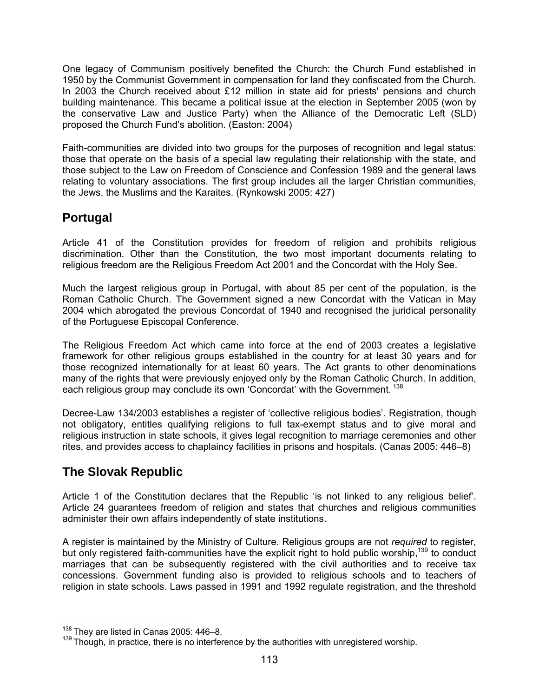One legacy of Communism positively benefited the Church: the Church Fund established in 1950 by the Communist Government in compensation for land they confiscated from the Church. In 2003 the Church received about £12 million in state aid for priests' pensions and church building maintenance. This became a political issue at the election in September 2005 (won by the conservative Law and Justice Party) when the Alliance of the Democratic Left (SLD) proposed the Church Fund's abolition. (Easton: 2004)

Faith-communities are divided into two groups for the purposes of recognition and legal status: those that operate on the basis of a special law regulating their relationship with the state, and those subject to the Law on Freedom of Conscience and Confession 1989 and the general laws relating to voluntary associations. The first group includes all the larger Christian communities, the Jews, the Muslims and the Karaites. (Rynkowski 2005: 427)

# **Portugal**

Article 41 of the Constitution provides for freedom of religion and prohibits religious discrimination. Other than the Constitution, the two most important documents relating to religious freedom are the Religious Freedom Act 2001 and the Concordat with the Holy See.

Much the largest religious group in Portugal, with about 85 per cent of the population, is the Roman Catholic Church. The Government signed a new Concordat with the Vatican in May 2004 which abrogated the previous Concordat of 1940 and recognised the juridical personality of the Portuguese Episcopal Conference.

The Religious Freedom Act which came into force at the end of 2003 creates a legislative framework for other religious groups established in the country for at least 30 years and for those recognized internationally for at least 60 years. The Act grants to other denominations many of the rights that were previously enjoyed only by the Roman Catholic Church. In addition, each religious group may conclude its own 'Concordat' with the Government.<sup>138</sup>

Decree-Law 134/2003 establishes a register of 'collective religious bodies'. Registration, though not obligatory, entitles qualifying religions to full tax-exempt status and to give moral and religious instruction in state schools, it gives legal recognition to marriage ceremonies and other rites, and provides access to chaplaincy facilities in prisons and hospitals. (Canas 2005: 446–8)

# **The Slovak Republic**

Article 1 of the Constitution declares that the Republic 'is not linked to any religious belief'. Article 24 guarantees freedom of religion and states that churches and religious communities administer their own affairs independently of state institutions.

A register is maintained by the Ministry of Culture. Religious groups are not *required* to register, but only registered faith-communities have the explicit right to hold public worship,<sup>139</sup> to conduct marriages that can be subsequently registered with the civil authorities and to receive tax concessions. Government funding also is provided to religious schools and to teachers of religion in state schools. Laws passed in 1991 and 1992 regulate registration, and the threshold

<sup>&</sup>lt;sup>138</sup> They are listed in Canas 2005: 446-8.

<sup>&</sup>lt;sup>139</sup> Though, in practice, there is no interference by the authorities with unregistered worship.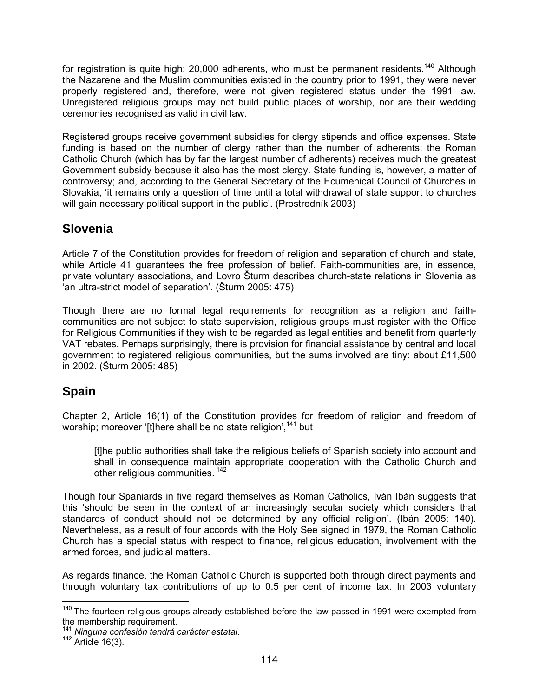for registration is quite high: 20,000 adherents, who must be permanent residents.<sup>140</sup> Although the Nazarene and the Muslim communities existed in the country prior to 1991, they were never properly registered and, therefore, were not given registered status under the 1991 law. Unregistered religious groups may not build public places of worship, nor are their wedding ceremonies recognised as valid in civil law.

Registered groups receive government subsidies for clergy stipends and office expenses. State funding is based on the number of clergy rather than the number of adherents; the Roman Catholic Church (which has by far the largest number of adherents) receives much the greatest Government subsidy because it also has the most clergy. State funding is, however, a matter of controversy; and, according to the General Secretary of the Ecumenical Council of Churches in Slovakia, 'it remains only a question of time until a total withdrawal of state support to churches will gain necessary political support in the public'. (Prostredník 2003)

## **Slovenia**

Article 7 of the Constitution provides for freedom of religion and separation of church and state, while Article 41 guarantees the free profession of belief. Faith-communities are, in essence, private voluntary associations, and Lovro Šturm describes church-state relations in Slovenia as 'an ultra-strict model of separation'. (Šturm 2005: 475)

Though there are no formal legal requirements for recognition as a religion and faithcommunities are not subject to state supervision, religious groups must register with the Office for Religious Communities if they wish to be regarded as legal entities and benefit from quarterly VAT rebates. Perhaps surprisingly, there is provision for financial assistance by central and local government to registered religious communities, but the sums involved are tiny: about £11,500 in 2002. (Šturm 2005: 485)

# **Spain**

Chapter 2, Article 16(1) of the Constitution provides for freedom of religion and freedom of worship; moreover '[t]here shall be no state religion', <sup>141</sup> but

[t]he public authorities shall take the religious beliefs of Spanish society into account and shall in consequence maintain appropriate cooperation with the Catholic Church and other religious communities.<sup>142</sup>

Though four Spaniards in five regard themselves as Roman Catholics, Iván Ibán suggests that this 'should be seen in the context of an increasingly secular society which considers that standards of conduct should not be determined by any official religion'. (Ibán 2005: 140). Nevertheless, as a result of four accords with the Holy See signed in 1979, the Roman Catholic Church has a special status with respect to finance, religious education, involvement with the armed forces, and judicial matters.

As regards finance, the Roman Catholic Church is supported both through direct payments and through voluntary tax contributions of up to 0.5 per cent of income tax. In 2003 voluntary

l  $140$  The fourteen religious groups already established before the law passed in 1991 were exempted from the membership requirement.

<sup>141</sup> *Ninguna confesión tendrá carácter estatal*. 142 Article 16(3).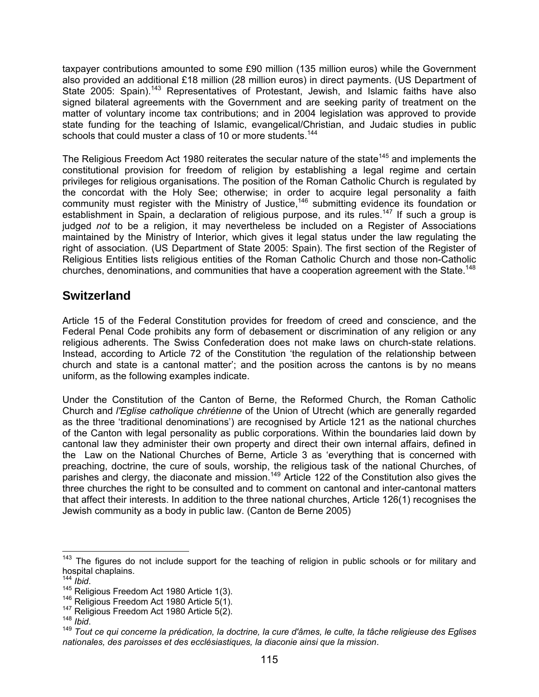taxpayer contributions amounted to some £90 million (135 million euros) while the Government also provided an additional £18 million (28 million euros) in direct payments. (US Department of State 2005: Spain).<sup>143</sup> Representatives of Protestant, Jewish, and Islamic faiths have also signed bilateral agreements with the Government and are seeking parity of treatment on the matter of voluntary income tax contributions; and in 2004 legislation was approved to provide state funding for the teaching of Islamic, evangelical/Christian, and Judaic studies in public schools that could muster a class of 10 or more students.<sup>144</sup>

The Religious Freedom Act 1980 reiterates the secular nature of the state<sup>145</sup> and implements the constitutional provision for freedom of religion by establishing a legal regime and certain privileges for religious organisations. The position of the Roman Catholic Church is regulated by the concordat with the Holy See; otherwise; in order to acquire legal personality a faith community must register with the Ministry of Justice,<sup>146</sup> submitting evidence its foundation or establishment in Spain, a declaration of religious purpose, and its rules.<sup>147</sup> If such a group is judged *not* to be a religion, it may nevertheless be included on a Register of Associations maintained by the Ministry of Interior, which gives it legal status under the law regulating the right of association. (US Department of State 2005: Spain). The first section of the Register of Religious Entities lists religious entities of the Roman Catholic Church and those non-Catholic churches, denominations, and communities that have a cooperation agreement with the State.<sup>148</sup>

#### **Switzerland**

Article 15 of the Federal Constitution provides for freedom of creed and conscience, and the Federal Penal Code prohibits any form of debasement or discrimination of any religion or any religious adherents. The Swiss Confederation does not make laws on church-state relations. Instead, according to Article 72 of the Constitution 'the regulation of the relationship between church and state is a cantonal matter'; and the position across the cantons is by no means uniform, as the following examples indicate.

Under the Constitution of the Canton of Berne, the Reformed Church, the Roman Catholic Church and *l'Eglise catholique chrétienne* of the Union of Utrecht (which are generally regarded as the three 'traditional denominations') are recognised by Article 121 as the national churches of the Canton with legal personality as public corporations. Within the boundaries laid down by cantonal law they administer their own property and direct their own internal affairs, defined in the Law on the National Churches of Berne, Article 3 as 'everything that is concerned with preaching, doctrine, the cure of souls, worship, the religious task of the national Churches, of parishes and clergy, the diaconate and mission.149 Article 122 of the Constitution also gives the three churches the right to be consulted and to comment on cantonal and inter-cantonal matters that affect their interests. In addition to the three national churches, Article 126(1) recognises the Jewish community as a body in public law. (Canton de Berne 2005)

l

<sup>&</sup>lt;sup>143</sup> The figures do not include support for the teaching of religion in public schools or for military and hospital chaplains.<br><sup>144</sup> Ibid.

<sup>&</sup>lt;sup>145</sup> Religious Freedom Act 1980 Article 1(3).<br><sup>146</sup> Religious Freedom Act 1980 Article 5(1).<br><sup>147</sup> Religious Freedom Act 1980 Article 5(2).<br><sup>148</sup> Tout ce qui concerne la prédication, la doctrine, la cure d'âmes, le culte *nationales, des paroisses et des ecclésiastiques, la diaconie ainsi que la mission*.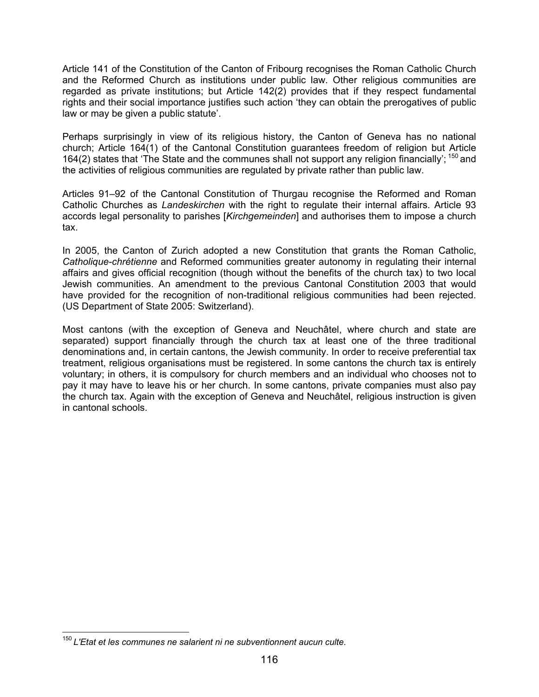Article 141 of the Constitution of the Canton of Fribourg recognises the Roman Catholic Church and the Reformed Church as institutions under public law. Other religious communities are regarded as private institutions; but Article 142(2) provides that if they respect fundamental rights and their social importance justifies such action 'they can obtain the prerogatives of public law or may be given a public statute'.

Perhaps surprisingly in view of its religious history, the Canton of Geneva has no national church; Article 164(1) of the Cantonal Constitution guarantees freedom of religion but Article 164(2) states that 'The State and the communes shall not support any religion financially';  $150$  and the activities of religious communities are regulated by private rather than public law.

Articles 91–92 of the Cantonal Constitution of Thurgau recognise the Reformed and Roman Catholic Churches as *Landeskirchen* with the right to regulate their internal affairs. Article 93 accords legal personality to parishes [*Kirchgemeinden*] and authorises them to impose a church tax.

In 2005, the Canton of Zurich adopted a new Constitution that grants the Roman Catholic, *Catholique-chrétienne* and Reformed communities greater autonomy in regulating their internal affairs and gives official recognition (though without the benefits of the church tax) to two local Jewish communities. An amendment to the previous Cantonal Constitution 2003 that would have provided for the recognition of non-traditional religious communities had been rejected. (US Department of State 2005: Switzerland).

Most cantons (with the exception of Geneva and Neuchâtel, where church and state are separated) support financially through the church tax at least one of the three traditional denominations and, in certain cantons, the Jewish community. In order to receive preferential tax treatment, religious organisations must be registered. In some cantons the church tax is entirely voluntary; in others, it is compulsory for church members and an individual who chooses not to pay it may have to leave his or her church. In some cantons, private companies must also pay the church tax. Again with the exception of Geneva and Neuchâtel, religious instruction is given in cantonal schools.

l <sup>150</sup>*L'Etat et les communes ne salarient ni ne subventionnent aucun culte.*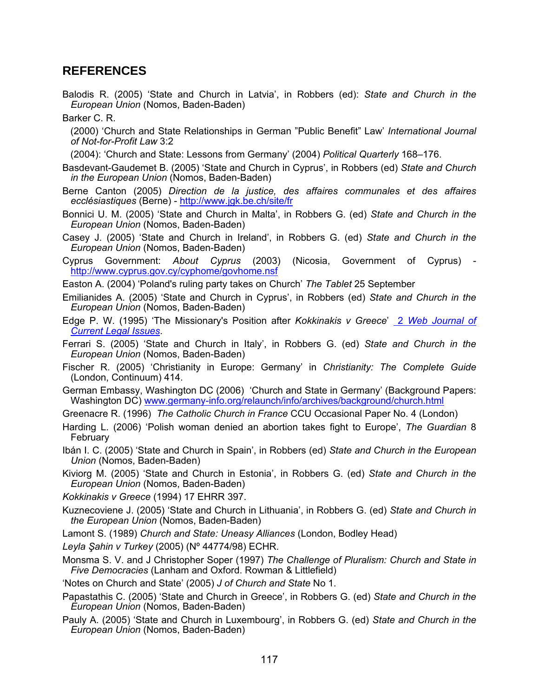#### **REFERENCES**

Balodis R. (2005) 'State and Church in Latvia', in Robbers (ed): *State and Church in the European Union* (Nomos, Baden-Baden)

Barker C. R.

 (2000) 'Church and State Relationships in German "Public Benefit" Law' *International Journal of Not-for-Profit Law* 3:2

(2004): 'Church and State: Lessons from Germany' (2004) *Political Quarterly* 168–176.

Basdevant-Gaudemet B. (2005) 'State and Church in Cyprus', in Robbers (ed) *State and Church in the European Union* (Nomos, Baden-Baden)

- Berne Canton (2005) *Direction de la justice, des affaires communales et des affaires ecclésiastiques* (Berne) - http://www.jgk.be.ch/site/fr
- Bonnici U. M. (2005) 'State and Church in Malta', in Robbers G. (ed) *State and Church in the European Union* (Nomos, Baden-Baden)
- Casey J. (2005) 'State and Church in Ireland', in Robbers G. (ed) *State and Church in the European Union* (Nomos, Baden-Baden)
- Cyprus Government: *About Cyprus* (2003) (Nicosia, Government of Cyprus) http://www.cyprus.gov.cy/cyphome/govhome.nsf

Easton A. (2004) 'Poland's ruling party takes on Church' *The Tablet* 25 September

- Emilianides A. (2005) 'State and Church in Cyprus', in Robbers (ed) *State and Church in the European Union* (Nomos, Baden-Baden)
- Edge P. W. (1995) 'The Missionary's Position after *Kokkinakis v Greece*' 2 *Web Journal of Current Legal Issues*.
- Ferrari S. (2005) 'State and Church in Italy', in Robbers G. (ed) *State and Church in the European Union* (Nomos, Baden-Baden)
- Fischer R. (2005) 'Christianity in Europe: Germany' in *Christianity: The Complete Guide* (London, Continuum) 414.

German Embassy, Washington DC (2006) 'Church and State in Germany' (Background Papers: Washington DC) www.germany-info.org/relaunch/info/archives/background/church.html

- Greenacre R. (1996) *The Catholic Church in France* CCU Occasional Paper No. 4 (London)
- Harding L. (2006) 'Polish woman denied an abortion takes fight to Europe', *The Guardian* 8 **February**
- Ibán I. C. (2005) 'State and Church in Spain', in Robbers (ed) *State and Church in the European Union* (Nomos, Baden-Baden)
- Kiviorg M. (2005) 'State and Church in Estonia', in Robbers G. (ed) *State and Church in the European Union* (Nomos, Baden-Baden)
- *Kokkinakis v Greece* (1994) 17 EHRR 397.
- Kuznecoviene J. (2005) 'State and Church in Lithuania', in Robbers G. (ed) *State and Church in the European Union* (Nomos, Baden-Baden)

Lamont S. (1989) *Church and State: Uneasy Alliances* (London, Bodley Head)

*Leyla Şahin v Turkey* (2005) (Nº 44774/98) ECHR.

Monsma S. V. and J Christopher Soper (1997) *The Challenge of Pluralism: Church and State in Five Democracies* (Lanham and Oxford. Rowman & Littlefield)

'Notes on Church and State' (2005) *J of Church and State* No 1.

- Papastathis C. (2005) 'State and Church in Greece', in Robbers G. (ed) *State and Church in the European Union* (Nomos, Baden-Baden)
- Pauly A. (2005) 'State and Church in Luxembourg', in Robbers G. (ed) *State and Church in the European Union* (Nomos, Baden-Baden)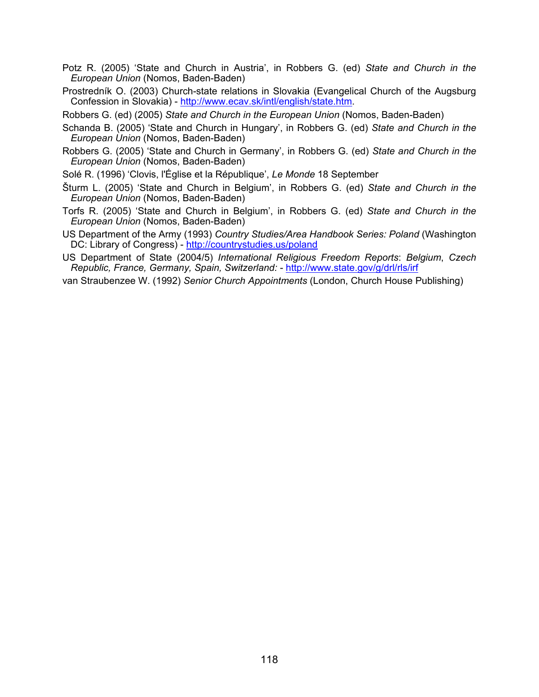- Potz R. (2005) 'State and Church in Austria', in Robbers G. (ed) *State and Church in the European Union* (Nomos, Baden-Baden)
- Prostredník O. (2003) Church-state relations in Slovakia (Evangelical Church of the Augsburg Confession in Slovakia) - http://www.ecav.sk/intl/english/state.htm.
- Robbers G. (ed) (2005) *State and Church in the European Union* (Nomos, Baden-Baden)
- Schanda B. (2005) 'State and Church in Hungary', in Robbers G. (ed) *State and Church in the European Union* (Nomos, Baden-Baden)
- Robbers G. (2005) 'State and Church in Germany', in Robbers G. (ed) *State and Church in the European Union* (Nomos, Baden-Baden)
- Solé R. (1996) 'Clovis, l'Église et la République', *Le Monde* 18 September
- Šturm L. (2005) 'State and Church in Belgium', in Robbers G. (ed) *State and Church in the European Union* (Nomos, Baden-Baden)
- Torfs R. (2005) 'State and Church in Belgium', in Robbers G. (ed) *State and Church in the European Union* (Nomos, Baden-Baden)
- US Department of the Army (1993) *Country Studies/Area Handbook Series: Poland* (Washington DC: Library of Congress) - http://countrystudies.us/poland
- US Department of State (2004/5) *International Religious Freedom Reports*: *Belgium*, *Czech Republic, France, Germany, Spain, Switzerland:* - http://www.state.gov/g/drl/rls/irf
- van Straubenzee W. (1992) *Senior Church Appointments* (London, Church House Publishing)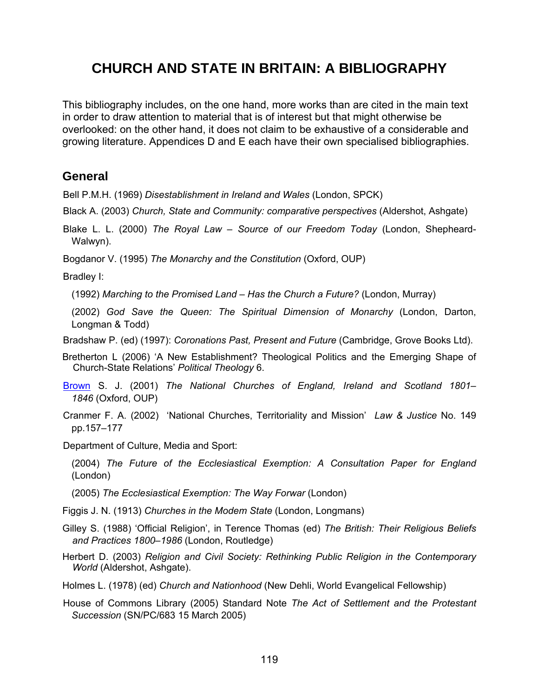# **CHURCH AND STATE IN BRITAIN: A BIBLIOGRAPHY**

This bibliography includes, on the one hand, more works than are cited in the main text in order to draw attention to material that is of interest but that might otherwise be overlooked: on the other hand, it does not claim to be exhaustive of a considerable and growing literature. Appendices D and E each have their own specialised bibliographies.

#### **General**

Bell P.M.H. (1969) *Disestablishment in Ireland and Wales* (London, SPCK)

Black A. (2003) *Church, State and Community: comparative perspectives* (Aldershot, Ashgate)

Blake L. L. (2000) *The Royal Law – Source of our Freedom Today* (London, Shepheard-Walwyn).

Bogdanor V. (1995) *The Monarchy and the Constitution* (Oxford, OUP)

Bradley I:

(1992) *Marching to the Promised Land – Has the Church a Future?* (London, Murray)

(2002) *God Save the Queen: The Spiritual Dimension of Monarchy* (London, Darton, Longman & Todd)

Bradshaw P. (ed) (1997): *Coronations Past, Present and Future* (Cambridge, Grove Books Ltd).

- Bretherton L (2006) 'A New Establishment? Theological Politics and the Emerging Shape of Church-State Relations' *Political Theology* 6.
- Brown S. J. (2001) *The National Churches of England, Ireland and Scotland 1801– 1846* (Oxford, OUP)
- Cranmer F. A. (2002) 'National Churches, Territoriality and Mission' *Law & Justice* No. 149 pp.157–177
- Department of Culture, Media and Sport:
	- (2004) *The Future of the Ecclesiastical Exemption: A Consultation Paper for England*  (London)

(2005) *The Ecclesiastical Exemption: The Way Forwar* (London)

Figgis J. N. (1913) *Churches in the Modem State* (London, Longmans)

- Gilley S. (1988) 'Official Religion', in Terence Thomas (ed) *The British: Their Religious Beliefs and Practices 1800–1986* (London, Routledge)
- Herbert D. (2003) *Religion and Civil Society: Rethinking Public Religion in the Contemporary World* (Aldershot, Ashgate).
- Holmes L. (1978) (ed) *Church and Nationhood* (New Dehli, World Evangelical Fellowship)
- House of Commons Library (2005) Standard Note *The Act of Settlement and the Protestant Succession* (SN/PC/683 15 March 2005)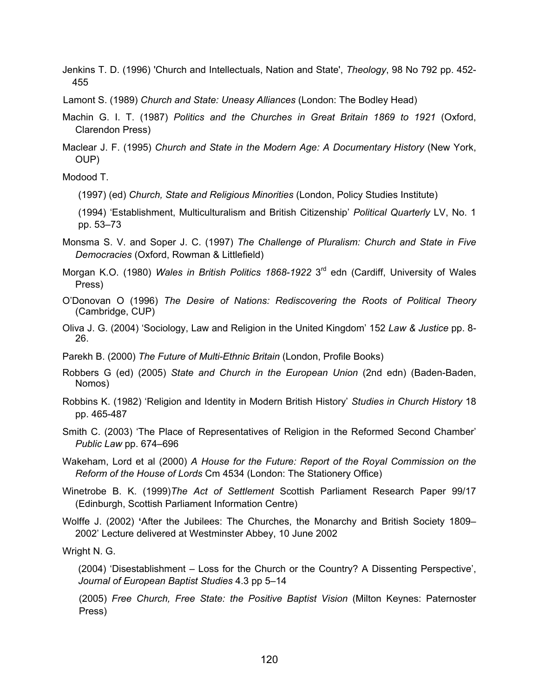- Jenkins T. D. (1996) 'Church and Intellectuals, Nation and State', *Theology*, 98 No 792 pp. 452- 455
- Lamont S. (1989) *Church and State: Uneasy Alliances* (London: The Bodley Head)
- Machin G. I. T. (1987) *Politics and the Churches in Great Britain 1869 to 1921* (Oxford, Clarendon Press)
- Maclear J. F. (1995) *Church and State in the Modern Age: A Documentary History* (New York, OUP)

Modood T.

(1997) (ed) *Church, State and Religious Minorities* (London, Policy Studies Institute)

(1994) 'Establishment, Multiculturalism and British Citizenship' *Political Quarterly* LV, No. 1 pp. 53*–*73

- Monsma S. V. and Soper J. C. (1997) *The Challenge of Pluralism: Church and State in Five Democracies* (Oxford, Rowman & Littlefield)
- Morgan K.O. (1980) *Wales in British Politics 1868-1922* 3rd edn (Cardiff, University of Wales Press)
- O'Donovan O (1996) *The Desire of Nations: Rediscovering the Roots of Political Theory* (Cambridge, CUP)
- Oliva J. G. (2004) 'Sociology, Law and Religion in the United Kingdom' 152 *Law & Justice* pp. 8- 26.
- Parekh B. (2000) *The Future of Multi-Ethnic Britain* (London, Profile Books)
- Robbers G (ed) (2005) *State and Church in the European Union* (2nd edn) (Baden-Baden, Nomos)
- Robbins K. (1982) 'Religion and Identity in Modern British History' *Studies in Church History* 18 pp. 465-487
- Smith C. (2003) 'The Place of Representatives of Religion in the Reformed Second Chamber' *Public Law* pp. 674*–*696
- Wakeham, Lord et al (2000) *A House for the Future: Report of the Royal Commission on the Reform of the House of Lords* Cm 4534 (London: The Stationery Office)
- Winetrobe B. K. (1999)*The Act of Settlement* Scottish Parliament Research Paper 99/17 (Edinburgh, Scottish Parliament Information Centre)
- Wolffe J. (2002) **'**After the Jubilees: The Churches, the Monarchy and British Society 1809*–* 2002' Lecture delivered at Westminster Abbey, 10 June 2002

Wright N. G.

(2004) 'Disestablishment – Loss for the Church or the Country? A Dissenting Perspective', *Journal of European Baptist Studies* 4.3 pp 5–14

(2005) *Free Church, Free State: the Positive Baptist Vision* (Milton Keynes: Paternoster Press)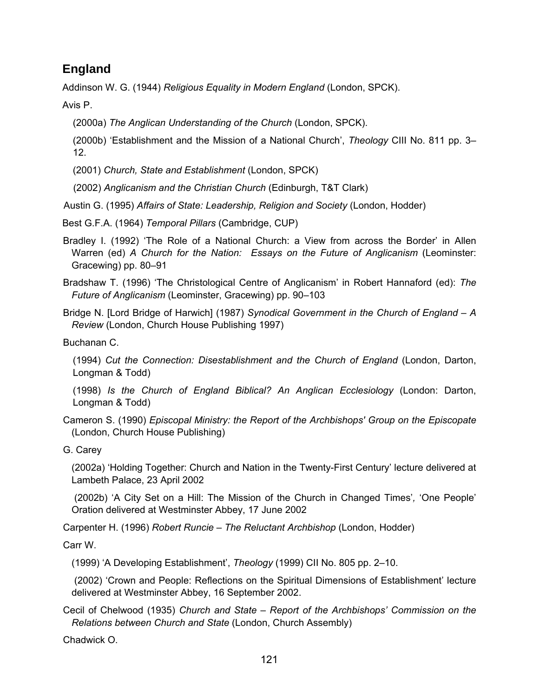# **England**

Addinson W. G. (1944) *Religious Equality in Modern England* (London, SPCK).

Avis P.

(2000a) *The Anglican Understanding of the Church* (London, SPCK).

(2000b) 'Establishment and the Mission of a National Church', *Theology* CIII No. 811 pp. 3– 12.

(2001) *Church, State and Establishment* (London, SPCK)

(2002) *Anglicanism and the Christian Church* (Edinburgh, T&T Clark)

Austin G. (1995) *Affairs of State: Leadership, Religion and Society* (London, Hodder)

Best G.F.A. (1964) *Temporal Pillars* (Cambridge, CUP)

Bradley I. (1992) 'The Role of a National Church: a View from across the Border' in Allen Warren (ed) *A Church for the Nation: Essays on the Future of Anglicanism* (Leominster: Gracewing) pp. 80–91

Bradshaw T. (1996) 'The Christological Centre of Anglicanism' in Robert Hannaford (ed): *The Future of Anglicanism* (Leominster, Gracewing) pp. 90–103

Bridge N. [Lord Bridge of Harwich] (1987) *Synodical Government in the Church of England – A Review* (London, Church House Publishing 1997)

Buchanan C.

(1994) *Cut the Connection: Disestablishment and the Church of England* (London, Darton, Longman & Todd)

(1998) *Is the Church of England Biblical? An Anglican Ecclesiology* (London: Darton, Longman & Todd)

Cameron S. (1990) *Episcopal Ministry: the Report of the Archbishops' Group on the Episcopate* (London, Church House Publishing)

G. Carey

(2002a) 'Holding Together: Church and Nation in the Twenty-First Century' lecture delivered at Lambeth Palace, 23 April 2002

 (2002b) 'A City Set on a Hill: The Mission of the Church in Changed Times'*,* 'One People' Oration delivered at Westminster Abbey, 17 June 2002

Carpenter H. (1996) *Robert Runcie – The Reluctant Archbishop* (London, Hodder)

Carr W.

(1999) 'A Developing Establishment', *Theology* (1999) CII No. 805 pp. 2–10.

 (2002) 'Crown and People: Reflections on the Spiritual Dimensions of Establishment' lecture delivered at Westminster Abbey, 16 September 2002.

Cecil of Chelwood (1935) *Church and State – Report of the Archbishops' Commission on the Relations between Church and State* (London, Church Assembly)

Chadwick O.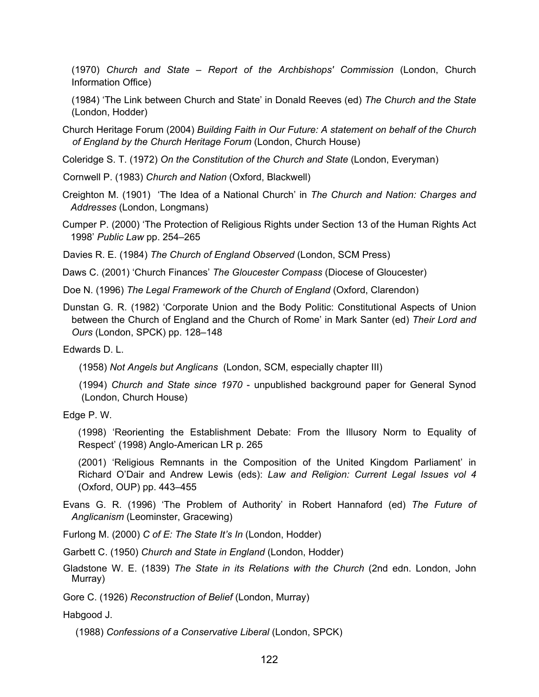(1970) *Church and State – Report of the Archbishops' Commission* (London, Church Information Office)

(1984) 'The Link between Church and State' in Donald Reeves (ed) *The Church and the State* (London, Hodder)

Church Heritage Forum (2004) *Building Faith in Our Future: A statement on behalf of the Church of England by the Church Heritage Forum* (London, Church House)

Coleridge S. T. (1972) *On the Constitution of the Church and State* (London, Everyman)

Cornwell P. (1983) *Church and Nation* (Oxford, Blackwell)

Creighton M. (1901) 'The Idea of a National Church' in *The Church and Nation: Charges and Addresses* (London, Longmans)

Cumper P. (2000) 'The Protection of Religious Rights under Section 13 of the Human Rights Act 1998' *Public Law* pp. 254*–*265

Davies R. E. (1984) *The Church of England Observed* (London, SCM Press)

Daws C. (2001) 'Church Finances' *The Gloucester Compass* (Diocese of Gloucester)

Doe N. (1996) *The Legal Framework of the Church of England* (Oxford, Clarendon)

Dunstan G. R. (1982) 'Corporate Union and the Body Politic: Constitutional Aspects of Union between the Church of England and the Church of Rome' in Mark Santer (ed) *Their Lord and Ours* (London, SPCK) pp. 128–148

Edwards D. L.

(1958) *Not Angels but Anglicans* (London, SCM, especially chapter III)

(1994) *Church and State since 1970* - unpublished background paper for General Synod (London, Church House)

Edge P. W.

(1998) 'Reorienting the Establishment Debate: From the Illusory Norm to Equality of Respect' (1998) Anglo-American LR p. 265

(2001) 'Religious Remnants in the Composition of the United Kingdom Parliament' in Richard O'Dair and Andrew Lewis (eds): *Law and Religion: Current Legal Issues vol 4* (Oxford, OUP) pp. 443–455

Evans G. R. (1996) 'The Problem of Authority' in Robert Hannaford (ed) *The Future of Anglicanism* (Leominster, Gracewing)

Furlong M. (2000) *C of E: The State It's In* (London, Hodder)

Garbett C. (1950) *Church and State in England* (London, Hodder)

Gladstone W. E. (1839) *The State in its Relations with the Church* (2nd edn. London, John Murray)

Gore C. (1926) *Reconstruction of Belief* (London, Murray)

Habgood J.

(1988) *Confessions of a Conservative Liberal* (London, SPCK)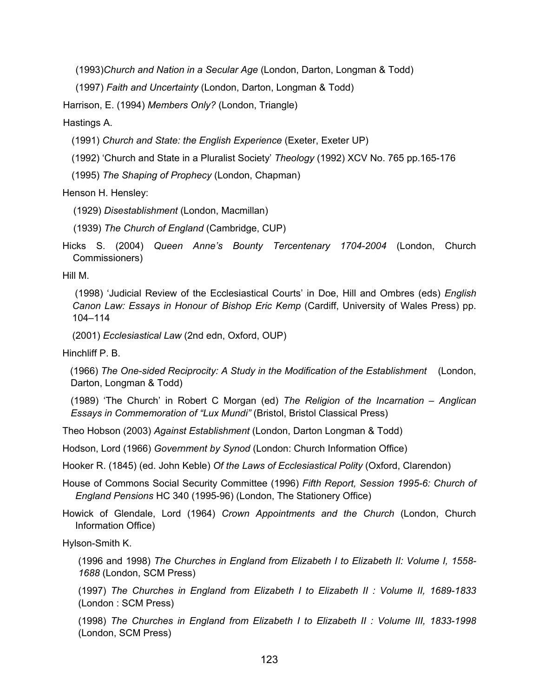(1993)*Church and Nation in a Secular Age* (London, Darton, Longman & Todd)

(1997) *Faith and Uncertainty* (London, Darton, Longman & Todd)

Harrison, E. (1994) *Members Only?* (London, Triangle)

Hastings A.

(1991) *Church and State: the English Experience* (Exeter, Exeter UP)

(1992) 'Church and State in a Pluralist Society' *Theology* (1992) XCV No. 765 pp.165-176

(1995) *The Shaping of Prophecy* (London, Chapman)

Henson H. Hensley:

(1929) *Disestablishment* (London, Macmillan)

(1939) *The Church of England* (Cambridge, CUP)

Hicks S. (2004) *Queen Anne's Bounty Tercentenary 1704-2004* (London, Church Commissioners)

Hill M.

 (1998) 'Judicial Review of the Ecclesiastical Courts' in Doe, Hill and Ombres (eds) *English Canon Law: Essays in Honour of Bishop Eric Kemp* (Cardiff, University of Wales Press) pp. 104–114

(2001) *Ecclesiastical Law* (2nd edn, Oxford, OUP)

Hinchliff P. B.

 (1966) *The One-sided Reciprocity: A Study in the Modification of the Establishment* (London, Darton, Longman & Todd)

(1989) 'The Church' in Robert C Morgan (ed) *The Religion of the Incarnation – Anglican Essays in Commemoration of "Lux Mundi"* (Bristol, Bristol Classical Press)

Theo Hobson (2003) *Against Establishment* (London, Darton Longman & Todd)

Hodson, Lord (1966) *Government by Synod* (London: Church Information Office)

Hooker R. (1845) (ed. John Keble) *Of the Laws of Ecclesiastical Polity* (Oxford, Clarendon)

House of Commons Social Security Committee (1996) *Fifth Report, Session 1995-6: Church of England Pensions* HC 340 (1995-96) (London, The Stationery Office)

Howick of Glendale, Lord (1964) *Crown Appointments and the Church* (London, Church Information Office)

Hylson-Smith K.

(1996 and 1998) *The Churches in England from Elizabeth I to Elizabeth II: Volume I, 1558- 1688* (London, SCM Press)

(1997) *The Churches in England from Elizabeth I to Elizabeth II : Volume II, 1689-1833* (London : SCM Press)

(1998) *The Churches in England from Elizabeth I to Elizabeth II : Volume III, 1833-1998*  (London, SCM Press)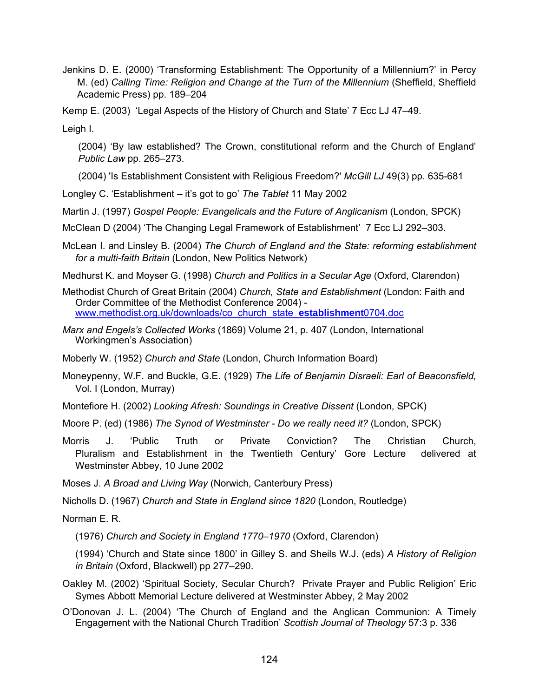Jenkins D. E. (2000) 'Transforming Establishment: The Opportunity of a Millennium?' in Percy M. (ed) *Calling Time: Religion and Change at the Turn of the Millennium* (Sheffield, Sheffield Academic Press) pp. 189–204

Kemp E. (2003) 'Legal Aspects of the History of Church and State' 7 Ecc LJ 47–49.

Leigh I.

(2004) 'By law established? The Crown, constitutional reform and the Church of England' *Public Law* pp. 265–273.

(2004) 'Is Establishment Consistent with Religious Freedom?' *McGill LJ* 49(3) pp. 635-681

Longley C. 'Establishment – it's got to go' *The Tablet* 11 May 2002

Martin J. (1997) *Gospel People: Evangelicals and the Future of Anglicanism* (London, SPCK)

McClean D (2004) 'The Changing Legal Framework of Establishment' 7 Ecc LJ 292–303.

McLean I. and Linsley B. (2004) *The Church of England and the State: reforming establishment for a multi-faith Britain* (London, New Politics Network)

Medhurst K. and Moyser G. (1998) *Church and Politics in a Secular Age* (Oxford, Clarendon)

Methodist Church of Great Britain (2004) *Church, State and Establishment* (London: Faith and Order Committee of the Methodist Conference 2004) www.methodist.org.uk/downloads/co\_church\_state\_**establishment**0704.doc

*Marx and Engels's Collected Works* (1869) Volume 21, p. 407 (London, International Workingmen's Association)

Moberly W. (1952) *Church and State* (London, Church Information Board)

- Moneypenny, W.F. and Buckle, G.E. (1929) *The Life of Benjamin Disraeli: Earl of Beaconsfield,* Vol. I (London, Murray)
- Montefiore H. (2002) *Looking Afresh: Soundings in Creative Dissent* (London, SPCK)

Moore P. (ed) (1986) *The Synod of Westminster - Do we really need it?* (London, SPCK)

Morris J. 'Public Truth or Private Conviction? The Christian Church, Pluralism and Establishment in the Twentieth Century' Gore Lecture delivered at Westminster Abbey, 10 June 2002

Moses J. *A Broad and Living Way* (Norwich, Canterbury Press)

Nicholls D. (1967) *Church and State in England since 1820* (London, Routledge)

Norman E. R.

(1976) *Church and Society in England 1770–1970* (Oxford, Clarendon)

(1994) 'Church and State since 1800' in Gilley S. and Sheils W.J. (eds) *A History of Religion in Britain* (Oxford, Blackwell) pp 277–290.

Oakley M. (2002) 'Spiritual Society, Secular Church? Private Prayer and Public Religion' Eric Symes Abbott Memorial Lecture delivered at Westminster Abbey, 2 May 2002

O'Donovan J. L. (2004) 'The Church of England and the Anglican Communion: A Timely Engagement with the National Church Tradition' *Scottish Journal of Theology* 57:3 p. 336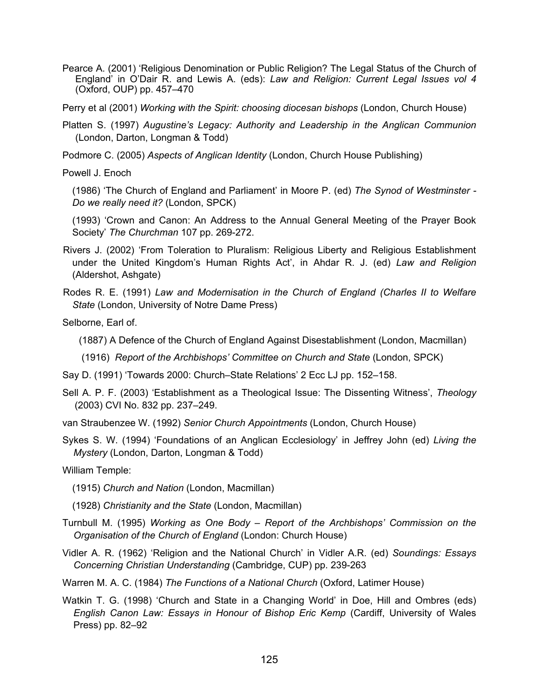Pearce A. (2001) 'Religious Denomination or Public Religion? The Legal Status of the Church of England' in O'Dair R. and Lewis A. (eds): *Law and Religion: Current Legal Issues vol 4* (Oxford, OUP) pp. 457–470

Perry et al (2001) *Working with the Spirit: choosing diocesan bishops* (London, Church House)

Platten S. (1997) *Augustine's Legacy: Authority and Leadership in the Anglican Communion* (London, Darton, Longman & Todd)

Podmore C. (2005) *Aspects of Anglican Identity* (London, Church House Publishing)

Powell J. Enoch

(1986) 'The Church of England and Parliament' in Moore P. (ed) *The Synod of Westminster - Do we really need it?* (London, SPCK)

(1993) 'Crown and Canon: An Address to the Annual General Meeting of the Prayer Book Society' *The Churchman* 107 pp. 269-272.

- Rivers J. (2002) 'From Toleration to Pluralism: Religious Liberty and Religious Establishment under the United Kingdom's Human Rights Act', in Ahdar R. J. (ed) *Law and Religion*  (Aldershot, Ashgate)
- Rodes R. E. (1991) *Law and Modernisation in the Church of England (Charles II to Welfare State* (London, University of Notre Dame Press)

Selborne, Earl of.

(1887) A Defence of the Church of England Against Disestablishment (London, Macmillan)

(1916) *Report of the Archbishops' Committee on Church and State* (London, SPCK)

Say D. (1991) 'Towards 2000: Church–State Relations' 2 Ecc LJ pp. 152–158.

Sell A. P. F. (2003) 'Establishment as a Theological Issue: The Dissenting Witness', *Theology* (2003) CVI No. 832 pp. 237–249.

van Straubenzee W. (1992) *Senior Church Appointments* (London, Church House)

Sykes S. W. (1994) 'Foundations of an Anglican Ecclesiology' in Jeffrey John (ed) *Living the Mystery* (London, Darton, Longman & Todd)

William Temple:

- (1915) *Church and Nation* (London, Macmillan)
- (1928) *Christianity and the State* (London, Macmillan)
- Turnbull M. (1995) *Working as One Body Report of the Archbishops' Commission on the Organisation of the Church of England* (London: Church House)
- Vidler A. R. (1962) 'Religion and the National Church' in Vidler A.R. (ed) *Soundings: Essays Concerning Christian Understanding* (Cambridge, CUP) pp. 239-263
- Warren M. A. C. (1984) *The Functions of a National Church* (Oxford, Latimer House)
- Watkin T. G. (1998) 'Church and State in a Changing World' in Doe, Hill and Ombres (eds) *English Canon Law: Essays in Honour of Bishop Eric Kemp* (Cardiff, University of Wales Press) pp. 82–92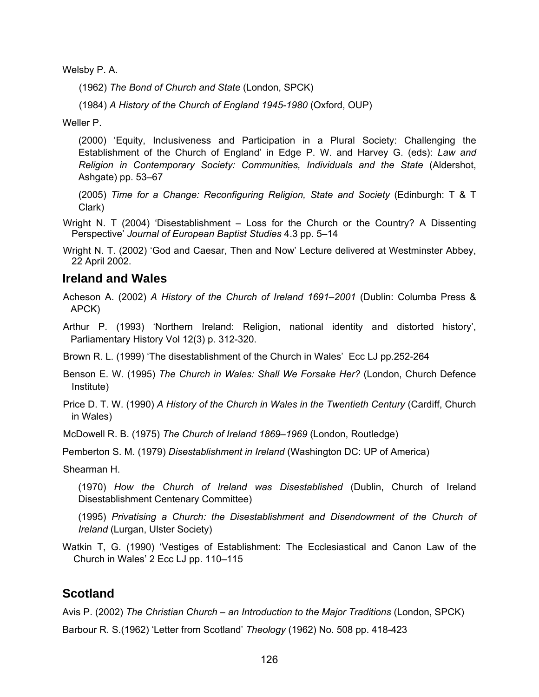Welsby P. A.

(1962) *The Bond of Church and State* (London, SPCK)

(1984) *A History of the Church of England 1945-1980* (Oxford, OUP)

Weller P.

(2000) 'Equity, Inclusiveness and Participation in a Plural Society: Challenging the Establishment of the Church of England' in Edge P. W. and Harvey G. (eds): *Law and Religion in Contemporary Society: Communities, Individuals and the State* (Aldershot, Ashgate) pp. 53–67

(2005) *Time for a Change: Reconfiguring Religion, State and Society* (Edinburgh: T & T Clark)

Wright N. T (2004) 'Disestablishment – Loss for the Church or the Country? A Dissenting Perspective' *Journal of European Baptist Studies* 4.3 pp. 5–14

Wright N. T. (2002) 'God and Caesar, Then and Now' Lecture delivered at Westminster Abbey, 22 April 2002.

#### **Ireland and Wales**

Acheson A. (2002) *A History of the Church of Ireland 1691–2001* (Dublin: Columba Press & APCK)

Arthur P. (1993) 'Northern Ireland: Religion, national identity and distorted history', Parliamentary History Vol 12(3) p. 312-320.

Brown R. L. (1999) 'The disestablishment of the Church in Wales' Ecc LJ pp.252-264

Benson E. W. (1995) *The Church in Wales: Shall We Forsake Her?* (London, Church Defence Institute)

Price D. T. W. (1990) *A History of the Church in Wales in the Twentieth Century* (Cardiff, Church in Wales)

McDowell R. B. (1975) *The Church of Ireland 1869–1969* (London, Routledge)

Pemberton S. M. (1979) *Disestablishment in Ireland* (Washington DC: UP of America)

Shearman H.

(1970) *How the Church of Ireland was Disestablished* (Dublin, Church of Ireland Disestablishment Centenary Committee)

(1995) *Privatising a Church: the Disestablishment and Disendowment of the Church of Ireland* (Lurgan, Ulster Society)

Watkin T, G. (1990) 'Vestiges of Establishment: The Ecclesiastical and Canon Law of the Church in Wales' 2 Ecc LJ pp. 110–115

### **Scotland**

Avis P. (2002) *The Christian Church – an Introduction to the Major Traditions* (London, SPCK) Barbour R. S.(1962) 'Letter from Scotland' *Theology* (1962) No. 508 pp. 418-423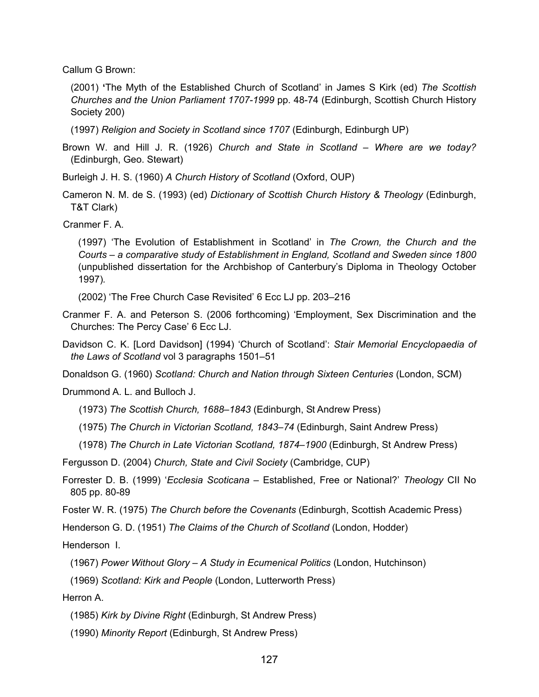Callum G Brown:

 (2001) **'**The Myth of the Established Church of Scotland' in James S Kirk (ed) *The Scottish Churches and the Union Parliament 1707-1999* pp. 48-74 (Edinburgh, Scottish Church History Society 200)

(1997) *Religion and Society in Scotland since 1707* (Edinburgh, Edinburgh UP)

Brown W. and Hill J. R. (1926) *Church and State in Scotland* – *Where are we today?* (Edinburgh, Geo. Stewart)

Burleigh J. H. S. (1960) *A Church History of Scotland* (Oxford, OUP)

Cameron N. M. de S. (1993) (ed) *Dictionary of Scottish Church History & Theology* (Edinburgh, T&T Clark)

Cranmer F. A.

(1997) 'The Evolution of Establishment in Scotland' in *The Crown, the Church and the Courts – a comparative study of Establishment in England, Scotland and Sweden since 1800*  (unpublished dissertation for the Archbishop of Canterbury's Diploma in Theology October 1997)*.*

(2002) 'The Free Church Case Revisited' 6 Ecc LJ pp. 203–216

Cranmer F. A. and Peterson S. (2006 forthcoming) 'Employment, Sex Discrimination and the Churches: The Percy Case' 6 Ecc LJ.

Davidson C. K. [Lord Davidson] (1994) 'Church of Scotland': *Stair Memorial Encyclopaedia of the Laws of Scotland* vol 3 paragraphs 1501–51

Donaldson G. (1960) *Scotland: Church and Nation through Sixteen Centuries* (London, SCM)

Drummond A. L. and Bulloch J.

(1973) *The Scottish Church, 1688–1843* (Edinburgh, St Andrew Press)

(1975) *The Church in Victorian Scotland, 1843–74* (Edinburgh, Saint Andrew Press)

(1978) *The Church in Late Victorian Scotland, 1874–1900* (Edinburgh, St Andrew Press)

Fergusson D. (2004) *Church, State and Civil Society* (Cambridge, CUP)

Forrester D. B. (1999) '*Ecclesia Scoticana* – Established, Free or National?' *Theology* CII No 805 pp. 80-89

Foster W. R. (1975) *The Church before the Covenants* (Edinburgh, Scottish Academic Press)

Henderson G. D. (1951) *The Claims of the Church of Scotland* (London, Hodder)

Henderson I.

(1967) *Power Without Glory* – *A Study in Ecumenical Politics* (London, Hutchinson)

(1969) *Scotland: Kirk and People* (London, Lutterworth Press)

Herron A.

(1985) *Kirk by Divine Right* (Edinburgh, St Andrew Press)

(1990) *Minority Report* (Edinburgh, St Andrew Press)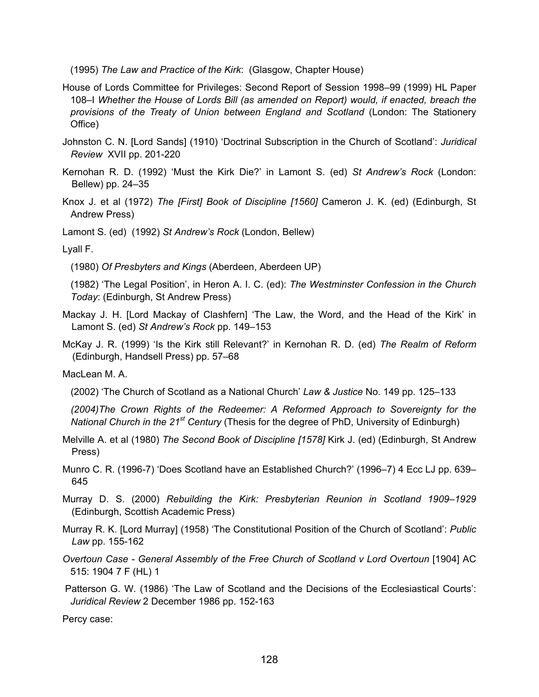(1995) *The Law and Practice of the Kirk*: (Glasgow, Chapter House)

- House of Lords Committee for Privileges: Second Report of Session 1998–99 (1999) HL Paper 108–I *Whether the House of Lords Bill (as amended on Report) would, if enacted, breach the provisions of the Treaty of Union between England and Scotland* (London: The Stationery Office)
- Johnston C. N. [Lord Sands] (1910) 'Doctrinal Subscription in the Church of Scotland': *Juridical Review* XVII pp. 201-220
- Kernohan R. D. (1992) 'Must the Kirk Die?' in Lamont S. (ed) *St Andrew's Rock* (London: Bellew) pp. 24–35
- Knox J. et al (1972) *The [First] Book of Discipline [1560]* Cameron J. K. (ed) (Edinburgh, St Andrew Press)
- Lamont S. (ed) (1992) *St Andrew's Rock* (London, Bellew)

Lyall F.

- (1980) *Of Presbyters and Kings* (Aberdeen, Aberdeen UP)
- (1982) 'The Legal Position', in Heron A. I. C. (ed): *The Westminster Confession in the Church Today*: (Edinburgh, St Andrew Press)
- Mackay J. H. [Lord Mackay of Clashfern] 'The Law, the Word, and the Head of the Kirk' in Lamont S. (ed) *St Andrew's Rock* pp. 149–153
- McKay J. R. (1999) 'Is the Kirk still Relevant?' in Kernohan R. D. (ed) *The Realm of Reform* (Edinburgh, Handsell Press) pp. 57–68

MacLean M. A.

(2002) 'The Church of Scotland as a National Church' *Law & Justice* No. 149 pp. 125–133

*(2004)The Crown Rights of the Redeemer: A Reformed Approach to Sovereignty for the National Church in the 21st Century* (Thesis for the degree of PhD, University of Edinburgh)

Melville A. et al (1980) *The Second Book of Discipline [1578]* Kirk J. (ed) (Edinburgh, St Andrew Press)

Munro C. R. (1996-7) 'Does Scotland have an Established Church?' (1996–7) 4 Ecc LJ pp. 639– 645

- Murray D. S. (2000) *Rebuilding the Kirk: Presbyterian Reunion in Scotland 1909*–*1929*  (Edinburgh, Scottish Academic Press)
- Murray R. K. [Lord Murray] (1958) 'The Constitutional Position of the Church of Scotland': *Public Law* pp. 155-162
- *Overtoun Case General Assembly of the Free Church of Scotland v Lord Overtoun* [1904] AC 515: 1904 7 F (HL) 1
- Patterson G. W. (1986) 'The Law of Scotland and the Decisions of the Ecclesiastical Courts': *Juridical Review* 2 December 1986 pp. 152-163

Percy case: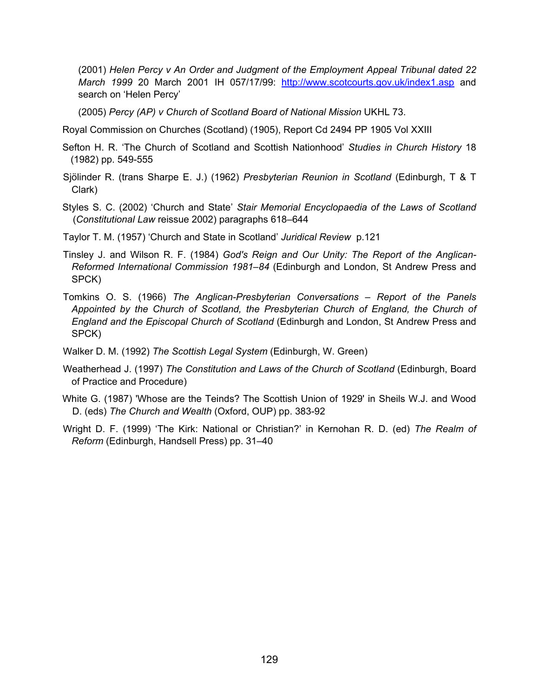(2001) *Helen Percy v An Order and Judgment of the Employment Appeal Tribunal dated 22 March 1999* 20 March 2001 IH 057/17/99: http://www.scotcourts.gov.uk/index1.asp and search on 'Helen Percy'

(2005) *Percy (AP) v Church of Scotland Board of National Mission* UKHL 73.

Royal Commission on Churches (Scotland) (1905), Report Cd 2494 PP 1905 Vol XXIII

- Sefton H. R. 'The Church of Scotland and Scottish Nationhood' *Studies in Church History* 18 (1982) pp. 549-555
- Sjölinder R. (trans Sharpe E. J.) (1962) *Presbyterian Reunion in Scotland* (Edinburgh, T & T Clark)
- Styles S. C. (2002) 'Church and State' *Stair Memorial Encyclopaedia of the Laws of Scotland*  (*Constitutional Law* reissue 2002) paragraphs 618–644

Taylor T. M. (1957) 'Church and State in Scotland' *Juridical Review* p.121

- Tinsley J. and Wilson R. F. (1984) *God's Reign and Our Unity: The Report of the Anglican-Reformed International Commission 1981*–*84* (Edinburgh and London, St Andrew Press and SPCK)
- Tomkins O. S. (1966) *The Anglican-Presbyterian Conversations Report of the Panels Appointed by the Church of Scotland, the Presbyterian Church of England, the Church of England and the Episcopal Church of Scotland* (Edinburgh and London, St Andrew Press and SPCK)

Walker D. M. (1992) *The Scottish Legal System* (Edinburgh, W. Green)

- Weatherhead J. (1997) *The Constitution and Laws of the Church of Scotland* (Edinburgh, Board of Practice and Procedure)
- White G. (1987) 'Whose are the Teinds? The Scottish Union of 1929' in Sheils W.J. and Wood D. (eds) *The Church and Wealth* (Oxford, OUP) pp. 383-92
- Wright D. F. (1999) 'The Kirk: National or Christian?' in Kernohan R. D. (ed) *The Realm of Reform* (Edinburgh, Handsell Press) pp. 31–40